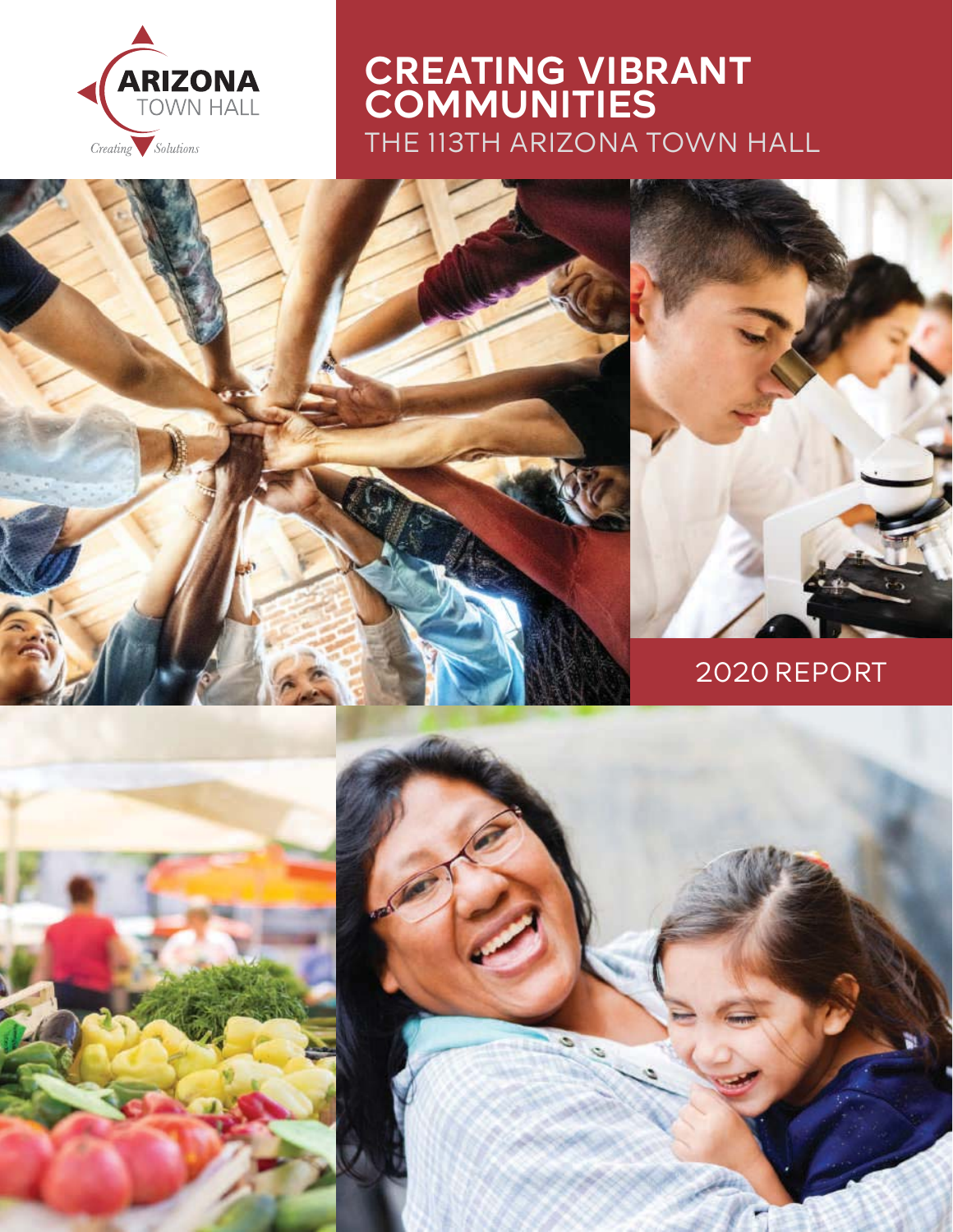

# CREATING VIBRANT **COMMUNITIES** THE 113TH ARIZONA TOWN HALL



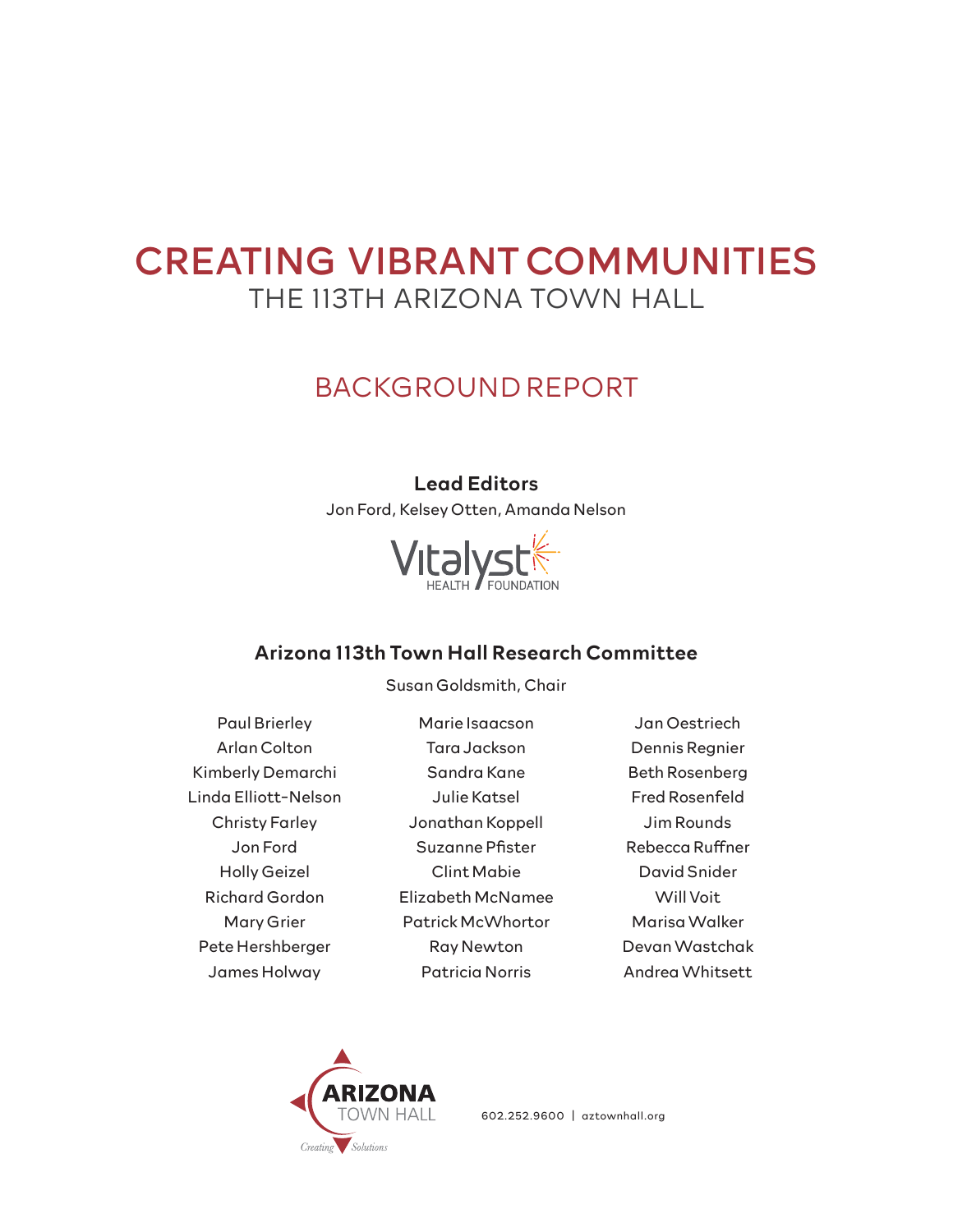# CREATING VIBRANT COMMUNITIES THE 113TH ARIZONA TOWN HALL

# BACKGROUND REPORT

## Lead Editors

Jon Ford, Kelsey Otten, Amanda Nelson



## Arizona 113th Town Hall Research Committee

Susan Goldsmith, Chair

Paul Brierley Arlan Colton Kimberly Demarchi Linda Elliott-Nelson Christy Farley Jon Ford Holly Geizel Richard Gordon Mary Grier Pete Hershberger James Holway

Marie Isaacson Tara Jackson Sandra Kane Julie Katsel Jonathan Koppell Suzanne Pfister Clint Mabie Elizabeth McNamee Patrick McWhortor Ray Newton Patricia Norris

Jan Oestriech Dennis Regnier Beth Rosenberg Fred Rosenfeld Jim Rounds Rebecca Ruffner David Snider Will Voit Marisa Walker Devan Wastchak Andrea Whitsett



602.252.9600 | aztownhall.org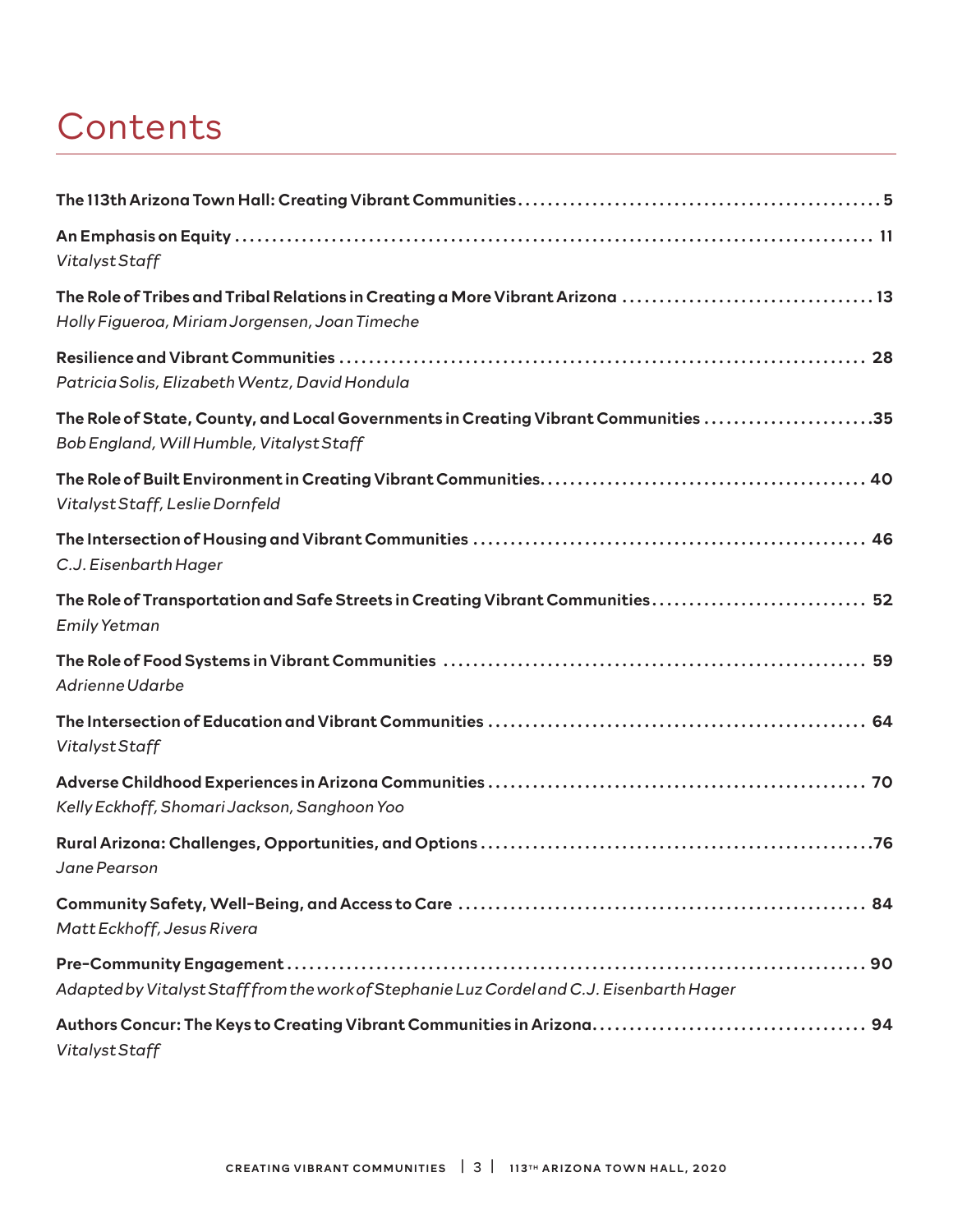# **Contents**

| Vitalyst Staff                                                                                                                  |
|---------------------------------------------------------------------------------------------------------------------------------|
| The Role of Tribes and Tribal Relations in Creating a More Vibrant Arizona 13<br>Holly Figueroa, Miriam Jorgensen, Joan Timeche |
| Patricia Solis, Elizabeth Wentz, David Hondula                                                                                  |
| The Role of State, County, and Local Governments in Creating Vibrant Communities 35<br>Bob England, Will Humble, Vitalyst Staff |
| Vitalyst Staff, Leslie Dornfeld                                                                                                 |
| C.J. Eisenbarth Hager                                                                                                           |
| The Role of Transportation and Safe Streets in Creating Vibrant Communities 52<br><b>Emily Yetman</b>                           |
| Adrienne Udarbe                                                                                                                 |
| Vitalyst Staff                                                                                                                  |
| Kelly Eckhoff, Shomari Jackson, Sanghoon Yoo                                                                                    |
| Jane Pearson                                                                                                                    |
| Matt Eckhoff, Jesus Rivera                                                                                                      |
| Adapted by Vitalyst Staff from the work of Stephanie Luz Cordel and C.J. Eisenbarth Hager                                       |
| Vitalyst Staff                                                                                                                  |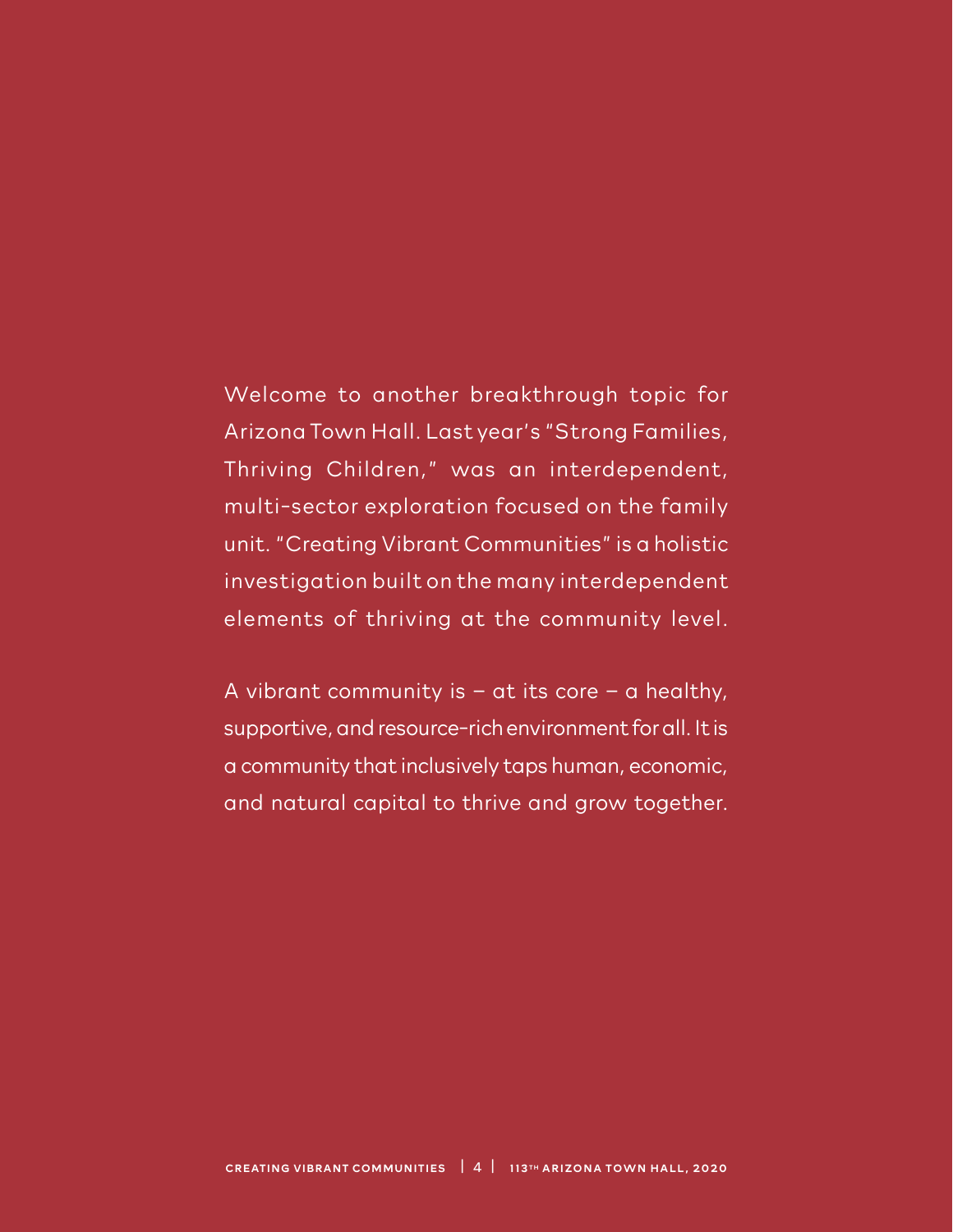Welcome to another breakthrough topic for Arizona Town Hall. Last year's "Strong Families, Thriving Children," was an interdependent, multi-sector exploration focused on the family unit. "Creating Vibrant Communities" is a holistic investigation built on the many interdependent elements of thriving at the community level.

A vibrant community is – at its core – a healthy, supportive, and resource-rich environment for all. It is a community that inclusively taps human, economic, and natural capital to thrive and grow together.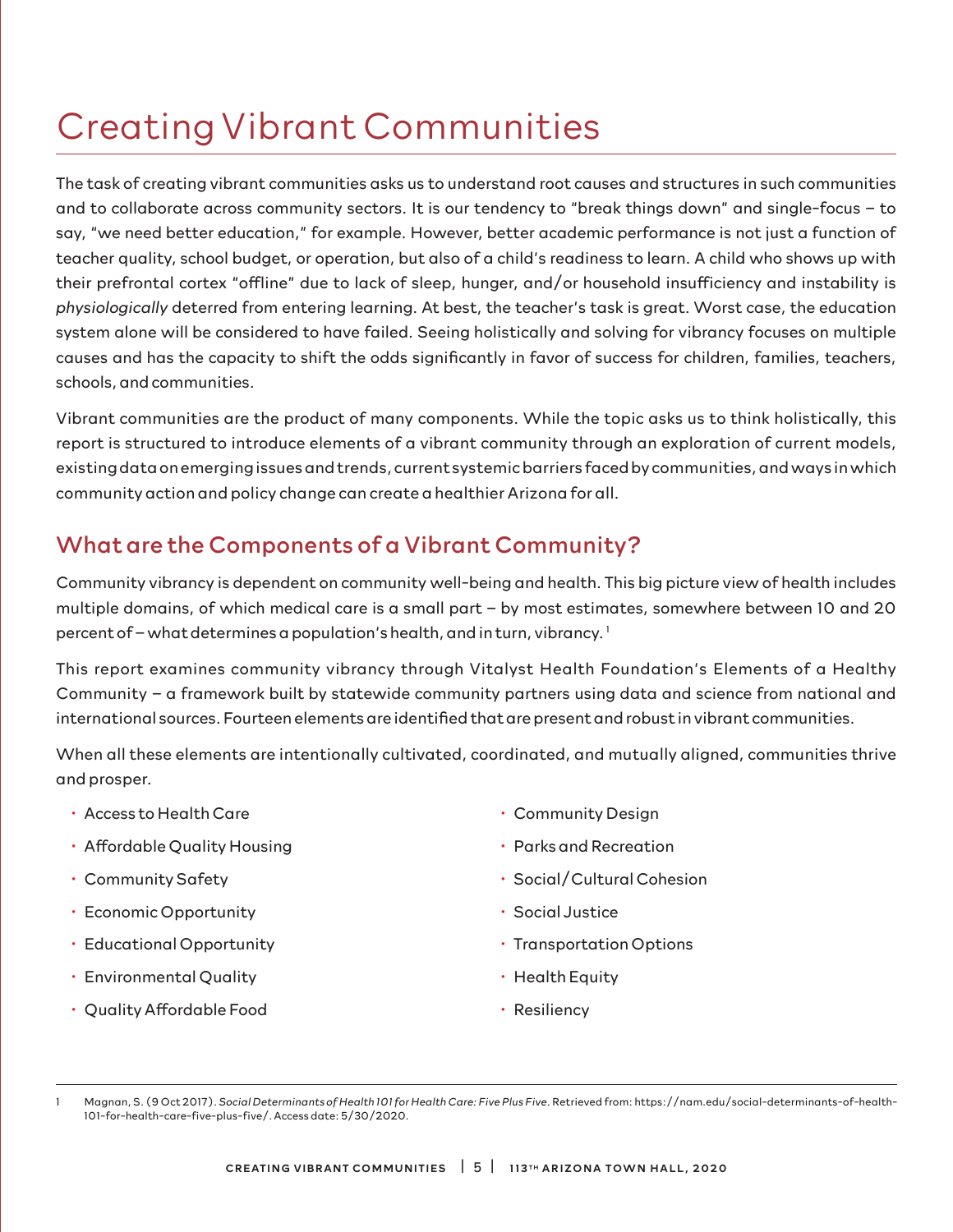# Creating Vibrant Communities

The task of creating vibrant communities asks us to understand root causes and structures in such communities and to collaborate across community sectors. It is our tendency to "break things down" and single-focus – to say, "we need better education," for example. However, better academic performance is not just a function of teacher quality, school budget, or operation, but also of a child's readiness to learn. A child who shows up with their prefrontal cortex "offline" due to lack of sleep, hunger, and/or household insufficiency and instability is *physiologically* deterred from entering learning. At best, the teacher's task is great. Worst case, the education system alone will be considered to have failed. Seeing holistically and solving for vibrancy focuses on multiple causes and has the capacity to shift the odds significantly in favor of success for children, families, teachers, schools, and communities.

Vibrant communities are the product of many components. While the topic asks us to think holistically, this report is structured to introduce elements of a vibrant community through an exploration of current models, existing data on emerging issues and trends, current systemic barriers faced by communities, and ways in which community action and policy change can create a healthier Arizona for all.

# What are the Components of a Vibrant Community?

Community vibrancy is dependent on community well-being and health. This big picture view of health includes multiple domains, of which medical care is a small part – by most estimates, somewhere between 10 and 20 percent of – what determines a population's health, and in turn, vibrancy.<sup>1</sup>

This report examines community vibrancy through Vitalyst Health Foundation's Elements of a Healthy Community – a framework built by statewide community partners using data and science from national and international sources. Fourteen elements are identified that are present and robust in vibrant communities.

When all these elements are intentionally cultivated, coordinated, and mutually aligned, communities thrive and prosper.

- Access to Health Care
- Affordable Quality Housing
- Community Safety
- Economic Opportunity
- Educational Opportunity
- Environmental Quality
- Quality Affordable Food
- Community Design
- Parks and Recreation
- Social/Cultural Cohesion
- Social Justice
- Transportation Options
- Health Equity
- Resiliency

<sup>1</sup> Magnan, S. (9 Oct 2017). *Social Determinants of Health 101 for Health Care: Five Plus Five*. Retrieved from: https://nam.edu/social-determinants-of-health-101-for-health-care-five-plus-five/. Access date: 5/30/2020.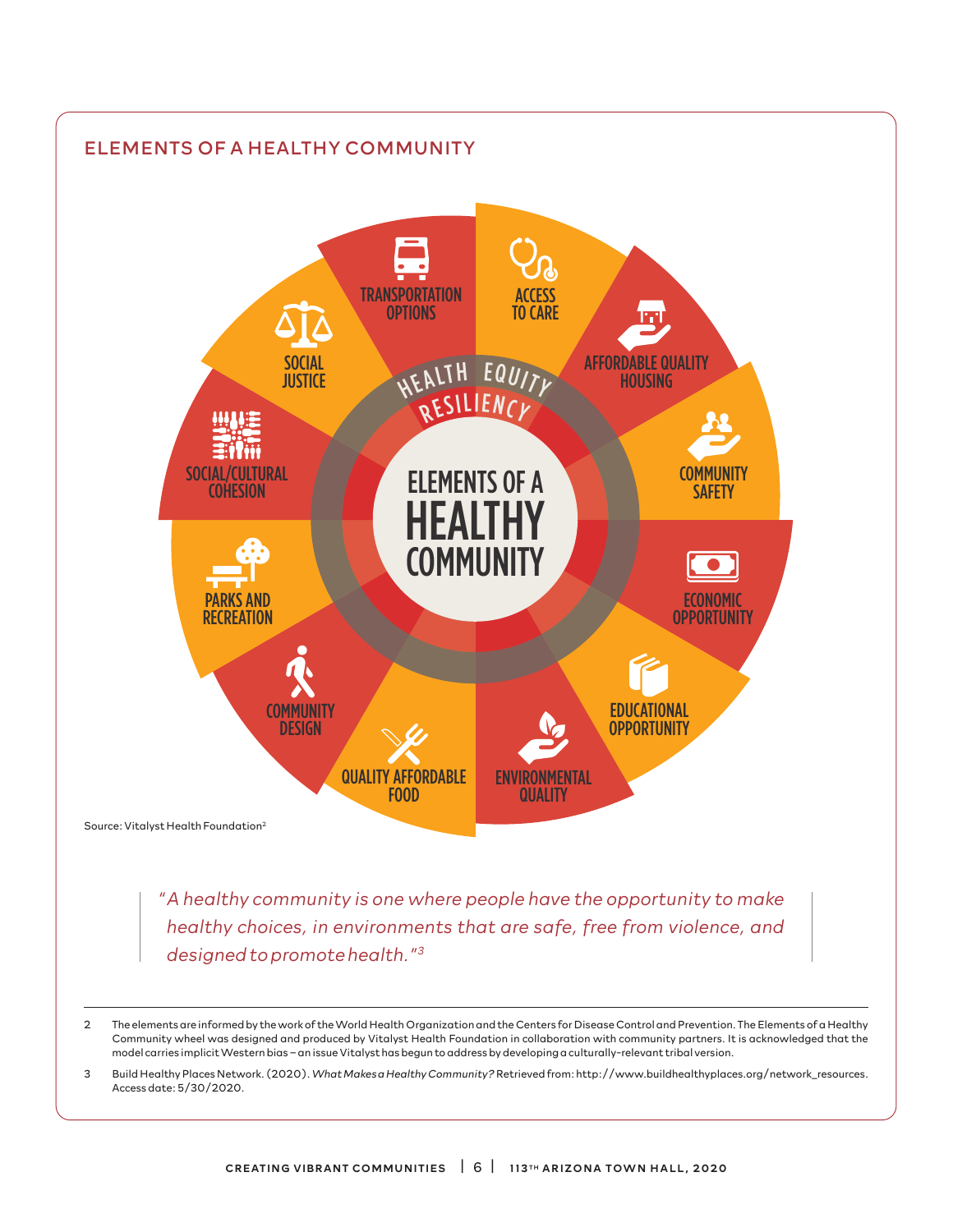

2 The elements are informed by the work of the World Health Organization and the Centers for Disease Control and Prevention. The Elements of a Healthy Community wheel was designed and produced by Vitalyst Health Foundation in collaboration with community partners. It is acknowledged that the model carries implicit Western bias – an issue Vitalyst has begun to address by developing a culturally-relevant tribal version.

3 Build Healthy Places Network. (2020). *What Makes a Healthy Community?* Retrieved from: http://www.buildhealthyplaces.org/network\_resources. Access date: 5/30/2020.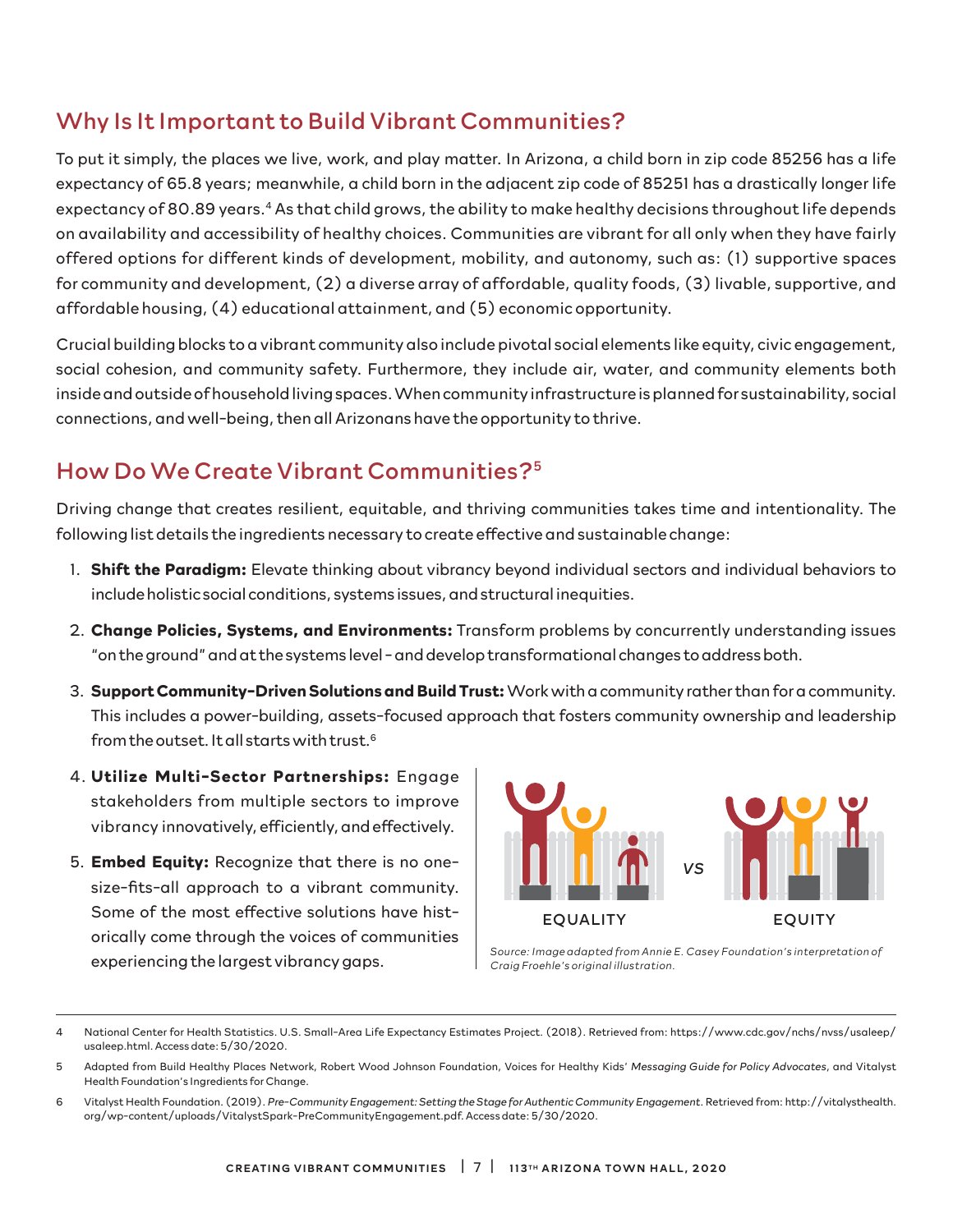## Why Is It Important to Build Vibrant Communities?

To put it simply, the places we live, work, and play matter. In Arizona, a child born in zip code 85256 has a life expectancy of 65.8 years; meanwhile, a child born in the adjacent zip code of 85251 has a drastically longer life expectancy of 80.89 years.<sup>4</sup> As that child grows, the ability to make healthy decisions throughout life depends on availability and accessibility of healthy choices. Communities are vibrant for all only when they have fairly offered options for different kinds of development, mobility, and autonomy, such as: (1) supportive spaces for community and development, (2) a diverse array of affordable, quality foods, (3) livable, supportive, and affordable housing, (4) educational attainment, and (5) economic opportunity.

Crucial building blocks to a vibrant community also include pivotal social elements like equity, civic engagement, social cohesion, and community safety. Furthermore, they include air, water, and community elements both inside and outside of household living spaces. When community infrastructure is planned for sustainability, social connections, and well-being, then all Arizonans have the opportunity to thrive.

# How Do We Create Vibrant Communities?5

Driving change that creates resilient, equitable, and thriving communities takes time and intentionality. The following list details the ingredients necessary to create effective and sustainable change:

- 1. **Shift the Paradigm:** Elevate thinking about vibrancy beyond individual sectors and individual behaviors to include holistic social conditions, systems issues, and structural inequities.
- 2. **Change Policies, Systems, and Environments:** Transform problems by concurrently understanding issues "on the ground" and at the systems level - and develop transformational changes to address both.
- 3. **Support Community-Driven Solutions and Build Trust:** Work with a community rather than for a community. This includes a power-building, assets-focused approach that fosters community ownership and leadership from the outset. It all starts with trust.6
- 4. **Utilize Multi-Sector Partnerships:** Engage stakeholders from multiple sectors to improve vibrancy innovatively, efficiently, and effectively.
- 5. **Embed Equity:** Recognize that there is no onesize-fits-all approach to a vibrant community. Some of the most effective solutions have historically come through the voices of communities experiencing the largest vibrancy gaps.



*Source: Image adapted from Annie E. Casey Foundation's interpretation of Craig Froehle's original illustration.*

6 Vitalyst Health Foundation. (2019). *Pre-Community Engagement: Setting the Stage for Authentic Community Engagement*. Retrieved from: http://vitalysthealth. org/wp-content/uploads/VitalystSpark-PreCommunityEngagement.pdf. Access date: 5/30/2020.

<sup>4</sup> National Center for Health Statistics. U.S. Small-Area Life Expectancy Estimates Project. (2018). Retrieved from: https://www.cdc.gov/nchs/nvss/usaleep/ usaleep.html. Access date: 5/30/2020.

<sup>5</sup> Adapted from Build Healthy Places Network, Robert Wood Johnson Foundation, Voices for Healthy Kids' *Messaging Guide for Policy Advocates*, and Vitalyst Health Foundation's Ingredients for Change.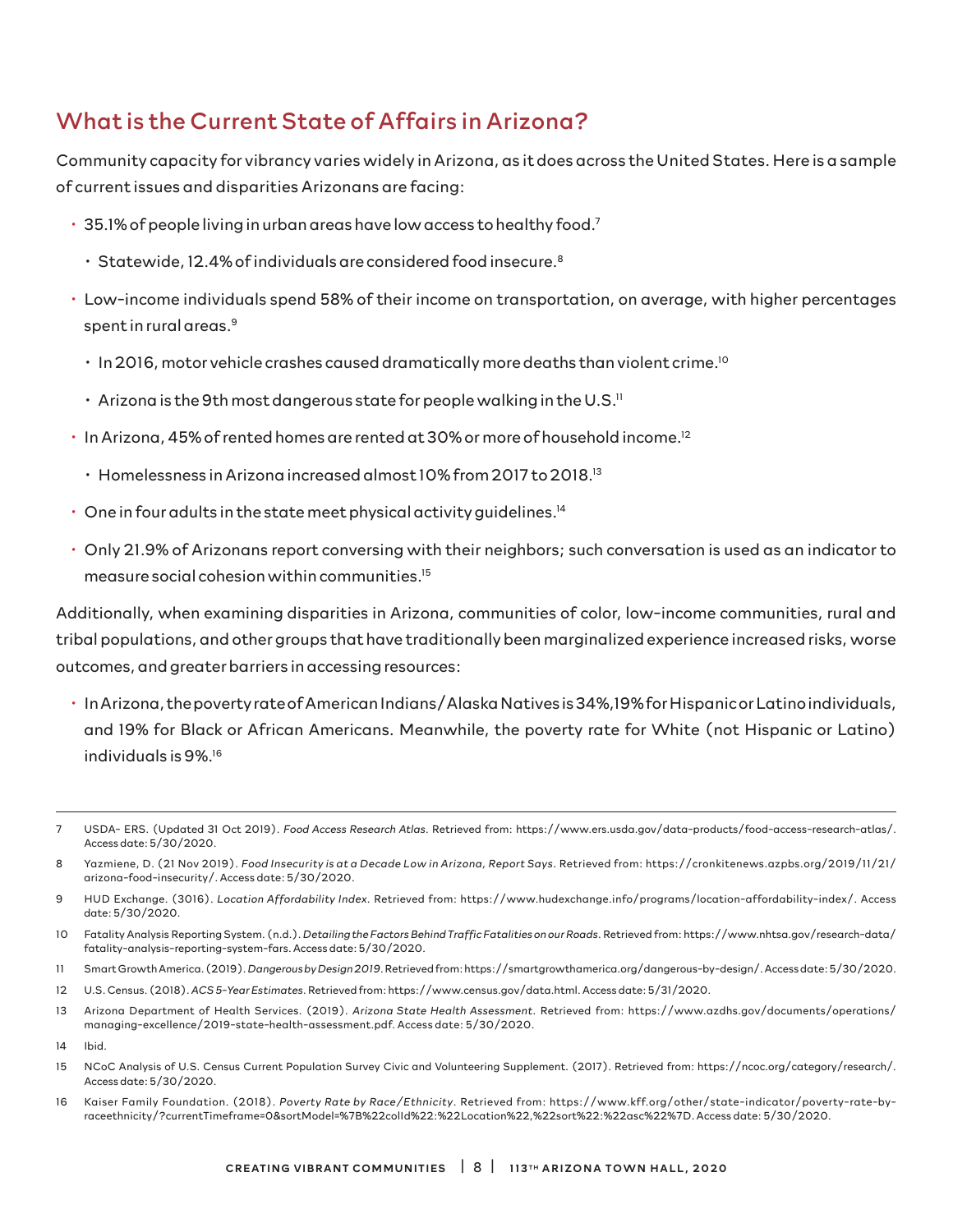# What is the Current State of Affairs in Arizona?

Community capacity for vibrancy varies widely in Arizona, as it does across the United States. Here is a sample of current issues and disparities Arizonans are facing:

- $\cdot$  35.1% of people living in urban areas have low access to healthy food.<sup>7</sup>
	- $\cdot$  Statewide, 12.4% of individuals are considered food insecure.<sup>8</sup>
- Low-income individuals spend 58% of their income on transportation, on average, with higher percentages spent in rural areas.<sup>9</sup>
	- $\cdot$  In 2016, motor vehicle crashes caused dramatically more deaths than violent crime.<sup>10</sup>
	- $\cdot$  Arizona is the 9th most dangerous state for people walking in the U.S.<sup>11</sup>
- In Arizona, 45% of rented homes are rented at 30% or more of household income.12
	- Homelessness in Arizona increased almost 10% from 2017 to 2018.13
- $\cdot$  One in four adults in the state meet physical activity guidelines.<sup>14</sup>
- Only 21.9% of Arizonans report conversing with their neighbors; such conversation is used as an indicator to measure social cohesion within communities.15

Additionally, when examining disparities in Arizona, communities of color, low-income communities, rural and tribal populations, and other groups that have traditionally been marginalized experience increased risks, worse outcomes, and greater barriers in accessing resources:

• In Arizona, the poverty rate of American Indians/Alaska Natives is 34%,19% for Hispanic or Latino individuals, and 19% for Black or African Americans. Meanwhile, the poverty rate for White (not Hispanic or Latino) individuals is 9%.16

- 11 Smart Growth America. (2019). *Dangerous by Design 2019*. Retrieved from: https://smartgrowthamerica.org/dangerous-by-design/. Access date: 5/30/2020.
- 12 U.S. Census. (2018). *ACS 5-Year Estimates*. Retrieved from: https://www.census.gov/data.html. Access date: 5/31/2020.
- 13 Arizona Department of Health Services. (2019). *Arizona State Health Assessment*. Retrieved from: https://www.azdhs.gov/documents/operations/ managing-excellence/2019-state-health-assessment.pdf. Access date: 5/30/2020.
- 14 Ibid.
- 15 NCoC Analysis of U.S. Census Current Population Survey Civic and Volunteering Supplement. (2017). Retrieved from: https://ncoc.org/category/research/. Access date: 5/30/2020.
- 16 Kaiser Family Foundation. (2018). *Poverty Rate by Race/Ethnicity*. Retrieved from: https://www.kff.org/other/state-indicator/poverty-rate-byraceethnicity/?currentTimeframe=0&sortModel=%7B%22colId%22:%22Location%22,%22sort%22:%22asc%22%7D. Access date: 5/30/2020.

<sup>7</sup> USDA- ERS. (Updated 31 Oct 2019). *Food Access Research Atlas*. Retrieved from: https://www.ers.usda.gov/data-products/food-access-research-atlas/. Access date: 5/30/2020.

<sup>8</sup> Yazmiene, D. (21 Nov 2019). *Food Insecurity is at a Decade Low in Arizona, Report Says*. Retrieved from: https://cronkitenews.azpbs.org/2019/11/21/ arizona-food-insecurity/. Access date: 5/30/2020.

<sup>9</sup> HUD Exchange. (3016). *Location Affordability Index*. Retrieved from: https://www.hudexchange.info/programs/location-affordability-index/. Access date: 5/30/2020.

<sup>10</sup> Fatality Analysis Reporting System. (n.d.). *Detailing the Factors Behind Traffic Fatalities on our Roads*. Retrieved from: https://www.nhtsa.gov/research-data/ fatality-analysis-reporting-system-fars. Access date: 5/30/2020.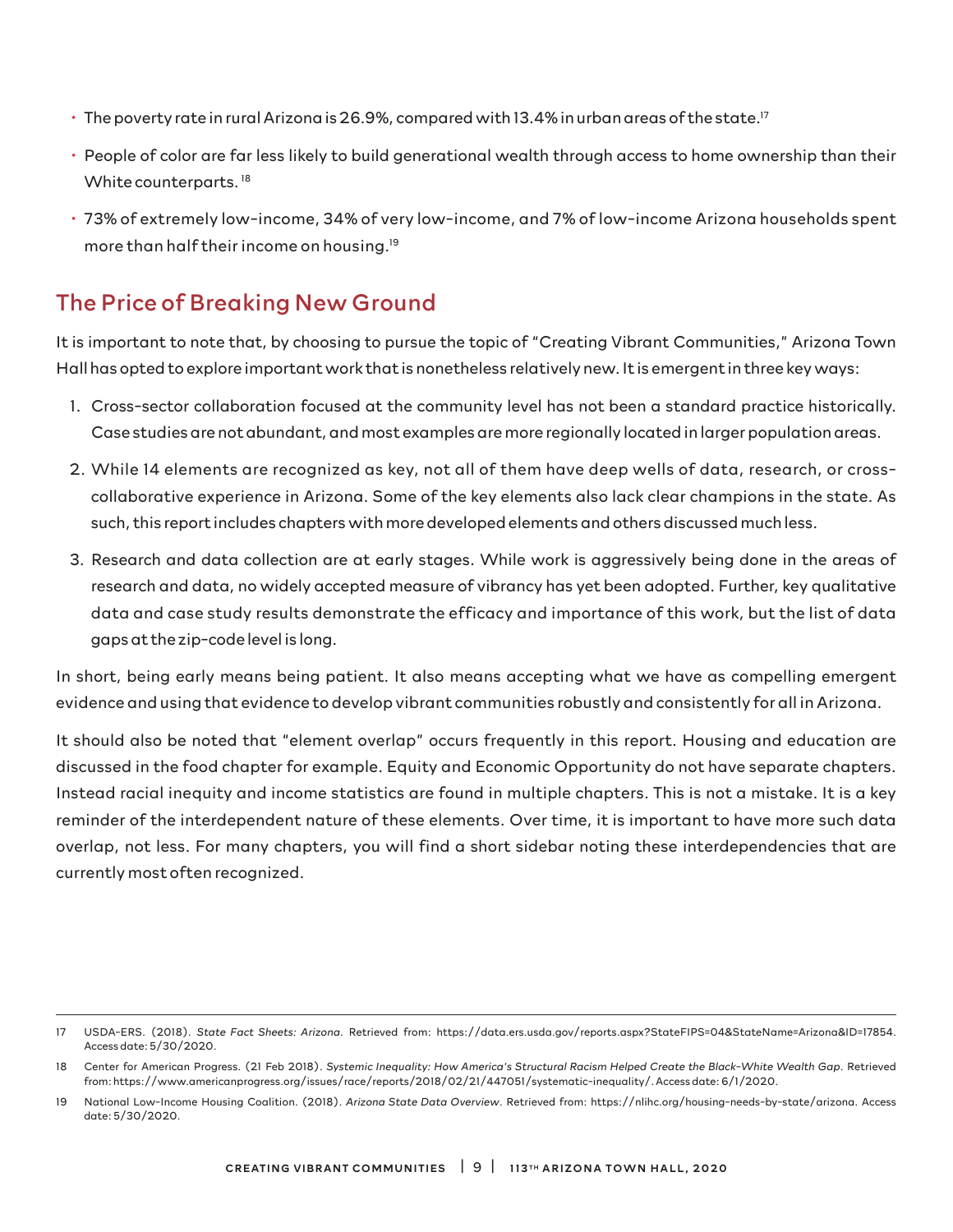- The poverty rate in rural Arizona is 26.9%, compared with 13.4% in urban areas of the state.<sup>17</sup>
- People of color are far less likely to build generational wealth through access to home ownership than their White counterparts.<sup>18</sup>
- 73% of extremely low-income, 34% of very low-income, and 7% of low-income Arizona households spent more than half their income on housing.19

## The Price of Breaking New Ground

It is important to note that, by choosing to pursue the topic of "Creating Vibrant Communities," Arizona Town Hall has opted to explore important work that is nonetheless relatively new. It is emergent in three key ways:

- 1. Cross-sector collaboration focused at the community level has not been a standard practice historically. Case studies are not abundant, and most examples are more regionally located in larger population areas.
- 2. While 14 elements are recognized as key, not all of them have deep wells of data, research, or crosscollaborative experience in Arizona. Some of the key elements also lack clear champions in the state. As such, this report includes chapters with more developed elements and others discussed much less.
- 3. Research and data collection are at early stages. While work is aggressively being done in the areas of research and data, no widely accepted measure of vibrancy has yet been adopted. Further, key qualitative data and case study results demonstrate the efficacy and importance of this work, but the list of data gaps at the zip-code level is long.

In short, being early means being patient. It also means accepting what we have as compelling emergent evidence and using that evidence to develop vibrant communities robustly and consistently for all in Arizona.

It should also be noted that "element overlap" occurs frequently in this report. Housing and education are discussed in the food chapter for example. Equity and Economic Opportunity do not have separate chapters. Instead racial inequity and income statistics are found in multiple chapters. This is not a mistake. It is a key reminder of the interdependent nature of these elements. Over time, it is important to have more such data overlap, not less. For many chapters, you will find a short sidebar noting these interdependencies that are currently most often recognized.

<sup>17</sup> USDA-ERS. (2018). *State Fact Sheets: Arizona*. Retrieved from: https://data.ers.usda.gov/reports.aspx?StateFIPS=04&StateName=Arizona&ID=17854. Access date: 5/30/2020.

<sup>18</sup> Center for American Progress. (21 Feb 2018). *Systemic Inequality: How America's Structural Racism Helped Create the Black-White Wealth Gap*. Retrieved from: https://www.americanprogress.org/issues/race/reports/2018/02/21/447051/systematic-inequality/. Access date: 6/1/2020.

<sup>19</sup> National Low-Income Housing Coalition. (2018). *Arizona State Data Overview*. Retrieved from: https://nlihc.org/housing-needs-by-state/arizona. Access date: 5/30/2020.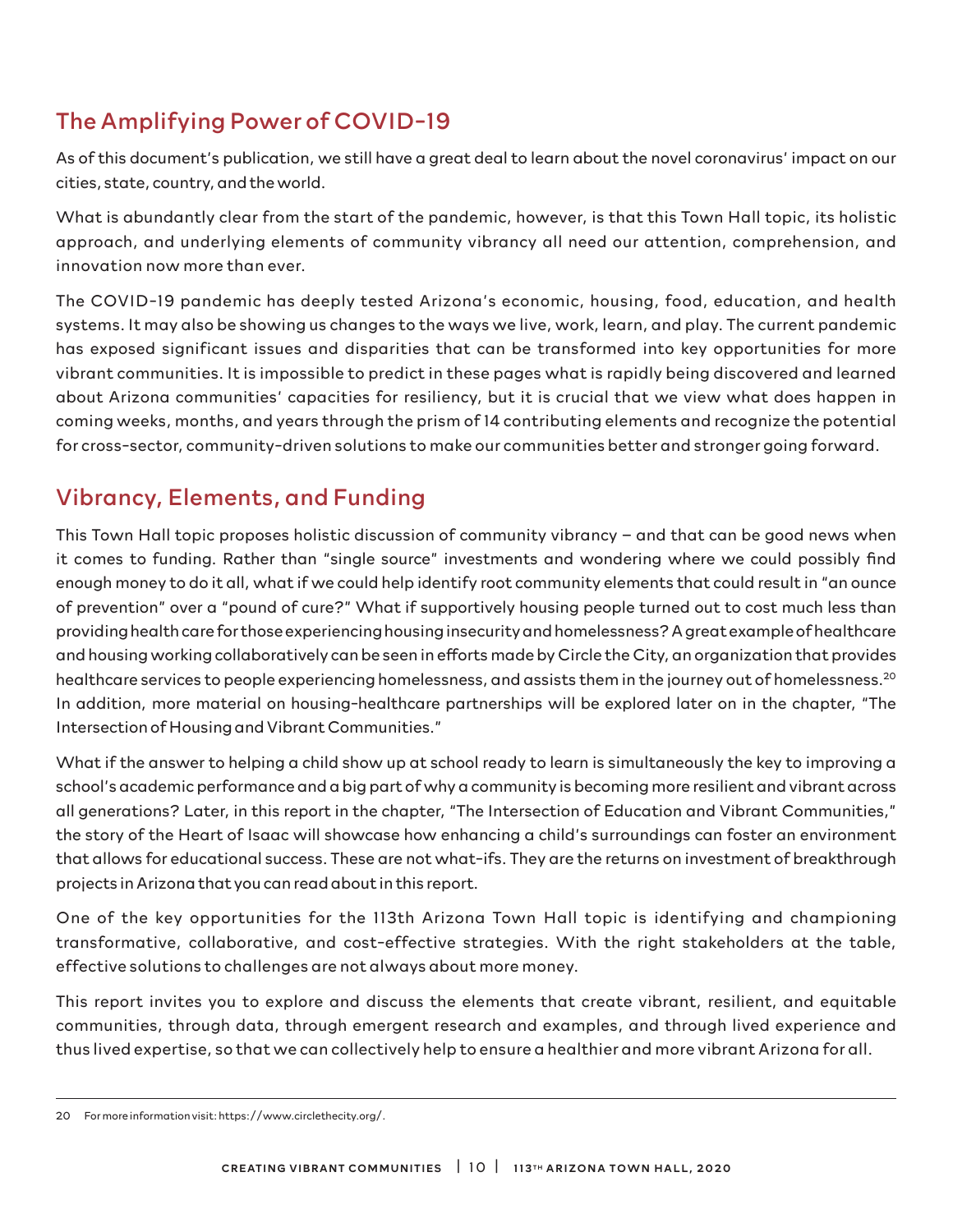# The Amplifying Power of COVID-19

As of this document's publication, we still have a great deal to learn about the novel coronavirus' impact on our cities, state, country, and the world.

What is abundantly clear from the start of the pandemic, however, is that this Town Hall topic, its holistic approach, and underlying elements of community vibrancy all need our attention, comprehension, and innovation now more than ever.

The COVID-19 pandemic has deeply tested Arizona's economic, housing, food, education, and health systems. It may also be showing us changes to the ways we live, work, learn, and play. The current pandemic has exposed significant issues and disparities that can be transformed into key opportunities for more vibrant communities. It is impossible to predict in these pages what is rapidly being discovered and learned about Arizona communities' capacities for resiliency, but it is crucial that we view what does happen in coming weeks, months, and years through the prism of 14 contributing elements and recognize the potential for cross-sector, community-driven solutions to make our communities better and stronger going forward.

## Vibrancy, Elements, and Funding

This Town Hall topic proposes holistic discussion of community vibrancy – and that can be good news when it comes to funding. Rather than "single source" investments and wondering where we could possibly find enough money to do it all, what if we could help identify root community elements that could result in "an ounce of prevention" over a "pound of cure?" What if supportively housing people turned out to cost much less than providing health care for those experiencing housing insecurity and homelessness? A great example of healthcare and housing working collaboratively can be seen in efforts made by Circle the City, an organization that provides healthcare services to people experiencing homelessness, and assists them in the journey out of homelessness.<sup>20</sup> In addition, more material on housing-healthcare partnerships will be explored later on in the chapter, "The Intersection of Housing and Vibrant Communities."

What if the answer to helping a child show up at school ready to learn is simultaneously the key to improving a school's academic performance and a big part of why a community is becoming more resilient and vibrant across all generations? Later, in this report in the chapter, "The Intersection of Education and Vibrant Communities," the story of the Heart of Isaac will showcase how enhancing a child's surroundings can foster an environment that allows for educational success. These are not what-ifs. They are the returns on investment of breakthrough projects in Arizona that you can read about in this report.

One of the key opportunities for the 113th Arizona Town Hall topic is identifying and championing transformative, collaborative, and cost-effective strategies. With the right stakeholders at the table, effective solutions to challenges are not always about more money.

This report invites you to explore and discuss the elements that create vibrant, resilient, and equitable communities, through data, through emergent research and examples, and through lived experience and thus lived expertise, so that we can collectively help to ensure a healthier and more vibrant Arizona for all.

<sup>20</sup> For more information visit: https://www.circlethecity.org/.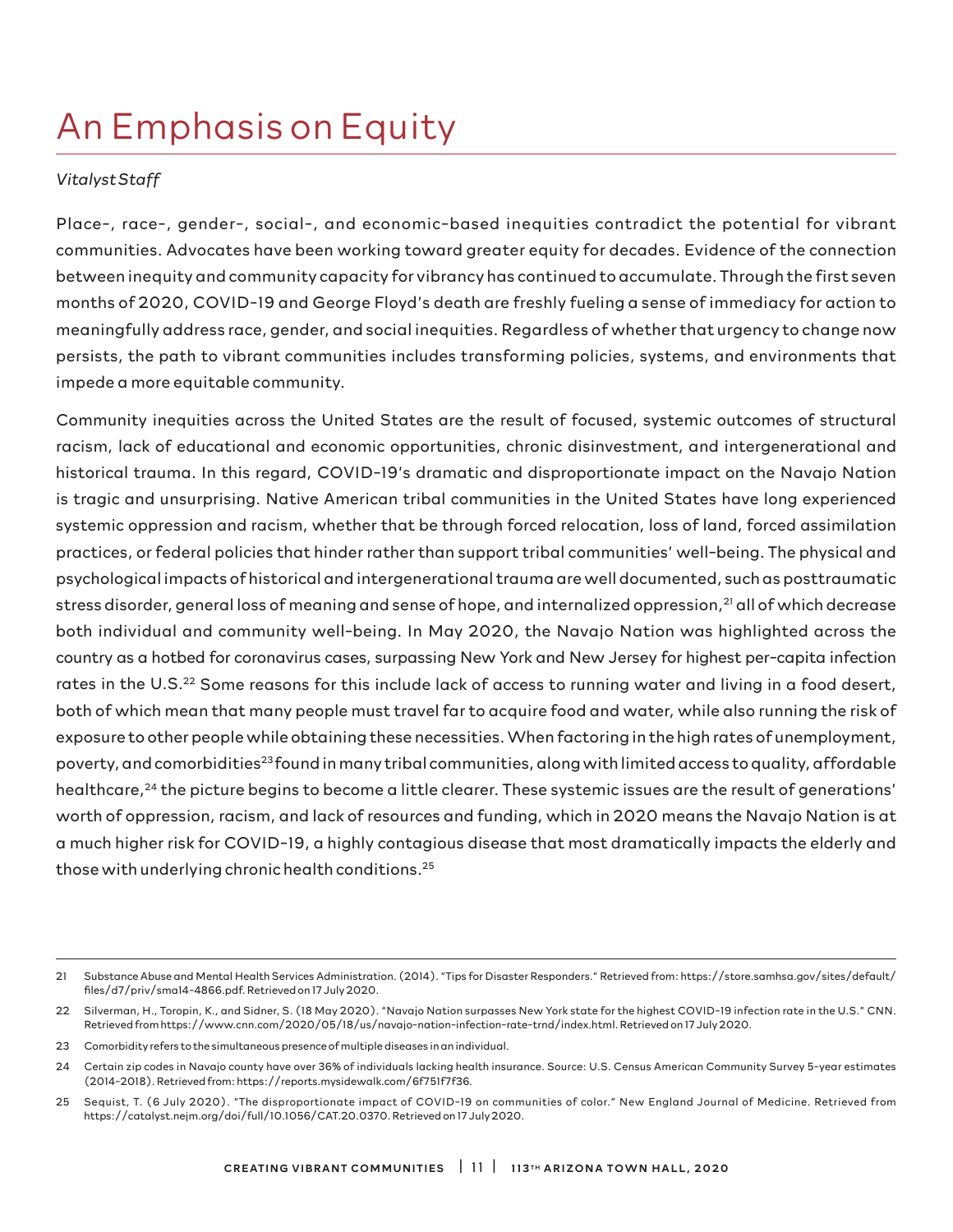# An Emphasis on Equity

### *Vitalyst Staff*

Place-, race-, gender-, social-, and economic-based inequities contradict the potential for vibrant communities. Advocates have been working toward greater equity for decades. Evidence of the connection between inequity and community capacity for vibrancy has continued to accumulate. Through the first seven months of 2020, COVID-19 and George Floyd's death are freshly fueling a sense of immediacy for action to meaningfully address race, gender, and social inequities. Regardless of whether that urgency to change now persists, the path to vibrant communities includes transforming policies, systems, and environments that impede a more equitable community.

Community inequities across the United States are the result of focused, systemic outcomes of structural racism, lack of educational and economic opportunities, chronic disinvestment, and intergenerational and historical trauma. In this regard, COVID-19's dramatic and disproportionate impact on the Navajo Nation is tragic and unsurprising. Native American tribal communities in the United States have long experienced systemic oppression and racism, whether that be through forced relocation, loss of land, forced assimilation practices, or federal policies that hinder rather than support tribal communities' well-being. The physical and psychological impacts of historical and intergenerational trauma are well documented, such as posttraumatic stress disorder, general loss of meaning and sense of hope, and internalized oppression,<sup>21</sup> all of which decrease both individual and community well-being. In May 2020, the Navajo Nation was highlighted across the country as a hotbed for coronavirus cases, surpassing New York and New Jersey for highest per-capita infection rates in the U.S.<sup>22</sup> Some reasons for this include lack of access to running water and living in a food desert, both of which mean that many people must travel far to acquire food and water, while also running the risk of exposure to other people while obtaining these necessities. When factoring in the high rates of unemployment, poverty, and comorbidities<sup>23</sup> found in many tribal communities, along with limited access to quality, affordable healthcare,<sup>24</sup> the picture begins to become a little clearer. These systemic issues are the result of generations' worth of oppression, racism, and lack of resources and funding, which in 2020 means the Navajo Nation is at a much higher risk for COVID-19, a highly contagious disease that most dramatically impacts the elderly and those with underlying chronic health conditions.25

<sup>21</sup> Substance Abuse and Mental Health Services Administration. (2014). "Tips for Disaster Responders." Retrieved from: https://store.samhsa.gov/sites/default/ files/d7/priv/sma14-4866.pdf. Retrieved on 17 July 2020.

<sup>22</sup> Silverman, H., Toropin, K., and Sidner, S. (18 May 2020). "Navajo Nation surpasses New York state for the highest COVID-19 infection rate in the U.S." CNN. Retrieved from https://www.cnn.com/2020/05/18/us/navajo-nation-infection-rate-trnd/index.html. Retrieved on 17 July 2020.

<sup>23</sup> Comorbidity refers to the simultaneous presence of multiple diseases in an individual.

<sup>24</sup> Certain zip codes in Navajo county have over 36% of individuals lacking health insurance. Source: U.S. Census American Community Survey 5-year estimates (2014-2018). Retrieved from: https://reports.mysidewalk.com/6f751f7f36.

<sup>25</sup> Sequist, T. (6 July 2020). "The disproportionate impact of COVID-19 on communities of color." New England Journal of Medicine. Retrieved from https://catalyst.nejm.org/doi/full/10.1056/CAT.20.0370. Retrieved on 17 July 2020.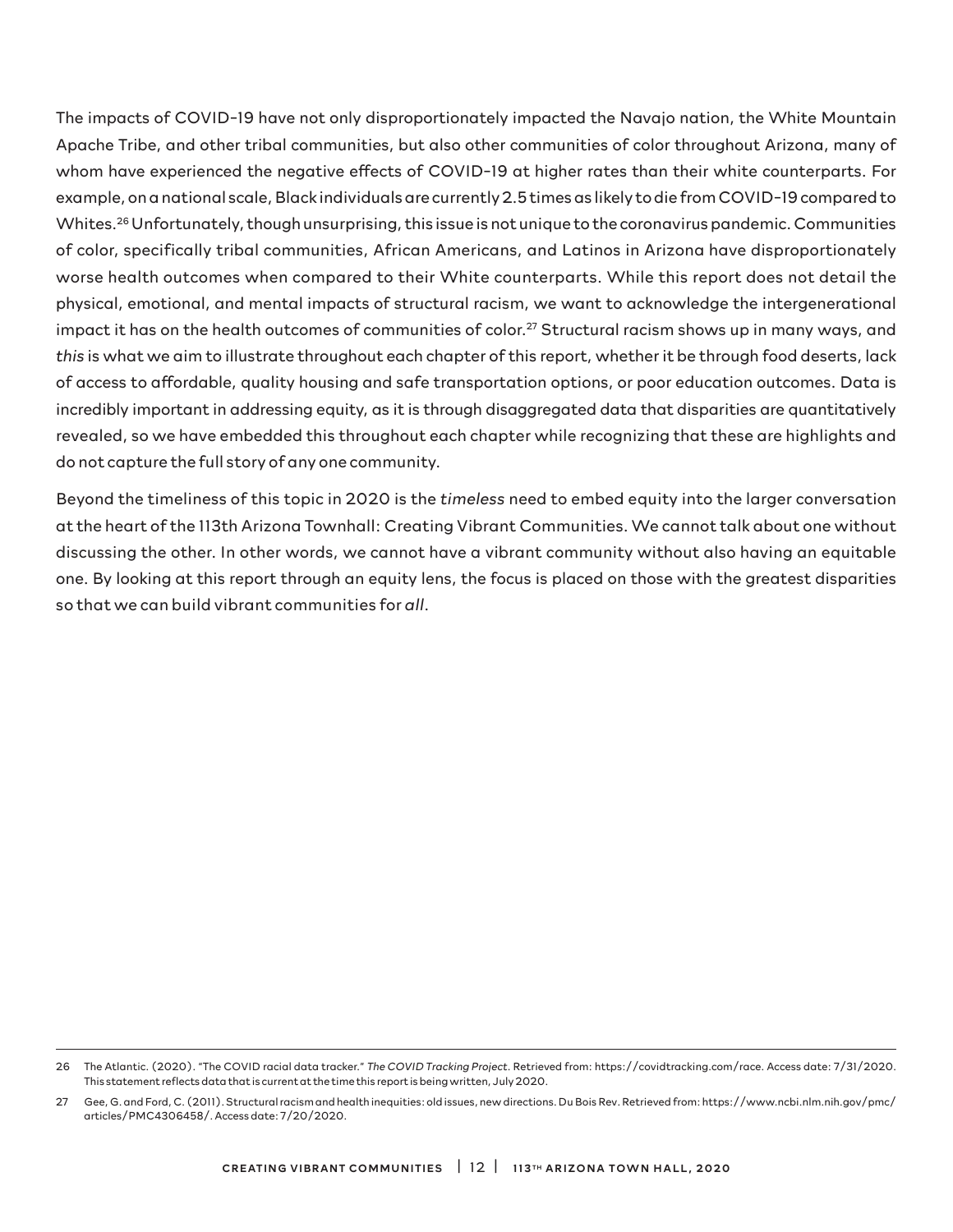The impacts of COVID-19 have not only disproportionately impacted the Navajo nation, the White Mountain Apache Tribe, and other tribal communities, but also other communities of color throughout Arizona, many of whom have experienced the negative effects of COVID-19 at higher rates than their white counterparts. For example, on a national scale, Black individuals are currently 2.5 times as likely to die from COVID-19 compared to Whites.<sup>26</sup> Unfortunately, though unsurprising, this issue is not unique to the coronavirus pandemic. Communities of color, specifically tribal communities, African Americans, and Latinos in Arizona have disproportionately worse health outcomes when compared to their White counterparts. While this report does not detail the physical, emotional, and mental impacts of structural racism, we want to acknowledge the intergenerational impact it has on the health outcomes of communities of color.<sup>27</sup> Structural racism shows up in many ways, and *this* is what we aim to illustrate throughout each chapter of this report, whether it be through food deserts, lack of access to affordable, quality housing and safe transportation options, or poor education outcomes. Data is incredibly important in addressing equity, as it is through disaggregated data that disparities are quantitatively revealed, so we have embedded this throughout each chapter while recognizing that these are highlights and do not capture the full story of any one community.

Beyond the timeliness of this topic in 2020 is the *timeless* need to embed equity into the larger conversation at the heart of the 113th Arizona Townhall: Creating Vibrant Communities. We cannot talk about one without discussing the other. In other words, we cannot have a vibrant community without also having an equitable one. By looking at this report through an equity lens, the focus is placed on those with the greatest disparities so that we can build vibrant communities for *all*.

<sup>26</sup> The Atlantic. (2020). "The COVID racial data tracker." *The COVID Tracking Project*. Retrieved from: https://covidtracking.com/race. Access date: 7/31/2020. This statement reflects data that is current at the time this report is being written, July 2020.

<sup>27</sup> Gee, G. and Ford, C. (2011). Structural racism and health inequities: old issues, new directions. Du Bois Rev. Retrieved from: https://www.ncbi.nlm.nih.gov/pmc/ articles/PMC4306458/. Access date: 7/20/2020.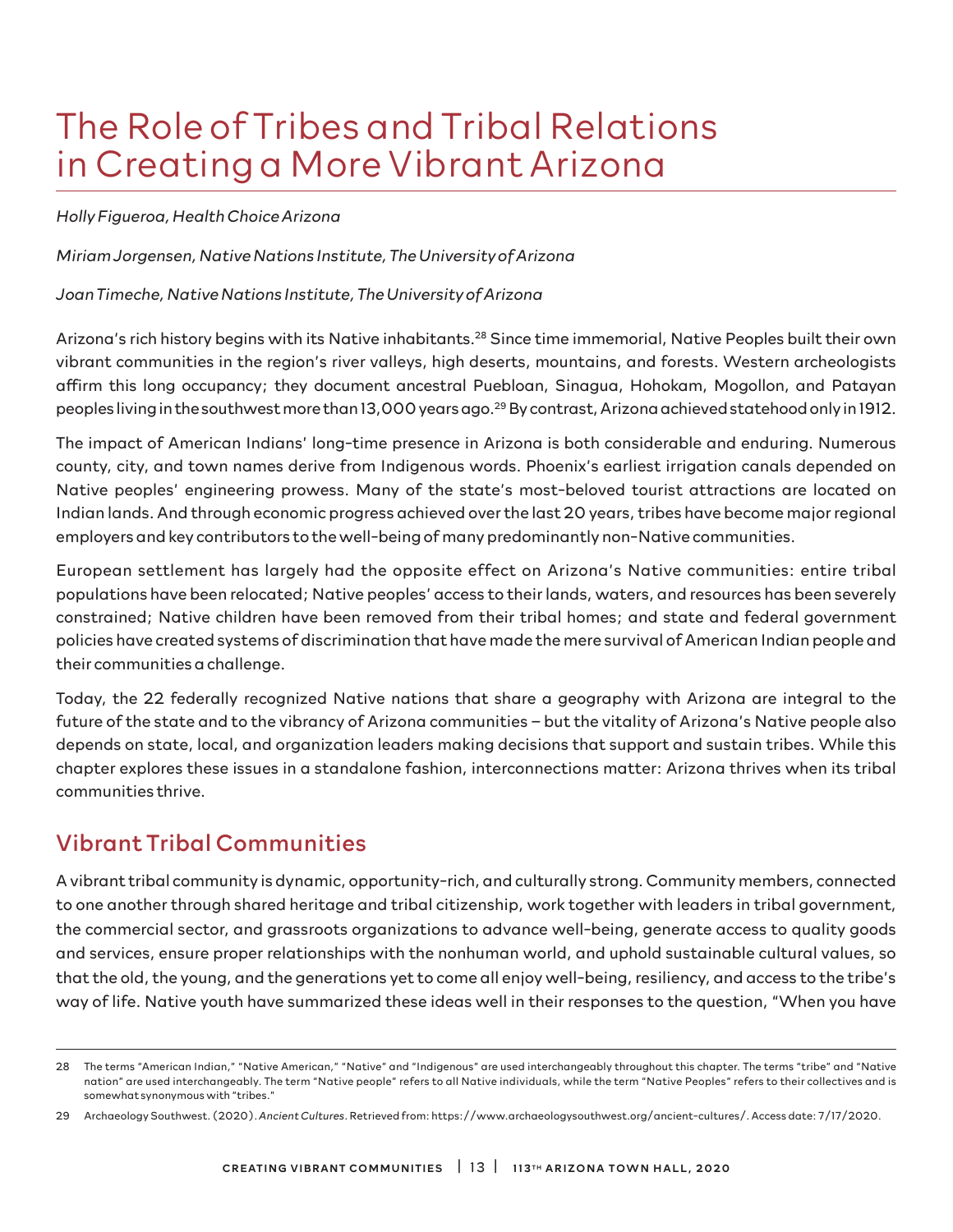# The Role of Tribes and Tribal Relations in Creating a More Vibrant Arizona

### *Holly Figueroa, Health Choice Arizona*

*Miriam Jorgensen, Native Nations Institute, The University of Arizona*

*Joan Timeche, Native Nations Institute, The University of Arizona*

Arizona's rich history begins with its Native inhabitants.28 Since time immemorial, Native Peoples built their own vibrant communities in the region's river valleys, high deserts, mountains, and forests. Western archeologists affirm this long occupancy; they document ancestral Puebloan, Sinagua, Hohokam, Mogollon, and Patayan peoples living in the southwest more than 13,000 years ago.<sup>29</sup> By contrast, Arizona achieved statehood only in 1912.

The impact of American Indians' long-time presence in Arizona is both considerable and enduring. Numerous county, city, and town names derive from Indigenous words. Phoenix's earliest irrigation canals depended on Native peoples' engineering prowess. Many of the state's most-beloved tourist attractions are located on Indian lands. And through economic progress achieved over the last 20 years, tribes have become major regional employers and key contributors to the well-being of many predominantly non-Native communities.

European settlement has largely had the opposite effect on Arizona's Native communities: entire tribal populations have been relocated; Native peoples' access to their lands, waters, and resources has been severely constrained; Native children have been removed from their tribal homes; and state and federal government policies have created systems of discrimination that have made the mere survival of American Indian people and their communities a challenge.

Today, the 22 federally recognized Native nations that share a geography with Arizona are integral to the future of the state and to the vibrancy of Arizona communities – but the vitality of Arizona's Native people also depends on state, local, and organization leaders making decisions that support and sustain tribes. While this chapter explores these issues in a standalone fashion, interconnections matter: Arizona thrives when its tribal communities thrive.

## Vibrant Tribal Communities

A vibrant tribal community is dynamic, opportunity-rich, and culturally strong. Community members, connected to one another through shared heritage and tribal citizenship, work together with leaders in tribal government, the commercial sector, and grassroots organizations to advance well-being, generate access to quality goods and services, ensure proper relationships with the nonhuman world, and uphold sustainable cultural values, so that the old, the young, and the generations yet to come all enjoy well-being, resiliency, and access to the tribe's way of life. Native youth have summarized these ideas well in their responses to the question, "When you have

<sup>28</sup> The terms "American Indian," "Native American," "Native" and "Indigenous" are used interchangeably throughout this chapter. The terms "tribe" and "Native nation" are used interchangeably. The term "Native people" refers to all Native individuals, while the term "Native Peoples" refers to their collectives and is somewhat synonymous with "tribes."

<sup>29</sup> Archaeology Southwest. (2020). *Ancient Cultures*. Retrieved from: https://www.archaeologysouthwest.org/ancient-cultures/. Access date: 7/17/2020.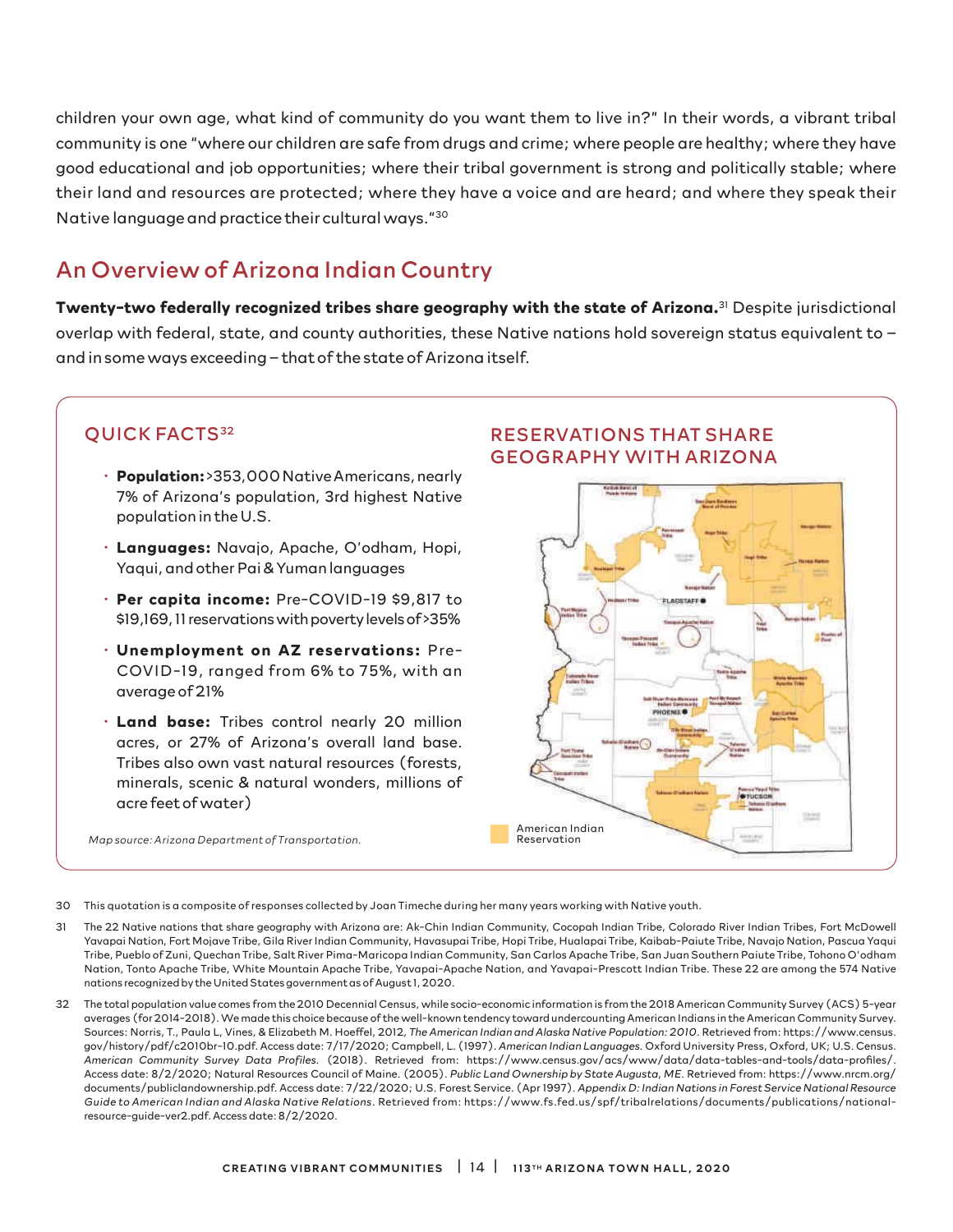children your own age, what kind of community do you want them to live in?" In their words, a vibrant tribal community is one "where our children are safe from drugs and crime; where people are healthy; where they have good educational and job opportunities; where their tribal government is strong and politically stable; where their land and resources are protected; where they have a voice and are heard; and where they speak their Native language and practice their cultural ways."30

# An Overview of Arizona Indian Country

**Twenty-two federally recognized tribes share geography with the state of Arizona.**31 Despite jurisdictional overlap with federal, state, and county authorities, these Native nations hold sovereign status equivalent to – and in some ways exceeding – that of the state of Arizona itself.

- **Population:** >353,000 Native Americans, nearly 7% of Arizona's population, 3rd highest Native population in the U.S.
- **Languages:** Navajo, Apache, O'odham, Hopi, Yaqui, and other Pai & Yuman languages
- **Per capita income:** Pre-COVID-19 \$9,817 to \$19,169, 11 reservations with poverty levels of >35%
- **Unemployment on AZ reservations:** Pre-COVID-19, ranged from 6% to 75%, with an average of 21%
- **Land base:** Tribes control nearly 20 million acres, or 27% of Arizona's overall land base. Tribes also own vast natural resources (forests, minerals, scenic & natural wonders, millions of acre feet of water)

*Map source: Arizona Department of Transportation.*

### **QUICK FACTS<sup>32</sup>** RESERVATIONS THAT SHARE GEOGRAPHY WITH ARIZONA



30 This quotation is a composite of responses collected by Joan Timeche during her many years working with Native youth.

- 31 The 22 Native nations that share geography with Arizona are: Ak-Chin Indian Community, Cocopah Indian Tribe, Colorado River Indian Tribes, Fort McDowell Yavapai Nation, Fort Mojave Tribe, Gila River Indian Community, Havasupai Tribe, Hopi Tribe, Hualapai Tribe, Kaibab-Paiute Tribe, Navajo Nation, Pascua Yaqui Tribe, Pueblo of Zuni, Quechan Tribe, Salt River Pima-Maricopa Indian Community, San Carlos Apache Tribe, San Juan Southern Paiute Tribe, Tohono O'odham Nation, Tonto Apache Tribe, White Mountain Apache Tribe, Yavapai-Apache Nation, and Yavapai-Prescott Indian Tribe. These 22 are among the 574 Native nations recognized by the United States government as of August 1, 2020.
- 32 The total population value comes from the 2010 Decennial Census, while socio-economic information is from the 2018 American Community Survey (ACS) 5-year averages (for 2014-2018). We made this choice because of the well-known tendency toward undercounting American Indians in the American Community Survey. Sources: Norris, T., Paula L, Vines, & Elizabeth M. Hoeffel, 2012, *The American Indian and Alaska Native Population: 2010*. Retrieved from: https://www.census. gov/history/pdf/c2010br-10.pdf. Access date: 7/17/2020; Campbell, L. (1997). *American Indian Languages.* Oxford University Press, Oxford, UK; U.S. Census. *American Community Survey Data Profiles.* (2018). Retrieved from: https://www.census.gov/acs/www/data/data-tables-and-tools/data-profiles/. Access date: 8/2/2020; Natural Resources Council of Maine. (2005). *Public Land Ownership by State Augusta, ME*. Retrieved from: https://www.nrcm.org/ documents/publiclandownership.pdf. Access date: 7/22/2020; U.S. Forest Service. (Apr 1997). *Appendix D: Indian Nations in Forest Service National Resource Guide to American Indian and Alaska Native Relations*. Retrieved from: https://www.fs.fed.us/spf/tribalrelations/documents/publications/nationalresource-guide-ver2.pdf. Access date: 8/2/2020.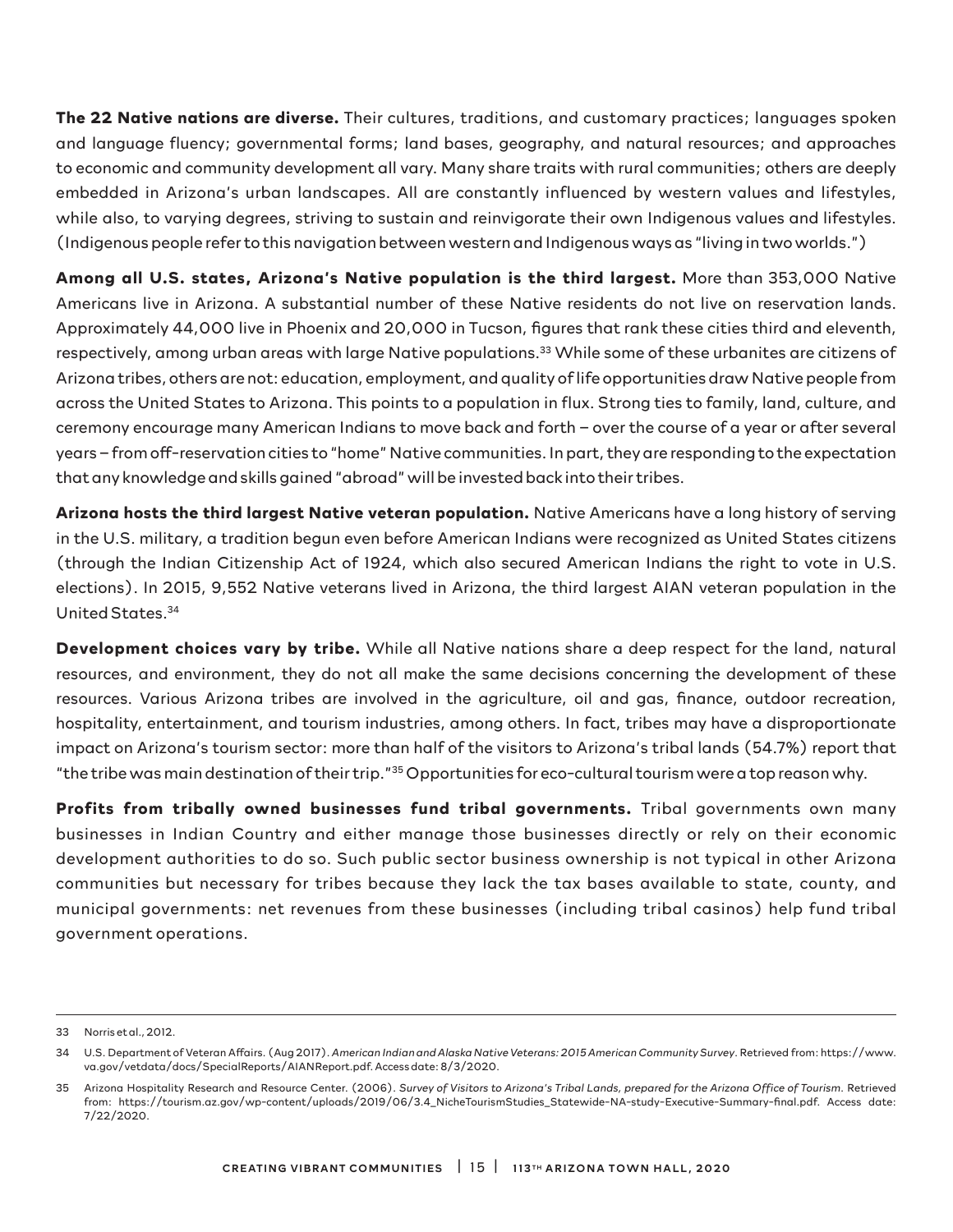**The 22 Native nations are diverse.** Their cultures, traditions, and customary practices; languages spoken and language fluency; governmental forms; land bases, geography, and natural resources; and approaches to economic and community development all vary. Many share traits with rural communities; others are deeply embedded in Arizona's urban landscapes. All are constantly influenced by western values and lifestyles, while also, to varying degrees, striving to sustain and reinvigorate their own Indigenous values and lifestyles. (Indigenous people refer to this navigation between western and Indigenous ways as "living in two worlds.")

**Among all U.S. states, Arizona's Native population is the third largest.** More than 353,000 Native Americans live in Arizona. A substantial number of these Native residents do not live on reservation lands. Approximately 44,000 live in Phoenix and 20,000 in Tucson, figures that rank these cities third and eleventh, respectively, among urban areas with large Native populations.33 While some of these urbanites are citizens of Arizona tribes, others are not: education, employment, and quality of life opportunities draw Native people from across the United States to Arizona. This points to a population in flux. Strong ties to family, land, culture, and ceremony encourage many American Indians to move back and forth – over the course of a year or after several years – from off-reservation cities to "home" Native communities. In part, they are responding to the expectation that any knowledge and skills gained "abroad" will be invested back into their tribes.

**Arizona hosts the third largest Native veteran population.** Native Americans have a long history of serving in the U.S. military, a tradition begun even before American Indians were recognized as United States citizens (through the Indian Citizenship Act of 1924, which also secured American Indians the right to vote in U.S. elections). In 2015, 9,552 Native veterans lived in Arizona, the third largest AIAN veteran population in the United States.34

**Development choices vary by tribe.** While all Native nations share a deep respect for the land, natural resources, and environment, they do not all make the same decisions concerning the development of these resources. Various Arizona tribes are involved in the agriculture, oil and gas, finance, outdoor recreation, hospitality, entertainment, and tourism industries, among others. In fact, tribes may have a disproportionate impact on Arizona's tourism sector: more than half of the visitors to Arizona's tribal lands (54.7%) report that "the tribe was main destination of their trip."35 Opportunities for eco-cultural tourism were a top reason why.

**Profits from tribally owned businesses fund tribal governments.** Tribal governments own many businesses in Indian Country and either manage those businesses directly or rely on their economic development authorities to do so. Such public sector business ownership is not typical in other Arizona communities but necessary for tribes because they lack the tax bases available to state, county, and municipal governments: net revenues from these businesses (including tribal casinos) help fund tribal government operations.

<sup>33</sup> Norris et al., 2012.

<sup>34</sup> U.S. Department of Veteran Affairs. (Aug 2017). *American Indian and Alaska Native Veterans: 2015 American Community Survey*. Retrieved from: https://www. va.gov/vetdata/docs/SpecialReports/AIANReport.pdf. Access date: 8/3/2020.

<sup>35</sup> Arizona Hospitality Research and Resource Center. (2006). *Survey of Visitors to Arizona's Tribal Lands, prepared for the Arizona Office of Tourism*. Retrieved from: https://tourism.az.gov/wp-content/uploads/2019/06/3.4\_NicheTourismStudies\_Statewide-NA-study-Executive-Summary-final.pdf. Access date: 7/22/2020.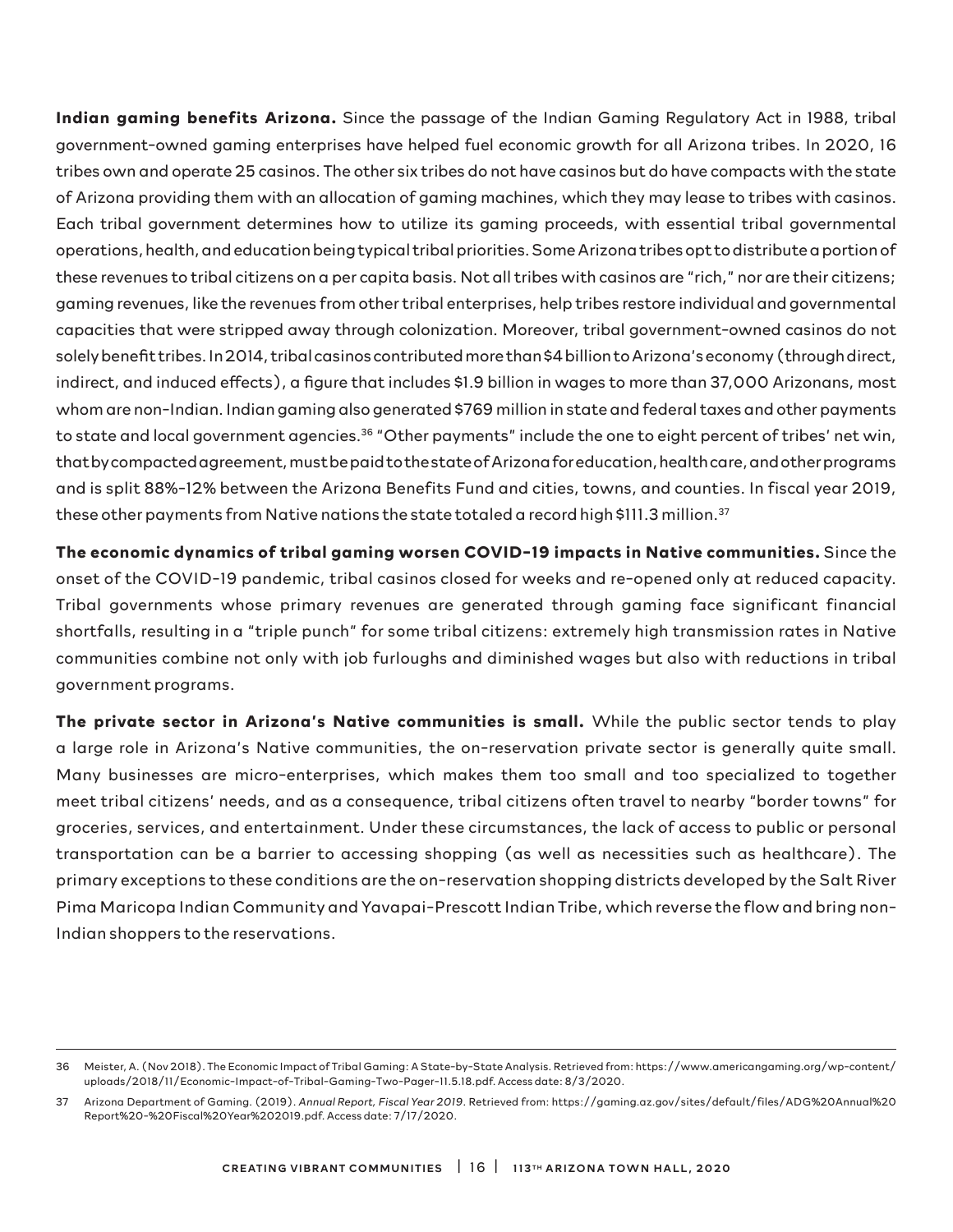**Indian gaming benefits Arizona.** Since the passage of the Indian Gaming Regulatory Act in 1988, tribal government-owned gaming enterprises have helped fuel economic growth for all Arizona tribes. In 2020, 16 tribes own and operate 25 casinos. The other six tribes do not have casinos but do have compacts with the state of Arizona providing them with an allocation of gaming machines, which they may lease to tribes with casinos. Each tribal government determines how to utilize its gaming proceeds, with essential tribal governmental operations, health, and education being typical tribal priorities. Some Arizona tribes opt to distribute a portion of these revenues to tribal citizens on a per capita basis. Not all tribes with casinos are "rich," nor are their citizens; gaming revenues, like the revenues from other tribal enterprises, help tribes restore individual and governmental capacities that were stripped away through colonization. Moreover, tribal government-owned casinos do not solely benefit tribes. In 2014, tribal casinos contributed more than \$4 billion to Arizona's economy (through direct, indirect, and induced effects), a figure that includes \$1.9 billion in wages to more than 37,000 Arizonans, most whom are non-Indian. Indian gaming also generated \$769 million in state and federal taxes and other payments to state and local government agencies.<sup>36</sup> "Other payments" include the one to eight percent of tribes' net win, that by compacted agreement, must be paid to the state of Arizona for education, health care, and other programs and is split 88%-12% between the Arizona Benefits Fund and cities, towns, and counties. In fiscal year 2019, these other payments from Native nations the state totaled a record high \$111.3 million.<sup>37</sup>

**The economic dynamics of tribal gaming worsen COVID-19 impacts in Native communities.** Since the onset of the COVID-19 pandemic, tribal casinos closed for weeks and re-opened only at reduced capacity. Tribal governments whose primary revenues are generated through gaming face significant financial shortfalls, resulting in a "triple punch" for some tribal citizens: extremely high transmission rates in Native communities combine not only with job furloughs and diminished wages but also with reductions in tribal government programs.

**The private sector in Arizona's Native communities is small.** While the public sector tends to play a large role in Arizona's Native communities, the on-reservation private sector is generally quite small. Many businesses are micro-enterprises, which makes them too small and too specialized to together meet tribal citizens' needs, and as a consequence, tribal citizens often travel to nearby "border towns" for groceries, services, and entertainment. Under these circumstances, the lack of access to public or personal transportation can be a barrier to accessing shopping (as well as necessities such as healthcare). The primary exceptions to these conditions are the on-reservation shopping districts developed by the Salt River Pima Maricopa Indian Community and Yavapai-Prescott Indian Tribe, which reverse the flow and bring non-Indian shoppers to the reservations.

<sup>36</sup> Meister, A. (Nov 2018). The Economic Impact of Tribal Gaming: A State-by-State Analysis. Retrieved from: https://www.americangaming.org/wp-content/ uploads/2018/11/Economic-Impact-of-Tribal-Gaming-Two-Pager-11.5.18.pdf. Access date: 8/3/2020.

<sup>37</sup> Arizona Department of Gaming. (2019). *Annual Report, Fiscal Year 2019*. Retrieved from: https://gaming.az.gov/sites/default/files/ADG%20Annual%20 Report%20-%20Fiscal%20Year%202019.pdf. Access date: 7/17/2020.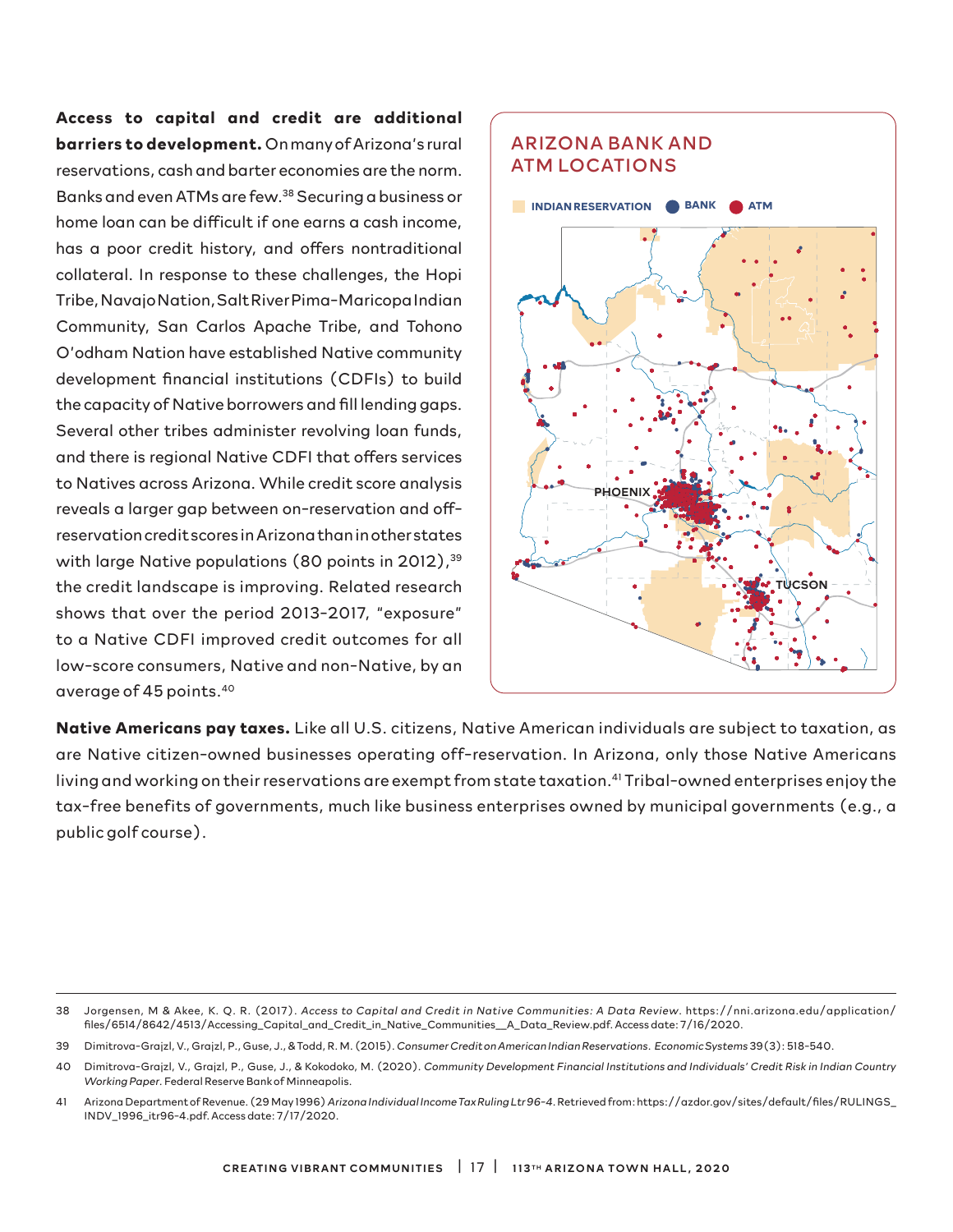**Access to capital and credit are additional barriers to development.** On many of Arizona's rural reservations, cash and barter economies are the norm. Banks and even ATMs are few.38 Securing a business or home loan can be difficult if one earns a cash income, has a poor credit history, and offers nontraditional collateral. In response to these challenges, the Hopi Tribe, Navajo Nation, Salt River Pima-Maricopa Indian Community, San Carlos Apache Tribe, and Tohono O'odham Nation have established Native community development financial institutions (CDFIs) to build the capacity of Native borrowers and fill lending gaps. Several other tribes administer revolving loan funds, and there is regional Native CDFI that offers services to Natives across Arizona. While credit score analysis reveals a larger gap between on-reservation and offreservation credit scores in Arizona than in other states with large Native populations (80 points in 2012),<sup>39</sup> the credit landscape is improving. Related research shows that over the period 2013-2017, "exposure" to a Native CDFI improved credit outcomes for all low-score consumers, Native and non-Native, by an average of 45 points.40



**Native Americans pay taxes.** Like all U.S. citizens, Native American individuals are subject to taxation, as are Native citizen-owned businesses operating off-reservation. In Arizona, only those Native Americans living and working on their reservations are exempt from state taxation.<sup>41</sup> Tribal-owned enterprises enjoy the tax-free benefits of governments, much like business enterprises owned by municipal governments (e.g., a public golf course).

<sup>38</sup> Jorgensen, M & Akee, K. Q. R. (2017). *Access to Capital and Credit in Native Communities: A Data Review*. https://nni.arizona.edu/application/ files/6514/8642/4513/Accessing\_Capital\_and\_Credit\_in\_Native\_Communities\_\_A\_Data\_Review.pdf. Access date: 7/16/2020.

<sup>39</sup> Dimitrova-Grajzl, V., Grajzl, P., Guse, J., & Todd, R. M. (2015). *Consumer Credit on American Indian Reservations*. *Economic Systems* 39(3): 518-540.

<sup>40</sup> Dimitrova-Grajzl, V., Grajzl, P., Guse, J., & Kokodoko, M. (2020). *Community Development Financial Institutions and Individuals' Credit Risk in Indian Country Working Paper.* Federal Reserve Bank of Minneapolis.

<sup>41</sup> Arizona Department of Revenue. (29 May 1996) *Arizona Individual Income Tax Ruling Ltr 96-4*. Retrieved from: https://azdor.gov/sites/default/files/RULINGS\_ INDV\_1996\_itr96-4.pdf. Access date: 7/17/2020.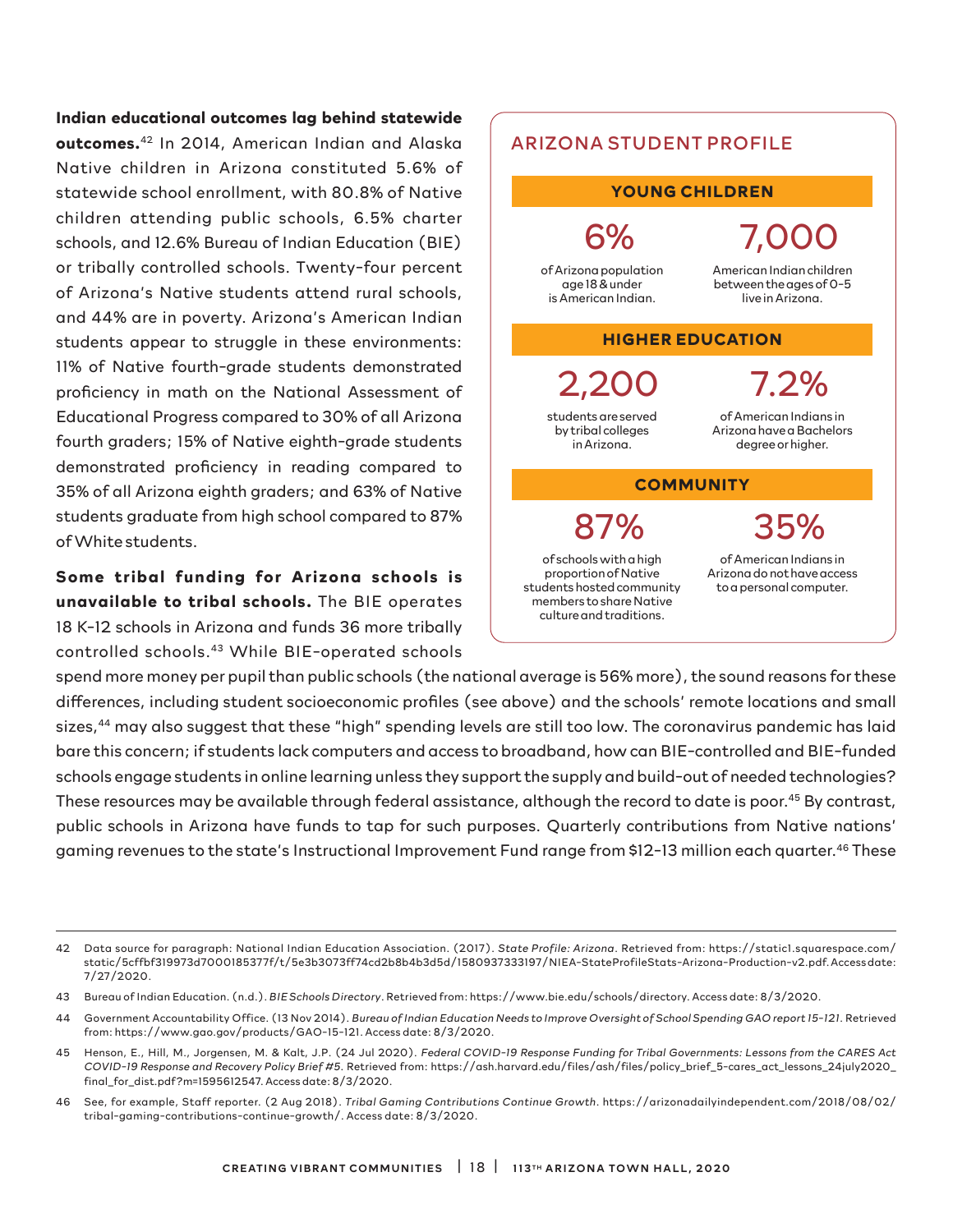**Indian educational outcomes lag behind statewide outcomes.**42 In 2014, American Indian and Alaska Native children in Arizona constituted 5.6% of statewide school enrollment, with 80.8% of Native children attending public schools, 6.5% charter schools, and 12.6% Bureau of Indian Education (BIE) or tribally controlled schools. Twenty-four percent of Arizona's Native students attend rural schools, and 44% are in poverty. Arizona's American Indian students appear to struggle in these environments: 11% of Native fourth-grade students demonstrated proficiency in math on the National Assessment of Educational Progress compared to 30% of all Arizona fourth graders; 15% of Native eighth-grade students demonstrated proficiency in reading compared to 35% of all Arizona eighth graders; and 63% of Native students graduate from high school compared to 87% of White students.

**Some tribal funding for Arizona schools is unavailable to tribal schools.** The BIE operates 18 K-12 schools in Arizona and funds 36 more tribally controlled schools.43 While BIE-operated schools

spend more money per pupil than public schools (the national average is 56% more), the sound reasons for these differences, including student socioeconomic profiles (see above) and the schools' remote locations and small sizes,<sup>44</sup> may also suggest that these "high" spending levels are still too low. The coronavirus pandemic has laid bare this concern; if students lack computers and access to broadband, how can BIE-controlled and BIE-funded schools engage students in online learning unless they support the supply and build-out of needed technologies? These resources may be available through federal assistance, although the record to date is poor.<sup>45</sup> By contrast, public schools in Arizona have funds to tap for such purposes. Quarterly contributions from Native nations' gaming revenues to the state's Instructional Improvement Fund range from \$12-13 million each quarter.46 These



Arizona have a Bachelors degree or higher.

### **COMMUNITY**

87%

in Arizona.

of schools with a high proportion of Native students hosted community members to share Native culture and traditions.

of American Indians in Arizona do not have access to a personal computer.

35%

<sup>42</sup> Data source for paragraph: National Indian Education Association. (2017). *State Profile: Arizona*. Retrieved from: https://static1.squarespace.com/ static/5cffbf319973d7000185377f/t/5e3b3073ff74cd2b8b4b3d5d/1580937333197/NIEA-StateProfileStats-Arizona-Production-v2.pdf. Access date: 7/27/2020.

<sup>43</sup> Bureau of Indian Education. (n.d.). *BIE Schools Directory*. Retrieved from: https://www.bie.edu/schools/directory. Access date: 8/3/2020.

<sup>44</sup> Government Accountability Office. (13 Nov 2014). *Bureau of Indian Education Needs to Improve Oversight of School Spending GAO report 15-121*. Retrieved from: https://www.gao.gov/products/GAO-15-121. Access date: 8/3/2020.

<sup>45</sup> Henson, E., Hill, M., Jorgensen, M. & Kalt, J.P. (24 Jul 2020). *Federal COVID-19 Response Funding for Tribal Governments: Lessons from the CARES Act COVID-19 Response and Recovery Policy Brief #5*. Retrieved from: https://ash.harvard.edu/files/ash/files/policy\_brief\_5-cares\_act\_lessons\_24july2020\_ final\_for\_dist.pdf?m=1595612547. Access date: 8/3/2020.

<sup>46</sup> See, for example, Staff reporter. (2 Aug 2018). *Tribal Gaming Contributions Continue Growth*. https://arizonadailyindependent.com/2018/08/02/ tribal-gaming-contributions-continue-growth/. Access date: 8/3/2020.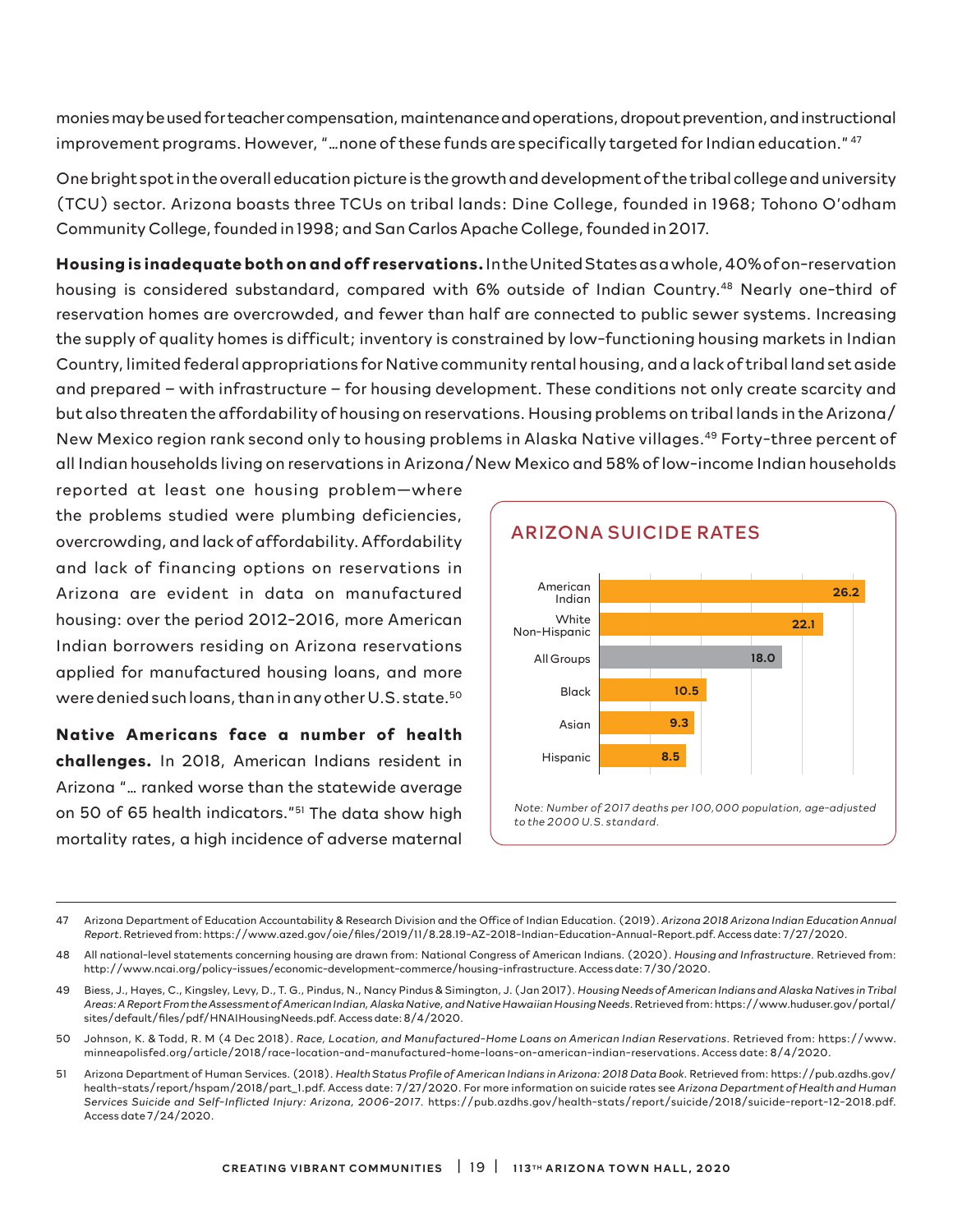monies may be used for teacher compensation, maintenance and operations, dropout prevention, and instructional improvement programs. However, "…none of these funds are specifically targeted for Indian education." 47

One bright spot in the overall education picture is the growth and development of the tribal college and university (TCU) sector. Arizona boasts three TCUs on tribal lands: Dine College, founded in 1968; Tohono O'odham Community College, founded in 1998; and San Carlos Apache College, founded in 2017.

**Housing is inadequate both on and off reservations.** In the United States as a whole, 40% of on-reservation housing is considered substandard, compared with 6% outside of Indian Country.<sup>48</sup> Nearly one-third of reservation homes are overcrowded, and fewer than half are connected to public sewer systems. Increasing the supply of quality homes is difficult; inventory is constrained by low-functioning housing markets in Indian Country, limited federal appropriations for Native community rental housing, and a lack of tribal land set aside and prepared – with infrastructure – for housing development. These conditions not only create scarcity and but also threaten the affordability of housing on reservations. Housing problems on tribal lands in the Arizona/ New Mexico region rank second only to housing problems in Alaska Native villages.<sup>49</sup> Forty-three percent of all Indian households living on reservations in Arizona/New Mexico and 58% of low-income Indian households

reported at least one housing problem—where the problems studied were plumbing deficiencies, overcrowding, and lack of affordability. Affordability and lack of financing options on reservations in Arizona are evident in data on manufactured housing: over the period 2012-2016, more American Indian borrowers residing on Arizona reservations applied for manufactured housing loans, and more were denied such loans, than in any other U.S. state.<sup>50</sup>

**Native Americans face a number of health challenges.** In 2018, American Indians resident in Arizona "… ranked worse than the statewide average on 50 of 65 health indicators."51 The data show high mortality rates, a high incidence of adverse maternal



<sup>47</sup> Arizona Department of Education Accountability & Research Division and the Office of Indian Education. (2019). *Arizona 2018 Arizona Indian Education Annual Report*. Retrieved from: https://www.azed.gov/oie/files/2019/11/8.28.19-AZ-2018-Indian-Education-Annual-Report.pdf. Access date: 7/27/2020.

<sup>48</sup> All national-level statements concerning housing are drawn from: National Congress of American Indians. (2020). *Housing and Infrastructure*. Retrieved from: http://www.ncai.org/policy-issues/economic-development-commerce/housing-infrastructure. Access date: 7/30/2020.

<sup>49</sup> Biess, J., Hayes, C., Kingsley, Levy, D., T. G., Pindus, N., Nancy Pindus & Simington, J. (Jan 2017). *Housing Needs of American Indians and Alaska Natives in Tribal Areas: A Report From the Assessment of American Indian, Alaska Native, and Native Hawaiian Housing Needs*. Retrieved from: https://www.huduser.gov/portal/ sites/default/files/pdf/HNAIHousingNeeds.pdf. Access date: 8/4/2020.

<sup>50</sup> Johnson, K. & Todd, R. M (4 Dec 2018). *Race, Location, and Manufactured-Home Loans on American Indian Reservations*. Retrieved from: https://www. minneapolisfed.org/article/2018/race-location-and-manufactured-home-loans-on-american-indian-reservations. Access date: 8/4/2020.

<sup>51</sup> Arizona Department of Human Services. (2018). *Health Status Profile of American Indians in Arizona: 2018 Data Book*. Retrieved from: https://pub.azdhs.gov/ health-stats/report/hspam/2018/part\_1.pdf. Access date: 7/27/2020. For more information on suicide rates see *Arizona Department of Health and Human Services Suicide and Self-Inflicted Injury: Arizona, 2006-2017*. https://pub.azdhs.gov/health-stats/report/suicide/2018/suicide-report-12-2018.pdf. Access date 7/24/2020.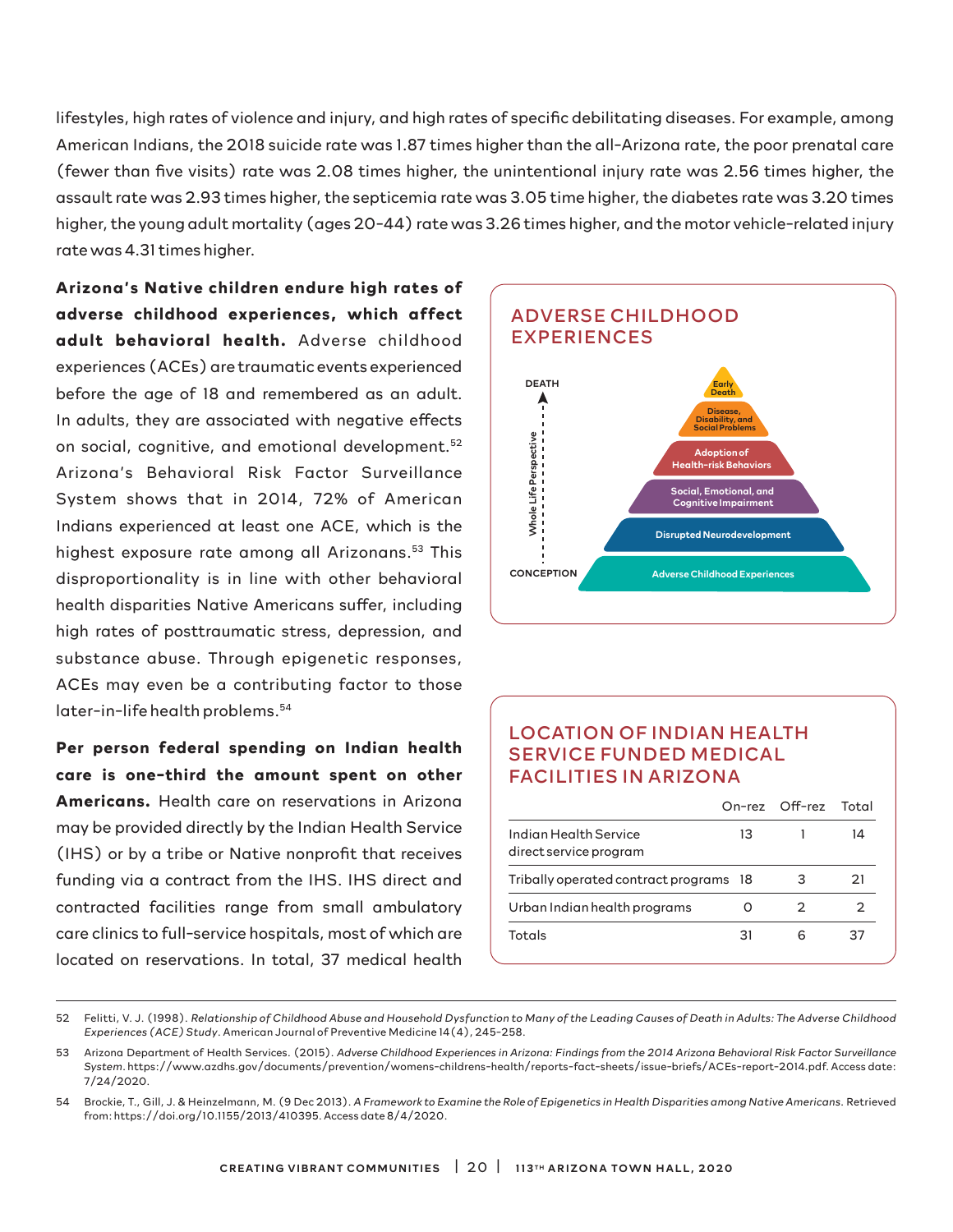lifestyles, high rates of violence and injury, and high rates of specific debilitating diseases. For example, among American Indians, the 2018 suicide rate was 1.87 times higher than the all-Arizona rate, the poor prenatal care (fewer than five visits) rate was 2.08 times higher, the unintentional injury rate was 2.56 times higher, the assault rate was 2.93 times higher, the septicemia rate was 3.05 time higher, the diabetes rate was 3.20 times higher, the young adult mortality (ages 20-44) rate was 3.26 times higher, and the motor vehicle-related injury rate was 4.31 times higher.

**Arizona's Native children endure high rates of adverse childhood experiences, which affect**  adult behavioral health. Adverse childhood experiences (ACEs) are traumatic events experienced before the age of 18 and remembered as an adult. In adults, they are associated with negative effects on social, cognitive, and emotional development.<sup>52</sup> Arizona's Behavioral Risk Factor Surveillance System shows that in 2014, 72% of American Indians experienced at least one ACE, which is the highest exposure rate among all Arizonans.<sup>53</sup> This disproportionality is in line with other behavioral health disparities Native Americans suffer, including high rates of posttraumatic stress, depression, and substance abuse. Through epigenetic responses, ACEs may even be a contributing factor to those later-in-life health problems.<sup>54</sup>

**Per person federal spending on Indian health care is one-third the amount spent on other Americans.** Health care on reservations in Arizona may be provided directly by the Indian Health Service (IHS) or by a tribe or Native nonprofit that receives funding via a contract from the IHS. IHS direct and contracted facilities range from small ambulatory care clinics to full-service hospitals, most of which are located on reservations. In total, 37 medical health



### LOCATION OF INDIAN HEALTH SERVICE FUNDED MEDICAL FACILITIES IN ARIZONA

|                                                 |    | On-rez Off-rez Total |    |
|-------------------------------------------------|----|----------------------|----|
| Indian Health Service<br>direct service program | 13 |                      | 14 |
| Tribally operated contract programs 18          |    | 3                    | 21 |
| Urban Indian health programs                    |    | 2                    |    |
| Totals                                          | 31 | h                    | 37 |

<sup>52</sup> Felitti, V. J. (1998). *Relationship of Childhood Abuse and Household Dysfunction to Many of the Leading Causes of Death in Adults: The Adverse Childhood Experiences (ACE) Study*. American Journal of Preventive Medicine 14(4), 245-258.

<sup>53</sup> Arizona Department of Health Services. (2015). *Adverse Childhood Experiences in Arizona: Findings from the 2014 Arizona Behavioral Risk Factor Surveillance System*. https://www.azdhs.gov/documents/prevention/womens-childrens-health/reports-fact-sheets/issue-briefs/ACEs-report-2014.pdf. Access date: 7/24/2020.

<sup>54</sup> Brockie, T., Gill, J. & Heinzelmann, M. (9 Dec 2013). *A Framework to Examine the Role of Epigenetics in Health Disparities among Native Americans*. Retrieved from: https://doi.org/10.1155/2013/410395. Access date 8/4/2020.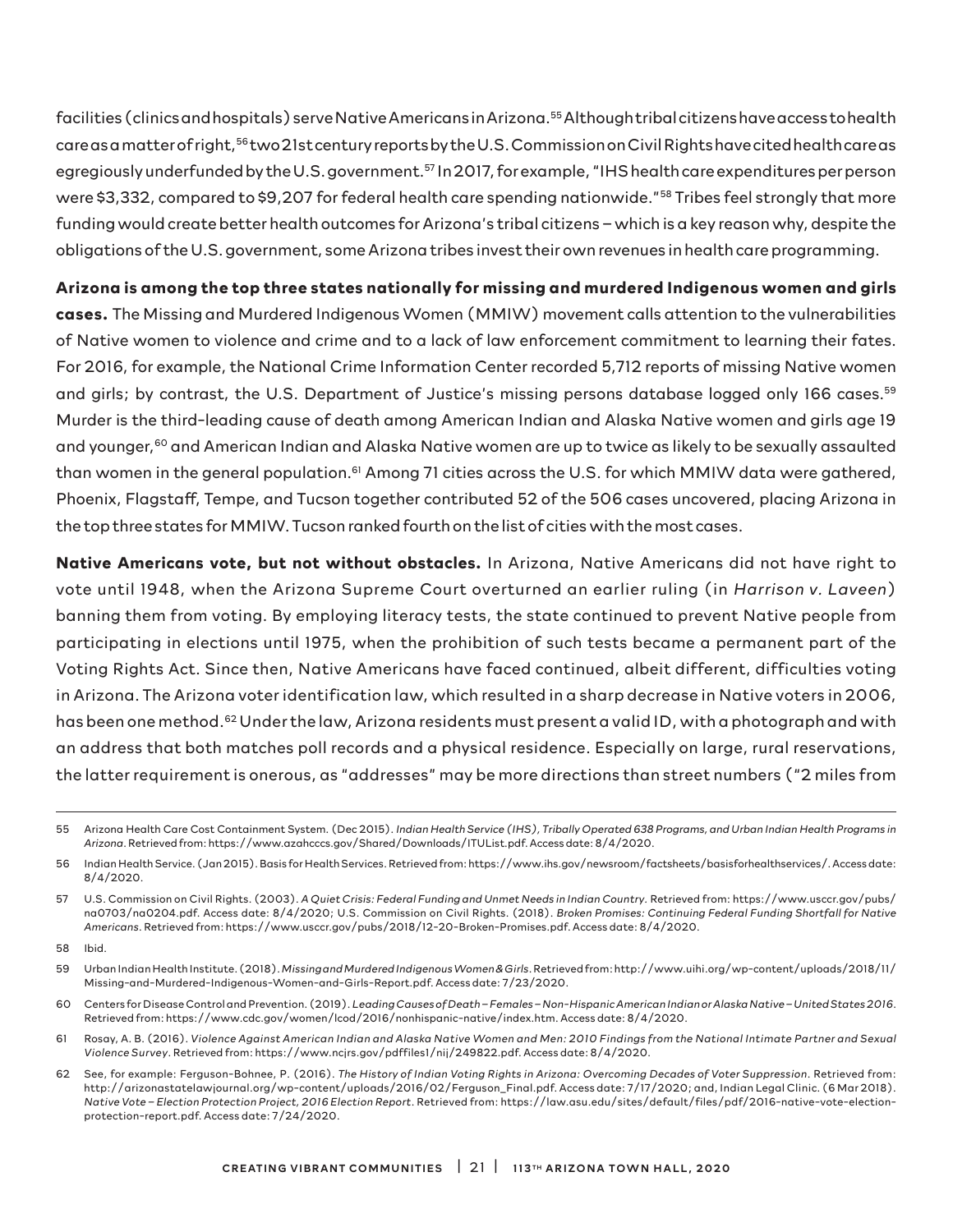facilities (clinics and hospitals) serve Native Americans in Arizona.55 Although tribal citizens have access to health care as a matter of right,<sup>56</sup> two 21st century reports by the U.S. Commission on Civil Rights have cited health care as egregiously underfunded by the U.S. government.<sup>57</sup> In 2017, for example, "IHS health care expenditures per person were \$3,332, compared to \$9,207 for federal health care spending nationwide."58 Tribes feel strongly that more funding would create better health outcomes for Arizona's tribal citizens – which is a key reason why, despite the obligations of the U.S. government, some Arizona tribes invest their own revenues in health care programming.

### **Arizona is among the top three states nationally for missing and murdered Indigenous women and girls**

**cases.** The Missing and Murdered Indigenous Women (MMIW) movement calls attention to the vulnerabilities of Native women to violence and crime and to a lack of law enforcement commitment to learning their fates. For 2016, for example, the National Crime Information Center recorded 5,712 reports of missing Native women and girls; by contrast, the U.S. Department of Justice's missing persons database logged only 166 cases.<sup>59</sup> Murder is the third-leading cause of death among American Indian and Alaska Native women and girls age 19 and younger,<sup>60</sup> and American Indian and Alaska Native women are up to twice as likely to be sexually assaulted than women in the general population.<sup>61</sup> Among 71 cities across the U.S. for which MMIW data were gathered, Phoenix, Flagstaff, Tempe, and Tucson together contributed 52 of the 506 cases uncovered, placing Arizona in the top three states for MMIW. Tucson ranked fourth on the list of cities with the most cases.

**Native Americans vote, but not without obstacles.** In Arizona, Native Americans did not have right to vote until 1948, when the Arizona Supreme Court overturned an earlier ruling (in *Harrison v. Laveen*) banning them from voting. By employing literacy tests, the state continued to prevent Native people from participating in elections until 1975, when the prohibition of such tests became a permanent part of the Voting Rights Act. Since then, Native Americans have faced continued, albeit different, difficulties voting in Arizona. The Arizona voter identification law, which resulted in a sharp decrease in Native voters in 2006, has been one method.<sup>62</sup> Under the law, Arizona residents must present a valid ID, with a photograph and with an address that both matches poll records and a physical residence. Especially on large, rural reservations, the latter requirement is onerous, as "addresses" may be more directions than street numbers ("2 miles from

56 Indian Health Service. (Jan 2015). Basis for Health Services. Retrieved from: https://www.ihs.gov/newsroom/factsheets/basisforhealthservices/. Access date: 8/4/2020.

58 Ibid.

- 60 Centers for Disease Control and Prevention. (2019). *Leading Causes of Death Females Non-Hispanic American Indian or Alaska Native United States 2016*. Retrieved from: https://www.cdc.gov/women/lcod/2016/nonhispanic-native/index.htm. Access date: 8/4/2020.
- 61 Rosay, A. B. (2016). *Violence Against American Indian and Alaska Native Women and Men: 2010 Findings from the National Intimate Partner and Sexual Violence Survey*. Retrieved from: https://www.ncjrs.gov/pdffiles1/nij/249822.pdf. Access date: 8/4/2020.
- 62 See, for example: Ferguson-Bohnee, P. (2016). *The History of Indian Voting Rights in Arizona: Overcoming Decades of Voter Suppression*. Retrieved from: http://arizonastatelawjournal.org/wp-content/uploads/2016/02/Ferguson\_Final.pdf. Access date: 7/17/2020; and, Indian Legal Clinic. (6 Mar 2018). *Native Vote – Election Protection Project, 2016 Election Report*. Retrieved from: https://law.asu.edu/sites/default/files/pdf/2016-native-vote-electionprotection-report.pdf. Access date: 7/24/2020.

<sup>55</sup> Arizona Health Care Cost Containment System. (Dec 2015). *Indian Health Service (IHS), Tribally Operated 638 Programs, and Urban Indian Health Programs in Arizona*. Retrieved from: https://www.azahcccs.gov/Shared/Downloads/ITUList.pdf. Access date: 8/4/2020.

<sup>57</sup> U.S. Commission on Civil Rights. (2003). *A Quiet Crisis: Federal Funding and Unmet Needs in Indian Country.* Retrieved from: https://www.usccr.gov/pubs/ na0703/na0204.pdf. Access date: 8/4/2020; U.S. Commission on Civil Rights. (2018). *Broken Promises: Continuing Federal Funding Shortfall for Native Americans*. Retrieved from: https://www.usccr.gov/pubs/2018/12-20-Broken-Promises.pdf. Access date: 8/4/2020.

<sup>59</sup> Urban Indian Health Institute. (2018). *Missing and Murdered Indigenous Women & Girls*. Retrieved from: http://www.uihi.org/wp-content/uploads/2018/11/ Missing-and-Murdered-Indigenous-Women-and-Girls-Report.pdf. Access date: 7/23/2020.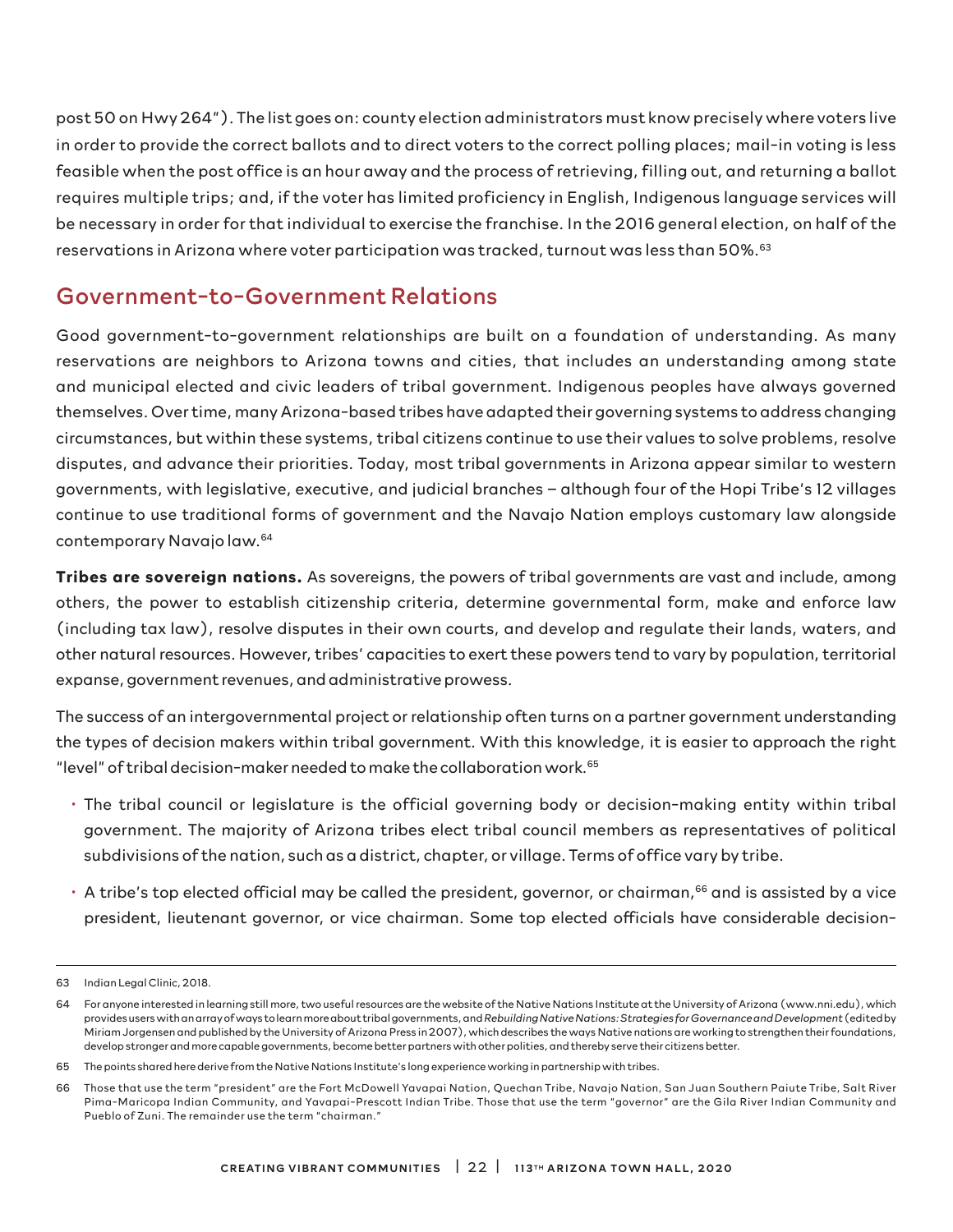post 50 on Hwy 264"). The list goes on: county election administrators must know precisely where voters live in order to provide the correct ballots and to direct voters to the correct polling places; mail-in voting is less feasible when the post office is an hour away and the process of retrieving, filling out, and returning a ballot requires multiple trips; and, if the voter has limited proficiency in English, Indigenous language services will be necessary in order for that individual to exercise the franchise. In the 2016 general election, on half of the reservations in Arizona where voter participation was tracked, turnout was less than 50%.<sup>63</sup>

## Government-to-Government Relations

Good government-to-government relationships are built on a foundation of understanding. As many reservations are neighbors to Arizona towns and cities, that includes an understanding among state and municipal elected and civic leaders of tribal government. Indigenous peoples have always governed themselves. Over time, many Arizona-based tribes have adapted their governing systems to address changing circumstances, but within these systems, tribal citizens continue to use their values to solve problems, resolve disputes, and advance their priorities. Today, most tribal governments in Arizona appear similar to western governments, with legislative, executive, and judicial branches – although four of the Hopi Tribe's 12 villages continue to use traditional forms of government and the Navajo Nation employs customary law alongside contemporary Navajo law.64

**Tribes are sovereign nations.** As sovereigns, the powers of tribal governments are vast and include, among others, the power to establish citizenship criteria, determine governmental form, make and enforce law (including tax law), resolve disputes in their own courts, and develop and regulate their lands, waters, and other natural resources. However, tribes' capacities to exert these powers tend to vary by population, territorial expanse, government revenues, and administrative prowess.

The success of an intergovernmental project or relationship often turns on a partner government understanding the types of decision makers within tribal government. With this knowledge, it is easier to approach the right "level" of tribal decision-maker needed to make the collaboration work.65

- The tribal council or legislature is the official governing body or decision-making entity within tribal government. The majority of Arizona tribes elect tribal council members as representatives of political subdivisions of the nation, such as a district, chapter, or village. Terms of office vary by tribe.
- $\cdot$  A tribe's top elected official may be called the president, governor, or chairman,<sup>66</sup> and is assisted by a vice president, lieutenant governor, or vice chairman. Some top elected officials have considerable decision-

<sup>63</sup> Indian Legal Clinic, 2018.

<sup>64</sup> For anyone interested in learning still more, two useful resources are the website of the Native Nations Institute at the University of Arizona (www.nni.edu), which provides users with an array of ways to learn more about tribal governments, and *Rebuilding Native Nations: Strategies for Governance and Development* (edited by Miriam Jorgensen and published by the University of Arizona Press in 2007), which describes the ways Native nations are working to strengthen their foundations, develop stronger and more capable governments, become better partners with other polities, and thereby serve their citizens better.

<sup>65</sup> The points shared here derive from the Native Nations Institute's long experience working in partnership with tribes.

<sup>66</sup> Those that use the term "president" are the Fort McDowell Yavapai Nation, Quechan Tribe, Navajo Nation, San Juan Southern Paiute Tribe, Salt River Pima-Maricopa Indian Community, and Yavapai-Prescott Indian Tribe. Those that use the term "governor" are the Gila River Indian Community and Pueblo of Zuni. The remainder use the term "chairman."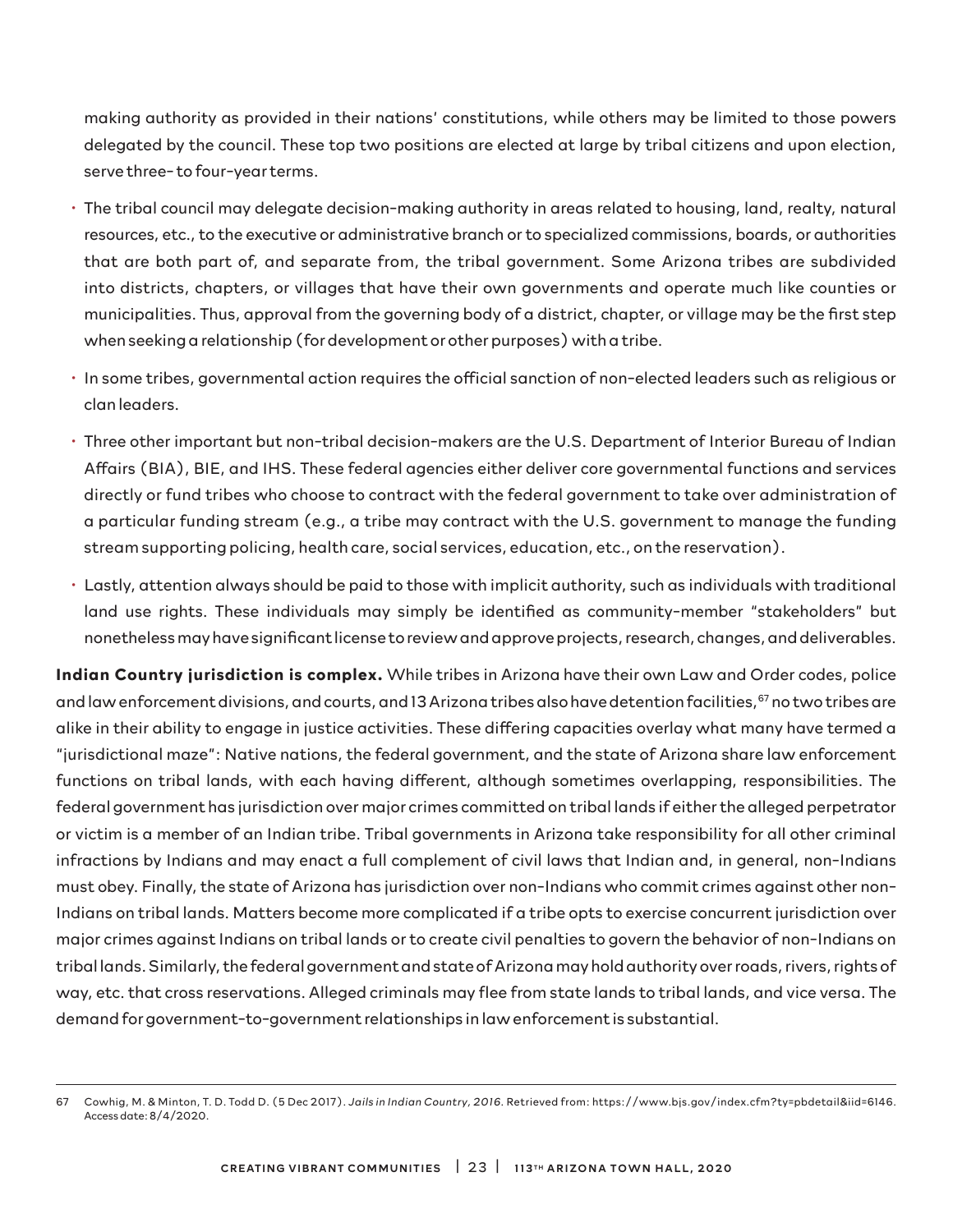making authority as provided in their nations' constitutions, while others may be limited to those powers delegated by the council. These top two positions are elected at large by tribal citizens and upon election, serve three- to four-year terms.

- The tribal council may delegate decision-making authority in areas related to housing, land, realty, natural resources, etc., to the executive or administrative branch or to specialized commissions, boards, or authorities that are both part of, and separate from, the tribal government. Some Arizona tribes are subdivided into districts, chapters, or villages that have their own governments and operate much like counties or municipalities. Thus, approval from the governing body of a district, chapter, or village may be the first step when seeking a relationship (for development or other purposes) with a tribe.
- In some tribes, governmental action requires the official sanction of non-elected leaders such as religious or clan leaders.
- Three other important but non-tribal decision-makers are the U.S. Department of Interior Bureau of Indian Affairs (BIA), BIE, and IHS. These federal agencies either deliver core governmental functions and services directly or fund tribes who choose to contract with the federal government to take over administration of a particular funding stream (e.g., a tribe may contract with the U.S. government to manage the funding stream supporting policing, health care, social services, education, etc., on the reservation).
- Lastly, attention always should be paid to those with implicit authority, such as individuals with traditional land use rights. These individuals may simply be identified as community-member "stakeholders" but nonetheless may have significant license to review and approve projects, research, changes, and deliverables.

**Indian Country jurisdiction is complex.** While tribes in Arizona have their own Law and Order codes, police and law enforcement divisions, and courts, and 13 Arizona tribes also have detention facilities,<sup>67</sup> no two tribes are alike in their ability to engage in justice activities. These differing capacities overlay what many have termed a "jurisdictional maze": Native nations, the federal government, and the state of Arizona share law enforcement functions on tribal lands, with each having different, although sometimes overlapping, responsibilities. The federal government has jurisdiction over major crimes committed on tribal lands if either the alleged perpetrator or victim is a member of an Indian tribe. Tribal governments in Arizona take responsibility for all other criminal infractions by Indians and may enact a full complement of civil laws that Indian and, in general, non-Indians must obey. Finally, the state of Arizona has jurisdiction over non-Indians who commit crimes against other non-Indians on tribal lands. Matters become more complicated if a tribe opts to exercise concurrent jurisdiction over major crimes against Indians on tribal lands or to create civil penalties to govern the behavior of non-Indians on tribal lands. Similarly, the federal government and state of Arizona may hold authority over roads, rivers, rights of way, etc. that cross reservations. Alleged criminals may flee from state lands to tribal lands, and vice versa. The demand for government-to-government relationships in law enforcement is substantial.

<sup>67</sup> Cowhig, M. & Minton, T. D. Todd D. (5 Dec 2017). *Jails in Indian Country, 2016*. Retrieved from: https://www.bjs.gov/index.cfm?ty=pbdetail&iid=6146. Access date: 8/4/2020.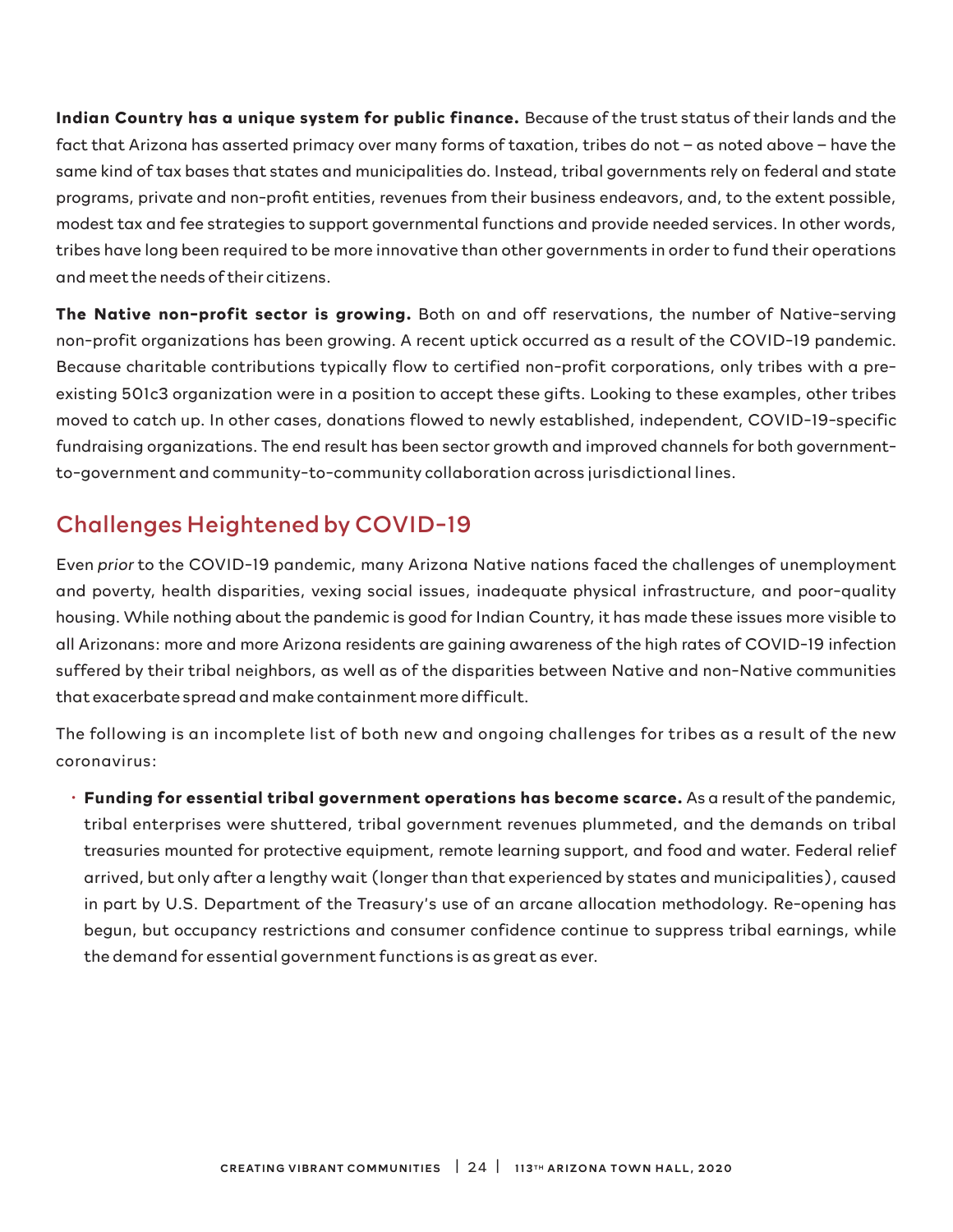**Indian Country has a unique system for public finance.** Because of the trust status of their lands and the fact that Arizona has asserted primacy over many forms of taxation, tribes do not – as noted above – have the same kind of tax bases that states and municipalities do. Instead, tribal governments rely on federal and state programs, private and non-profit entities, revenues from their business endeavors, and, to the extent possible, modest tax and fee strategies to support governmental functions and provide needed services. In other words, tribes have long been required to be more innovative than other governments in order to fund their operations and meet the needs of their citizens.

**The Native non-profit sector is growing.** Both on and off reservations, the number of Native-serving non-profit organizations has been growing. A recent uptick occurred as a result of the COVID-19 pandemic. Because charitable contributions typically flow to certified non-profit corporations, only tribes with a preexisting 501c3 organization were in a position to accept these gifts. Looking to these examples, other tribes moved to catch up. In other cases, donations flowed to newly established, independent, COVID-19-specific fundraising organizations. The end result has been sector growth and improved channels for both governmentto-government and community-to-community collaboration across jurisdictional lines.

## Challenges Heightened by COVID-19

Even *prior* to the COVID-19 pandemic, many Arizona Native nations faced the challenges of unemployment and poverty, health disparities, vexing social issues, inadequate physical infrastructure, and poor-quality housing. While nothing about the pandemic is good for Indian Country, it has made these issues more visible to all Arizonans: more and more Arizona residents are gaining awareness of the high rates of COVID-19 infection suffered by their tribal neighbors, as well as of the disparities between Native and non-Native communities that exacerbate spread and make containment more difficult.

The following is an incomplete list of both new and ongoing challenges for tribes as a result of the new coronavirus:

• **Funding for essential tribal government operations has become scarce.** As a result of the pandemic, tribal enterprises were shuttered, tribal government revenues plummeted, and the demands on tribal treasuries mounted for protective equipment, remote learning support, and food and water. Federal relief arrived, but only after a lengthy wait (longer than that experienced by states and municipalities), caused in part by U.S. Department of the Treasury's use of an arcane allocation methodology. Re-opening has begun, but occupancy restrictions and consumer confidence continue to suppress tribal earnings, while the demand for essential government functions is as great as ever.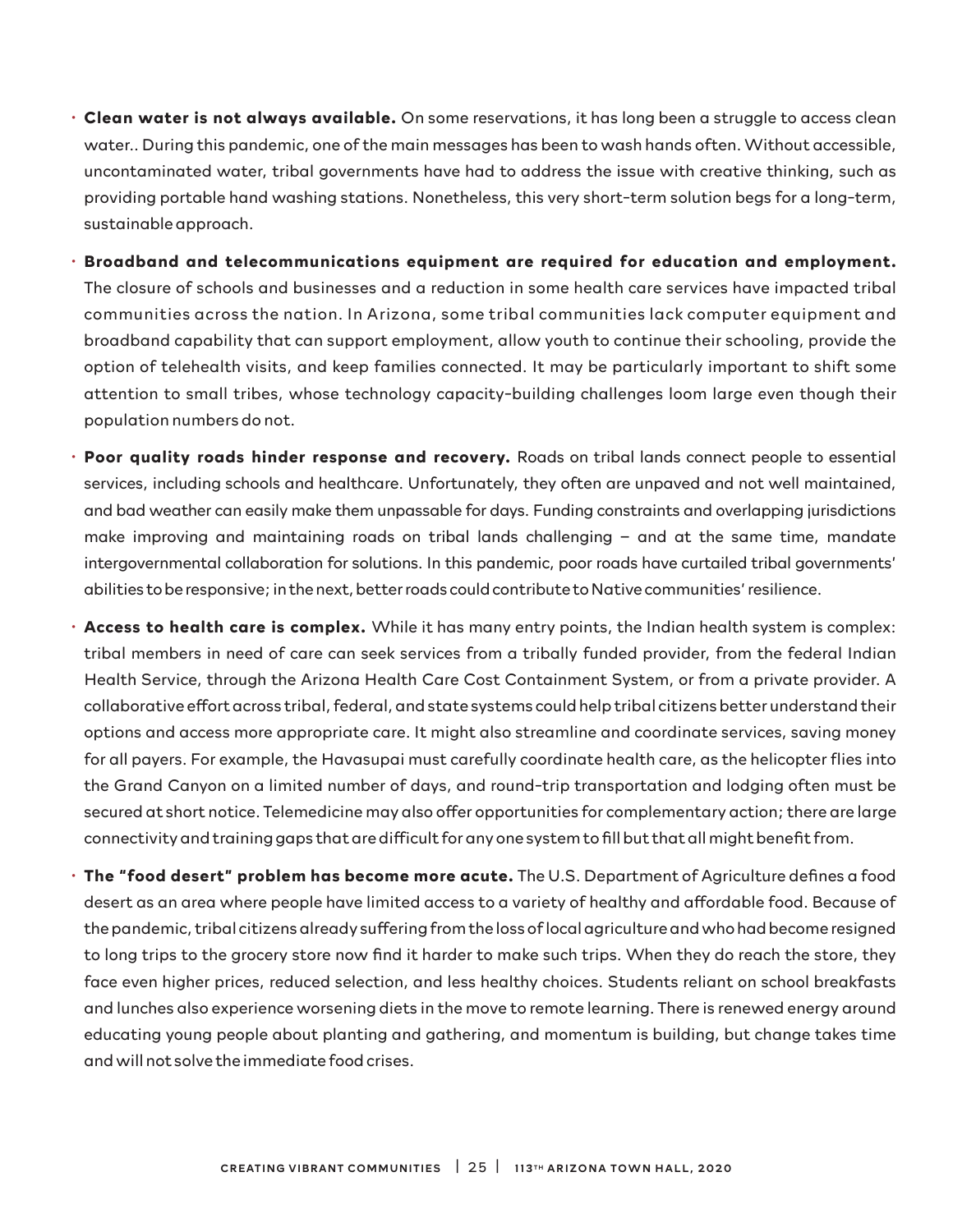- **Clean water is not always available.** On some reservations, it has long been a struggle to access clean water.. During this pandemic, one of the main messages has been to wash hands often. Without accessible, uncontaminated water, tribal governments have had to address the issue with creative thinking, such as providing portable hand washing stations. Nonetheless, this very short-term solution begs for a long-term, sustainable approach.
- **Broadband and telecommunications equipment are required for education and employment.** The closure of schools and businesses and a reduction in some health care services have impacted tribal communities across the nation. In Arizona, some tribal communities lack computer equipment and broadband capability that can support employment, allow youth to continue their schooling, provide the option of telehealth visits, and keep families connected. It may be particularly important to shift some attention to small tribes, whose technology capacity-building challenges loom large even though their population numbers do not.
- **Poor quality roads hinder response and recovery.** Roads on tribal lands connect people to essential services, including schools and healthcare. Unfortunately, they often are unpaved and not well maintained, and bad weather can easily make them unpassable for days. Funding constraints and overlapping jurisdictions make improving and maintaining roads on tribal lands challenging – and at the same time, mandate intergovernmental collaboration for solutions. In this pandemic, poor roads have curtailed tribal governments' abilities to be responsive; in the next, better roads could contribute to Native communities' resilience.
- **Access to health care is complex.** While it has many entry points, the Indian health system is complex: tribal members in need of care can seek services from a tribally funded provider, from the federal Indian Health Service, through the Arizona Health Care Cost Containment System, or from a private provider. A collaborative effort across tribal, federal, and state systems could help tribal citizens better understand their options and access more appropriate care. It might also streamline and coordinate services, saving money for all payers. For example, the Havasupai must carefully coordinate health care, as the helicopter flies into the Grand Canyon on a limited number of days, and round-trip transportation and lodging often must be secured at short notice. Telemedicine may also offer opportunities for complementary action; there are large connectivity and training gaps that are difficult for any one system to fill but that all might benefit from.
- **The "food desert" problem has become more acute.** The U.S. Department of Agriculture defines a food desert as an area where people have limited access to a variety of healthy and affordable food. Because of the pandemic, tribal citizens already suffering from the loss of local agriculture and who had become resigned to long trips to the grocery store now find it harder to make such trips. When they do reach the store, they face even higher prices, reduced selection, and less healthy choices. Students reliant on school breakfasts and lunches also experience worsening diets in the move to remote learning. There is renewed energy around educating young people about planting and gathering, and momentum is building, but change takes time and will not solve the immediate food crises.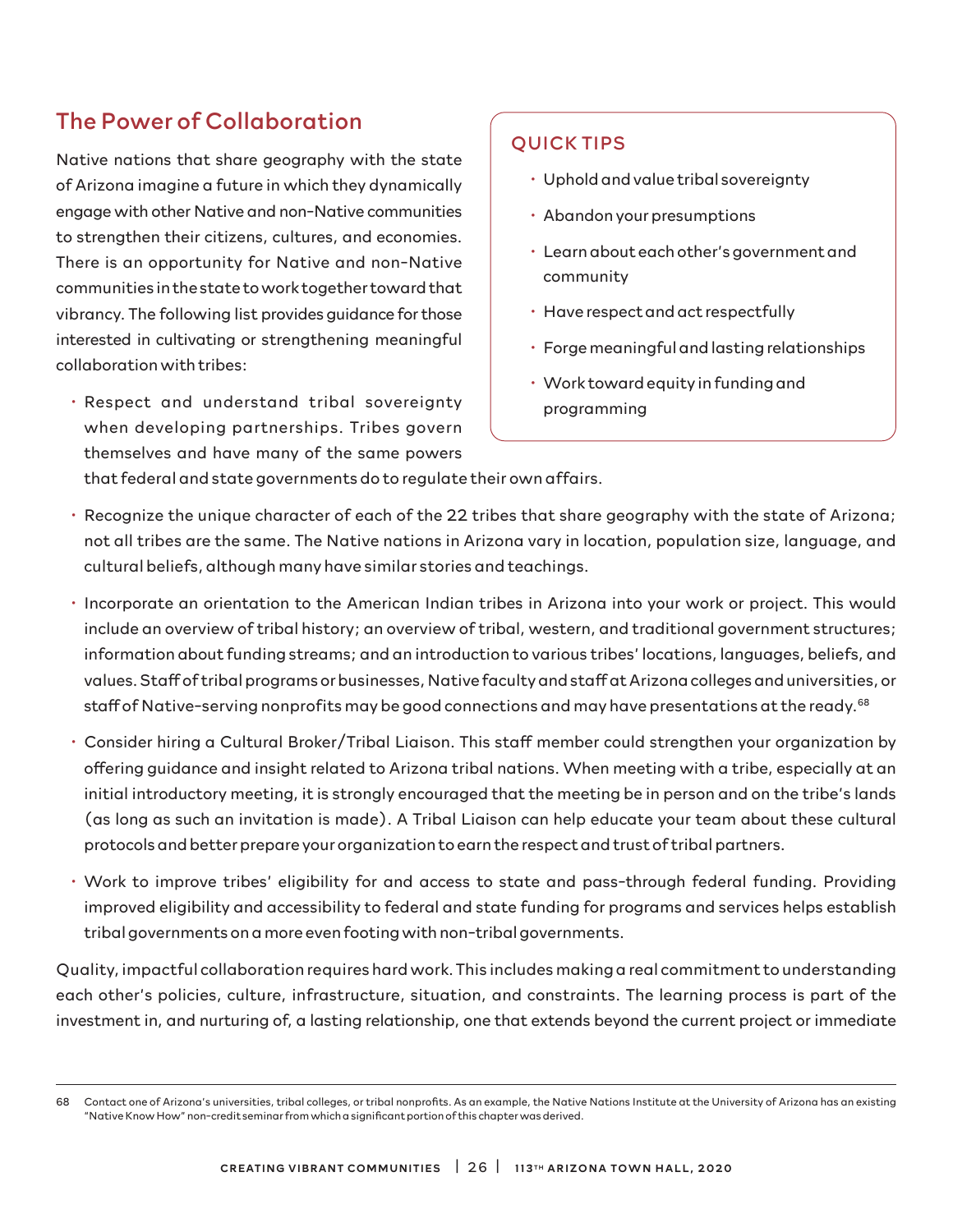## The Power of Collaboration

Native nations that share geography with the state of Arizona imagine a future in which they dynamically engage with other Native and non-Native communities to strengthen their citizens, cultures, and economies. There is an opportunity for Native and non-Native communities in the state to work together toward that vibrancy. The following list provides guidance for those interested in cultivating or strengthening meaningful collaboration with tribes:

• Respect and understand tribal sovereignty when developing partnerships. Tribes govern themselves and have many of the same powers

## QUICK TIPS

- Uphold and value tribal sovereignty
- Abandon your presumptions
- Learn about each other's government and community
- Have respect and act respectfully
- Forge meaningful and lasting relationships
- Work toward equity in funding and programming

that federal and state governments do to regulate their own affairs.

- Recognize the unique character of each of the 22 tribes that share geography with the state of Arizona; not all tribes are the same. The Native nations in Arizona vary in location, population size, language, and cultural beliefs, although many have similar stories and teachings.
- Incorporate an orientation to the American Indian tribes in Arizona into your work or project. This would include an overview of tribal history; an overview of tribal, western, and traditional government structures; information about funding streams; and an introduction to various tribes' locations, languages, beliefs, and values. Staff of tribal programs or businesses, Native faculty and staff at Arizona colleges and universities, or staff of Native-serving nonprofits may be good connections and may have presentations at the ready.<sup>68</sup>
- Consider hiring a Cultural Broker/Tribal Liaison. This staff member could strengthen your organization by offering guidance and insight related to Arizona tribal nations. When meeting with a tribe, especially at an initial introductory meeting, it is strongly encouraged that the meeting be in person and on the tribe's lands (as long as such an invitation is made). A Tribal Liaison can help educate your team about these cultural protocols and better prepare your organization to earn the respect and trust of tribal partners.
- Work to improve tribes' eligibility for and access to state and pass-through federal funding. Providing improved eligibility and accessibility to federal and state funding for programs and services helps establish tribal governments on a more even footing with non-tribal governments.

Quality, impactful collaboration requires hard work. This includes making a real commitment to understanding each other's policies, culture, infrastructure, situation, and constraints. The learning process is part of the investment in, and nurturing of, a lasting relationship, one that extends beyond the current project or immediate

<sup>68</sup> Contact one of Arizona's universities, tribal colleges, or tribal nonprofits. As an example, the Native Nations Institute at the University of Arizona has an existing "Native Know How" non-credit seminar from which a significant portion of this chapter was derived.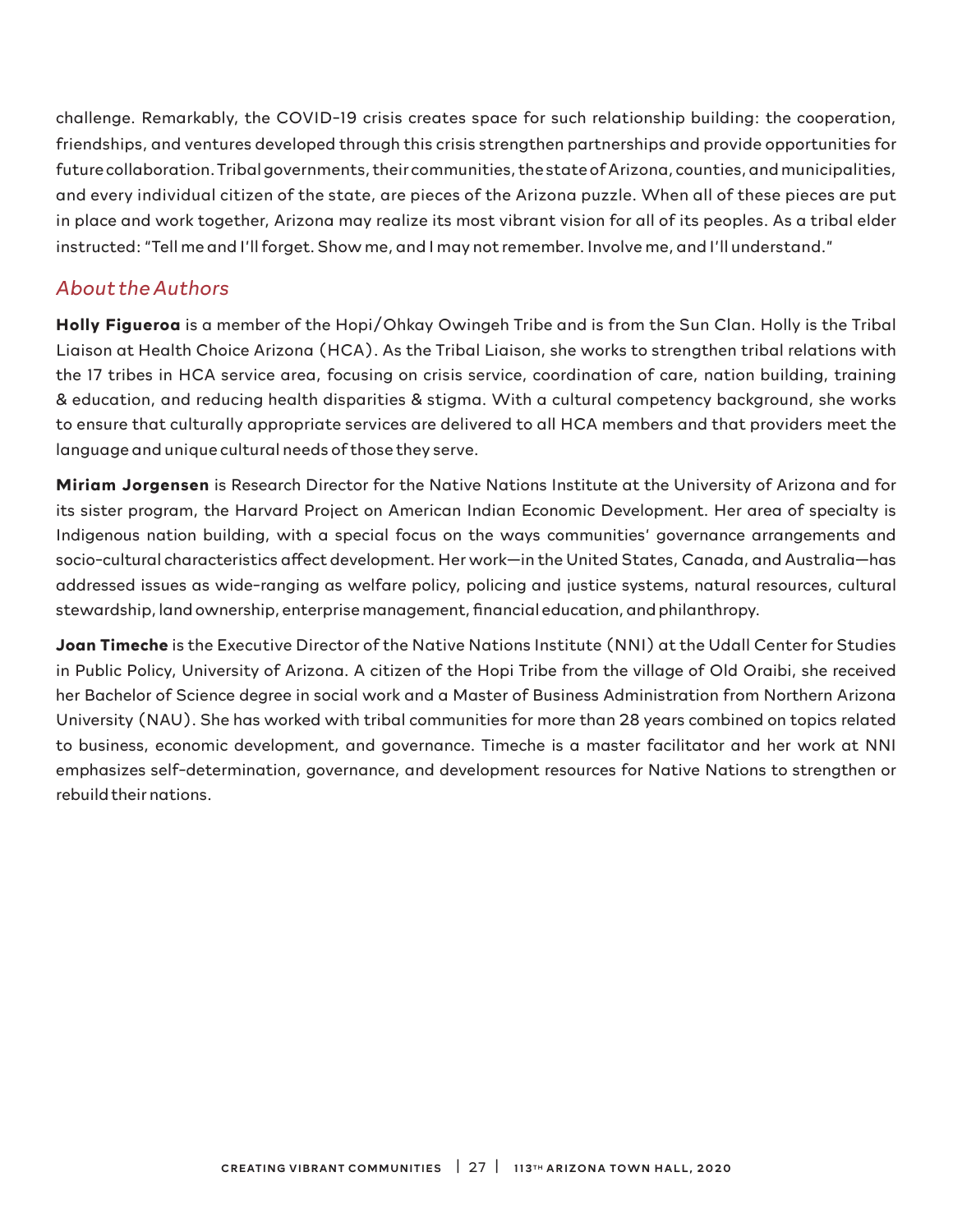challenge. Remarkably, the COVID-19 crisis creates space for such relationship building: the cooperation, friendships, and ventures developed through this crisis strengthen partnerships and provide opportunities for future collaboration. Tribal governments, their communities, the state of Arizona, counties, and municipalities, and every individual citizen of the state, are pieces of the Arizona puzzle. When all of these pieces are put in place and work together, Arizona may realize its most vibrant vision for all of its peoples. As a tribal elder instructed: "Tell me and I'll forget. Show me, and I may not remember. Involve me, and I'll understand."

## *About the Authors*

**Holly Figueroa** is a member of the Hopi/Ohkay Owingeh Tribe and is from the Sun Clan. Holly is the Tribal Liaison at Health Choice Arizona (HCA). As the Tribal Liaison, she works to strengthen tribal relations with the 17 tribes in HCA service area, focusing on crisis service, coordination of care, nation building, training & education, and reducing health disparities & stigma. With a cultural competency background, she works to ensure that culturally appropriate services are delivered to all HCA members and that providers meet the language and unique cultural needs of those they serve.

**Miriam Jorgensen** is Research Director for the Native Nations Institute at the University of Arizona and for its sister program, the Harvard Project on American Indian Economic Development. Her area of specialty is Indigenous nation building, with a special focus on the ways communities' governance arrangements and socio-cultural characteristics affect development. Her work—in the United States, Canada, and Australia—has addressed issues as wide-ranging as welfare policy, policing and justice systems, natural resources, cultural stewardship, land ownership, enterprise management, financial education, and philanthropy.

**Joan Timeche** is the Executive Director of the Native Nations Institute (NNI) at the Udall Center for Studies in Public Policy, University of Arizona. A citizen of the Hopi Tribe from the village of Old Oraibi, she received her Bachelor of Science degree in social work and a Master of Business Administration from Northern Arizona University (NAU). She has worked with tribal communities for more than 28 years combined on topics related to business, economic development, and governance. Timeche is a master facilitator and her work at NNI emphasizes self-determination, governance, and development resources for Native Nations to strengthen or rebuild their nations.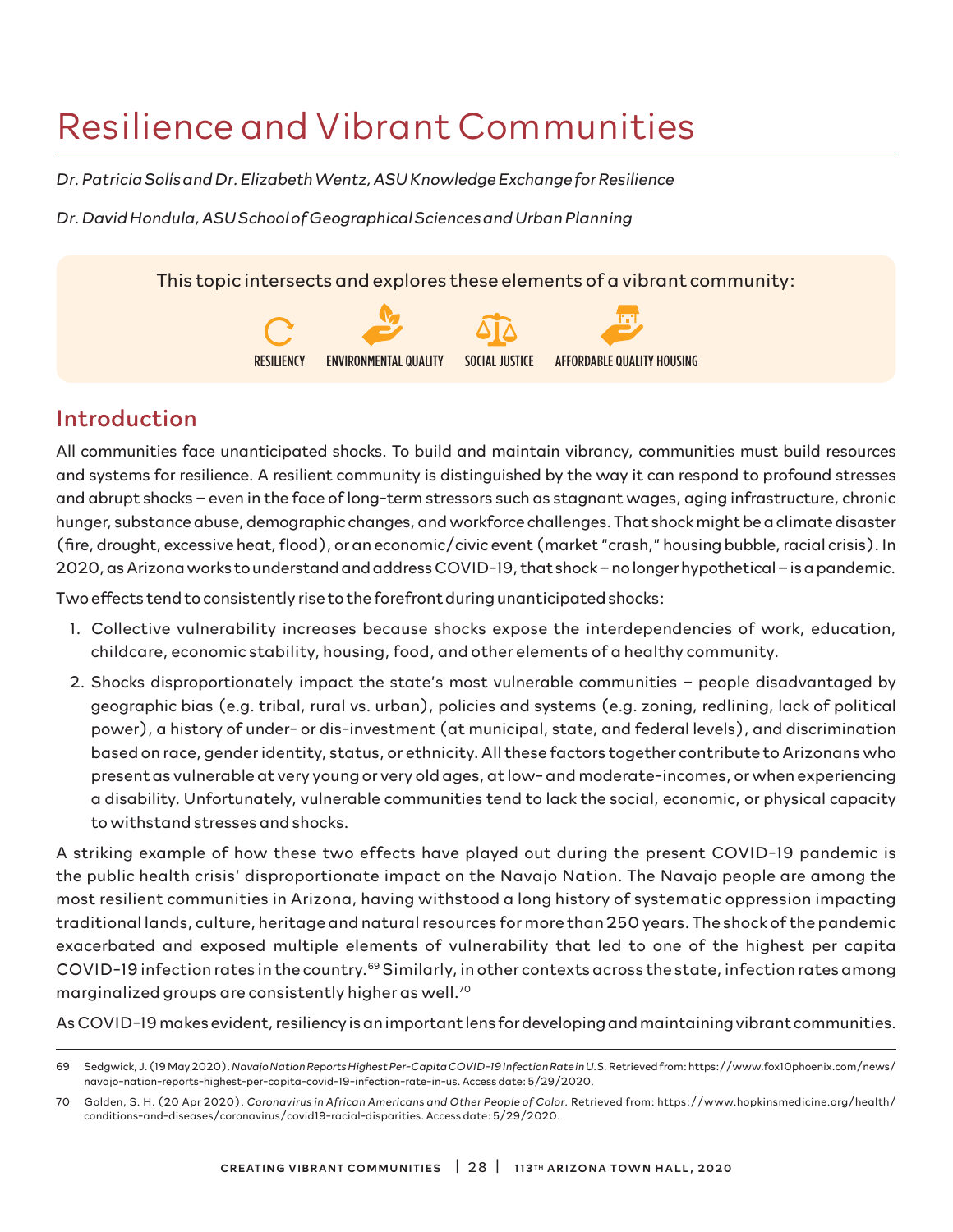# Resilience and Vibrant Communities

*Dr. Patricia Solís and Dr. Elizabeth Wentz, ASU Knowledge Exchange for Resilience*

*Dr. David Hondula, ASU School of Geographical Sciences and Urban Planning*

This topic intersects and explores these elements of a vibrant community:



## Introduction

All communities face unanticipated shocks. To build and maintain vibrancy, communities must build resources and systems for resilience. A resilient community is distinguished by the way it can respond to profound stresses and abrupt shocks – even in the face of long-term stressors such as stagnant wages, aging infrastructure, chronic hunger, substance abuse, demographic changes, and workforce challenges. That shock might be a climate disaster (fire, drought, excessive heat, flood), or an economic/civic event (market "crash," housing bubble, racial crisis). In 2020, as Arizona works to understand and address COVID-19, that shock – no longer hypothetical – is a pandemic.

Two effects tend to consistently rise to the forefront during unanticipated shocks:

- 1. Collective vulnerability increases because shocks expose the interdependencies of work, education, childcare, economic stability, housing, food, and other elements of a healthy community.
- 2. Shocks disproportionately impact the state's most vulnerable communities people disadvantaged by geographic bias (e.g. tribal, rural vs. urban), policies and systems (e.g. zoning, redlining, lack of political power), a history of under- or dis-investment (at municipal, state, and federal levels), and discrimination based on race, gender identity, status, or ethnicity. All these factors together contribute to Arizonans who present as vulnerable at very young or very old ages, at low- and moderate-incomes, or when experiencing a disability. Unfortunately, vulnerable communities tend to lack the social, economic, or physical capacity to withstand stresses and shocks.

A striking example of how these two effects have played out during the present COVID-19 pandemic is the public health crisis' disproportionate impact on the Navajo Nation. The Navajo people are among the most resilient communities in Arizona, having withstood a long history of systematic oppression impacting traditional lands, culture, heritage and natural resources for more than 250 years. The shock of the pandemic exacerbated and exposed multiple elements of vulnerability that led to one of the highest per capita COVID-19 infection rates in the country.69 Similarly, in other contexts across the state, infection rates among marginalized groups are consistently higher as well.70

As COVID-19 makes evident, resiliency is an important lens for developing and maintaining vibrant communities.

<sup>69</sup> Sedgwick, J. (19 May 2020). *Navajo Nation Reports Highest Per-Capita COVID-19 Infection Rate in U.S.* Retrieved from: https://www.fox10phoenix.com/news/ navajo-nation-reports-highest-per-capita-covid-19-infection-rate-in-us. Access date: 5/29/2020.

<sup>70</sup> Golden, S. H. (20 Apr 2020). *Coronavirus in African Americans and Other People of Color.* Retrieved from: https://www.hopkinsmedicine.org/health/ conditions-and-diseases/coronavirus/covid19-racial-disparities. Access date: 5/29/2020.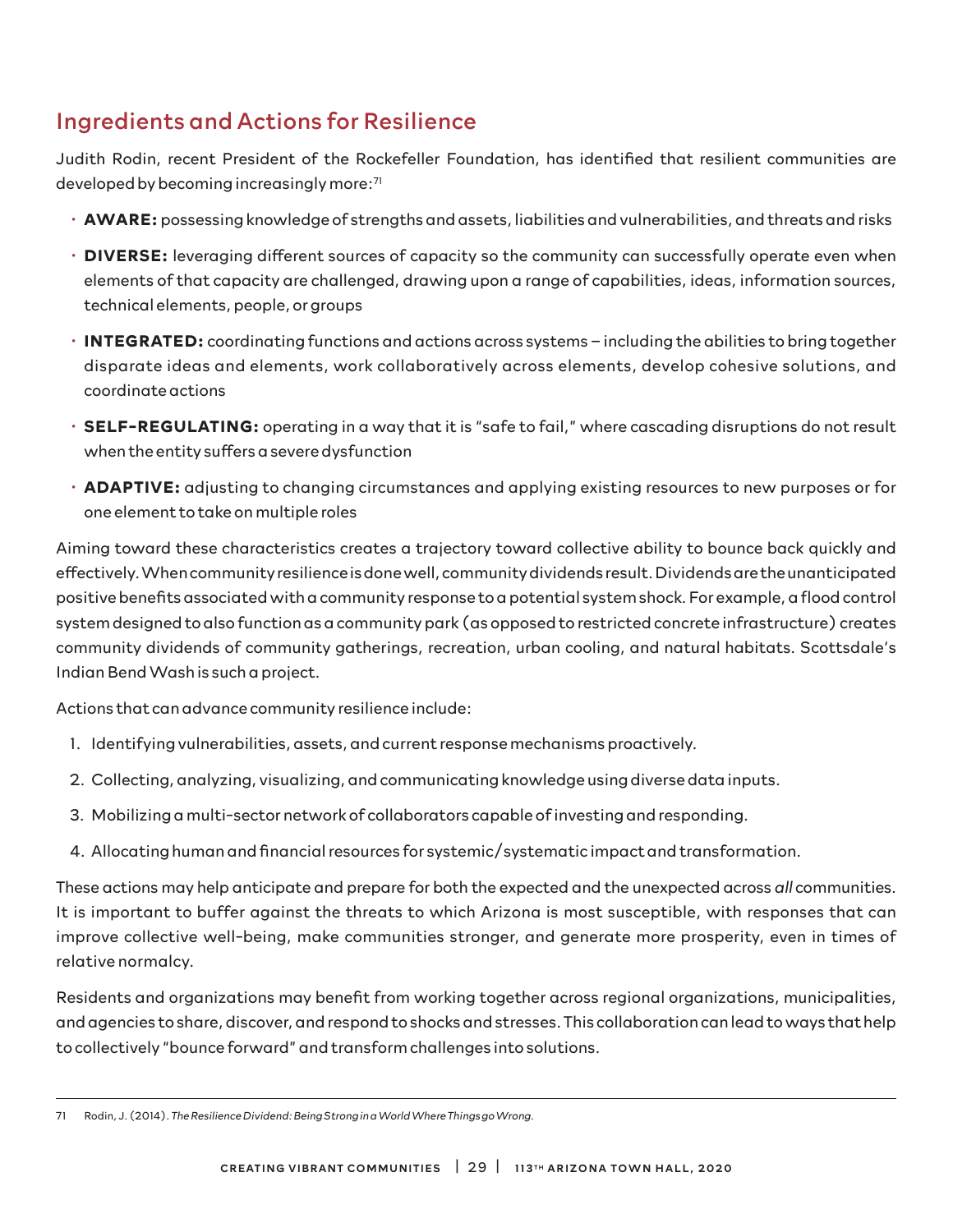# Ingredients and Actions for Resilience

Judith Rodin, recent President of the Rockefeller Foundation, has identified that resilient communities are developed by becoming increasingly more:71

- **AWARE:** possessing knowledge of strengths and assets, liabilities and vulnerabilities, and threats and risks
- **DIVERSE:** leveraging different sources of capacity so the community can successfully operate even when elements of that capacity are challenged, drawing upon a range of capabilities, ideas, information sources, technical elements, people, or groups
- **INTEGRATED:** coordinating functions and actions across systems including the abilities to bring together disparate ideas and elements, work collaboratively across elements, develop cohesive solutions, and coordinate actions
- **SELF-REGULATING:** operating in a way that it is "safe to fail," where cascading disruptions do not result when the entity suffers a severe dysfunction
- **ADAPTIVE:** adjusting to changing circumstances and applying existing resources to new purposes or for one element to take on multiple roles

Aiming toward these characteristics creates a trajectory toward collective ability to bounce back quickly and effectively. When community resilience is done well, community dividends result. Dividends are the unanticipated positive benefits associated with a community response to a potential system shock. For example, a flood control system designed to also function as a community park (as opposed to restricted concrete infrastructure) creates community dividends of community gatherings, recreation, urban cooling, and natural habitats. Scottsdale's Indian Bend Wash is such a project.

Actions that can advance community resilience include:

- 1. Identifying vulnerabilities, assets, and current response mechanisms proactively.
- 2. Collecting, analyzing, visualizing, and communicating knowledge using diverse data inputs.
- 3. Mobilizing a multi-sector network of collaborators capable of investing and responding.
- 4. Allocating human and financial resources for systemic/systematic impact and transformation.

These actions may help anticipate and prepare for both the expected and the unexpected across *all* communities. It is important to buffer against the threats to which Arizona is most susceptible, with responses that can improve collective well-being, make communities stronger, and generate more prosperity, even in times of relative normalcy.

Residents and organizations may benefit from working together across regional organizations, municipalities, and agencies to share, discover, and respond to shocks and stresses. This collaboration can lead to ways that help to collectively "bounce forward" and transform challenges into solutions.

<sup>71</sup> Rodin, J. (2014). *The Resilience Dividend: Being Strong in a World Where Things go Wrong.*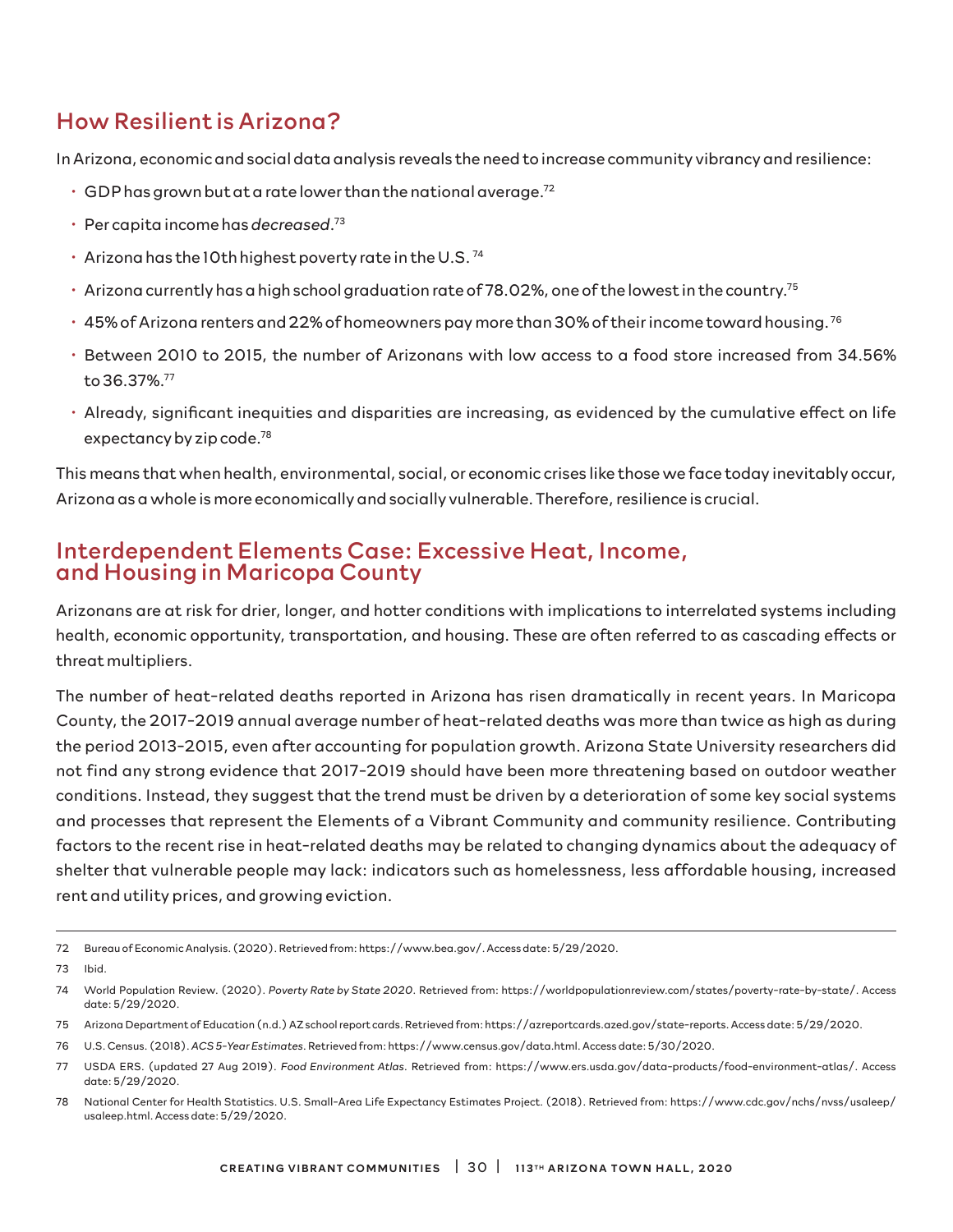## How Resilient is Arizona?

In Arizona, economic and social data analysis reveals the need to increase community vibrancy and resilience:

- $\cdot$  GDP has grown but at a rate lower than the national average.<sup>72</sup>
- Per capita income has *decreased*. 73
- Arizona has the 10th highest poverty rate in the U.S. 74
- $\cdot$  Arizona currently has a high school graduation rate of 78.02%, one of the lowest in the country.<sup>75</sup>
- $\cdot$  45% of Arizona renters and 22% of homeowners pay more than 30% of their income toward housing. 76
- Between 2010 to 2015, the number of Arizonans with low access to a food store increased from 34.56% to 36.37%.77
- Already, significant inequities and disparities are increasing, as evidenced by the cumulative effect on life expectancy by zip code.<sup>78</sup>

This means that when health, environmental, social, or economic crises like those we face today inevitably occur, Arizona as a whole is more economically and socially vulnerable. Therefore, resilience is crucial.

## Interdependent Elements Case: Excessive Heat, Income, and Housing in Maricopa County

Arizonans are at risk for drier, longer, and hotter conditions with implications to interrelated systems including health, economic opportunity, transportation, and housing. These are often referred to as cascading effects or threat multipliers.

The number of heat-related deaths reported in Arizona has risen dramatically in recent years. In Maricopa County, the 2017-2019 annual average number of heat-related deaths was more than twice as high as during the period 2013-2015, even after accounting for population growth. Arizona State University researchers did not find any strong evidence that 2017-2019 should have been more threatening based on outdoor weather conditions. Instead, they suggest that the trend must be driven by a deterioration of some key social systems and processes that represent the Elements of a Vibrant Community and community resilience. Contributing factors to the recent rise in heat-related deaths may be related to changing dynamics about the adequacy of shelter that vulnerable people may lack: indicators such as homelessness, less affordable housing, increased rent and utility prices, and growing eviction.

72 Bureau of Economic Analysis. (2020). Retrieved from: https://www.bea.gov/. Access date: 5/29/2020.

- 75 Arizona Department of Education (n.d.) AZ school report cards. Retrieved from: https://azreportcards.azed.gov/state-reports. Access date: 5/29/2020.
- 76 U.S. Census. (2018). *ACS 5-Year Estimates*. Retrieved from: https://www.census.gov/data.html. Access date: 5/30/2020.
- 77 USDA ERS. (updated 27 Aug 2019). *Food Environment Atlas*. Retrieved from: https://www.ers.usda.gov/data-products/food-environment-atlas/. Access date: 5/29/2020.
- 78 National Center for Health Statistics. U.S. Small-Area Life Expectancy Estimates Project. (2018). Retrieved from: https://www.cdc.gov/nchs/nvss/usaleep/ usaleep.html. Access date: 5/29/2020.

<sup>73</sup> Ibid.

<sup>74</sup> World Population Review. (2020). *Poverty Rate by State 2020*. Retrieved from: https://worldpopulationreview.com/states/poverty-rate-by-state/. Access date: 5/29/2020.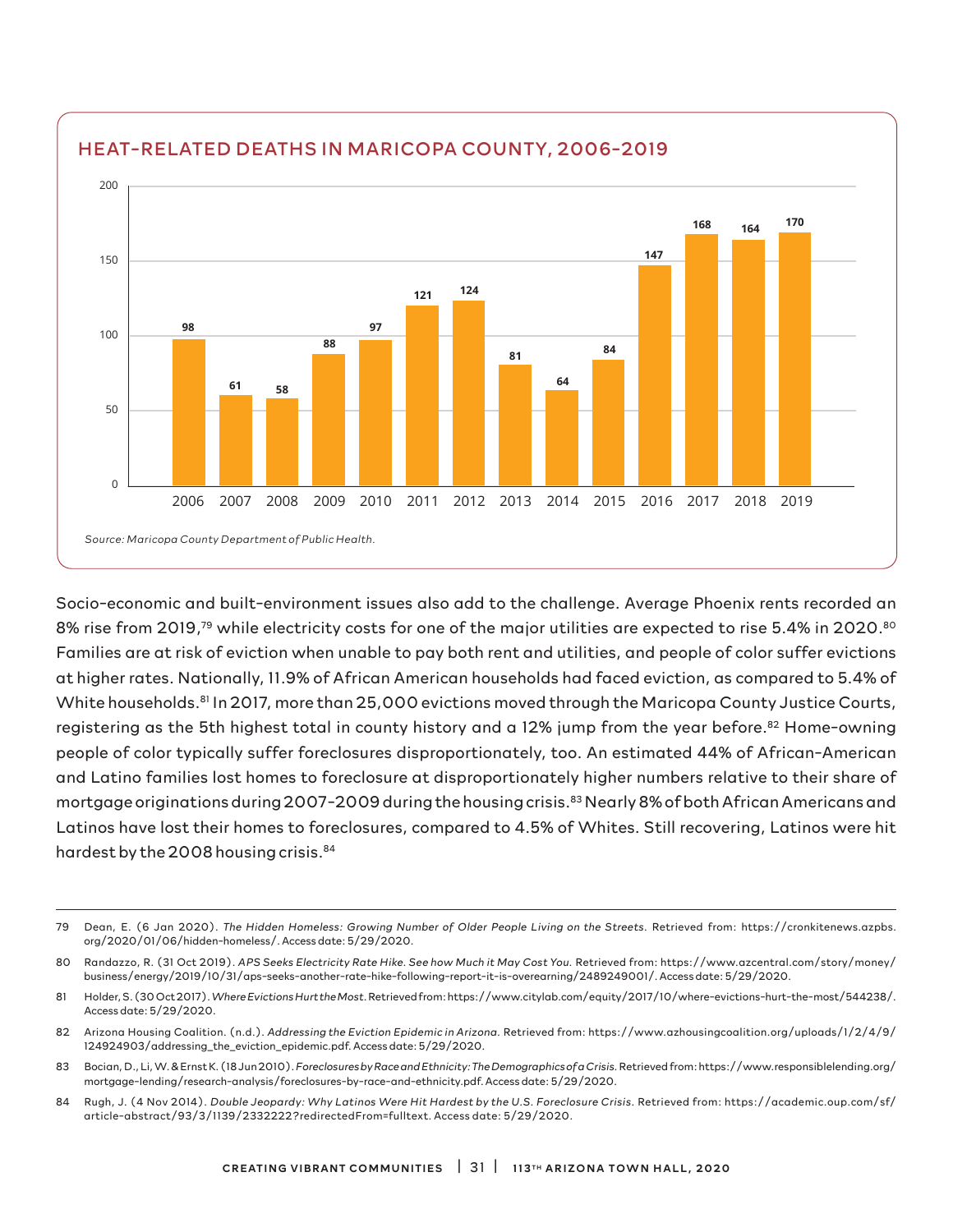

Socio-economic and built-environment issues also add to the challenge. Average Phoenix rents recorded an 8% rise from 2019,<sup>79</sup> while electricity costs for one of the major utilities are expected to rise 5.4% in 2020.<sup>80</sup> Families are at risk of eviction when unable to pay both rent and utilities, and people of color suffer evictions at higher rates. Nationally, 11.9% of African American households had faced eviction, as compared to 5.4% of White households.<sup>81</sup> In 2017, more than 25,000 evictions moved through the Maricopa County Justice Courts, registering as the 5th highest total in county history and a 12% jump from the year before.<sup>82</sup> Home-owning people of color typically suffer foreclosures disproportionately, too. An estimated 44% of African-American and Latino families lost homes to foreclosure at disproportionately higher numbers relative to their share of mortgage originations during 2007-2009 during the housing crisis.<sup>83</sup> Nearly 8% of both African Americans and Latinos have lost their homes to foreclosures, compared to 4.5% of Whites. Still recovering, Latinos were hit hardest by the 2008 housing crisis.<sup>84</sup>

- 83 Bocian, D., Li, W. & Ernst K. (18 Jun 2010). *Foreclosures by Race and Ethnicity: The Demographics of a Crisis.* Retrieved from: https://www.responsiblelending.org/ mortgage-lending/research-analysis/foreclosures-by-race-and-ethnicity.pdf. Access date: 5/29/2020.
- 84 Rugh, J. (4 Nov 2014). *Double Jeopardy: Why Latinos Were Hit Hardest by the U.S. Foreclosure Crisis*. Retrieved from: https://academic.oup.com/sf/ article-abstract/93/3/1139/2332222?redirectedFrom=fulltext. Access date: 5/29/2020.

<sup>79</sup> Dean, E. (6 Jan 2020). *The Hidden Homeless: Growing Number of Older People Living on the Streets*. Retrieved from: https://cronkitenews.azpbs. org/2020/01/06/hidden-homeless/. Access date: 5/29/2020.

<sup>80</sup> Randazzo, R. (31 Oct 2019). *APS Seeks Electricity Rate Hike. See how Much it May Cost You.* Retrieved from: https://www.azcentral.com/story/money/ business/energy/2019/10/31/aps-seeks-another-rate-hike-following-report-it-is-overearning/2489249001/. Access date: 5/29/2020.

<sup>81</sup> Holder, S. (30 Oct 2017). *Where Evictions Hurt the Most*. Retrieved from: https://www.citylab.com/equity/2017/10/where-evictions-hurt-the-most/544238/. Access date: 5/29/2020.

<sup>82</sup> Arizona Housing Coalition. (n.d.). *Addressing the Eviction Epidemic in Arizona.* Retrieved from: https://www.azhousingcoalition.org/uploads/1/2/4/9/ 124924903/addressing\_the\_eviction\_epidemic.pdf. Access date: 5/29/2020.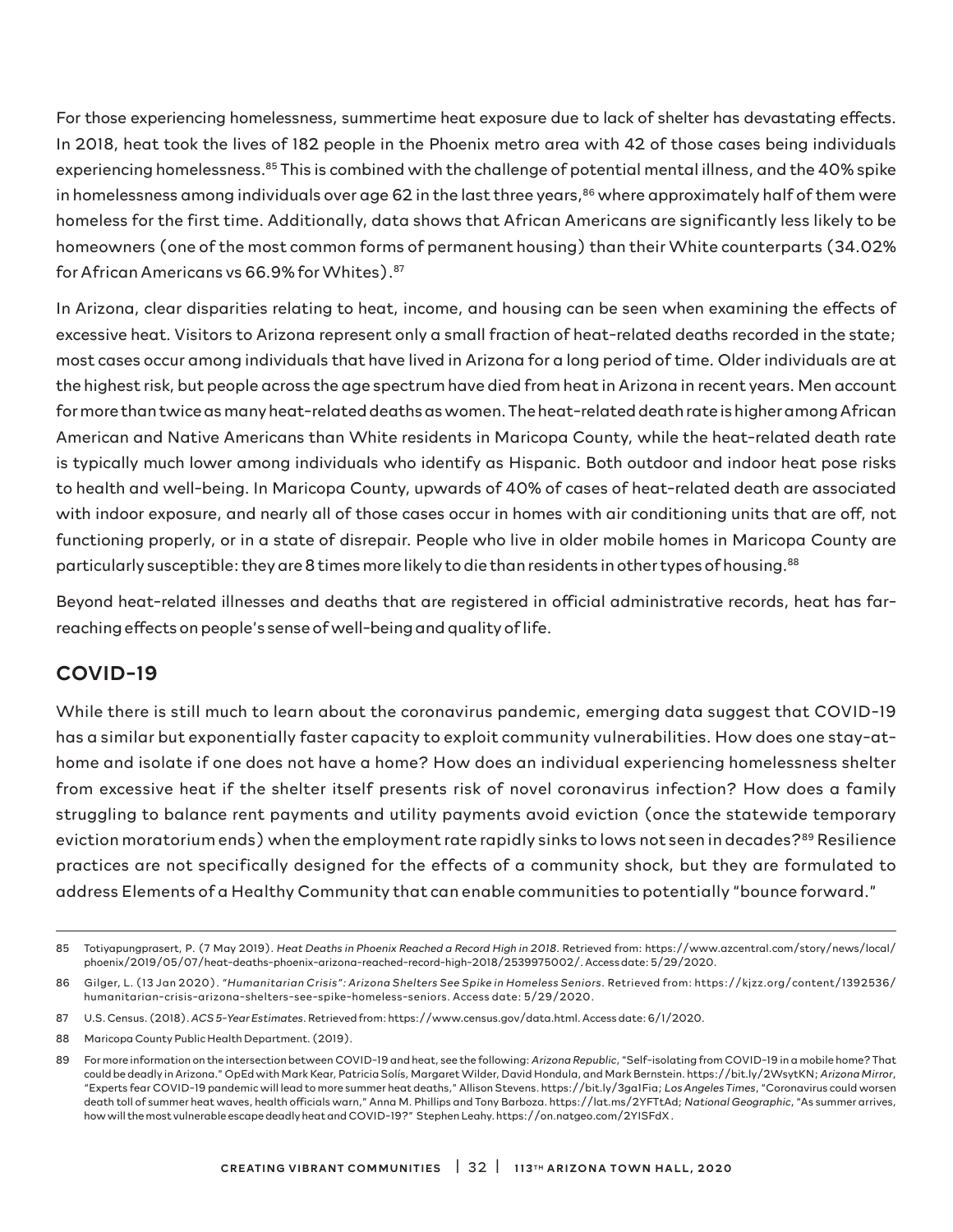For those experiencing homelessness, summertime heat exposure due to lack of shelter has devastating effects. In 2018, heat took the lives of 182 people in the Phoenix metro area with 42 of those cases being individuals experiencing homelessness.<sup>85</sup> This is combined with the challenge of potential mental illness, and the 40% spike in homelessness among individuals over age 62 in the last three years, $86$  where approximately half of them were homeless for the first time. Additionally, data shows that African Americans are significantly less likely to be homeowners (one of the most common forms of permanent housing) than their White counterparts (34.02% for African Americans vs 66.9% for Whites).87

In Arizona, clear disparities relating to heat, income, and housing can be seen when examining the effects of excessive heat. Visitors to Arizona represent only a small fraction of heat-related deaths recorded in the state; most cases occur among individuals that have lived in Arizona for a long period of time. Older individuals are at the highest risk, but people across the age spectrum have died from heat in Arizona in recent years. Men account for more than twice as many heat-related deaths as women. The heat-related death rate is higher among African American and Native Americans than White residents in Maricopa County, while the heat-related death rate is typically much lower among individuals who identify as Hispanic. Both outdoor and indoor heat pose risks to health and well-being. In Maricopa County, upwards of 40% of cases of heat-related death are associated with indoor exposure, and nearly all of those cases occur in homes with air conditioning units that are off, not functioning properly, or in a state of disrepair. People who live in older mobile homes in Maricopa County are particularly susceptible: they are 8 times more likely to die than residents in other types of housing. $^{88}$ 

Beyond heat-related illnesses and deaths that are registered in official administrative records, heat has farreaching effects on people's sense of well-being and quality of life.

## COVID-19

While there is still much to learn about the coronavirus pandemic, emerging data suggest that COVID-19 has a similar but exponentially faster capacity to exploit community vulnerabilities. How does one stay-athome and isolate if one does not have a home? How does an individual experiencing homelessness shelter from excessive heat if the shelter itself presents risk of novel coronavirus infection? How does a family struggling to balance rent payments and utility payments avoid eviction (once the statewide temporary eviction moratorium ends) when the employment rate rapidly sinks to lows not seen in decades?<sup>89</sup> Resilience practices are not specifically designed for the effects of a community shock, but they are formulated to address Elements of a Healthy Community that can enable communities to potentially "bounce forward."

- 87 U.S. Census. (2018). *ACS 5-Year Estimates*. Retrieved from: https://www.census.gov/data.html. Access date: 6/1/2020.
- 88 Maricopa County Public Health Department. (2019).

<sup>85</sup> Totiyapungprasert, P. (7 May 2019). *Heat Deaths in Phoenix Reached a Record High in 2018*. Retrieved from: https://www.azcentral.com/story/news/local/ phoenix/2019/05/07/heat-deaths-phoenix-arizona-reached-record-high-2018/2539975002/. Access date: 5/29/2020.

<sup>86</sup> Gilger, L. (13 Jan 2020). *"Humanitarian Crisis": Arizona Shelters See Spike in Homeless Seniors*. Retrieved from: https://kjzz.org/content/1392536/ humanitarian-crisis-arizona-shelters-see-spike-homeless-seniors. Access date: 5/29/2020.

<sup>89</sup> For more information on the intersection between COVID-19 and heat, see the following: *Arizona Republic*, "Self-isolating from COVID-19 in a mobile home? That could be deadly in Arizona." OpEd with Mark Kear, Patricia Solís, Margaret Wilder, David Hondula, and Mark Bernstein. https://bit.ly/2WsytKN; *Arizona Mirror*, "Experts fear COVID-19 pandemic will lead to more summer heat deaths," Allison Stevens. https://bit.ly/3ga1Fia; *Los Angeles Times*, "Coronavirus could worsen death toll of summer heat waves, health officials warn," Anna M. Phillips and Tony Barboza. https://lat.ms/2YFTtAd; *National Geographic*, "As summer arrives, how will the most vulnerable escape deadly heat and COVID-19?" Stephen Leahy. https://on.natgeo.com/2YISFdX .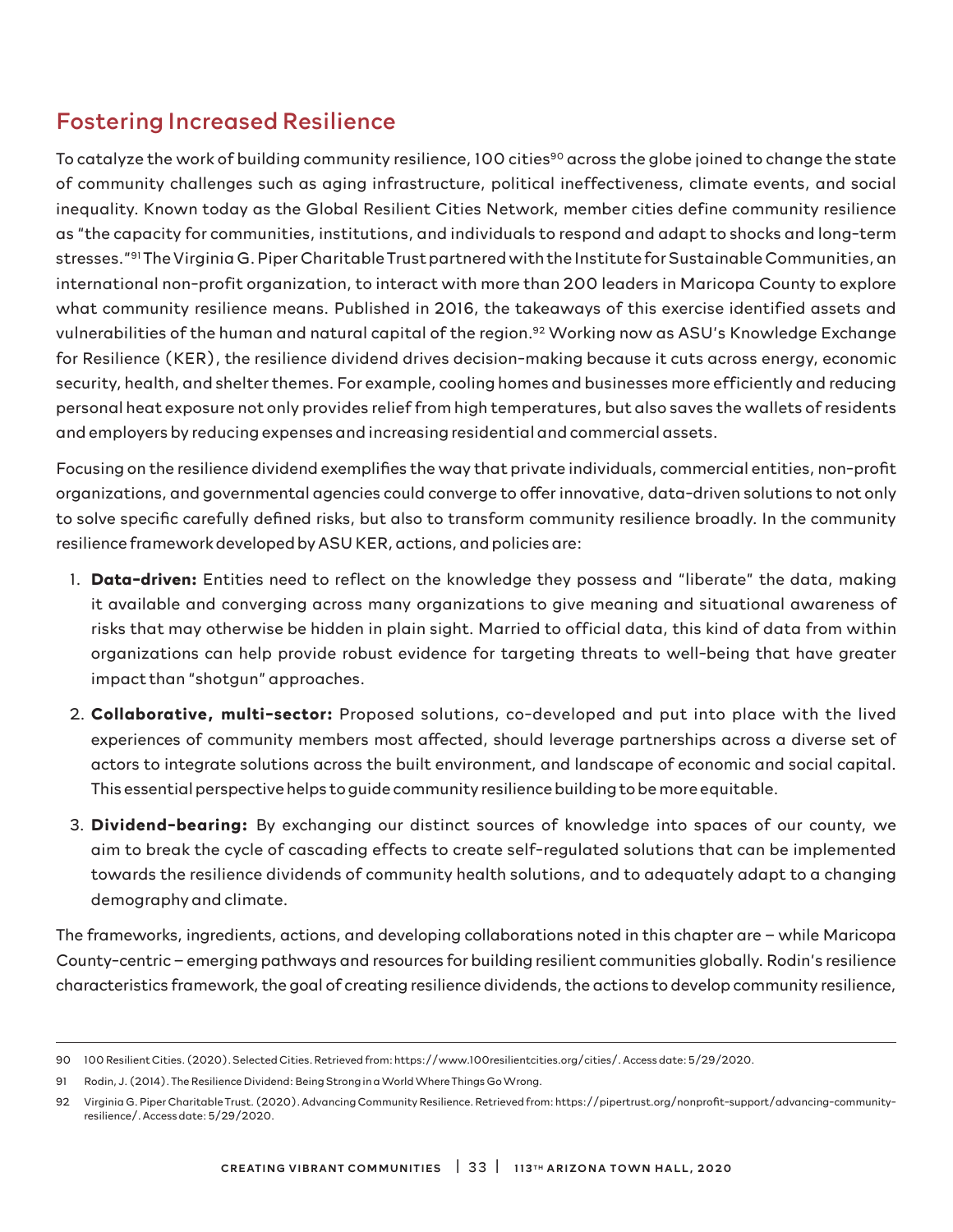## Fostering Increased Resilience

To catalyze the work of building community resilience, 100 cities<sup>90</sup> across the globe joined to change the state of community challenges such as aging infrastructure, political ineffectiveness, climate events, and social inequality. Known today as the Global Resilient Cities Network, member cities define community resilience as "the capacity for communities, institutions, and individuals to respond and adapt to shocks and long-term stresses."91 The Virginia G. Piper Charitable Trust partnered with the Institute for Sustainable Communities, an international non-profit organization, to interact with more than 200 leaders in Maricopa County to explore what community resilience means. Published in 2016, the takeaways of this exercise identified assets and vulnerabilities of the human and natural capital of the region.<sup>92</sup> Working now as ASU's Knowledge Exchange for Resilience (KER), the resilience dividend drives decision-making because it cuts across energy, economic security, health, and shelter themes. For example, cooling homes and businesses more efficiently and reducing personal heat exposure not only provides relief from high temperatures, but also saves the wallets of residents and employers by reducing expenses and increasing residential and commercial assets.

Focusing on the resilience dividend exemplifies the way that private individuals, commercial entities, non-profit organizations, and governmental agencies could converge to offer innovative, data-driven solutions to not only to solve specific carefully defined risks, but also to transform community resilience broadly. In the community resilience framework developed by ASU KER, actions, and policies are:

- 1. **Data-driven:** Entities need to reflect on the knowledge they possess and "liberate" the data, making it available and converging across many organizations to give meaning and situational awareness of risks that may otherwise be hidden in plain sight. Married to official data, this kind of data from within organizations can help provide robust evidence for targeting threats to well-being that have greater impact than "shotgun" approaches.
- 2. **Collaborative, multi-sector:** Proposed solutions, co-developed and put into place with the lived experiences of community members most affected, should leverage partnerships across a diverse set of actors to integrate solutions across the built environment, and landscape of economic and social capital. This essential perspective helps to guide community resilience building to be more equitable.
- 3. **Dividend-bearing:** By exchanging our distinct sources of knowledge into spaces of our county, we aim to break the cycle of cascading effects to create self-regulated solutions that can be implemented towards the resilience dividends of community health solutions, and to adequately adapt to a changing demography and climate.

The frameworks, ingredients, actions, and developing collaborations noted in this chapter are – while Maricopa County-centric – emerging pathways and resources for building resilient communities globally. Rodin's resilience characteristics framework, the goal of creating resilience dividends, the actions to develop community resilience,

<sup>90 100</sup> Resilient Cities. (2020). Selected Cities. Retrieved from: https://www.100resilientcities.org/cities/. Access date: 5/29/2020.

<sup>91</sup> Rodin, J. (2014). The Resilience Dividend: Being Strong in a World Where Things Go Wrong.

<sup>92</sup> Virginia G. Piper Charitable Trust. (2020). Advancing Community Resilience. Retrieved from: https://pipertrust.org/nonprofit-support/advancing-communityresilience/. Access date: 5/29/2020.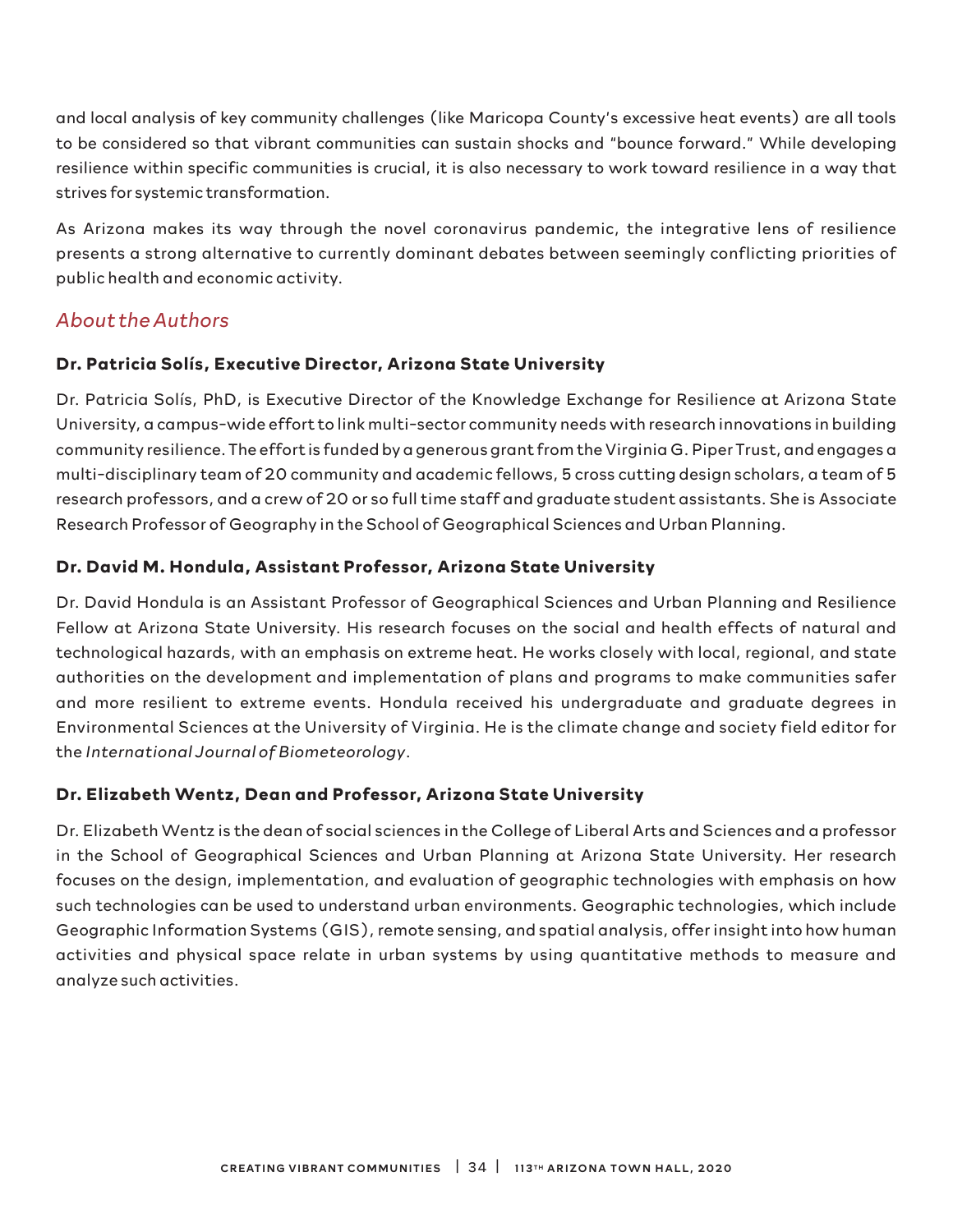and local analysis of key community challenges (like Maricopa County's excessive heat events) are all tools to be considered so that vibrant communities can sustain shocks and "bounce forward." While developing resilience within specific communities is crucial, it is also necessary to work toward resilience in a way that strives for systemic transformation.

As Arizona makes its way through the novel coronavirus pandemic, the integrative lens of resilience presents a strong alternative to currently dominant debates between seemingly conflicting priorities of public health and economic activity.

## *About the Authors*

## **Dr. Patricia Solís, Executive Director, Arizona State University**

Dr. Patricia Solís, PhD, is Executive Director of the Knowledge Exchange for Resilience at Arizona State University, a campus-wide effort to link multi-sector community needs with research innovations in building community resilience. The effort is funded by a generous grant from the Virginia G. Piper Trust, and engages a multi-disciplinary team of 20 community and academic fellows, 5 cross cutting design scholars, a team of 5 research professors, and a crew of 20 or so full time staff and graduate student assistants. She is Associate Research Professor of Geography in the School of Geographical Sciences and Urban Planning.

## **Dr. David M. Hondula, Assistant Professor, Arizona State University**

Dr. David Hondula is an Assistant Professor of Geographical Sciences and Urban Planning and Resilience Fellow at Arizona State University. His research focuses on the social and health effects of natural and technological hazards, with an emphasis on extreme heat. He works closely with local, regional, and state authorities on the development and implementation of plans and programs to make communities safer and more resilient to extreme events. Hondula received his undergraduate and graduate degrees in Environmental Sciences at the University of Virginia. He is the climate change and society field editor for the *International Journal of Biometeorology*.

## **Dr. Elizabeth Wentz, Dean and Professor, Arizona State University**

Dr. Elizabeth Wentz is the dean of social sciences in the College of Liberal Arts and Sciences and a professor in the School of Geographical Sciences and Urban Planning at Arizona State University. Her research focuses on the design, implementation, and evaluation of geographic technologies with emphasis on how such technologies can be used to understand urban environments. Geographic technologies, which include Geographic Information Systems (GIS), remote sensing, and spatial analysis, offer insight into how human activities and physical space relate in urban systems by using quantitative methods to measure and analyze such activities.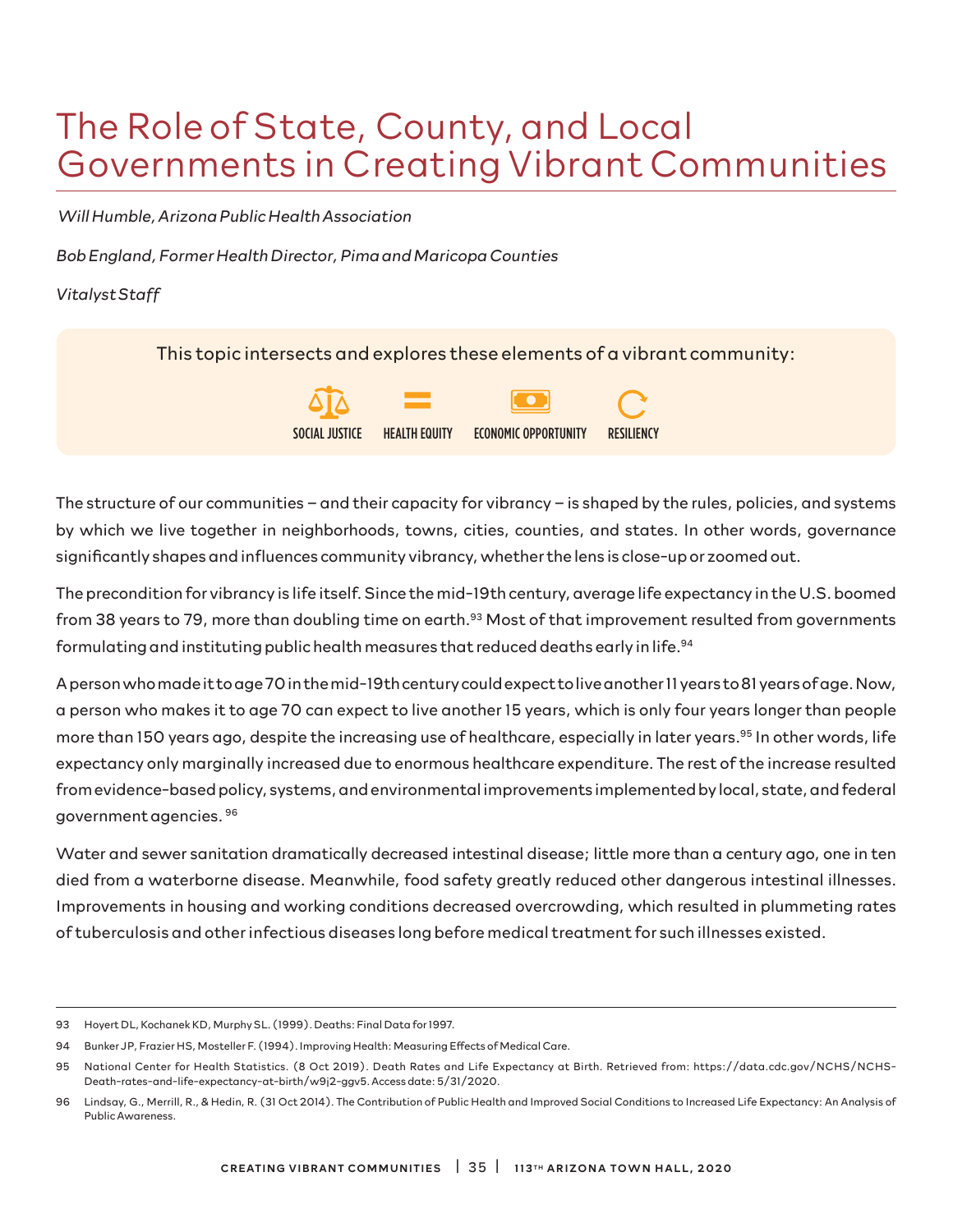# The Role of State, County, and Local Governments in Creating Vibrant Communities

 *Will Humble, Arizona Public Health Association*

*Bob England, Former Health Director, Pima and Maricopa Counties*

*Vitalyst Staff* 

This topic intersects and explores these elements of a vibrant community:



The structure of our communities – and their capacity for vibrancy – is shaped by the rules, policies, and systems by which we live together in neighborhoods, towns, cities, counties, and states. In other words, governance significantly shapes and influences community vibrancy, whether the lens is close-up or zoomed out.

The precondition for vibrancy is life itself. Since the mid-19th century, average life expectancy in the U.S. boomed from 38 years to 79, more than doubling time on earth.<sup>93</sup> Most of that improvement resulted from governments formulating and instituting public health measures that reduced deaths early in life.<sup>94</sup>

A person who made it to age 70 in the mid-19th century could expect to live another 11 years to 81 years of age. Now, a person who makes it to age 70 can expect to live another 15 years, which is only four years longer than people more than 150 years ago, despite the increasing use of healthcare, especially in later years.<sup>95</sup> In other words, life expectancy only marginally increased due to enormous healthcare expenditure. The rest of the increase resulted from evidence-based policy, systems, and environmental improvements implemented by local, state, and federal government agencies. 96

Water and sewer sanitation dramatically decreased intestinal disease; little more than a century ago, one in ten died from a waterborne disease. Meanwhile, food safety greatly reduced other dangerous intestinal illnesses. Improvements in housing and working conditions decreased overcrowding, which resulted in plummeting rates of tuberculosis and other infectious diseases long before medical treatment for such illnesses existed.

<sup>93</sup> Hoyert DL, Kochanek KD, Murphy SL. (1999). Deaths: Final Data for 1997.

<sup>94</sup> Bunker JP, Frazier HS, Mosteller F. (1994). Improving Health: Measuring Effects of Medical Care.

<sup>95</sup> National Center for Health Statistics. (8 Oct 2019). Death Rates and Life Expectancy at Birth. Retrieved from: https://data.cdc.gov/NCHS/NCHS-Death-rates-and-life-expectancy-at-birth/w9j2-ggv5. Access date: 5/31/2020.

<sup>96</sup> Lindsay, G., Merrill, R., & Hedin, R. (31 Oct 2014). The Contribution of Public Health and Improved Social Conditions to Increased Life Expectancy: An Analysis of Public Awareness.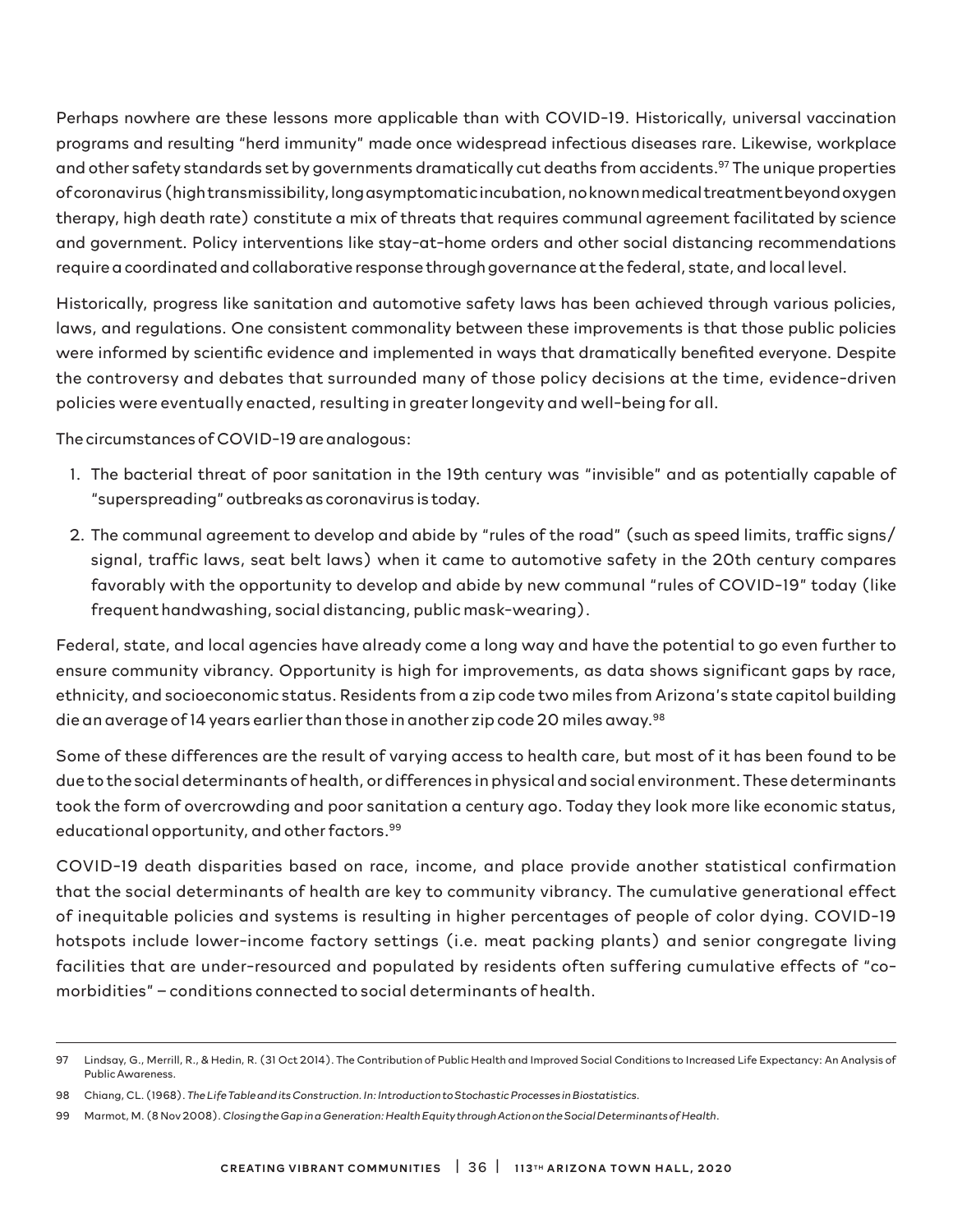Perhaps nowhere are these lessons more applicable than with COVID-19. Historically, universal vaccination programs and resulting "herd immunity" made once widespread infectious diseases rare. Likewise, workplace and other safety standards set by governments dramatically cut deaths from accidents.<sup>97</sup> The unique properties of coronavirus (high transmissibility, long asymptomatic incubation, no known medical treatment beyond oxygen therapy, high death rate) constitute a mix of threats that requires communal agreement facilitated by science and government. Policy interventions like stay-at-home orders and other social distancing recommendations require a coordinated and collaborative response through governance at the federal, state, and local level.

Historically, progress like sanitation and automotive safety laws has been achieved through various policies, laws, and regulations. One consistent commonality between these improvements is that those public policies were informed by scientific evidence and implemented in ways that dramatically benefited everyone. Despite the controversy and debates that surrounded many of those policy decisions at the time, evidence-driven policies were eventually enacted, resulting in greater longevity and well-being for all.

The circumstances of COVID-19 are analogous:

- 1. The bacterial threat of poor sanitation in the 19th century was "invisible" and as potentially capable of "superspreading" outbreaks as coronavirus is today.
- 2. The communal agreement to develop and abide by "rules of the road" (such as speed limits, traffic signs/ signal, traffic laws, seat belt laws) when it came to automotive safety in the 20th century compares favorably with the opportunity to develop and abide by new communal "rules of COVID-19" today (like frequent handwashing, social distancing, public mask-wearing).

Federal, state, and local agencies have already come a long way and have the potential to go even further to ensure community vibrancy. Opportunity is high for improvements, as data shows significant gaps by race, ethnicity, and socioeconomic status. Residents from a zip code two miles from Arizona's state capitol building die an average of 14 years earlier than those in another zip code 20 miles away.98

Some of these differences are the result of varying access to health care, but most of it has been found to be due to the social determinants of health, or differences in physical and social environment. These determinants took the form of overcrowding and poor sanitation a century ago. Today they look more like economic status, educational opportunity, and other factors.<sup>99</sup>

COVID-19 death disparities based on race, income, and place provide another statistical confirmation that the social determinants of health are key to community vibrancy. The cumulative generational effect of inequitable policies and systems is resulting in higher percentages of people of color dying. COVID-19 hotspots include lower-income factory settings (i.e. meat packing plants) and senior congregate living facilities that are under-resourced and populated by residents often suffering cumulative effects of "comorbidities" – conditions connected to social determinants of health.

<sup>97</sup> Lindsay, G., Merrill, R., & Hedin, R. (31 Oct 2014). The Contribution of Public Health and Improved Social Conditions to Increased Life Expectancy: An Analysis of Public Awareness.

<sup>98</sup> Chiang, CL. (1968). *The Life Table and its Construction. In: Introduction to Stochastic Processes in Biostatistics*.

<sup>99</sup> Marmot, M. (8 Nov 2008). *Closing the Gap in a Generation: Health Equity through Action on the Social Determinants of Health*.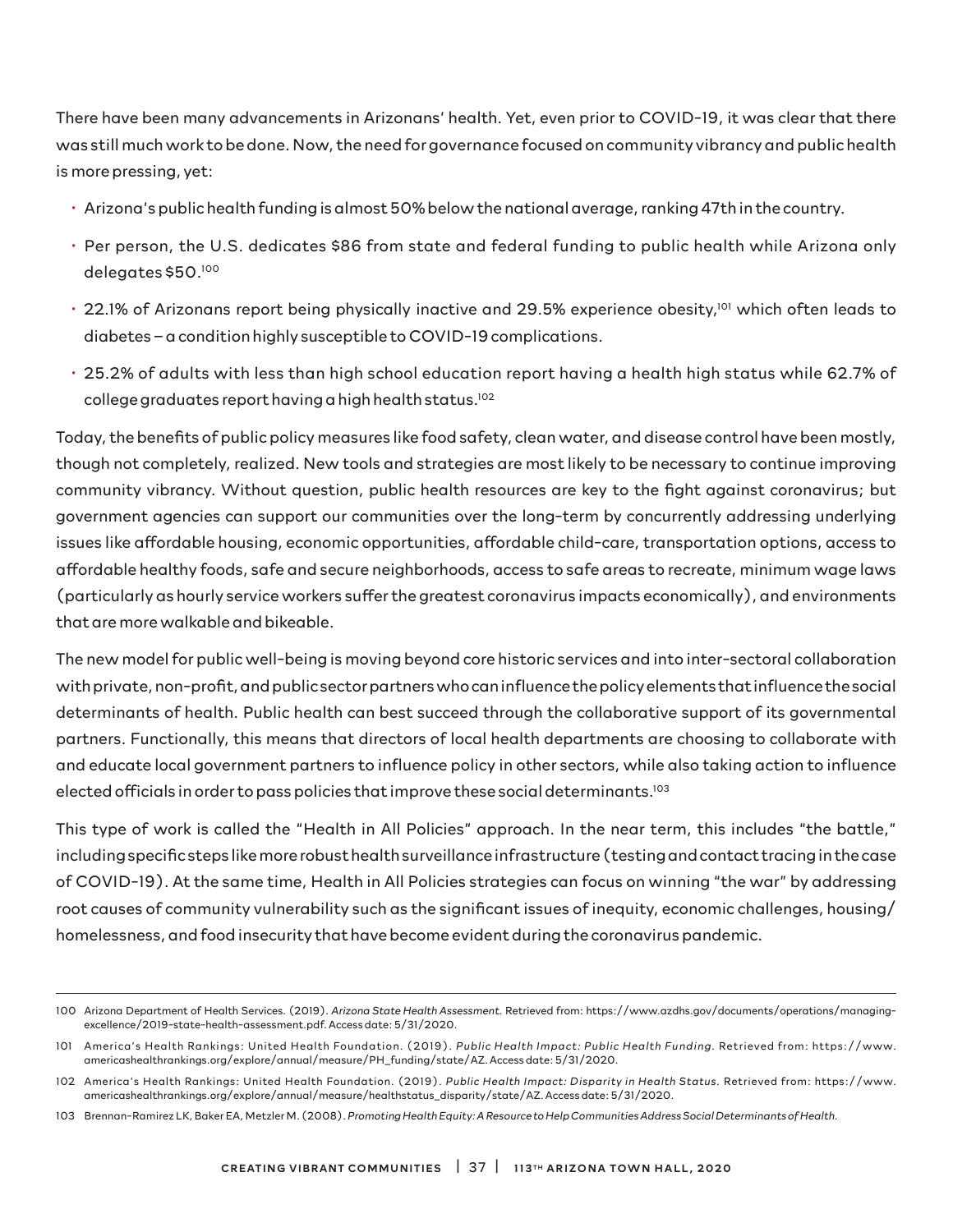There have been many advancements in Arizonans' health. Yet, even prior to COVID-19, it was clear that there was still much work to be done. Now, the need for governance focused on community vibrancy and public health is more pressing, yet:

- Arizona's public health funding is almost 50% below the national average, ranking 47th in the country.
- Per person, the U.S. dedicates \$86 from state and federal funding to public health while Arizona only delegates \$50.100
- 22.1% of Arizonans report being physically inactive and 29.5% experience obesity,<sup>101</sup> which often leads to diabetes – a condition highly susceptible to COVID-19 complications.
- 25.2% of adults with less than high school education report having a health high status while 62.7% of college graduates report having a high health status.<sup>102</sup>

Today, the benefits of public policy measures like food safety, clean water, and disease control have been mostly, though not completely, realized. New tools and strategies are most likely to be necessary to continue improving community vibrancy. Without question, public health resources are key to the fight against coronavirus; but government agencies can support our communities over the long-term by concurrently addressing underlying issues like affordable housing, economic opportunities, affordable child-care, transportation options, access to affordable healthy foods, safe and secure neighborhoods, access to safe areas to recreate, minimum wage laws (particularly as hourly service workers suffer the greatest coronavirus impacts economically), and environments that are more walkable and bikeable.

The new model for public well-being is moving beyond core historic services and into inter-sectoral collaboration with private, non-profit, and public sector partners who can influence the policy elements that influence the social determinants of health. Public health can best succeed through the collaborative support of its governmental partners. Functionally, this means that directors of local health departments are choosing to collaborate with and educate local government partners to influence policy in other sectors, while also taking action to influence elected officials in order to pass policies that improve these social determinants.103

This type of work is called the "Health in All Policies" approach. In the near term, this includes "the battle," including specific steps like more robust health surveillance infrastructure (testing and contact tracing in the case of COVID-19). At the same time, Health in All Policies strategies can focus on winning "the war" by addressing root causes of community vulnerability such as the significant issues of inequity, economic challenges, housing/ homelessness, and food insecurity that have become evident during the coronavirus pandemic.

<sup>100</sup> Arizona Department of Health Services. (2019). *Arizona State Health Assessment.* Retrieved from: https://www.azdhs.gov/documents/operations/managingexcellence/2019-state-health-assessment.pdf. Access date: 5/31/2020.

<sup>101</sup> America's Health Rankings: United Health Foundation. (2019). Public Health Impact: Public Health Funding. Retrieved from: https://www. americashealthrankings.org/explore/annual/measure/PH\_funding/state/AZ. Access date: 5/31/2020.

<sup>102</sup> America's Health Rankings: United Health Foundation. (2019). *Public Health Impact: Disparity in Health Status.* Retrieved from: https://www. americashealthrankings.org/explore/annual/measure/healthstatus\_disparity/state/AZ. Access date: 5/31/2020.

<sup>103</sup> Brennan-Ramirez LK, Baker EA, Metzler M. (2008). *Promoting Health Equity: A Resource to Help Communities Address Social Determinants of Health.*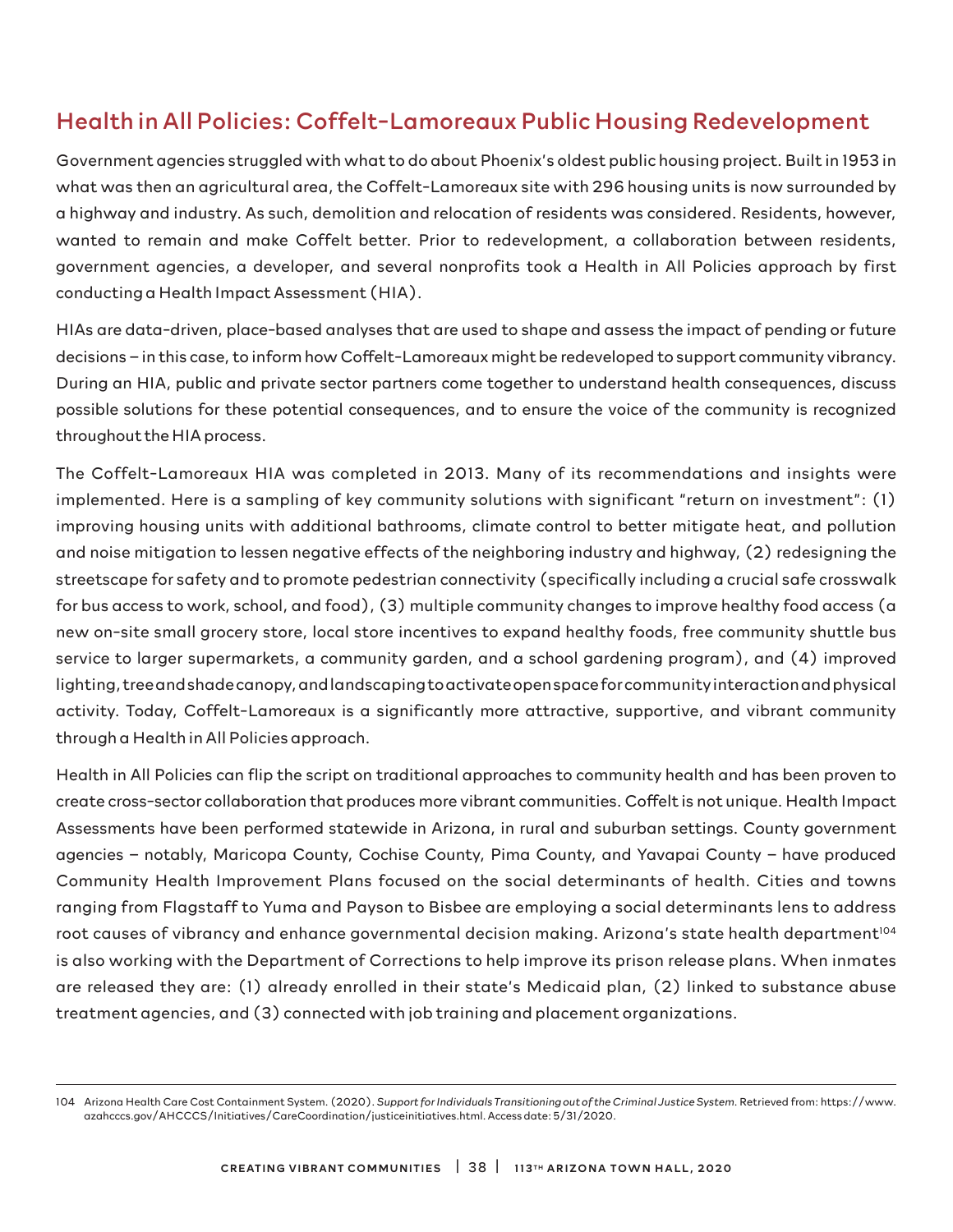### Health in All Policies: Coffelt-Lamoreaux Public Housing Redevelopment

Government agencies struggled with what to do about Phoenix's oldest public housing project. Built in 1953 in what was then an agricultural area, the Coffelt-Lamoreaux site with 296 housing units is now surrounded by a highway and industry. As such, demolition and relocation of residents was considered. Residents, however, wanted to remain and make Coffelt better. Prior to redevelopment, a collaboration between residents, government agencies, a developer, and several nonprofits took a Health in All Policies approach by first conducting a Health Impact Assessment (HIA).

HIAs are data-driven, place-based analyses that are used to shape and assess the impact of pending or future decisions – in this case, to inform how Coffelt-Lamoreaux might be redeveloped to support community vibrancy. During an HIA, public and private sector partners come together to understand health consequences, discuss possible solutions for these potential consequences, and to ensure the voice of the community is recognized throughout the HIA process.

The Coffelt-Lamoreaux HIA was completed in 2013. Many of its recommendations and insights were implemented. Here is a sampling of key community solutions with significant "return on investment": (1) improving housing units with additional bathrooms, climate control to better mitigate heat, and pollution and noise mitigation to lessen negative effects of the neighboring industry and highway, (2) redesigning the streetscape for safety and to promote pedestrian connectivity (specifically including a crucial safe crosswalk for bus access to work, school, and food), (3) multiple community changes to improve healthy food access (a new on-site small grocery store, local store incentives to expand healthy foods, free community shuttle bus service to larger supermarkets, a community garden, and a school gardening program), and (4) improved lighting, tree and shade canopy, and landscaping to activate open space for community interaction and physical activity. Today, Coffelt-Lamoreaux is a significantly more attractive, supportive, and vibrant community through a Health in All Policies approach.

Health in All Policies can flip the script on traditional approaches to community health and has been proven to create cross-sector collaboration that produces more vibrant communities. Coffelt is not unique. Health Impact Assessments have been performed statewide in Arizona, in rural and suburban settings. County government agencies – notably, Maricopa County, Cochise County, Pima County, and Yavapai County – have produced Community Health Improvement Plans focused on the social determinants of health. Cities and towns ranging from Flagstaff to Yuma and Payson to Bisbee are employing a social determinants lens to address root causes of vibrancy and enhance governmental decision making. Arizona's state health department<sup>104</sup> is also working with the Department of Corrections to help improve its prison release plans. When inmates are released they are: (1) already enrolled in their state's Medicaid plan, (2) linked to substance abuse treatment agencies, and (3) connected with job training and placement organizations.

<sup>104</sup> Arizona Health Care Cost Containment System. (2020). *Support for Individuals Transitioning out of the Criminal Justice System*. Retrieved from: https://www. azahcccs.gov/AHCCCS/Initiatives/CareCoordination/justiceinitiatives.html. Access date: 5/31/2020.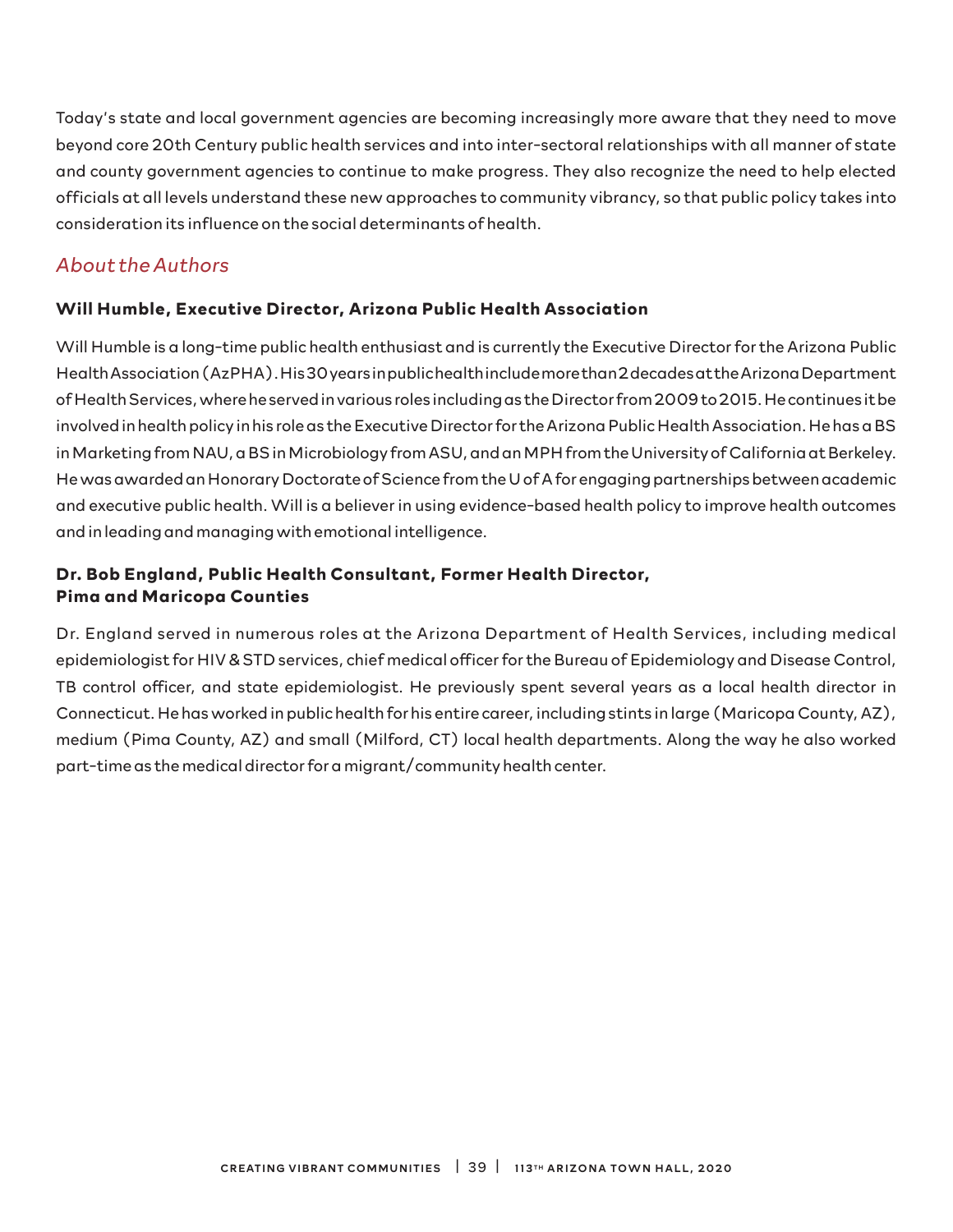Today's state and local government agencies are becoming increasingly more aware that they need to move beyond core 20th Century public health services and into inter-sectoral relationships with all manner of state and county government agencies to continue to make progress. They also recognize the need to help elected officials at all levels understand these new approaches to community vibrancy, so that public policy takes into consideration its influence on the social determinants of health.

#### *About the Authors*

#### **Will Humble, Executive Director, Arizona Public Health Association**

Will Humble is a long-time public health enthusiast and is currently the Executive Director for the Arizona Public Health Association (AzPHA). His 30 years in public health include more than 2 decades at the Arizona Department of Health Services, where he served in various roles including as the Director from 2009 to 2015. He continues it be involved in health policy in his role as the Executive Director for the Arizona Public Health Association. He has a BS in Marketing from NAU, a BS in Microbiology from ASU, and an MPH from the University of California at Berkeley. He was awarded an Honorary Doctorate of Science from the U of A for engaging partnerships between academic and executive public health. Will is a believer in using evidence-based health policy to improve health outcomes and in leading and managing with emotional intelligence.

#### **Dr. Bob England, Public Health Consultant, Former Health Director, Pima and Maricopa Counties**

Dr. England served in numerous roles at the Arizona Department of Health Services, including medical epidemiologist for HIV & STD services, chief medical officer for the Bureau of Epidemiology and Disease Control, TB control officer, and state epidemiologist. He previously spent several years as a local health director in Connecticut. He has worked in public health for his entire career, including stints in large (Maricopa County, AZ), medium (Pima County, AZ) and small (Milford, CT) local health departments. Along the way he also worked part-time as the medical director for a migrant/community health center.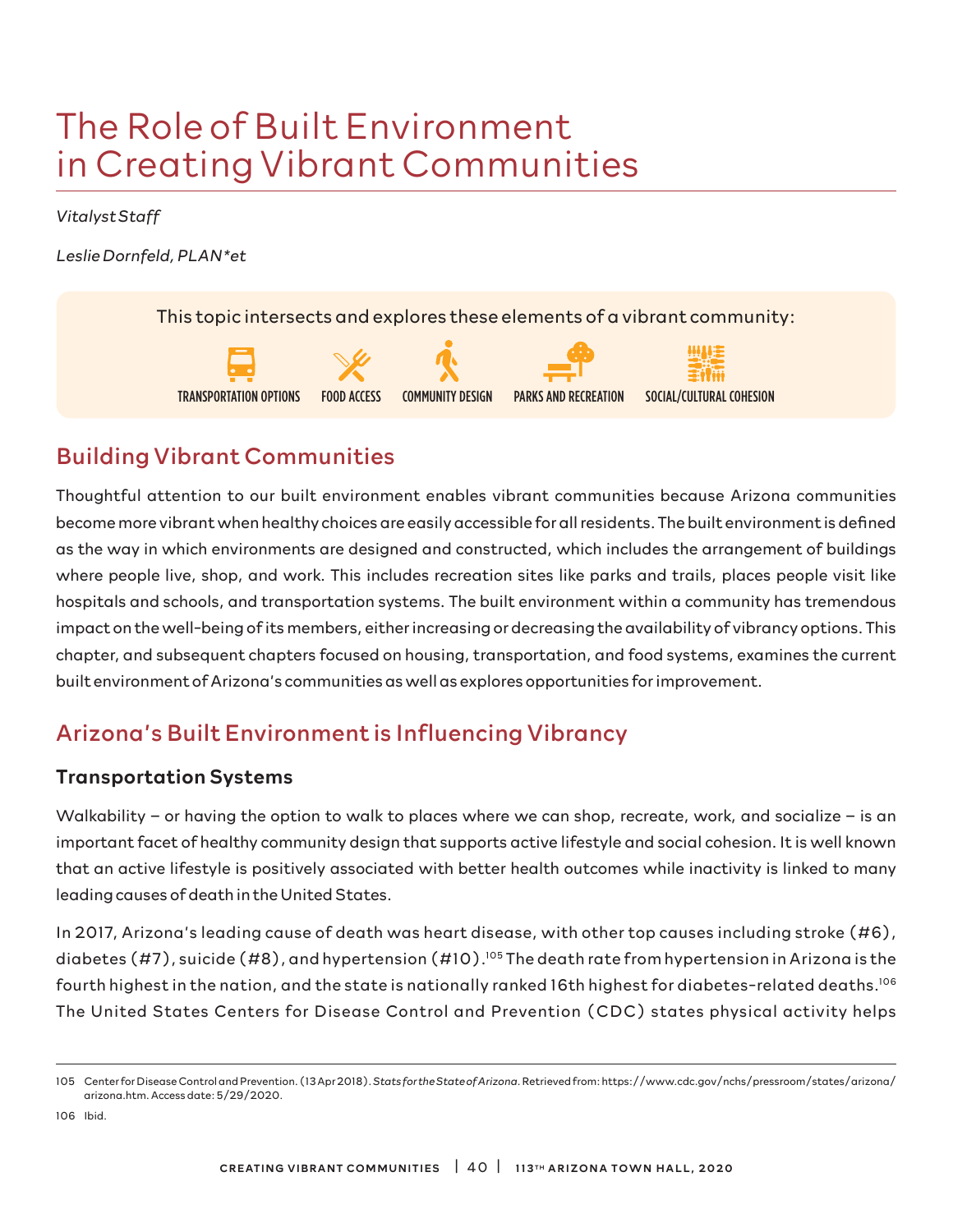# The Role of Built Environment in Creating Vibrant Communities

*Vitalyst Staff*

*Leslie Dornfeld, PLAN\*et* 

This topic intersects and explores these elements of a vibrant community:









# Building Vibrant Communities

Thoughtful attention to our built environment enables vibrant communities because Arizona communities become more vibrant when healthy choices are easily accessible for all residents. The built environment is defined as the way in which environments are designed and constructed, which includes the arrangement of buildings where people live, shop, and work. This includes recreation sites like parks and trails, places people visit like hospitals and schools, and transportation systems. The built environment within a community has tremendous impact on the well-being of its members, either increasing or decreasing the availability of vibrancy options. This chapter, and subsequent chapters focused on housing, transportation, and food systems, examines the current built environment of Arizona's communities as well as explores opportunities for improvement.

# Arizona's Built Environment is Influencing Vibrancy

### Transportation Systems

Walkability – or having the option to walk to places where we can shop, recreate, work, and socialize – is an important facet of healthy community design that supports active lifestyle and social cohesion. It is well known that an active lifestyle is positively associated with better health outcomes while inactivity is linked to many leading causes of death in the United States.

In 2017, Arizona's leading cause of death was heart disease, with other top causes including stroke (#6), diabetes (#7), suicide (#8), and hypertension (#10).<sup>105</sup> The death rate from hypertension in Arizona is the fourth highest in the nation, and the state is nationally ranked 16th highest for diabetes-related deaths.106 The United States Centers for Disease Control and Prevention (CDC) states physical activity helps

106 Ibid.

<sup>105</sup> Center for Disease Control and Prevention. (13 Apr 2018). *Stats for the State of Arizona*. Retrieved from: https://www.cdc.gov/nchs/pressroom/states/arizona/ arizona.htm. Access date: 5/29/2020.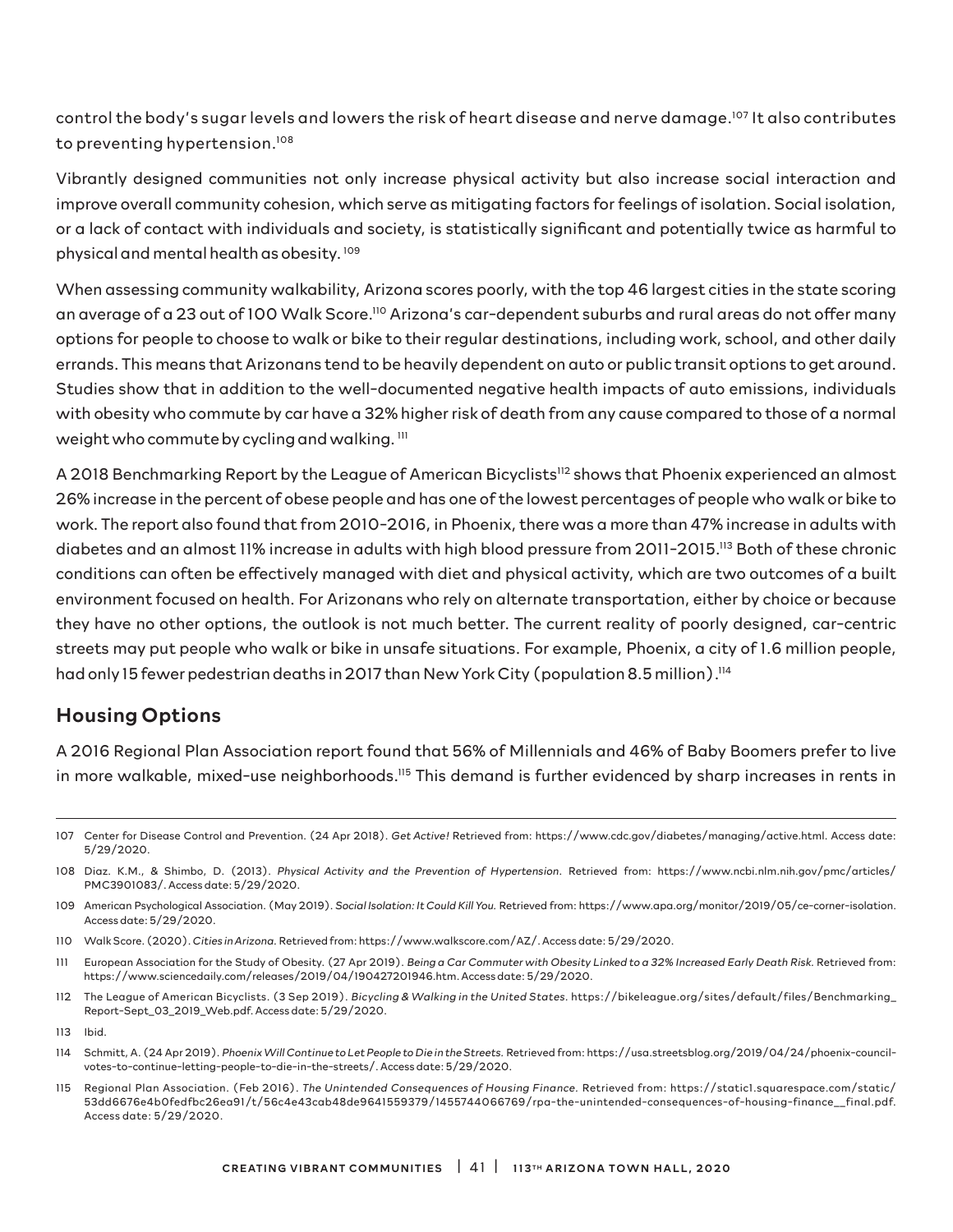control the body's sugar levels and lowers the risk of heart disease and nerve damage.107 It also contributes to preventing hypertension.<sup>108</sup>

Vibrantly designed communities not only increase physical activity but also increase social interaction and improve overall community cohesion, which serve as mitigating factors for feelings of isolation. Social isolation, or a lack of contact with individuals and society, is statistically significant and potentially twice as harmful to physical and mental health as obesity. 109

When assessing community walkability, Arizona scores poorly, with the top 46 largest cities in the state scoring an average of a 23 out of 100 Walk Score.110 Arizona's car-dependent suburbs and rural areas do not offer many options for people to choose to walk or bike to their regular destinations, including work, school, and other daily errands. This means that Arizonans tend to be heavily dependent on auto or public transit options to get around. Studies show that in addition to the well-documented negative health impacts of auto emissions, individuals with obesity who commute by car have a 32% higher risk of death from any cause compared to those of a normal weight who commute by cycling and walking.  $111$ 

A 2018 Benchmarking Report by the League of American Bicyclists<sup>112</sup> shows that Phoenix experienced an almost 26% increase in the percent of obese people and has one of the lowest percentages of people who walk or bike to work. The report also found that from 2010-2016, in Phoenix, there was a more than 47% increase in adults with diabetes and an almost 11% increase in adults with high blood pressure from 2011-2015.113 Both of these chronic conditions can often be effectively managed with diet and physical activity, which are two outcomes of a built environment focused on health. For Arizonans who rely on alternate transportation, either by choice or because they have no other options, the outlook is not much better. The current reality of poorly designed, car-centric streets may put people who walk or bike in unsafe situations. For example, Phoenix, a city of 1.6 million people, had only 15 fewer pedestrian deaths in 2017 than New York City (population 8.5 million).<sup>114</sup>

#### Housing Options

A 2016 Regional Plan Association report found that 56% of Millennials and 46% of Baby Boomers prefer to live in more walkable, mixed-use neighborhoods.115 This demand is further evidenced by sharp increases in rents in

- 110 Walk Score. (2020). *Cities in Arizona.* Retrieved from: https://www.walkscore.com/AZ/. Access date: 5/29/2020.
- 111 European Association for the Study of Obesity. (27 Apr 2019). *Being a Car Commuter with Obesity Linked to a 32% Increased Early Death Risk.* Retrieved from: https://www.sciencedaily.com/releases/2019/04/190427201946.htm. Access date: 5/29/2020.
- 112 The League of American Bicyclists. (3 Sep 2019). *Bicycling & Walking in the United States.* https://bikeleague.org/sites/default/files/Benchmarking\_ Report-Sept\_03\_2019\_Web.pdf. Access date: 5/29/2020.

115 Regional Plan Association. (Feb 2016). *The Unintended Consequences of Housing Finance.* Retrieved from: https://static1.squarespace.com/static/ 53dd6676e4b0fedfbc26ea91/t/56c4e43cab48de9641559379/1455744066769/rpa-the-unintended-consequences-of-housing-finance\_\_final.pdf. Access date: 5/29/2020.

<sup>107</sup> Center for Disease Control and Prevention. (24 Apr 2018). *Get Active!* Retrieved from: https://www.cdc.gov/diabetes/managing/active.html. Access date: 5/29/2020.

<sup>108</sup> Diaz. K.M., & Shimbo, D. (2013). *Physical Activity and the Prevention of Hypertension*. Retrieved from: https://www.ncbi.nlm.nih.gov/pmc/articles/ PMC3901083/. Access date: 5/29/2020.

<sup>109</sup> American Psychological Association. (May 2019). *Social Isolation: It Could Kill You.* Retrieved from: https://www.apa.org/monitor/2019/05/ce-corner-isolation. Access date: 5/29/2020.

<sup>113</sup> Ibid.

<sup>114</sup> Schmitt, A. (24 Apr 2019). *Phoenix Will Continue to Let People to Die in the Streets.* Retrieved from: https://usa.streetsblog.org/2019/04/24/phoenix-councilvotes-to-continue-letting-people-to-die-in-the-streets/. Access date: 5/29/2020.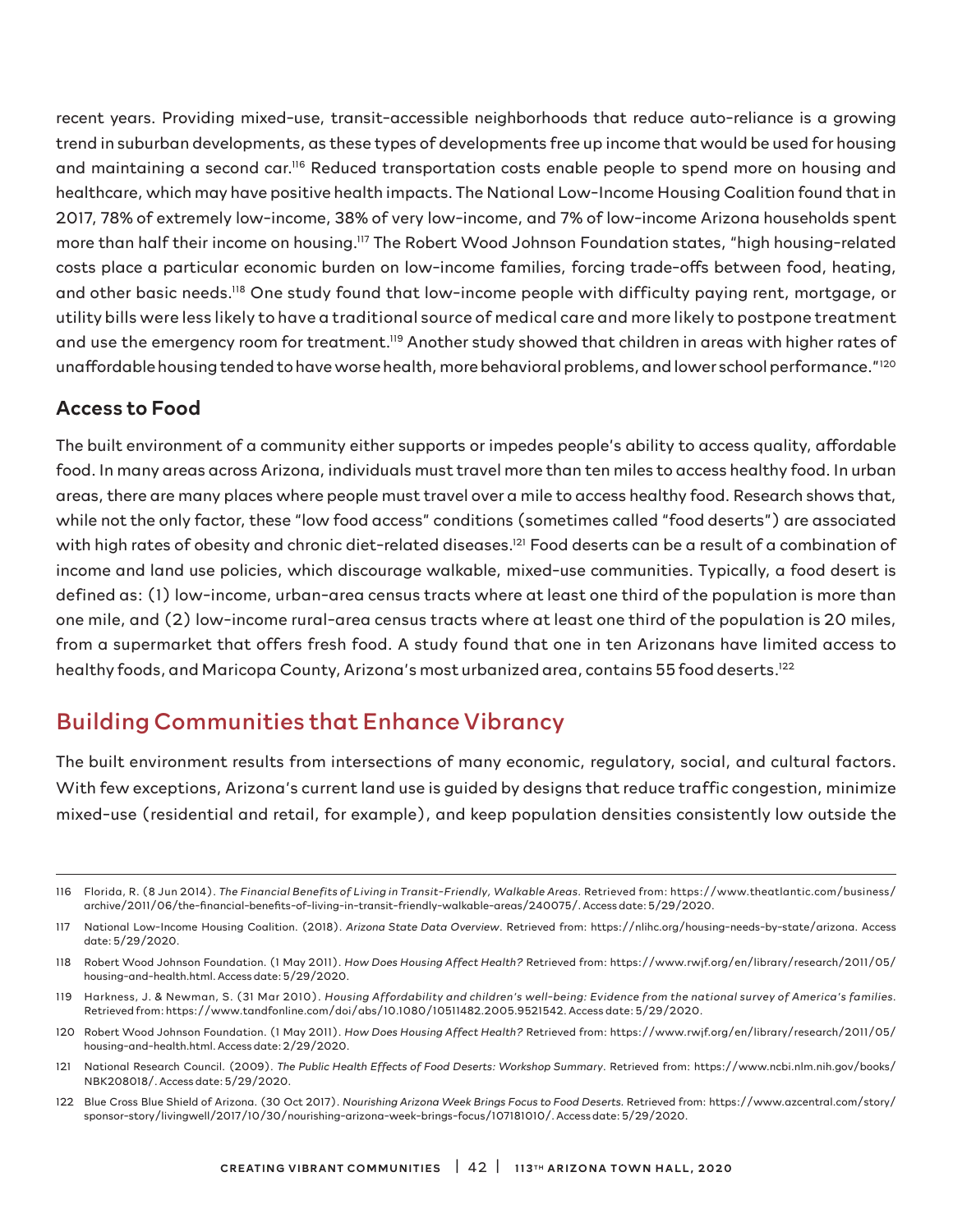recent years. Providing mixed-use, transit-accessible neighborhoods that reduce auto-reliance is a growing trend in suburban developments, as these types of developments free up income that would be used for housing and maintaining a second car.116 Reduced transportation costs enable people to spend more on housing and healthcare, which may have positive health impacts. The National Low-Income Housing Coalition found that in 2017, 78% of extremely low-income, 38% of very low-income, and 7% of low-income Arizona households spent more than half their income on housing.117 The Robert Wood Johnson Foundation states, "high housing-related costs place a particular economic burden on low-income families, forcing trade-offs between food, heating, and other basic needs.118 One study found that low-income people with difficulty paying rent, mortgage, or utility bills were less likely to have a traditional source of medical care and more likely to postpone treatment and use the emergency room for treatment.<sup>119</sup> Another study showed that children in areas with higher rates of unaffordable housing tended to have worse health, more behavioral problems, and lower school performance."<sup>120</sup>

#### Access to Food

The built environment of a community either supports or impedes people's ability to access quality, affordable food. In many areas across Arizona, individuals must travel more than ten miles to access healthy food. In urban areas, there are many places where people must travel over a mile to access healthy food. Research shows that, while not the only factor, these "low food access" conditions (sometimes called "food deserts") are associated with high rates of obesity and chronic diet-related diseases.<sup>121</sup> Food deserts can be a result of a combination of income and land use policies, which discourage walkable, mixed-use communities. Typically, a food desert is defined as: (1) low-income, urban-area census tracts where at least one third of the population is more than one mile, and (2) low-income rural-area census tracts where at least one third of the population is 20 miles, from a supermarket that offers fresh food. A study found that one in ten Arizonans have limited access to healthy foods, and Maricopa County, Arizona's most urbanized area, contains 55 food deserts.<sup>122</sup>

### Building Communities that Enhance Vibrancy

The built environment results from intersections of many economic, regulatory, social, and cultural factors. With few exceptions, Arizona's current land use is guided by designs that reduce traffic congestion, minimize mixed-use (residential and retail, for example), and keep population densities consistently low outside the

- 121 National Research Council. (2009). *The Public Health Effects of Food Deserts: Workshop Summary*. Retrieved from: https://www.ncbi.nlm.nih.gov/books/ NBK208018/. Access date: 5/29/2020.
- 122 Blue Cross Blue Shield of Arizona. (30 Oct 2017). *Nourishing Arizona Week Brings Focus to Food Deserts*. Retrieved from: https://www.azcentral.com/story/ sponsor-story/livingwell/2017/10/30/nourishing-arizona-week-brings-focus/107181010/. Access date: 5/29/2020.

<sup>116</sup> Florida, R. (8 Jun 2014). *The Financial Benefits of Living in Transit-Friendly, Walkable Areas.* Retrieved from: https://www.theatlantic.com/business/ archive/2011/06/the-financial-benefits-of-living-in-transit-friendly-walkable-areas/240075/. Access date: 5/29/2020.

<sup>117</sup> National Low-Income Housing Coalition. (2018). *Arizona State Data Overview*. Retrieved from: https://nlihc.org/housing-needs-by-state/arizona. Access date: 5/29/2020.

<sup>118</sup> Robert Wood Johnson Foundation. (1 May 2011). *How Does Housing Affect Health?* Retrieved from: https://www.rwjf.org/en/library/research/2011/05/ housing-and-health.html. Access date: 5/29/2020.

<sup>119</sup> Harkness, J. & Newman, S. (31 Mar 2010). *Housing Affordability and children's well-being: Evidence from the national survey of America's families.* Retrieved from: https://www.tandfonline.com/doi/abs/10.1080/10511482.2005.9521542. Access date: 5/29/2020.

<sup>120</sup> Robert Wood Johnson Foundation. (1 May 2011). *How Does Housing Affect Health?* Retrieved from: https://www.rwjf.org/en/library/research/2011/05/ housing-and-health.html. Access date: 2/29/2020.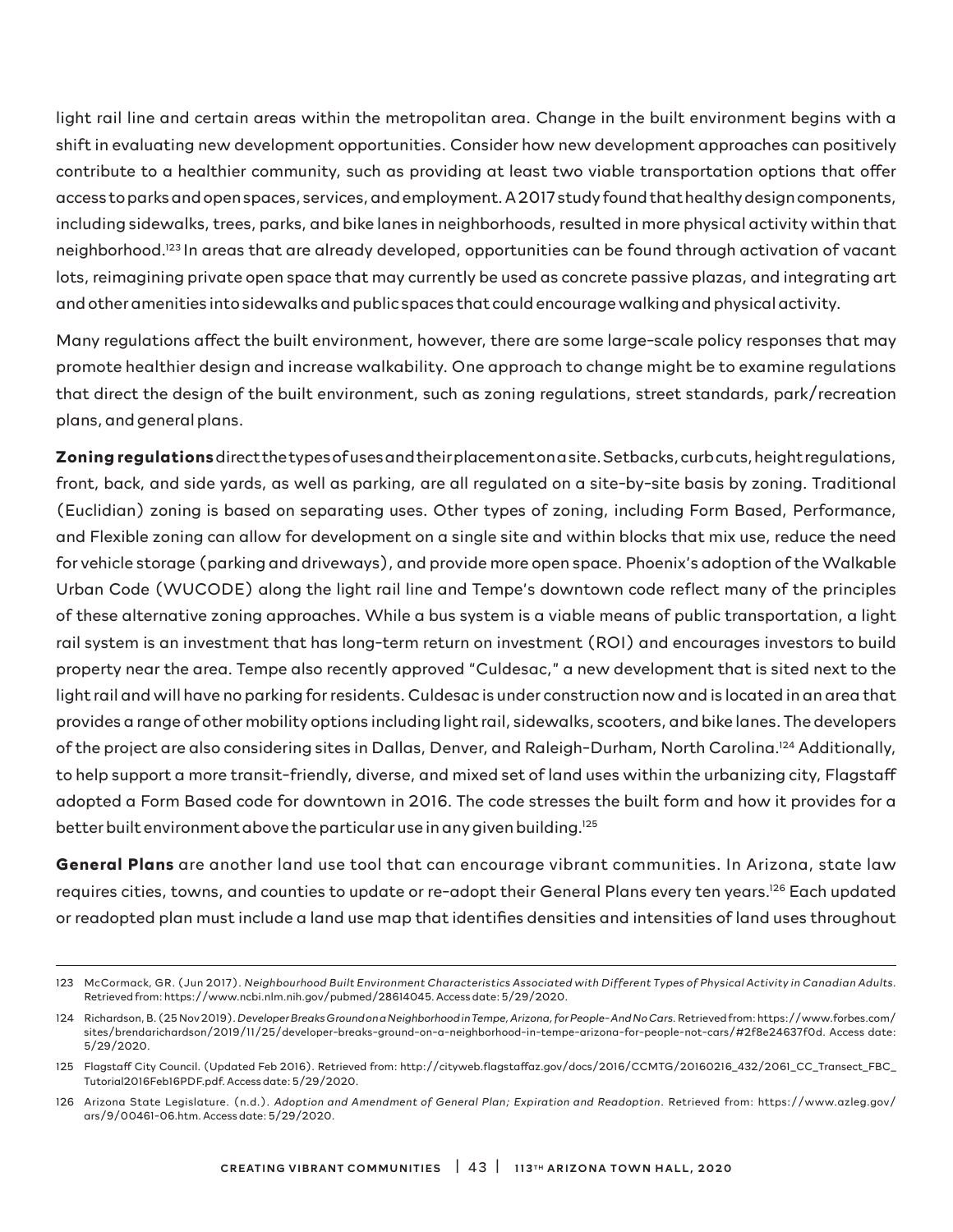light rail line and certain areas within the metropolitan area. Change in the built environment begins with a shift in evaluating new development opportunities. Consider how new development approaches can positively contribute to a healthier community, such as providing at least two viable transportation options that offer access to parks and open spaces, services, and employment. A 2017 study found that healthy design components, including sidewalks, trees, parks, and bike lanes in neighborhoods, resulted in more physical activity within that neighborhood.123 In areas that are already developed, opportunities can be found through activation of vacant lots, reimagining private open space that may currently be used as concrete passive plazas, and integrating art and other amenities into sidewalks and public spaces that could encourage walking and physical activity.

Many regulations affect the built environment, however, there are some large-scale policy responses that may promote healthier design and increase walkability. One approach to change might be to examine regulations that direct the design of the built environment, such as zoning regulations, street standards, park/recreation plans, and general plans.

**Zoning regulations** direct the types of uses and their placement on a site. Setbacks, curb cuts, height regulations, front, back, and side yards, as well as parking, are all regulated on a site-by-site basis by zoning. Traditional (Euclidian) zoning is based on separating uses. Other types of zoning, including Form Based, Performance, and Flexible zoning can allow for development on a single site and within blocks that mix use, reduce the need for vehicle storage (parking and driveways), and provide more open space. Phoenix's adoption of the Walkable Urban Code (WUCODE) along the light rail line and Tempe's downtown code reflect many of the principles of these alternative zoning approaches. While a bus system is a viable means of public transportation, a light rail system is an investment that has long-term return on investment (ROI) and encourages investors to build property near the area. Tempe also recently approved "Culdesac," a new development that is sited next to the light rail and will have no parking for residents. Culdesac is under construction now and is located in an area that provides a range of other mobility options including light rail, sidewalks, scooters, and bike lanes. The developers of the project are also considering sites in Dallas, Denver, and Raleigh-Durham, North Carolina.124 Additionally, to help support a more transit-friendly, diverse, and mixed set of land uses within the urbanizing city, Flagstaff adopted a Form Based code for downtown in 2016. The code stresses the built form and how it provides for a better built environment above the particular use in any given building.<sup>125</sup>

**General Plans** are another land use tool that can encourage vibrant communities. In Arizona, state law requires cities, towns, and counties to update or re-adopt their General Plans every ten years.126 Each updated or readopted plan must include a land use map that identifies densities and intensities of land uses throughout

<sup>123</sup> McCormack, GR. (Jun 2017). *Neighbourhood Built Environment Characteristics Associated with Different Types of Physical Activity in Canadian Adults.* Retrieved from: https://www.ncbi.nlm.nih.gov/pubmed/28614045. Access date: 5/29/2020.

<sup>124</sup> Richardson, B. (25 Nov 2019). *Developer Breaks Ground on a Neighborhood in Tempe, Arizona, for People- And No Cars.* Retrieved from: https://www.forbes.com/ sites/brendarichardson/2019/11/25/developer-breaks-ground-on-a-neighborhood-in-tempe-arizona-for-people-not-cars/#2f8e24637f0d. Access date: 5/29/2020.

<sup>125</sup> Flagstaff City Council. (Updated Feb 2016). Retrieved from: http://cityweb.flagstaffaz.gov/docs/2016/CCMTG/20160216\_432/2061\_CC\_Transect\_FBC\_ Tutorial2016Feb16PDF.pdf. Access date: 5/29/2020.

<sup>126</sup> Arizona State Legislature. (n.d.). *Adoption and Amendment of General Plan; Expiration and Readoption*. Retrieved from: https://www.azleg.gov/ ars/9/00461-06.htm. Access date: 5/29/2020.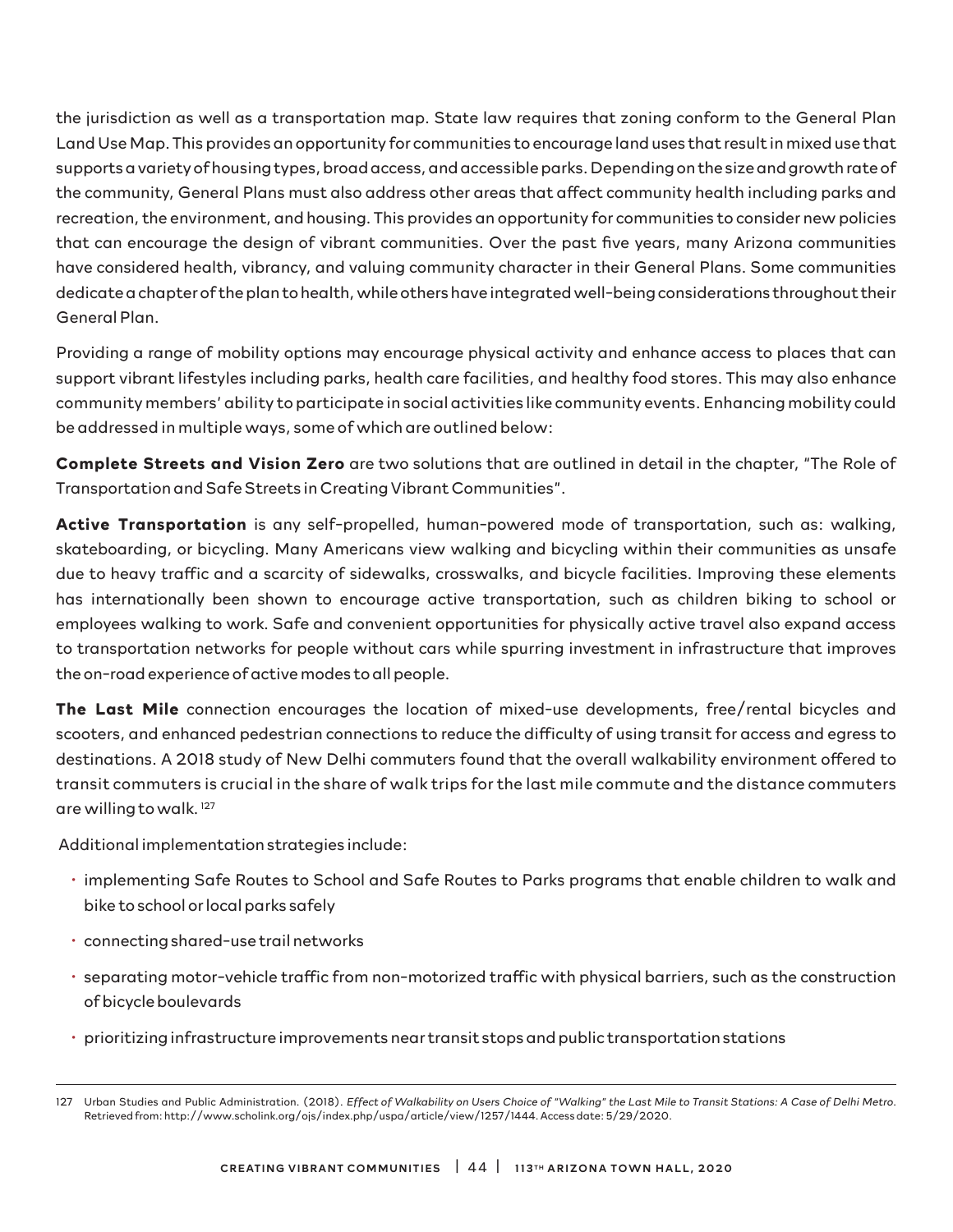the jurisdiction as well as a transportation map. State law requires that zoning conform to the General Plan Land Use Map. This provides an opportunity for communities to encourage land uses that result in mixed use that supports a variety of housing types, broad access, and accessible parks. Depending on the size and growth rate of the community, General Plans must also address other areas that affect community health including parks and recreation, the environment, and housing. This provides an opportunity for communities to consider new policies that can encourage the design of vibrant communities. Over the past five years, many Arizona communities have considered health, vibrancy, and valuing community character in their General Plans. Some communities dedicate a chapter of the plan to health, while others have integrated well-being considerations throughout their General Plan.

Providing a range of mobility options may encourage physical activity and enhance access to places that can support vibrant lifestyles including parks, health care facilities, and healthy food stores. This may also enhance community members' ability to participate in social activities like community events. Enhancing mobility could be addressed in multiple ways, some of which are outlined below:

**Complete Streets and Vision Zero** are two solutions that are outlined in detail in the chapter, "The Role of Transportation and Safe Streets in Creating Vibrant Communities".

**Active Transportation** is any self-propelled, human-powered mode of transportation, such as: walking, skateboarding, or bicycling. Many Americans view walking and bicycling within their communities as unsafe due to heavy traffic and a scarcity of sidewalks, crosswalks, and bicycle facilities. Improving these elements has internationally been shown to encourage active transportation, such as children biking to school or employees walking to work. Safe and convenient opportunities for physically active travel also expand access to transportation networks for people without cars while spurring investment in infrastructure that improves the on-road experience of active modes to all people.

**The Last Mile** connection encourages the location of mixed-use developments, free/rental bicycles and scooters, and enhanced pedestrian connections to reduce the difficulty of using transit for access and egress to destinations. A 2018 study of New Delhi commuters found that the overall walkability environment offered to transit commuters is crucial in the share of walk trips for the last mile commute and the distance commuters are willing to walk. 127

Additional implementation strategies include:

- implementing Safe Routes to School and Safe Routes to Parks programs that enable children to walk and bike to school or local parks safely
- connecting shared-use trail networks
- separating motor-vehicle traffic from non-motorized traffic with physical barriers, such as the construction of bicycle boulevards
- prioritizing infrastructure improvements near transit stops and public transportation stations

<sup>127</sup> Urban Studies and Public Administration. (2018). *Effect of Walkability on Users Choice of "Walking" the Last Mile to Transit Stations: A Case of Delhi Metro*. Retrieved from: http://www.scholink.org/ojs/index.php/uspa/article/view/1257/1444. Access date: 5/29/2020.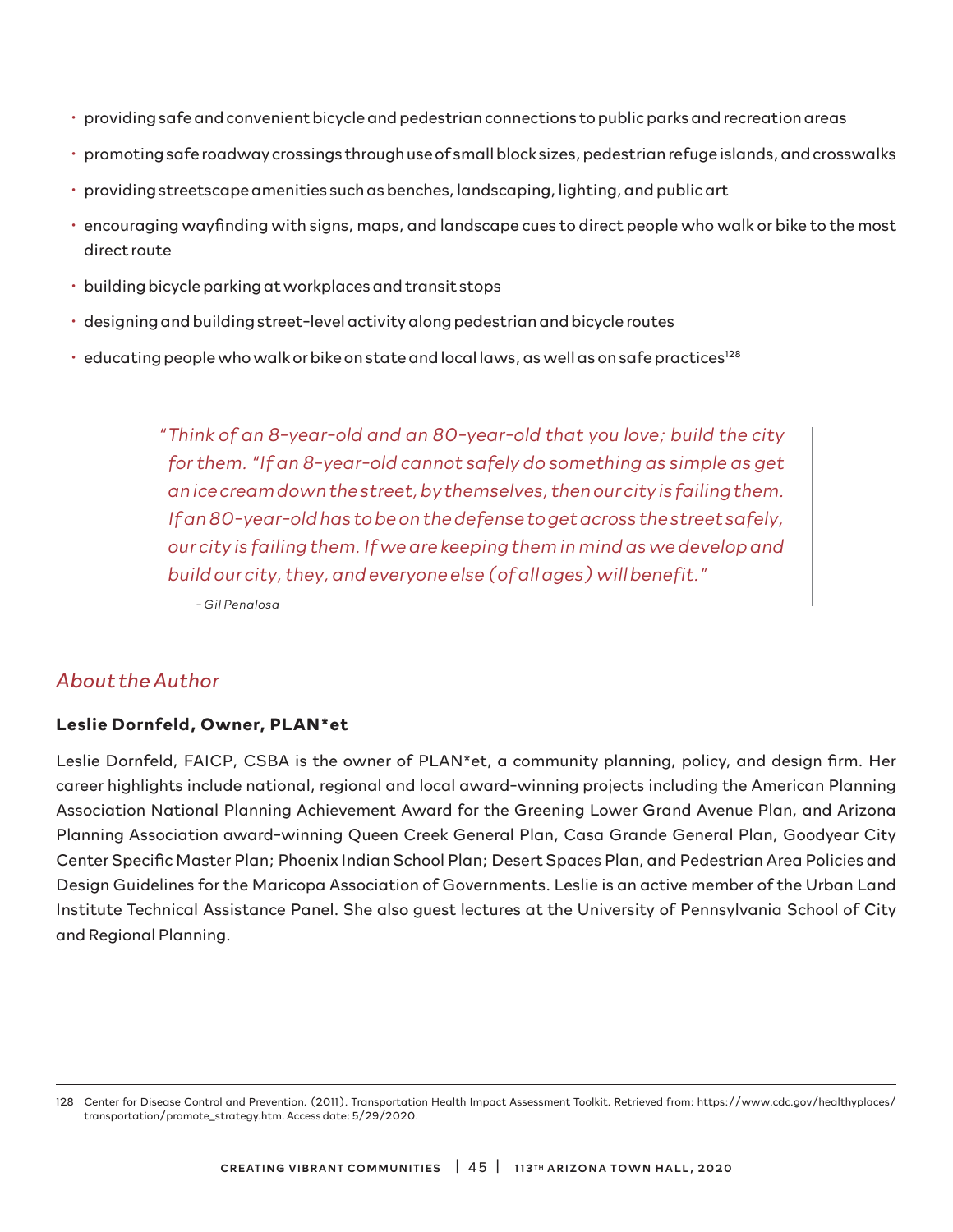- providing safe and convenient bicycle and pedestrian connections to public parks and recreation areas
- promoting safe roadway crossings through use of small block sizes, pedestrian refuge islands, and crosswalks
- providing streetscape amenities such as benches, landscaping, lighting, and public art
- encouraging wayfinding with signs, maps, and landscape cues to direct people who walk or bike to the most direct route
- building bicycle parking at workplaces and transit stops
- designing and building street-level activity along pedestrian and bicycle routes
- $\cdot$  educating people who walk or bike on state and local laws, as well as on safe practices<sup>128</sup>

*" Think of an 8-year-old and an 80-year-old that you love; build the city for them. "If an 8-year-old cannot safely do something as simple as get an ice cream down the street, by themselves, then our city is failing them. If an 80-year-old has to be on the defense to get across the street safely, our city is failing them. If we are keeping them in mind as we develop and build our city, they, and everyone else (of all ages) will benefit."* 

*- Gil Penalosa*

#### *About the Author*

#### **Leslie Dornfeld, Owner, PLAN\*et**

Leslie Dornfeld, FAICP, CSBA is the owner of PLAN\*et, a community planning, policy, and design firm. Her career highlights include national, regional and local award-winning projects including the American Planning Association National Planning Achievement Award for the Greening Lower Grand Avenue Plan, and Arizona Planning Association award-winning Queen Creek General Plan, Casa Grande General Plan, Goodyear City Center Specific Master Plan; Phoenix Indian School Plan; Desert Spaces Plan, and Pedestrian Area Policies and Design Guidelines for the Maricopa Association of Governments. Leslie is an active member of the Urban Land Institute Technical Assistance Panel. She also guest lectures at the University of Pennsylvania School of City and Regional Planning.

<sup>128</sup> Center for Disease Control and Prevention. (2011). Transportation Health Impact Assessment Toolkit. Retrieved from: https://www.cdc.gov/healthyplaces/ transportation/promote\_strategy.htm. Access date: 5/29/2020.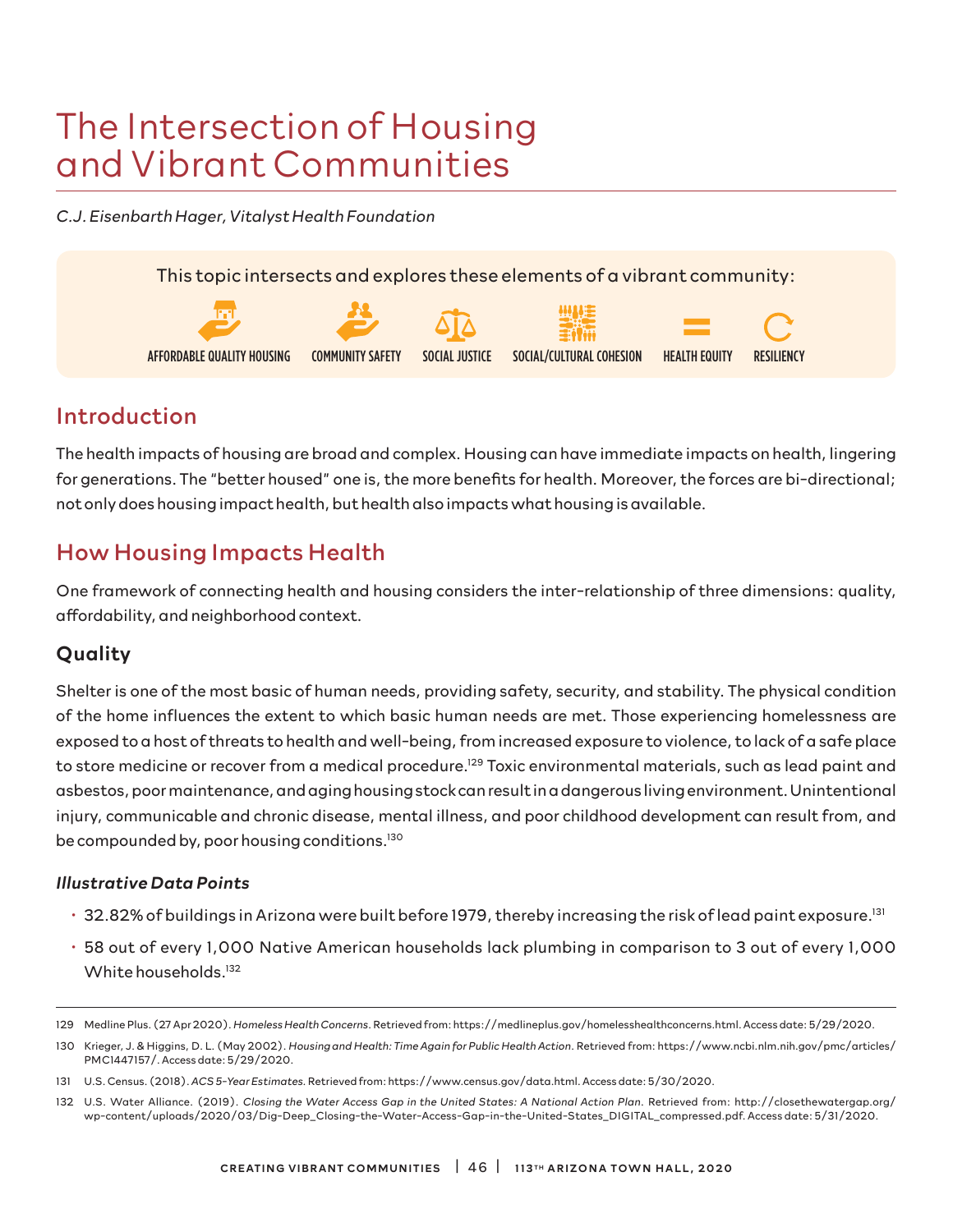# The Intersection of Housing and Vibrant Communities

*C.J. Eisenbarth Hager, Vitalyst Health Foundation*



## Introduction

The health impacts of housing are broad and complex. Housing can have immediate impacts on health, lingering for generations. The "better housed" one is, the more benefits for health. Moreover, the forces are bi-directional; not only does housing impact health, but health also impacts what housing is available.

# How Housing Impacts Health

One framework of connecting health and housing considers the inter-relationship of three dimensions: quality, affordability, and neighborhood context.

### Quality

Shelter is one of the most basic of human needs, providing safety, security, and stability. The physical condition of the home influences the extent to which basic human needs are met. Those experiencing homelessness are exposed to a host of threats to health and well-being, from increased exposure to violence, to lack of a safe place to store medicine or recover from a medical procedure.<sup>129</sup> Toxic environmental materials, such as lead paint and asbestos, poor maintenance, and aging housing stock can result in a dangerous living environment. Unintentional injury, communicable and chronic disease, mental illness, and poor childhood development can result from, and be compounded by, poor housing conditions.130

#### *Illustrative Data Points*

- 32.82% of buildings in Arizona were built before 1979, thereby increasing the risk of lead paint exposure.131
- 58 out of every 1,000 Native American households lack plumbing in comparison to 3 out of every 1,000 White households.<sup>132</sup>

<sup>129</sup> Medline Plus. (27 Apr 2020). *Homeless Health Concerns*. Retrieved from: https://medlineplus.gov/homelesshealthconcerns.html. Access date: 5/29/2020.

<sup>130</sup> Krieger, J. & Higgins, D. L. (May 2002). *Housing and Health: Time Again for Public Health Action*. Retrieved from: https://www.ncbi.nlm.nih.gov/pmc/articles/ PMC1447157/. Access date: 5/29/2020.

<sup>131</sup> U.S. Census. (2018). *ACS 5-Year Estimates.* Retrieved from: https://www.census.gov/data.html. Access date: 5/30/2020.

<sup>132</sup> U.S. Water Alliance. (2019). *Closing the Water Access Gap in the United States: A National Action Plan*. Retrieved from: http://closethewatergap.org/ wp-content/uploads/2020/03/Dig-Deep\_Closing-the-Water-Access-Gap-in-the-United-States\_DIGITAL\_compressed.pdf. Access date: 5/31/2020.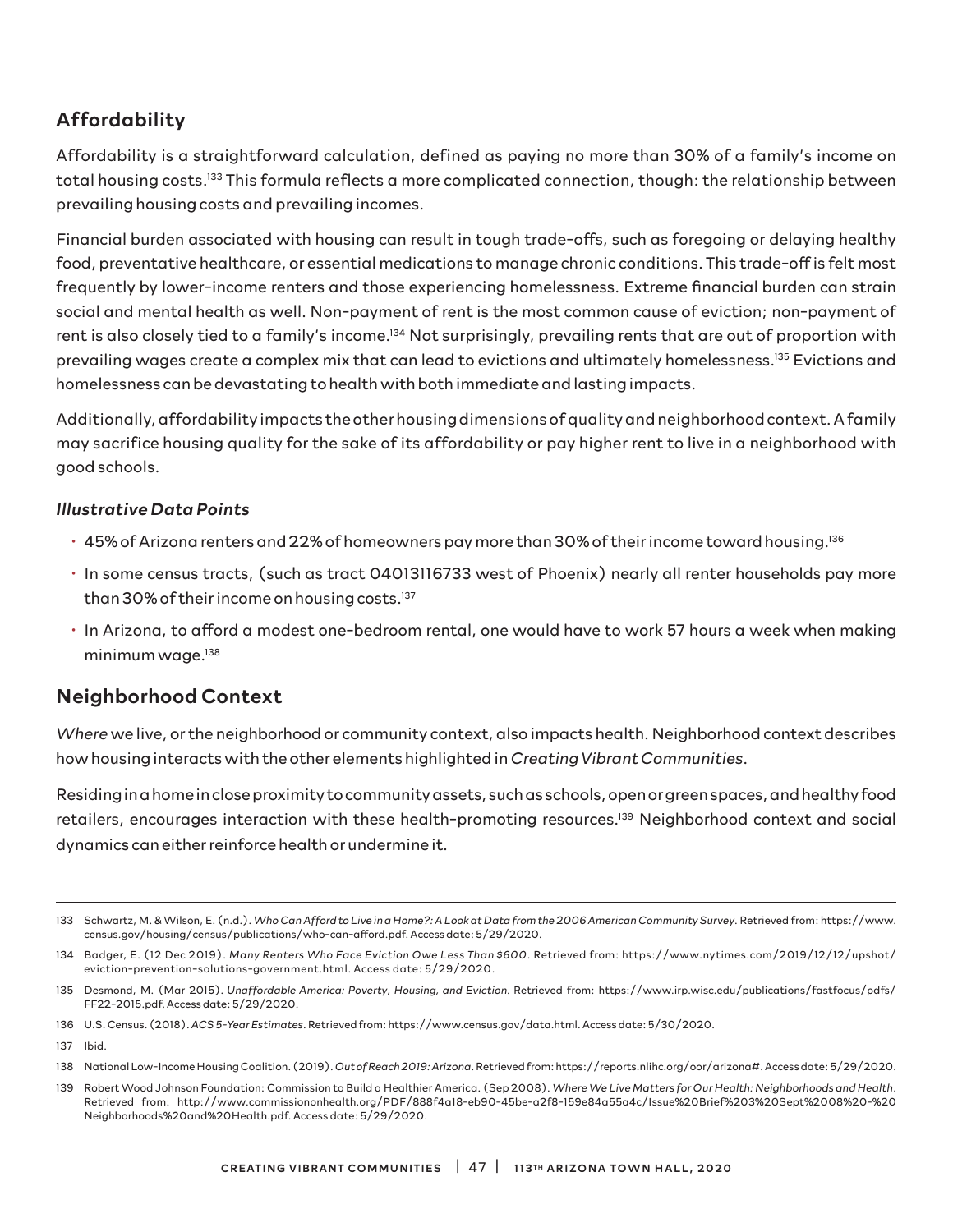### Affordability

Affordability is a straightforward calculation, defined as paying no more than 30% of a family's income on total housing costs.133 This formula reflects a more complicated connection, though: the relationship between prevailing housing costs and prevailing incomes.

Financial burden associated with housing can result in tough trade-offs, such as foregoing or delaying healthy food, preventative healthcare, or essential medications to manage chronic conditions. This trade-off is felt most frequently by lower-income renters and those experiencing homelessness. Extreme financial burden can strain social and mental health as well. Non-payment of rent is the most common cause of eviction; non-payment of rent is also closely tied to a family's income.<sup>134</sup> Not surprisingly, prevailing rents that are out of proportion with prevailing wages create a complex mix that can lead to evictions and ultimately homelessness.135 Evictions and homelessness can be devastating to health with both immediate and lasting impacts.

Additionally, affordability impacts the other housing dimensions of quality and neighborhood context. A family may sacrifice housing quality for the sake of its affordability or pay higher rent to live in a neighborhood with good schools.

#### *Illustrative Data Points*

- $\cdot$  45% of Arizona renters and 22% of homeowners pay more than 30% of their income toward housing.<sup>136</sup>
- In some census tracts, (such as tract 04013116733 west of Phoenix) nearly all renter households pay more than 30% of their income on housing costs.<sup>137</sup>
- In Arizona, to afford a modest one-bedroom rental, one would have to work 57 hours a week when making minimum wage.<sup>138</sup>

#### Neighborhood Context

*Where* we live, or the neighborhood or community context, also impacts health. Neighborhood context describes how housing interacts with the other elements highlighted in *Creating Vibrant Communities*.

Residing in a home in close proximity to community assets, such as schools, open or green spaces, and healthy food retailers, encourages interaction with these health-promoting resources.<sup>139</sup> Neighborhood context and social dynamics can either reinforce health or undermine it.

<sup>133</sup> Schwartz, M. & Wilson, E. (n.d.). *Who Can Afford to Live in a Home?: A Look at Data from the 2006 American Community Survey*. Retrieved from: https://www. census.gov/housing/census/publications/who-can-afford.pdf. Access date: 5/29/2020.

<sup>134</sup> Badger, E. (12 Dec 2019). *Many Renters Who Face Eviction Owe Less Than \$600*. Retrieved from: https://www.nytimes.com/2019/12/12/upshot/ eviction-prevention-solutions-government.html. Access date: 5/29/2020.

<sup>135</sup> Desmond, M. (Mar 2015). Unaffordable America: Poverty, Housing, and Eviction. Retrieved from: https://www.irp.wisc.edu/publications/fastfocus/pdfs/ FF22-2015.pdf. Access date: 5/29/2020.

<sup>136</sup> U.S. Census. (2018). *ACS 5-Year Estimates*. Retrieved from: https://www.census.gov/data.html. Access date: 5/30/2020.

<sup>137</sup> Ibid.

<sup>138</sup> National Low-Income Housing Coalition. (2019). *Out of Reach 2019: Arizona*. Retrieved from: https://reports.nlihc.org/oor/arizona#. Access date: 5/29/2020.

<sup>139</sup> Robert Wood Johnson Foundation: Commission to Build a Healthier America. (Sep 2008). *Where We Live Matters for Our Health: Neighborhoods and Health*. Retrieved from: http://www.commissiononhealth.org/PDF/888f4a18-eb90-45be-a2f8-159e84a55a4c/Issue%20Brief%203%20Sept%2008%20-%20 Neighborhoods%20and%20Health.pdf. Access date: 5/29/2020.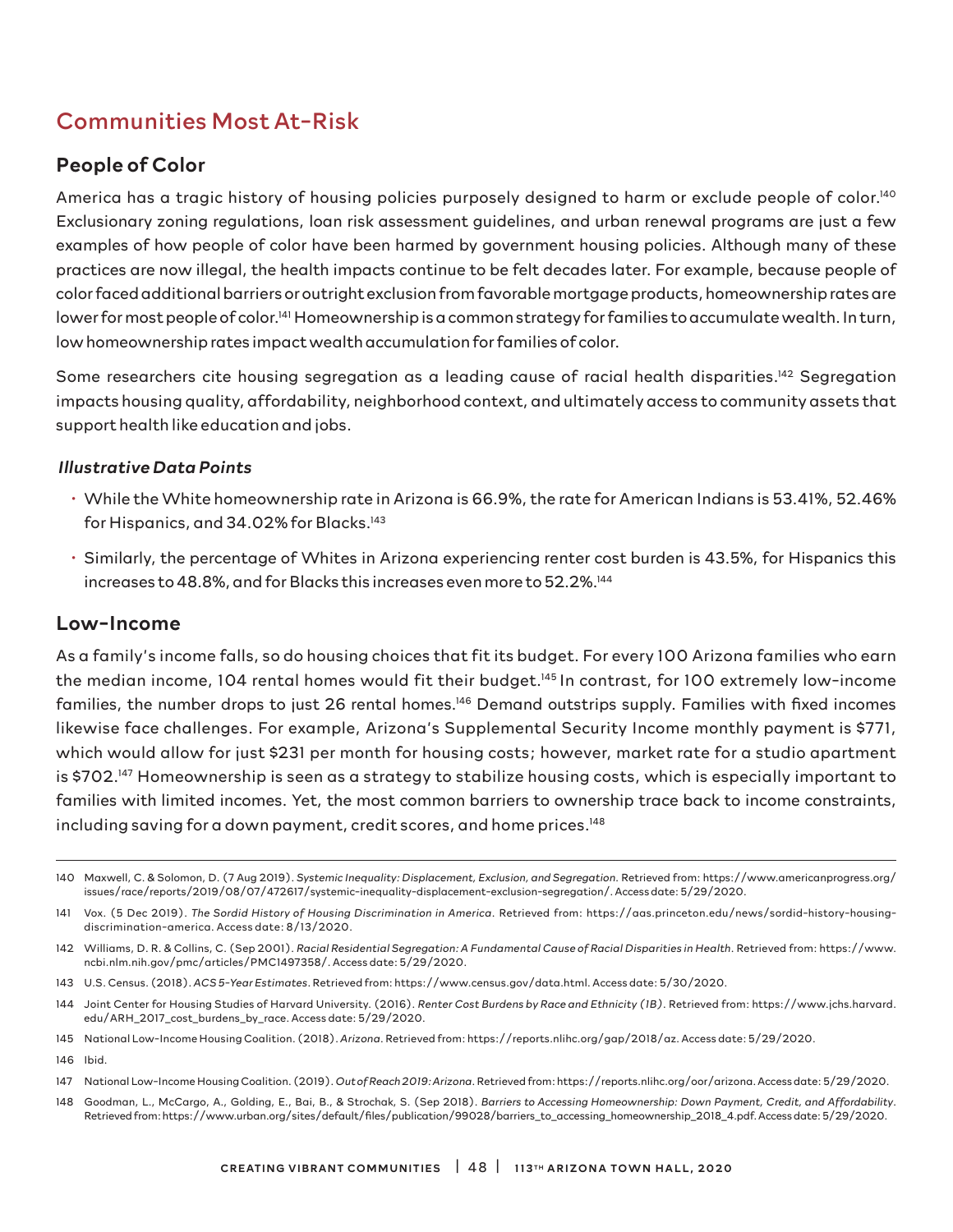# Communities Most At-Risk

#### People of Color

America has a tragic history of housing policies purposely designed to harm or exclude people of color.<sup>140</sup> Exclusionary zoning regulations, loan risk assessment guidelines, and urban renewal programs are just a few examples of how people of color have been harmed by government housing policies. Although many of these practices are now illegal, the health impacts continue to be felt decades later. For example, because people of color faced additional barriers or outright exclusion from favorable mortgage products, homeownership rates are lower for most people of color.141 Homeownership is a common strategy for families to accumulate wealth. In turn, low homeownership rates impact wealth accumulation for families of color.

Some researchers cite housing segregation as a leading cause of racial health disparities.<sup>142</sup> Segregation impacts housing quality, affordability, neighborhood context, and ultimately access to community assets that support health like education and jobs.

#### *Illustrative Data Points*

- While the White homeownership rate in Arizona is 66.9%, the rate for American Indians is 53.41%, 52.46% for Hispanics, and 34.02% for Blacks.<sup>143</sup>
- Similarly, the percentage of Whites in Arizona experiencing renter cost burden is 43.5%, for Hispanics this increases to 48.8%, and for Blacks this increases even more to 52.2%.144

#### Low-Income

As a family's income falls, so do housing choices that fit its budget. For every 100 Arizona families who earn the median income, 104 rental homes would fit their budget.<sup>145</sup> In contrast, for 100 extremely low-income families, the number drops to just 26 rental homes.<sup>146</sup> Demand outstrips supply. Families with fixed incomes likewise face challenges. For example, Arizona's Supplemental Security Income monthly payment is \$771, which would allow for just \$231 per month for housing costs; however, market rate for a studio apartment is \$702.<sup>147</sup> Homeownership is seen as a strategy to stabilize housing costs, which is especially important to families with limited incomes. Yet, the most common barriers to ownership trace back to income constraints, including saving for a down payment, credit scores, and home prices.148

148 Goodman, L., McCargo, A., Golding, E., Bai, B., & Strochak, S. (Sep 2018). *Barriers to Accessing Homeownership: Down Payment, Credit, and Affordability*. Retrieved from: https://www.urban.org/sites/default/files/publication/99028/barriers\_to\_accessing\_homeownership\_2018\_4.pdf. Access date: 5/29/2020.

<sup>140</sup> Maxwell, C. & Solomon, D. (7 Aug 2019). *Systemic Inequality: Displacement, Exclusion, and Segregation*. Retrieved from: https://www.americanprogress.org/ issues/race/reports/2019/08/07/472617/systemic-inequality-displacement-exclusion-segregation/. Access date: 5/29/2020.

<sup>141</sup> Vox. (5 Dec 2019). *The Sordid History of Housing Discrimination in America*. Retrieved from: https://aas.princeton.edu/news/sordid-history-housingdiscrimination-america. Access date: 8/13/2020.

<sup>142</sup> Williams, D. R. & Collins, C. (Sep 2001). *Racial Residential Segregation: A Fundamental Cause of Racial Disparities in Health*. Retrieved from: https://www. ncbi.nlm.nih.gov/pmc/articles/PMC1497358/. Access date: 5/29/2020.

<sup>143</sup> U.S. Census. (2018). *ACS 5-Year Estimates*. Retrieved from: https://www.census.gov/data.html. Access date: 5/30/2020.

<sup>144</sup> Joint Center for Housing Studies of Harvard University. (2016). *Renter Cost Burdens by Race and Ethnicity (1B)*. Retrieved from: https://www.jchs.harvard. edu/ARH\_2017\_cost\_burdens\_by\_race. Access date: 5/29/2020.

<sup>145</sup> National Low-Income Housing Coalition. (2018). *Arizona*. Retrieved from: https://reports.nlihc.org/gap/2018/az. Access date: 5/29/2020.

<sup>146</sup> Ibid.

<sup>147</sup> National Low-Income Housing Coalition. (2019). *Out of Reach 2019: Arizona*. Retrieved from: https://reports.nlihc.org/oor/arizona. Access date: 5/29/2020.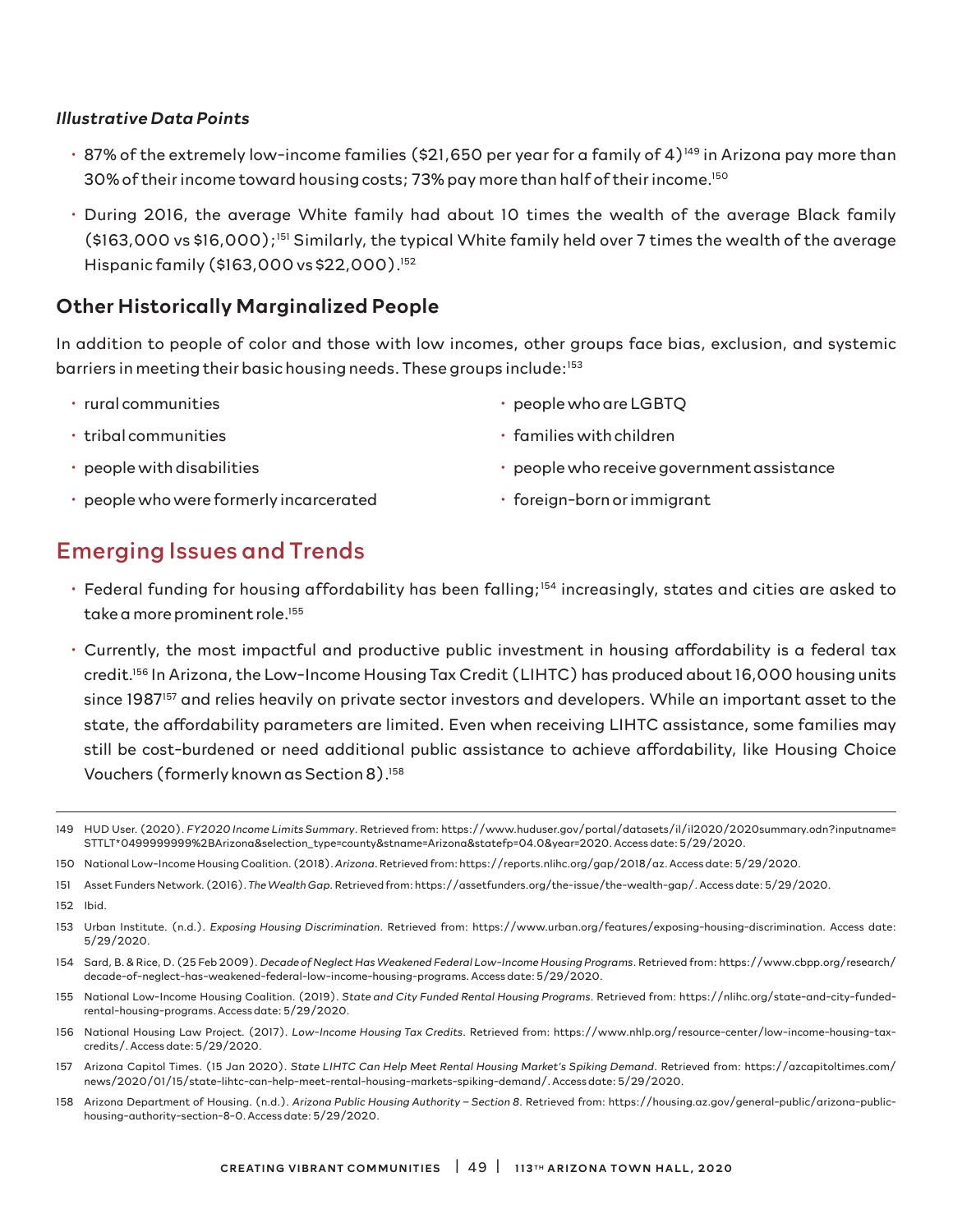#### *Illustrative Data Points*

- $\cdot$  87% of the extremely low-income families (\$21,650 per year for a family of 4)<sup>149</sup> in Arizona pay more than 30% of their income toward housing costs; 73% pay more than half of their income.150
- During 2016, the average White family had about 10 times the wealth of the average Black family (\$163,000 vs \$16,000);151 Similarly, the typical White family held over 7 times the wealth of the average Hispanic family (\$163,000 vs \$22,000).152

#### Other Historically Marginalized People

In addition to people of color and those with low incomes, other groups face bias, exclusion, and systemic barriers in meeting their basic housing needs. These groups include:<sup>153</sup>

- rural communities
- tribal communities
- people with disabilities
- people who were formerly incarcerated
- people who are LGBTQ
- families with children
- people who receive government assistance
- foreign-born or immigrant

### Emerging Issues and Trends

- Federal funding for housing affordability has been falling;<sup>154</sup> increasingly, states and cities are asked to take a more prominent role.<sup>155</sup>
- Currently, the most impactful and productive public investment in housing affordability is a federal tax credit.156 In Arizona, the Low-Income Housing Tax Credit (LIHTC) has produced about 16,000 housing units since 1987<sup>157</sup> and relies heavily on private sector investors and developers. While an important asset to the state, the affordability parameters are limited. Even when receiving LIHTC assistance, some families may still be cost-burdened or need additional public assistance to achieve affordability, like Housing Choice Vouchers (formerly known as Section 8).158

150 National Low-Income Housing Coalition. (2018). *Arizona*. Retrieved from: https://reports.nlihc.org/gap/2018/az. Access date: 5/29/2020.

152 Ibid.

- 154 Sard, B. & Rice, D. (25 Feb 2009). *Decade of Neglect Has Weakened Federal Low-Income Housing Programs*. Retrieved from: https://www.cbpp.org/research/ decade-of-neglect-has-weakened-federal-low-income-housing-programs. Access date: 5/29/2020.
- 155 National Low-Income Housing Coalition. (2019). *State and City Funded Rental Housing Programs*. Retrieved from: https://nlihc.org/state-and-city-fundedrental-housing-programs. Access date: 5/29/2020.
- 156 National Housing Law Project. (2017). *Low-Income Housing Tax Credits*. Retrieved from: https://www.nhlp.org/resource-center/low-income-housing-taxcredits/. Access date: 5/29/2020.
- 157 Arizona Capitol Times. (15 Jan 2020). *State LIHTC Can Help Meet Rental Housing Market's Spiking Demand*. Retrieved from: https://azcapitoltimes.com/ news/2020/01/15/state-lihtc-can-help-meet-rental-housing-markets-spiking-demand/. Access date: 5/29/2020.
- 158 Arizona Department of Housing. (n.d.). *Arizona Public Housing Authority Section 8*. Retrieved from: https://housing.az.gov/general-public/arizona-publichousing-authority-section-8-0. Access date: 5/29/2020.

<sup>149</sup> HUD User. (2020). *FY2020 Income Limits Summary*. Retrieved from: https://www.huduser.gov/portal/datasets/il/il2020/2020summary.odn?inputname= STTLT\*0499999999%2BArizona&selection\_type=county&stname=Arizona&statefp=04.0&year=2020. Access date: 5/29/2020.

<sup>151</sup> Asset Funders Network. (2016). *The Wealth Gap.* Retrieved from: https://assetfunders.org/the-issue/the-wealth-gap/. Access date: 5/29/2020.

<sup>153</sup> Urban Institute. (n.d.). *Exposing Housing Discrimination*. Retrieved from: https://www.urban.org/features/exposing-housing-discrimination. Access date: 5/29/2020.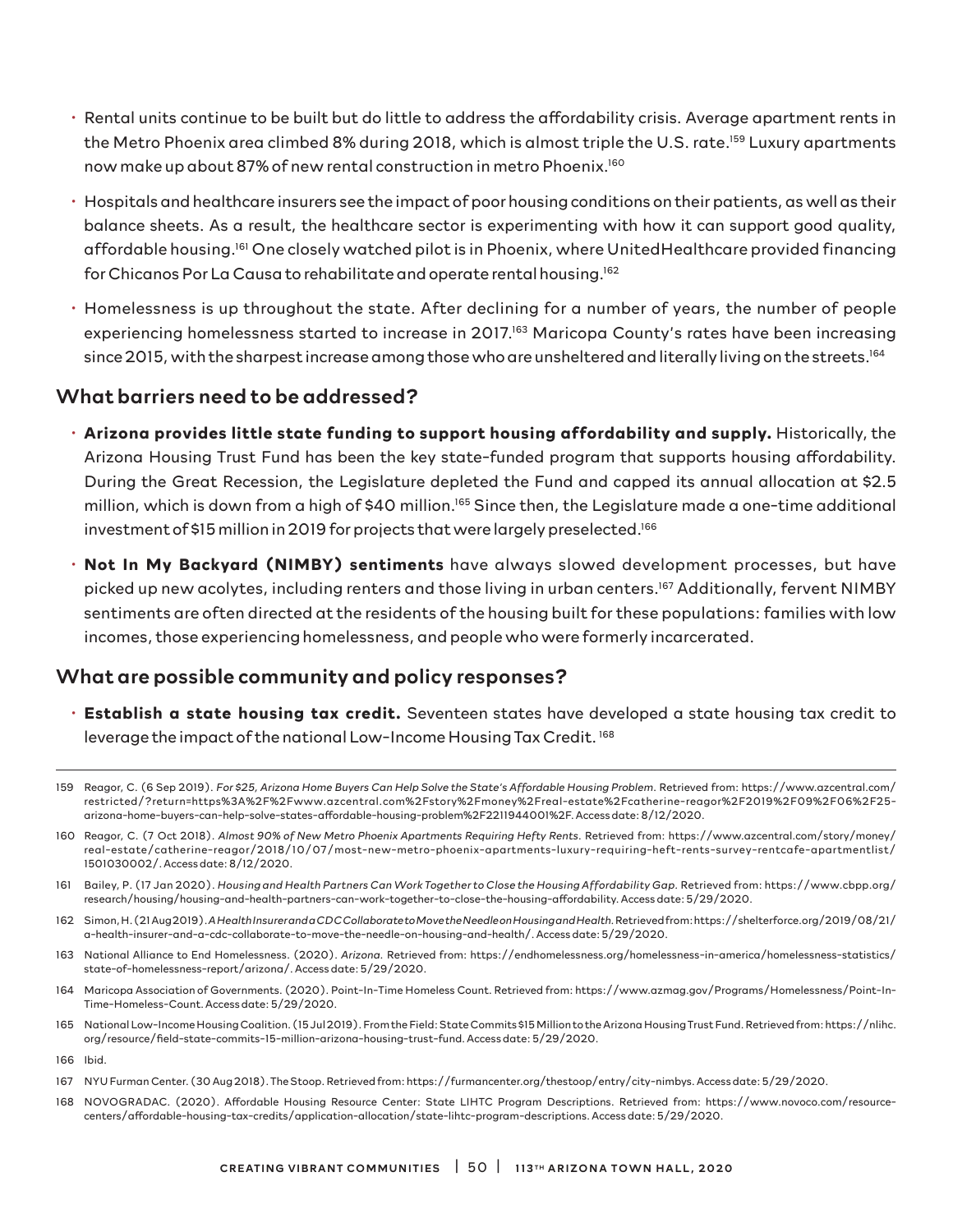- Rental units continue to be built but do little to address the affordability crisis. Average apartment rents in the Metro Phoenix area climbed 8% during 2018, which is almost triple the U.S. rate.<sup>159</sup> Luxury apartments now make up about 87% of new rental construction in metro Phoenix.160
- Hospitals and healthcare insurers see the impact of poor housing conditions on their patients, as well as their balance sheets. As a result, the healthcare sector is experimenting with how it can support good quality, affordable housing.<sup>161</sup> One closely watched pilot is in Phoenix, where UnitedHealthcare provided financing for Chicanos Por La Causa to rehabilitate and operate rental housing.162
- Homelessness is up throughout the state. After declining for a number of years, the number of people experiencing homelessness started to increase in 2017.<sup>163</sup> Maricopa County's rates have been increasing since 2015, with the sharpest increase among those who are unsheltered and literally living on the streets.<sup>164</sup>

#### What barriers need to be addressed?

- **Arizona provides little state funding to support housing affordability and supply.** Historically, the Arizona Housing Trust Fund has been the key state-funded program that supports housing affordability. During the Great Recession, the Legislature depleted the Fund and capped its annual allocation at \$2.5 million, which is down from a high of \$40 million.<sup>165</sup> Since then, the Legislature made a one-time additional investment of \$15 million in 2019 for projects that were largely preselected.<sup>166</sup>
- **Not In My Backyard (NIMBY) sentiments** have always slowed development processes, but have picked up new acolytes, including renters and those living in urban centers.<sup>167</sup> Additionally, fervent NIMBY sentiments are often directed at the residents of the housing built for these populations: families with low incomes, those experiencing homelessness, and people who were formerly incarcerated.

#### What are possible community and policy responses?

• **Establish a state housing tax credit.** Seventeen states have developed a state housing tax credit to leverage the impact of the national Low-Income Housing Tax Credit. 168

- 160 Reagor, C. (7 Oct 2018). *Almost 90% of New Metro Phoenix Apartments Requiring Hefty Rents*. Retrieved from: https://www.azcentral.com/story/money/ real-estate/catherine-reagor/2018/10/07/most-new-metro-phoenix-apartments-luxury-requiring-heft-rents-survey-rentcafe-apartmentlist/ 1501030002/. Access date: 8/12/2020.
- 161 Bailey, P. (17 Jan 2020). *Housing and Health Partners Can Work Together to Close the Housing Affordability Gap.* Retrieved from: https://www.cbpp.org/ research/housing/housing-and-health-partners-can-work-together-to-close-the-housing-affordability. Access date: 5/29/2020.
- 162 Simon, H. (21 Aug 2019). *A Health Insurer and a CDC Collaborate to Move the Needle on Housing and Health.* Retrieved from: https://shelterforce.org/2019/08/21/ a-health-insurer-and-a-cdc-collaborate-to-move-the-needle-on-housing-and-health/. Access date: 5/29/2020.
- 163 National Alliance to End Homelessness. (2020). *Arizona.* Retrieved from: https://endhomelessness.org/homelessness-in-america/homelessness-statistics/ state-of-homelessness-report/arizona/. Access date: 5/29/2020.
- 164 Maricopa Association of Governments. (2020). Point-In-Time Homeless Count. Retrieved from: https://www.azmag.gov/Programs/Homelessness/Point-In-Time-Homeless-Count. Access date: 5/29/2020.
- 165 National Low-Income Housing Coalition. (15 Jul 2019). From the Field: State Commits \$15 Million to the Arizona Housing Trust Fund. Retrieved from: https://nlihc. org/resource/field-state-commits-15-million-arizona-housing-trust-fund. Access date: 5/29/2020.
- 166 Ibid.

168 NOVOGRADAC. (2020). Affordable Housing Resource Center: State LIHTC Program Descriptions. Retrieved from: https://www.novoco.com/resourcecenters/affordable-housing-tax-credits/application-allocation/state-lihtc-program-descriptions. Access date: 5/29/2020.

<sup>159</sup> Reagor, C. (6 Sep 2019). *For \$25, Arizona Home Buyers Can Help Solve the State's Affordable Housing Problem*. Retrieved from: https://www.azcentral.com/ restricted/?return=https%3A%2F%2Fwww.azcentral.com%2Fstory%2Fmoney%2Freal-estate%2Fcatherine-reagor%2F2019%2F09%2F06%2F25 arizona-home-buyers-can-help-solve-states-affordable-housing-problem%2F2211944001%2F. Access date: 8/12/2020.

<sup>167</sup> NYU Furman Center. (30 Aug 2018). The Stoop. Retrieved from: https://furmancenter.org/thestoop/entry/city-nimbys. Access date: 5/29/2020.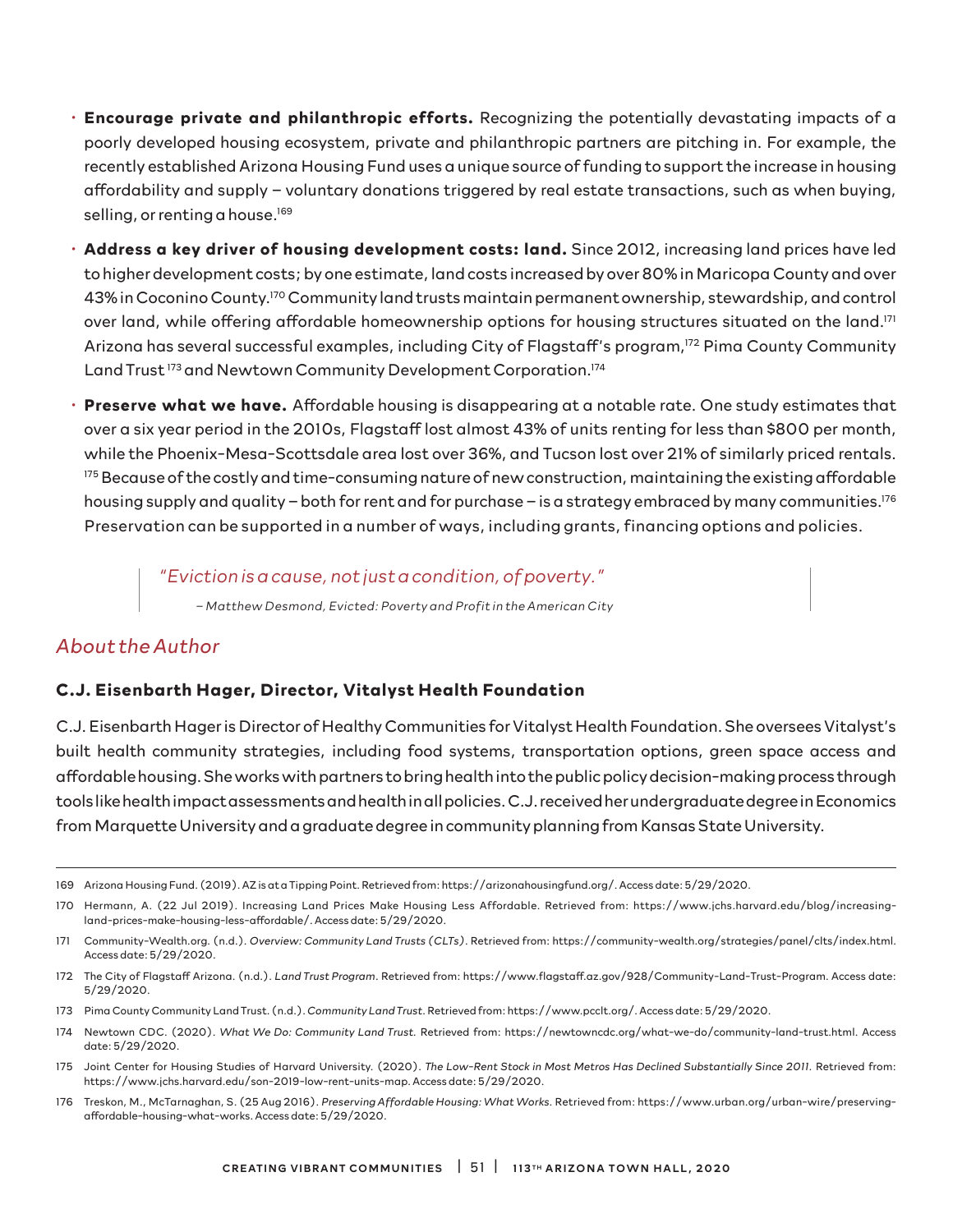- **Encourage private and philanthropic efforts.** Recognizing the potentially devastating impacts of a poorly developed housing ecosystem, private and philanthropic partners are pitching in. For example, the recently established Arizona Housing Fund uses a unique source of funding to support the increase in housing affordability and supply – voluntary donations triggered by real estate transactions, such as when buying, selling, or renting a house.<sup>169</sup>
- **Address a key driver of housing development costs: land.** Since 2012, increasing land prices have led to higher development costs; by one estimate, land costs increased by over 80% in Maricopa County and over 43% in Coconino County.170 Community land trusts maintain permanent ownership, stewardship, and control over land, while offering affordable homeownership options for housing structures situated on the land.<sup>171</sup> Arizona has several successful examples, including City of Flagstaff's program,<sup>172</sup> Pima County Community Land Trust<sup>173</sup> and Newtown Community Development Corporation.<sup>174</sup>
- **Preserve what we have.** Affordable housing is disappearing at a notable rate. One study estimates that over a six year period in the 2010s, Flagstaff lost almost 43% of units renting for less than \$800 per month, while the Phoenix-Mesa-Scottsdale area lost over 36%, and Tucson lost over 21% of similarly priced rentals. <sup>175</sup> Because of the costly and time-consuming nature of new construction, maintaining the existing affordable housing supply and quality - both for rent and for purchase - is a strategy embraced by many communities.<sup>176</sup> Preservation can be supported in a number of ways, including grants, financing options and policies.

*"Eviction is a cause, not just a condition, of poverty."* 

*– Matthew Desmond, Evicted: Poverty and Profit in the American City* 

#### *About the Author*

#### **C.J. Eisenbarth Hager, Director, Vitalyst Health Foundation**

C.J. Eisenbarth Hager is Director of Healthy Communities for Vitalyst Health Foundation. She oversees Vitalyst's built health community strategies, including food systems, transportation options, green space access and affordable housing. She works with partners to bring health into the public policy decision-making process through tools like health impact assessments and health in all policies. C.J. received her undergraduate degree in Economics from Marquette University and a graduate degree in community planning from Kansas State University.

176 Treskon, M., McTarnaghan, S. (25 Aug 2016). *Preserving Affordable Housing: What Works.* Retrieved from: https://www.urban.org/urban-wire/preservingaffordable-housing-what-works. Access date: 5/29/2020.

<sup>169</sup> Arizona Housing Fund. (2019). AZ is at a Tipping Point. Retrieved from: https://arizonahousingfund.org/. Access date: 5/29/2020.

<sup>170</sup> Hermann, A. (22 Jul 2019). Increasing Land Prices Make Housing Less Affordable. Retrieved from: https://www.jchs.harvard.edu/blog/increasingland-prices-make-housing-less-affordable/. Access date: 5/29/2020.

<sup>171</sup> Community-Wealth.org. (n.d.). *Overview: Community Land Trusts (CLTs)*. Retrieved from: https://community-wealth.org/strategies/panel/clts/index.html. Access date: 5/29/2020.

<sup>172</sup> The City of Flagstaff Arizona. (n.d.). *Land Trust Program*. Retrieved from: https://www.flagstaff.az.gov/928/Community-Land-Trust-Program. Access date: 5/29/2020.

<sup>173</sup> Pima County Community Land Trust. (n.d.). *Community Land Trust*. Retrieved from: https://www.pcclt.org/. Access date: 5/29/2020.

<sup>174</sup> Newtown CDC. (2020). *What We Do: Community Land Trust.* Retrieved from: https://newtowncdc.org/what-we-do/community-land-trust.html. Access date: 5/29/2020.

<sup>175</sup> Joint Center for Housing Studies of Harvard University. (2020). *The Low-Rent Stock in Most Metros Has Declined Substantially Since 2011.* Retrieved from: https://www.jchs.harvard.edu/son-2019-low-rent-units-map. Access date: 5/29/2020.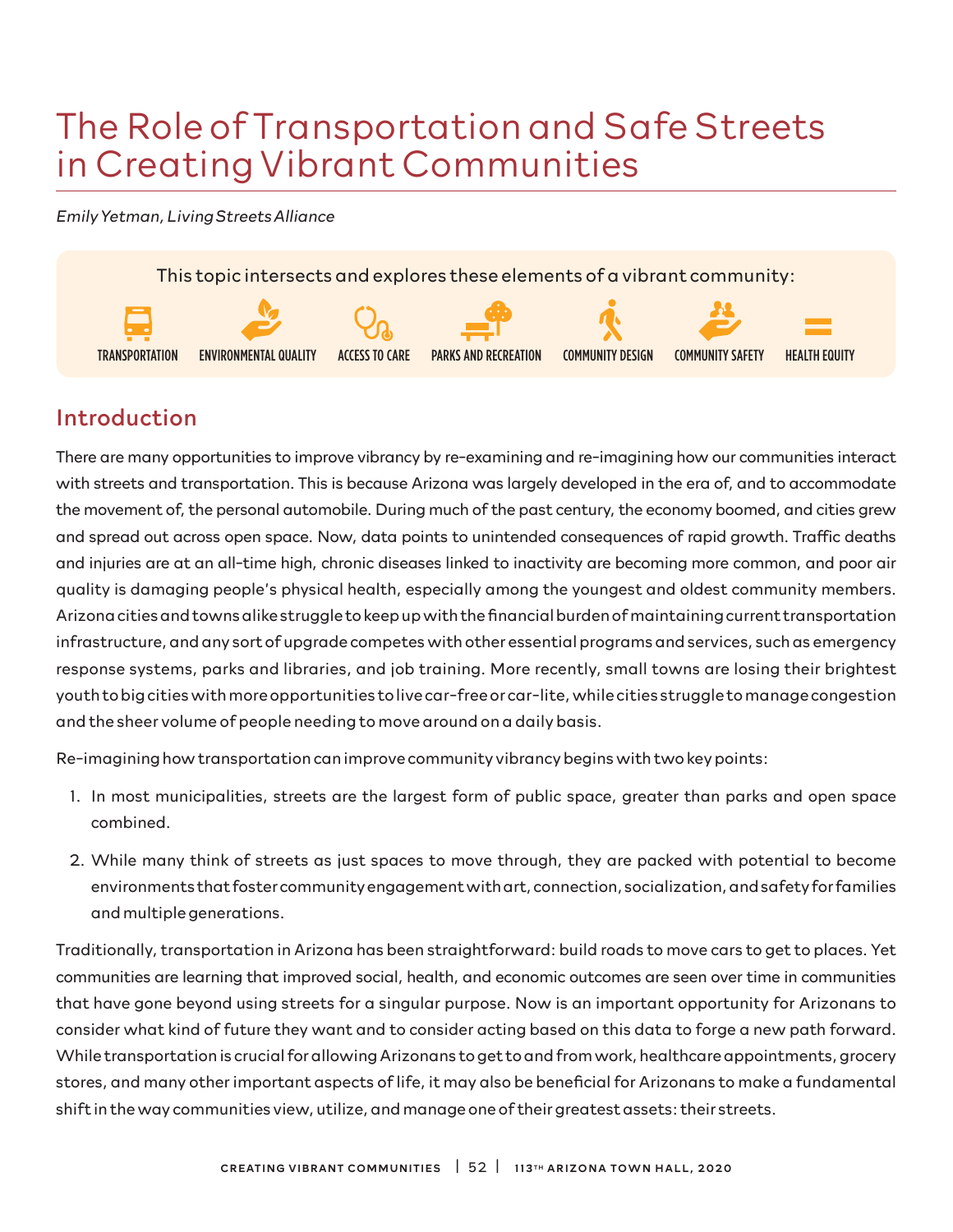# The Role of Transportation and Safe Streets in Creating Vibrant Communities

*Emily Yetman, Living Streets Alliance*



# Introduction

There are many opportunities to improve vibrancy by re-examining and re-imagining how our communities interact with streets and transportation. This is because Arizona was largely developed in the era of, and to accommodate the movement of, the personal automobile. During much of the past century, the economy boomed, and cities grew and spread out across open space. Now, data points to unintended consequences of rapid growth. Traffic deaths and injuries are at an all-time high, chronic diseases linked to inactivity are becoming more common, and poor air quality is damaging people's physical health, especially among the youngest and oldest community members. Arizona cities and towns alike struggle to keep up with the financial burden of maintaining current transportation infrastructure, and any sort of upgrade competes with other essential programs and services, such as emergency response systems, parks and libraries, and job training. More recently, small towns are losing their brightest youth to big cities with more opportunities to live car-free or car-lite, while cities struggle to manage congestion and the sheer volume of people needing to move around on a daily basis.

Re-imagining how transportation can improve community vibrancy begins with two key points:

- 1. In most municipalities, streets are the largest form of public space, greater than parks and open space combined.
- 2. While many think of streets as just spaces to move through, they are packed with potential to become environments that foster community engagement with art, connection, socialization, and safety for families and multiple generations.

Traditionally, transportation in Arizona has been straightforward: build roads to move cars to get to places. Yet communities are learning that improved social, health, and economic outcomes are seen over time in communities that have gone beyond using streets for a singular purpose. Now is an important opportunity for Arizonans to consider what kind of future they want and to consider acting based on this data to forge a new path forward. While transportation is crucial for allowing Arizonans to get to and from work, healthcare appointments, grocery stores, and many other important aspects of life, it may also be beneficial for Arizonans to make a fundamental shift in the way communities view, utilize, and manage one of their greatest assets: their streets.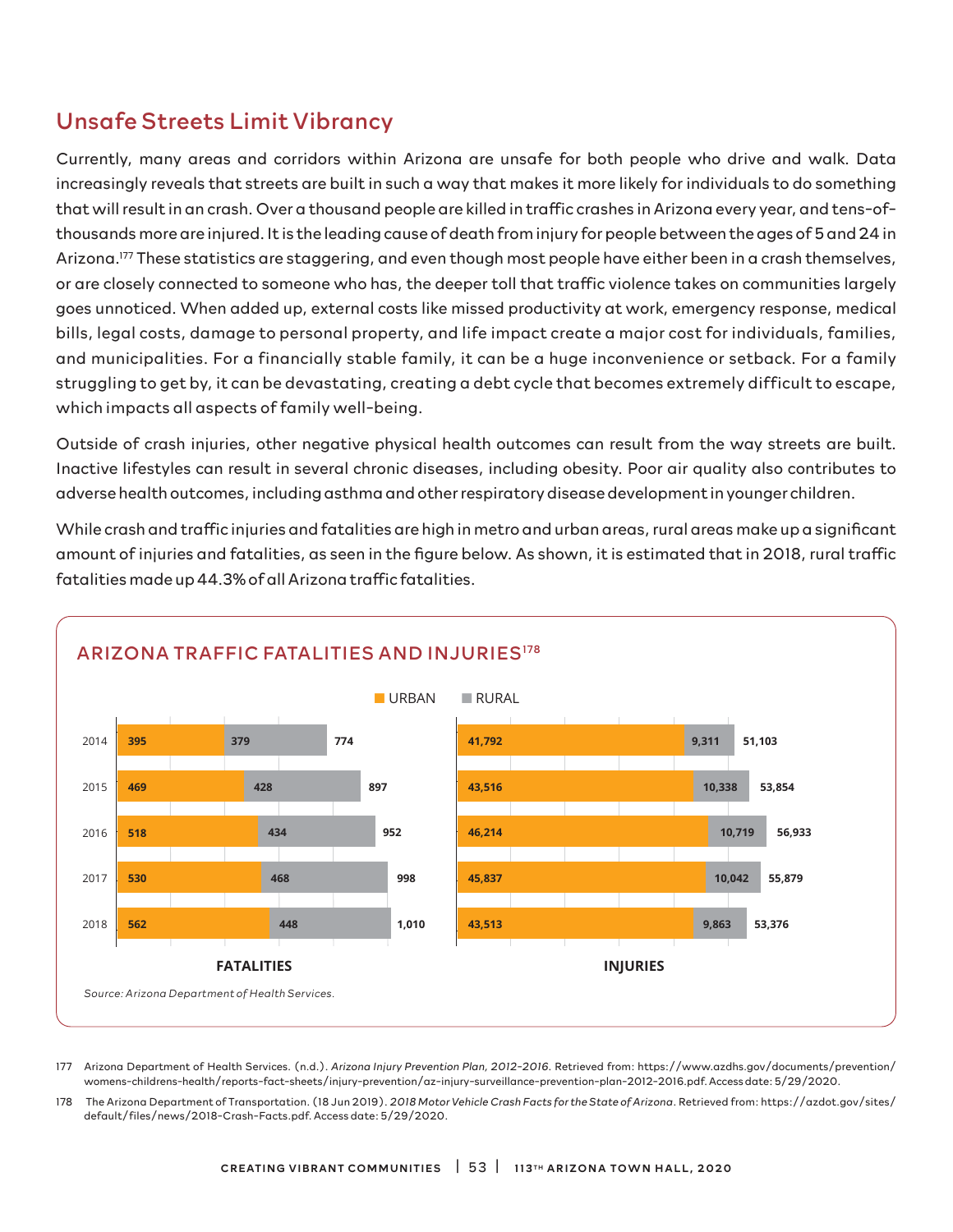# Unsafe Streets Limit Vibrancy

Currently, many areas and corridors within Arizona are unsafe for both people who drive and walk. Data increasingly reveals that streets are built in such a way that makes it more likely for individuals to do something that will result in an crash. Over a thousand people are killed in traffic crashes in Arizona every year, and tens-ofthousands more are injured. It is the leading cause of death from injury for people between the ages of 5 and 24 in Arizona.177 These statistics are staggering, and even though most people have either been in a crash themselves, or are closely connected to someone who has, the deeper toll that traffic violence takes on communities largely goes unnoticed. When added up, external costs like missed productivity at work, emergency response, medical bills, legal costs, damage to personal property, and life impact create a major cost for individuals, families, and municipalities. For a financially stable family, it can be a huge inconvenience or setback. For a family struggling to get by, it can be devastating, creating a debt cycle that becomes extremely difficult to escape, which impacts all aspects of family well-being.

Outside of crash injuries, other negative physical health outcomes can result from the way streets are built. Inactive lifestyles can result in several chronic diseases, including obesity. Poor air quality also contributes to adverse health outcomes, including asthma and other respiratory disease development in younger children.

While crash and traffic injuries and fatalities are high in metro and urban areas, rural areas make up a significant amount of injuries and fatalities, as seen in the figure below. As shown, it is estimated that in 2018, rural traffic fatalities made up 44.3% of all Arizona traffic fatalities.



177 Arizona Department of Health Services. (n.d.). *Arizona Injury Prevention Plan, 2012-2016*. Retrieved from: https://www.azdhs.gov/documents/prevention/ womens-childrens-health/reports-fact-sheets/injury-prevention/az-injury-surveillance-prevention-plan-2012-2016.pdf. Access date: 5/29/2020.

178 The Arizona Department of Transportation. (18 Jun 2019). *2018 Motor Vehicle Crash Facts for the State of Arizona*. Retrieved from: https://azdot.gov/sites/ default/files/news/2018-Crash-Facts.pdf. Access date: 5/29/2020.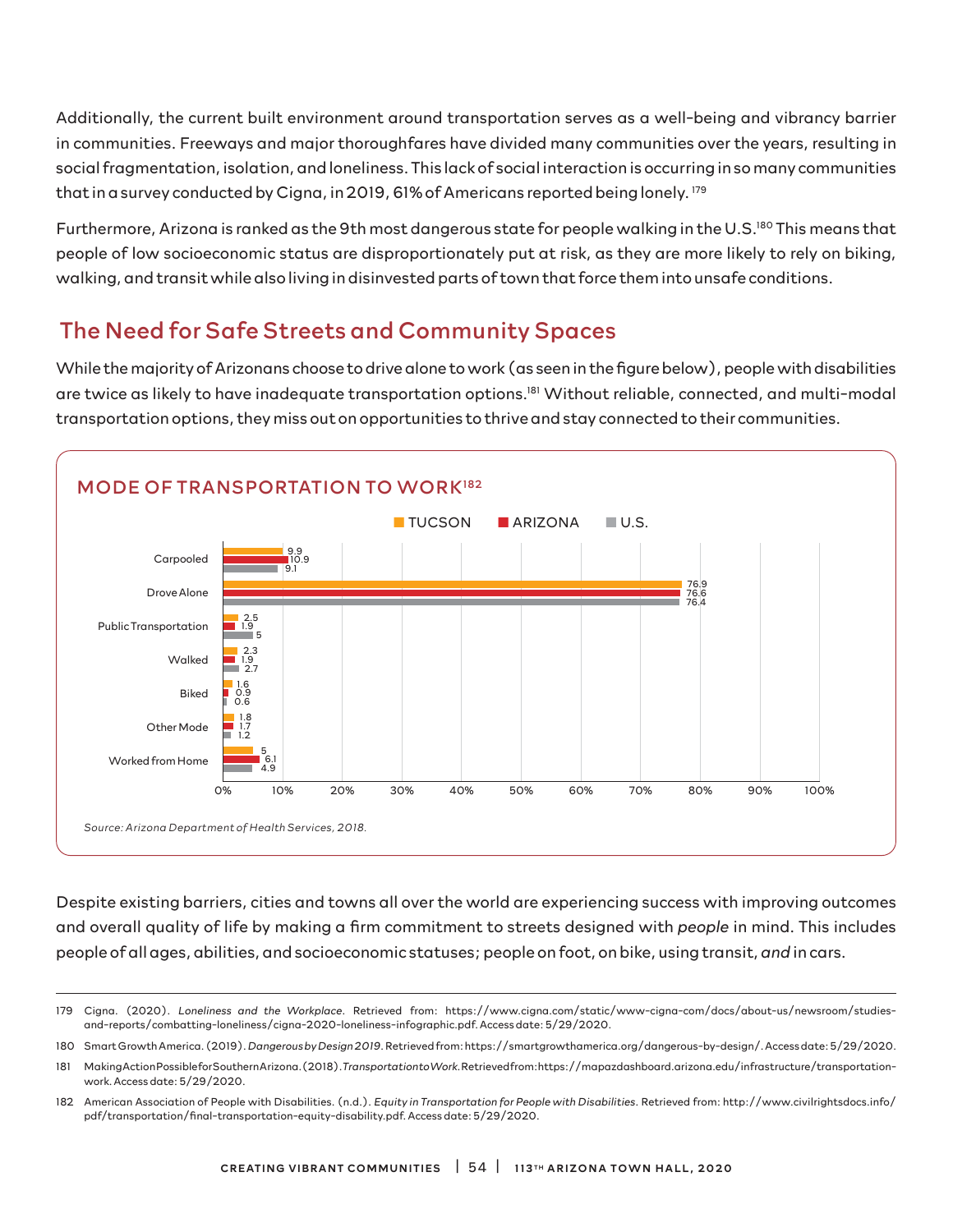Additionally, the current built environment around transportation serves as a well-being and vibrancy barrier in communities. Freeways and major thoroughfares have divided many communities over the years, resulting in social fragmentation, isolation, and loneliness. This lack of social interaction is occurring in so many communities that in a survey conducted by Cigna, in 2019, 61% of Americans reported being lonely. 179

Furthermore, Arizona is ranked as the 9th most dangerous state for people walking in the U.S.<sup>180</sup> This means that people of low socioeconomic status are disproportionately put at risk, as they are more likely to rely on biking, walking, and transit while also living in disinvested parts of town that force them into unsafe conditions.

## The Need for Safe Streets and Community Spaces

While the majority of Arizonans choose to drive alone to work (as seen in the figure below), people with disabilities are twice as likely to have inadequate transportation options.181 Without reliable, connected, and multi-modal transportation options, they miss out on opportunities to thrive and stay connected to their communities.



Despite existing barriers, cities and towns all over the world are experiencing success with improving outcomes and overall quality of life by making a firm commitment to streets designed with *people* in mind. This includes people of all ages, abilities, and socioeconomic statuses; people on foot, on bike, using transit, *and* in cars.

<sup>179</sup> Cigna. (2020). *Loneliness and the Workplace*. Retrieved from: https://www.cigna.com/static/www-cigna-com/docs/about-us/newsroom/studiesand-reports/combatting-loneliness/cigna-2020-loneliness-infographic.pdf. Access date: 5/29/2020.

<sup>180</sup> Smart Growth America. (2019). *Dangerous by Design 2019*. Retrieved from: https://smartgrowthamerica.org/dangerous-by-design/. Access date: 5/29/2020.

<sup>181</sup> Making Action Possible for Southern Arizona. (2018). *Transportation to Work.* Retrieved from: https://mapazdashboard.arizona.edu/infrastructure/transportationwork. Access date: 5/29/2020.

<sup>182</sup> American Association of People with Disabilities. (n.d.). *Equity in Transportation for People with Disabilities*. Retrieved from: http://www.civilrightsdocs.info/ pdf/transportation/final-transportation-equity-disability.pdf. Access date: 5/29/2020.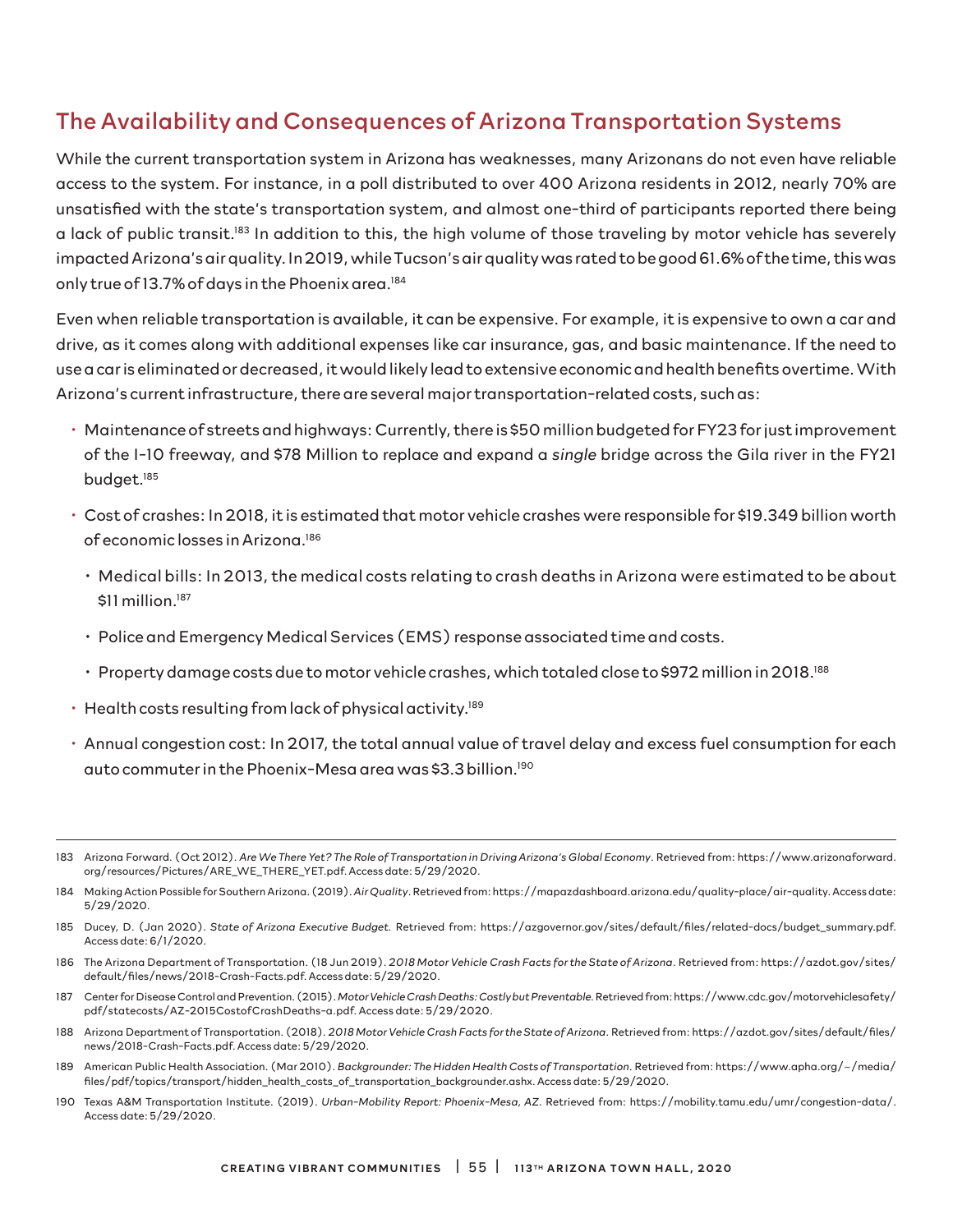### The Availability and Consequences of Arizona Transportation Systems

While the current transportation system in Arizona has weaknesses, many Arizonans do not even have reliable access to the system. For instance, in a poll distributed to over 400 Arizona residents in 2012, nearly 70% are unsatisfied with the state's transportation system, and almost one-third of participants reported there being a lack of public transit.183 In addition to this, the high volume of those traveling by motor vehicle has severely impacted Arizona's air quality. In 2019, while Tucson's air quality was rated to be good 61.6% of the time, this was only true of 13.7% of days in the Phoenix area.<sup>184</sup>

Even when reliable transportation is available, it can be expensive. For example, it is expensive to own a car and drive, as it comes along with additional expenses like car insurance, gas, and basic maintenance. If the need to use a car is eliminated or decreased, it would likely lead to extensive economic and health benefits overtime. With Arizona's current infrastructure, there are several major transportation-related costs, such as:

- Maintenance of streets and highways: Currently, there is \$50 million budgeted for FY23 for just improvement of the I-10 freeway, and \$78 Million to replace and expand a *single* bridge across the Gila river in the FY21 budget.185
- Cost of crashes: In 2018, it is estimated that motor vehicle crashes were responsible for \$19.349 billion worth of economic losses in Arizona.186
	- Medical bills: In 2013, the medical costs relating to crash deaths in Arizona were estimated to be about \$11 million.<sup>187</sup>
	- Police and Emergency Medical Services (EMS) response associated time and costs.
	- Property damage costs due to motor vehicle crashes, which totaled close to \$972 million in 2018.188
- Health costs resulting from lack of physical activity.189
- Annual congestion cost: In 2017, the total annual value of travel delay and excess fuel consumption for each auto commuter in the Phoenix-Mesa area was \$3.3 billion.190

- 186 The Arizona Department of Transportation. (18 Jun 2019). *2018 Motor Vehicle Crash Facts for the State of Arizona*. Retrieved from: https://azdot.gov/sites/ default/files/news/2018-Crash-Facts.pdf. Access date: 5/29/2020.
- 187 Center for Disease Control and Prevention. (2015). *Motor Vehicle Crash Deaths: Costly but Preventable.* Retrieved from: https://www.cdc.gov/motorvehiclesafety/ pdf/statecosts/AZ-2015CostofCrashDeaths-a.pdf. Access date: 5/29/2020.
- 188 Arizona Department of Transportation. (2018). *2018 Motor Vehicle Crash Facts for the State of Arizona*. Retrieved from: https://azdot.gov/sites/default/files/ news/2018-Crash-Facts.pdf. Access date: 5/29/2020.
- 189 American Public Health Association. (Mar 2010). *Backgrounder: The Hidden Health Costs of Transportation*. Retrieved from: https://www.apha.org/~/media/ files/pdf/topics/transport/hidden\_health\_costs\_of\_transportation\_backgrounder.ashx. Access date: 5/29/2020.
- 190 Texas A&M Transportation Institute. (2019). *Urban-Mobility Report: Phoenix-Mesa, AZ*. Retrieved from: https://mobility.tamu.edu/umr/congestion-data/. Access date: 5/29/2020.

<sup>183</sup> Arizona Forward. (Oct 2012). *Are We There Yet? The Role of Transportation in Driving Arizona's Global Economy*. Retrieved from: https://www.arizonaforward. org/resources/Pictures/ARE\_WE\_THERE\_YET.pdf. Access date: 5/29/2020.

<sup>184</sup> Making Action Possible for Southern Arizona. (2019). *Air Quality*. Retrieved from: https://mapazdashboard.arizona.edu/quality-place/air-quality. Access date: 5/29/2020.

<sup>185</sup> Ducey, D. (Jan 2020). *State of Arizona Executive Budget.* Retrieved from: https://azgovernor.gov/sites/default/files/related-docs/budget\_summary.pdf. Access date: 6/1/2020.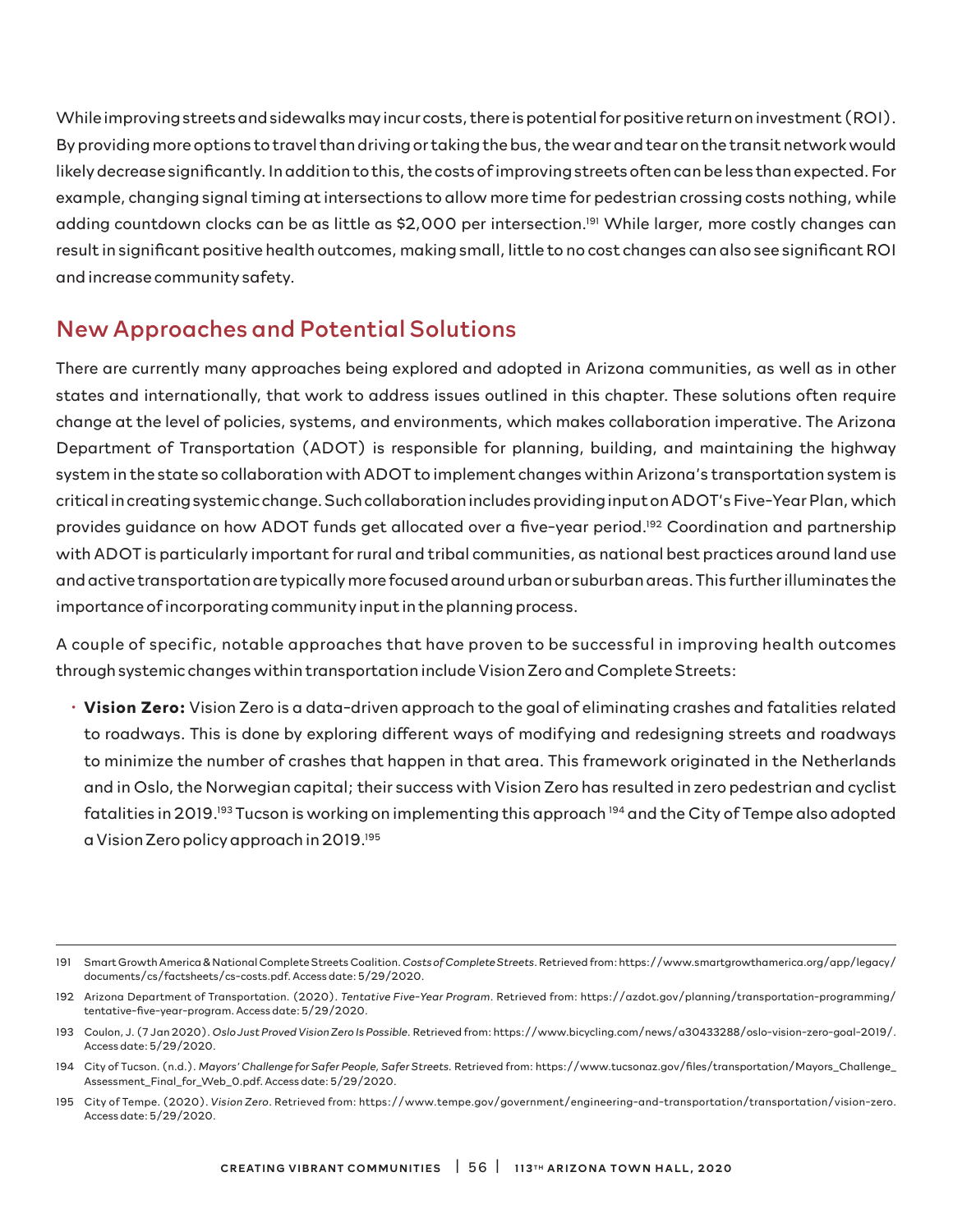While improving streets and sidewalks may incur costs, there is potential for positive return on investment (ROI). By providing more options to travel than driving or taking the bus, the wear and tear on the transit network would likely decrease significantly. In addition to this, the costs of improving streets often can be less than expected. For example, changing signal timing at intersections to allow more time for pedestrian crossing costs nothing, while adding countdown clocks can be as little as \$2,000 per intersection.<sup>191</sup> While larger, more costly changes can result in significant positive health outcomes, making small, little to no cost changes can also see significant ROI and increase community safety.

### New Approaches and Potential Solutions

There are currently many approaches being explored and adopted in Arizona communities, as well as in other states and internationally, that work to address issues outlined in this chapter. These solutions often require change at the level of policies, systems, and environments, which makes collaboration imperative. The Arizona Department of Transportation (ADOT) is responsible for planning, building, and maintaining the highway system in the state so collaboration with ADOT to implement changes within Arizona's transportation system is critical in creating systemic change. Such collaboration includes providing input on ADOT's Five-Year Plan, which provides guidance on how ADOT funds get allocated over a five-year period.<sup>192</sup> Coordination and partnership with ADOT is particularly important for rural and tribal communities, as national best practices around land use and active transportation are typically more focused around urban or suburban areas. This further illuminates the importance of incorporating community input in the planning process.

A couple of specific, notable approaches that have proven to be successful in improving health outcomes through systemic changes within transportation include Vision Zero and Complete Streets:

• **Vision Zero:** Vision Zero is a data-driven approach to the goal of eliminating crashes and fatalities related to roadways. This is done by exploring different ways of modifying and redesigning streets and roadways to minimize the number of crashes that happen in that area. This framework originated in the Netherlands and in Oslo, the Norwegian capital; their success with Vision Zero has resulted in zero pedestrian and cyclist fatalities in 2019.193 Tucson is working on implementing this approach 194 and the City of Tempe also adopted a Vision Zero policy approach in 2019.195

<sup>191</sup> Smart Growth America & National Complete Streets Coalition. *Costs of Complete Streets*. Retrieved from: https://www.smartgrowthamerica.org/app/legacy/ documents/cs/factsheets/cs-costs.pdf. Access date: 5/29/2020.

<sup>192</sup> Arizona Department of Transportation. (2020). *Tentative Five-Year Program*. Retrieved from: https://azdot.gov/planning/transportation-programming/ tentative-five-year-program. Access date: 5/29/2020.

<sup>193</sup> Coulon, J. (7 Jan 2020). *Oslo Just Proved Vision Zero Is Possible.* Retrieved from: https://www.bicycling.com/news/a30433288/oslo-vision-zero-goal-2019/. Access date: 5/29/2020.

<sup>194</sup> City of Tucson. (n.d.). *Mayors' Challenge for Safer People, Safer Streets.* Retrieved from: https://www.tucsonaz.gov/files/transportation/Mayors\_Challenge\_ Assessment\_Final\_for\_Web\_0.pdf. Access date: 5/29/2020.

<sup>195</sup> City of Tempe. (2020). *Vision Zero*. Retrieved from: https://www.tempe.gov/government/engineering-and-transportation/transportation/vision-zero. Access date: 5/29/2020.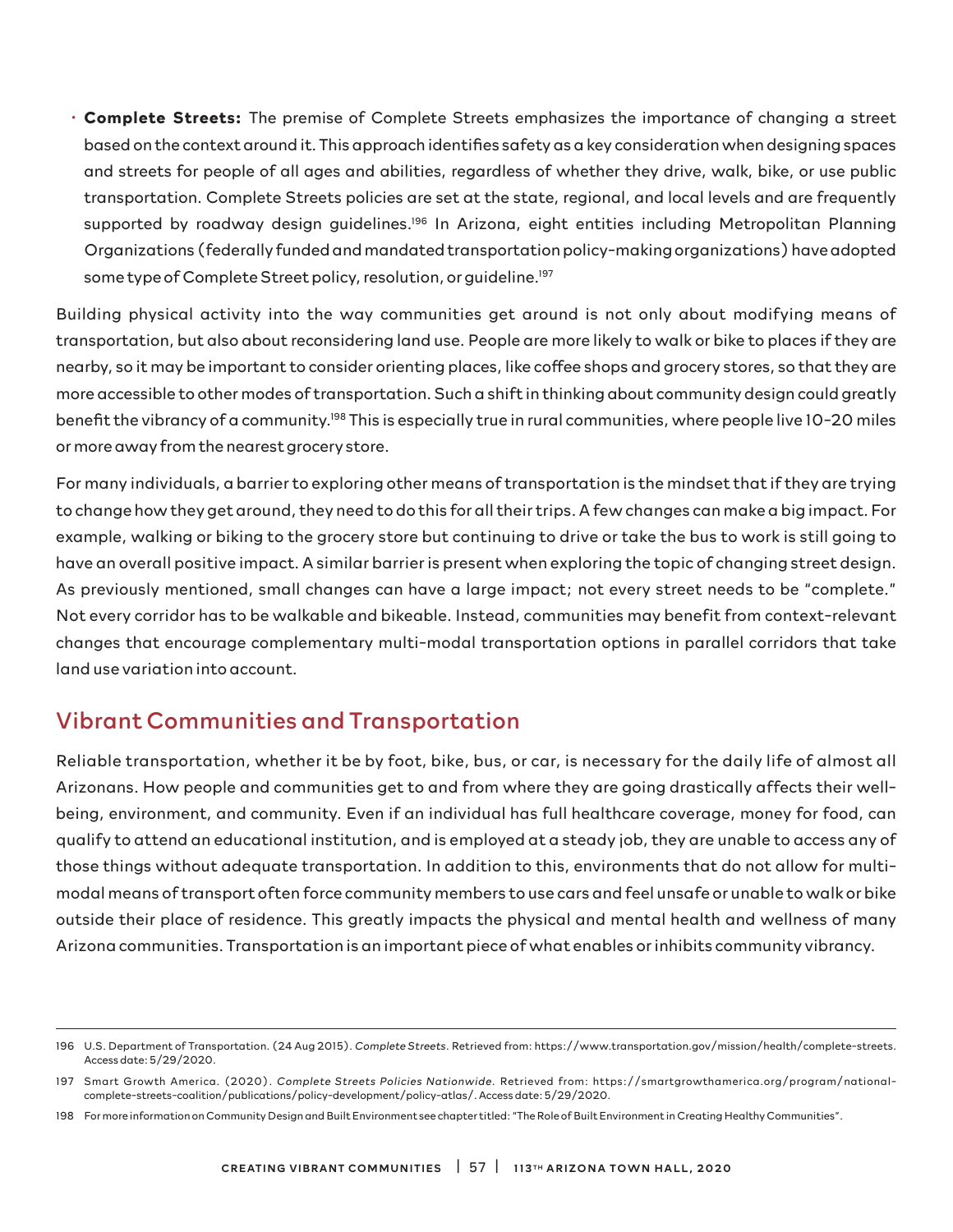• **Complete Streets:** The premise of Complete Streets emphasizes the importance of changing a street based on the context around it. This approach identifies safety as a key consideration when designing spaces and streets for people of all ages and abilities, regardless of whether they drive, walk, bike, or use public transportation. Complete Streets policies are set at the state, regional, and local levels and are frequently supported by roadway design guidelines.<sup>196</sup> In Arizona, eight entities including Metropolitan Planning Organizations (federally funded and mandated transportation policy-making organizations) have adopted some type of Complete Street policy, resolution, or guideline.<sup>197</sup>

Building physical activity into the way communities get around is not only about modifying means of transportation, but also about reconsidering land use. People are more likely to walk or bike to places if they are nearby, so it may be important to consider orienting places, like coffee shops and grocery stores, so that they are more accessible to other modes of transportation. Such a shift in thinking about community design could greatly benefit the vibrancy of a community.198 This is especially true in rural communities, where people live 10-20 miles or more away from the nearest grocery store.

For many individuals, a barrier to exploring other means of transportation is the mindset that if they are trying to change how they get around, they need to do this for all their trips. A few changes can make a big impact. For example, walking or biking to the grocery store but continuing to drive or take the bus to work is still going to have an overall positive impact. A similar barrier is present when exploring the topic of changing street design. As previously mentioned, small changes can have a large impact; not every street needs to be "complete." Not every corridor has to be walkable and bikeable. Instead, communities may benefit from context-relevant changes that encourage complementary multi-modal transportation options in parallel corridors that take land use variation into account.

### Vibrant Communities and Transportation

Reliable transportation, whether it be by foot, bike, bus, or car, is necessary for the daily life of almost all Arizonans. How people and communities get to and from where they are going drastically affects their wellbeing, environment, and community. Even if an individual has full healthcare coverage, money for food, can qualify to attend an educational institution, and is employed at a steady job, they are unable to access any of those things without adequate transportation. In addition to this, environments that do not allow for multimodal means of transport often force community members to use cars and feel unsafe or unable to walk or bike outside their place of residence. This greatly impacts the physical and mental health and wellness of many Arizona communities. Transportation is an important piece of what enables or inhibits community vibrancy.

<sup>196</sup> U.S. Department of Transportation. (24 Aug 2015). *Complete Streets*. Retrieved from: https://www.transportation.gov/mission/health/complete-streets. Access date: 5/29/2020.

<sup>197</sup> Smart Growth America. (2020). *Complete Streets Policies Nationwide.* Retrieved from: https://smartgrowthamerica.org/program/nationalcomplete-streets-coalition/publications/policy-development/policy-atlas/. Access date: 5/29/2020.

<sup>198</sup> For more information on Community Design and Built Environment see chapter titled: "The Role of Built Environment in Creating Healthy Communities".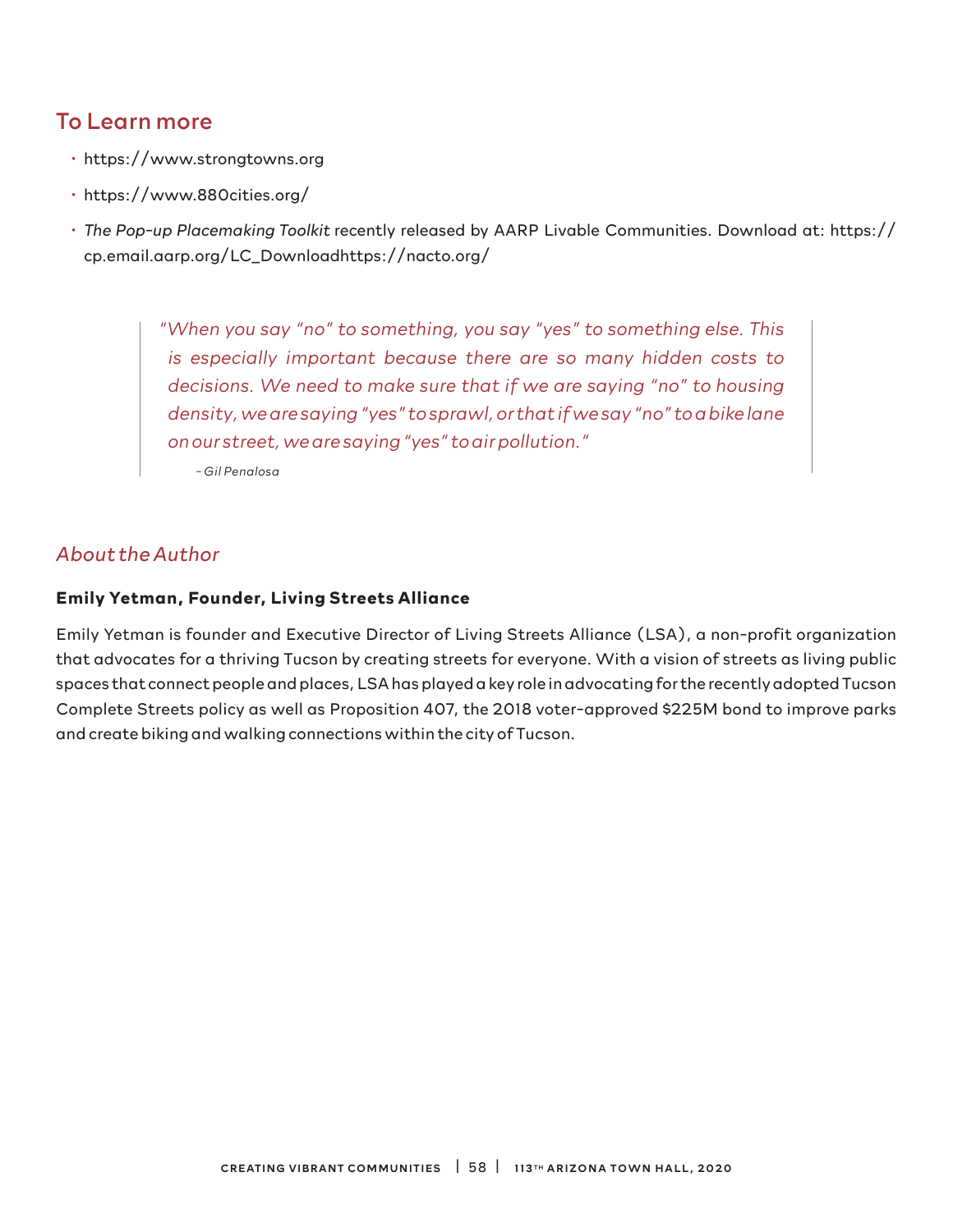### To Learn more

- https://www.strongtowns.org
- https://www.880cities.org/
- *The Pop-up Placemaking Toolkit* recently released by AARP Livable Communities. Download at: https:// cp.email.aarp.org/LC\_Downloadhttps://nacto.org/

*"When you say "no" to something, you say "yes" to something else. This is especially important because there are so many hidden costs to decisions. We need to make sure that if we are saying "no" to housing density, we are saying "yes" to sprawl, or that if we say "no" to a bike lane on our street, we are saying "yes" to air pollution."* 

*- Gil Penalosa*

#### *About the Author*

#### **Emily Yetman, Founder, Living Streets Alliance**

Emily Yetman is founder and Executive Director of Living Streets Alliance (LSA), a non-profit organization that advocates for a thriving Tucson by creating streets for everyone. With a vision of streets as living public spaces that connect people and places, LSA has played a key role in advocating for the recently adopted Tucson Complete Streets policy as well as Proposition 407, the 2018 voter-approved \$225M bond to improve parks and create biking and walking connections within the city of Tucson.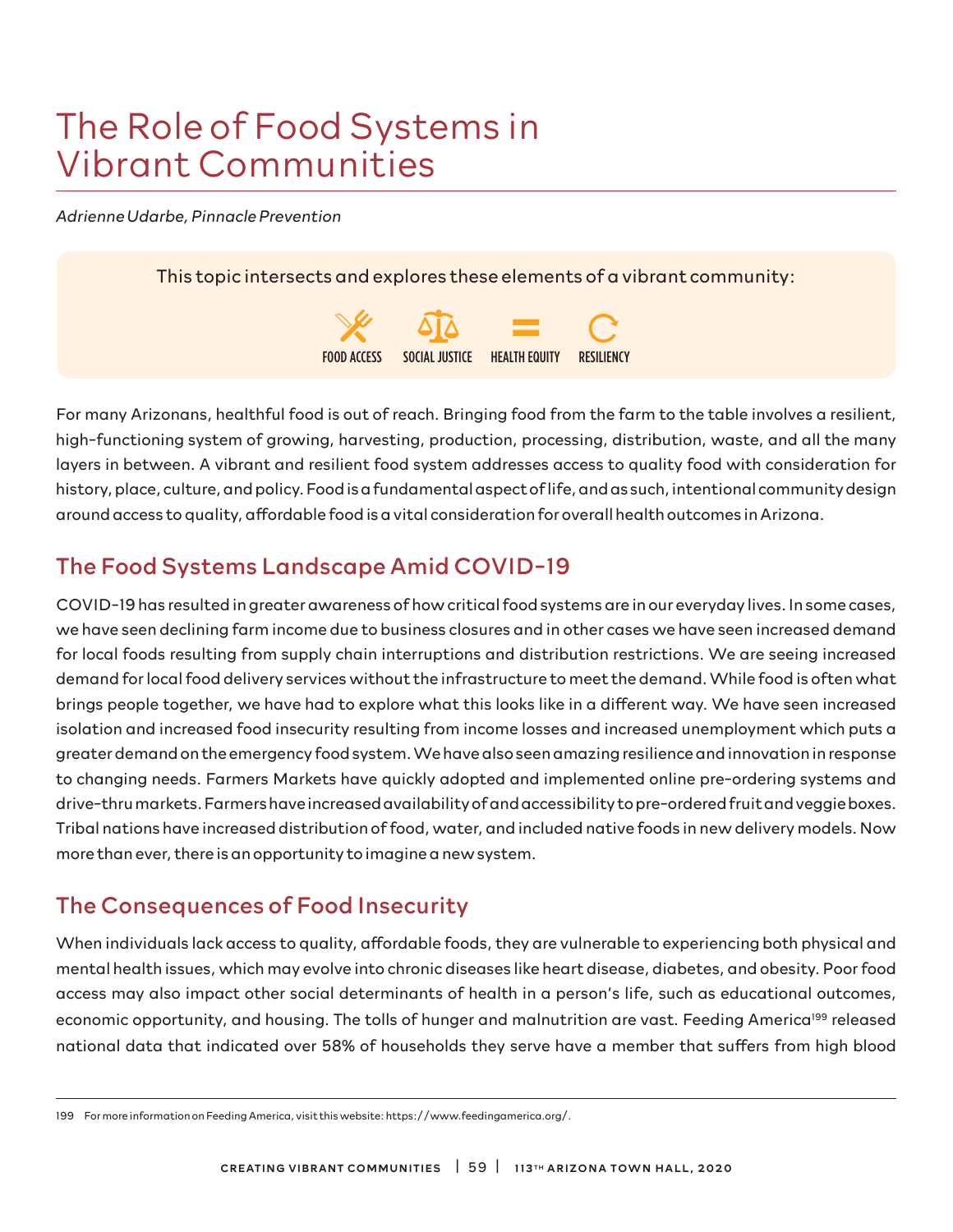# The Role of Food Systems in Vibrant Communities

*Adrienne Udarbe, Pinnacle Prevention*

This topic intersects and explores these elements of a vibrant community:



For many Arizonans, healthful food is out of reach. Bringing food from the farm to the table involves a resilient, high-functioning system of growing, harvesting, production, processing, distribution, waste, and all the many layers in between. A vibrant and resilient food system addresses access to quality food with consideration for history, place, culture, and policy. Food is a fundamental aspect of life, and as such, intentional community design around access to quality, affordable food is a vital consideration for overall health outcomes in Arizona.

# The Food Systems Landscape Amid COVID-19

COVID-19 has resulted in greater awareness of how critical food systems are in our everyday lives. In some cases, we have seen declining farm income due to business closures and in other cases we have seen increased demand for local foods resulting from supply chain interruptions and distribution restrictions. We are seeing increased demand for local food delivery services without the infrastructure to meet the demand. While food is often what brings people together, we have had to explore what this looks like in a different way. We have seen increased isolation and increased food insecurity resulting from income losses and increased unemployment which puts a greater demand on the emergency food system. We have also seen amazing resilience and innovation in response to changing needs. Farmers Markets have quickly adopted and implemented online pre-ordering systems and drive-thru markets. Farmers have increased availability of and accessibility to pre-ordered fruit and veggie boxes. Tribal nations have increased distribution of food, water, and included native foods in new delivery models. Now more than ever, there is an opportunity to imagine a new system.

## The Consequences of Food Insecurity

When individuals lack access to quality, affordable foods, they are vulnerable to experiencing both physical and mental health issues, which may evolve into chronic diseases like heart disease, diabetes, and obesity. Poor food access may also impact other social determinants of health in a person's life, such as educational outcomes, economic opportunity, and housing. The tolls of hunger and malnutrition are vast. Feeding America<sup>199</sup> released national data that indicated over 58% of households they serve have a member that suffers from high blood

<sup>199</sup> For more information on Feeding America, visit this website: https://www.feedingamerica.org/.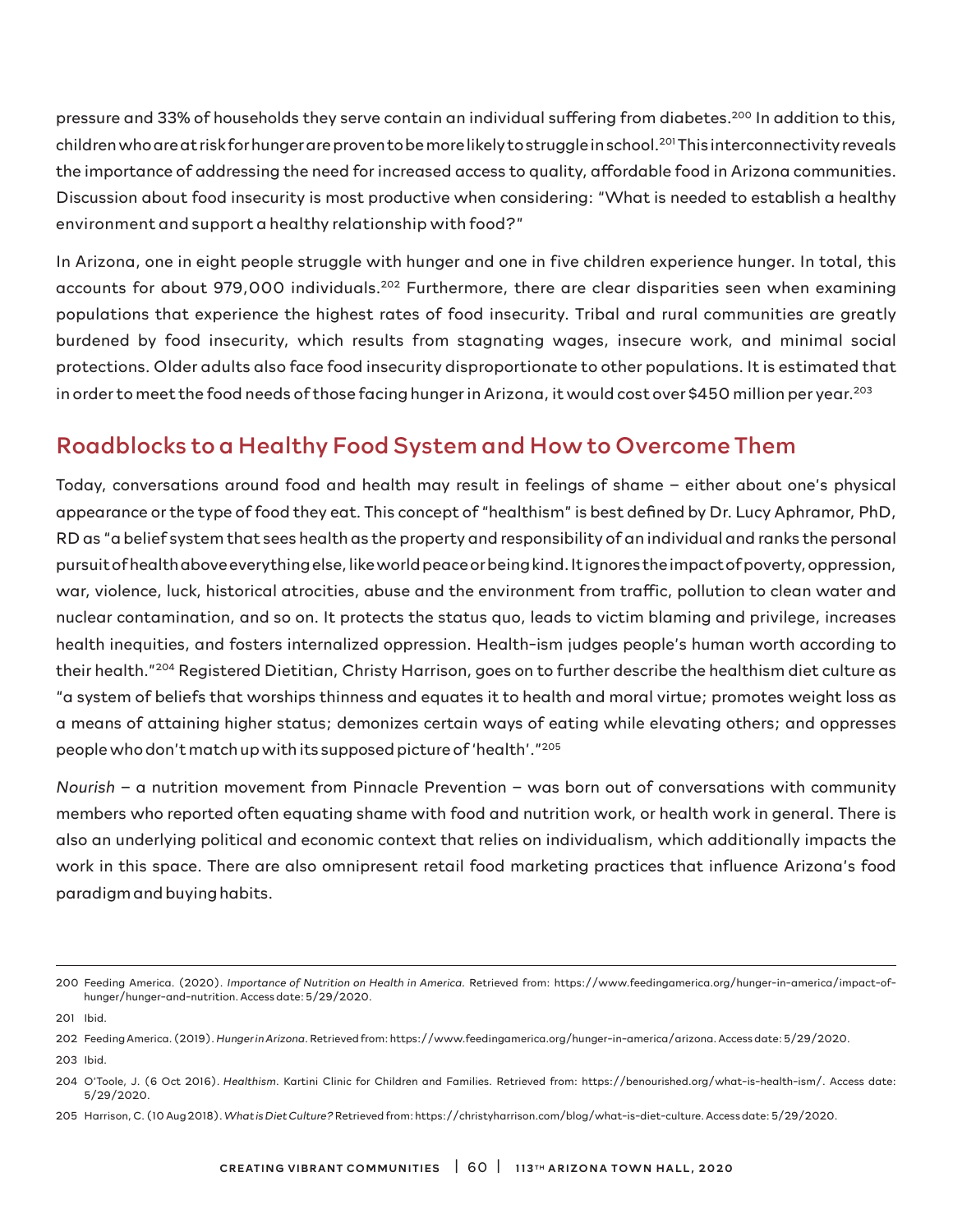pressure and 33% of households they serve contain an individual suffering from diabetes.<sup>200</sup> In addition to this, children who are at risk for hunger are proven to be more likely to struggle in school.<sup>201</sup> This interconnectivity reveals the importance of addressing the need for increased access to quality, affordable food in Arizona communities. Discussion about food insecurity is most productive when considering: "What is needed to establish a healthy environment and support a healthy relationship with food?"

In Arizona, one in eight people struggle with hunger and one in five children experience hunger. In total, this accounts for about 979,000 individuals.<sup>202</sup> Furthermore, there are clear disparities seen when examining populations that experience the highest rates of food insecurity. Tribal and rural communities are greatly burdened by food insecurity, which results from stagnating wages, insecure work, and minimal social protections. Older adults also face food insecurity disproportionate to other populations. It is estimated that in order to meet the food needs of those facing hunger in Arizona, it would cost over \$450 million per year.<sup>203</sup>

### Roadblocks to a Healthy Food System and How to Overcome Them

Today, conversations around food and health may result in feelings of shame – either about one's physical appearance or the type of food they eat. This concept of "healthism" is best defined by Dr. Lucy Aphramor, PhD, RD as "a belief system that sees health as the property and responsibility of an individual and ranks the personal pursuit of health above everything else, like world peace or being kind. It ignores the impact of poverty, oppression, war, violence, luck, historical atrocities, abuse and the environment from traffic, pollution to clean water and nuclear contamination, and so on. It protects the status quo, leads to victim blaming and privilege, increases health inequities, and fosters internalized oppression. Health-ism judges people's human worth according to their health."204 Registered Dietitian, Christy Harrison, goes on to further describe the healthism diet culture as "a system of beliefs that worships thinness and equates it to health and moral virtue; promotes weight loss as a means of attaining higher status; demonizes certain ways of eating while elevating others; and oppresses people who don't match up with its supposed picture of 'health'."205

*Nourish* – a nutrition movement from Pinnacle Prevention – was born out of conversations with community members who reported often equating shame with food and nutrition work, or health work in general. There is also an underlying political and economic context that relies on individualism, which additionally impacts the work in this space. There are also omnipresent retail food marketing practices that influence Arizona's food paradigm and buying habits.

205 Harrison, C. (10 Aug 2018). *What is Diet Culture?* Retrieved from: https://christyharrison.com/blog/what-is-diet-culture. Access date: 5/29/2020.

<sup>200</sup> Feeding America. (2020). *Importance of Nutrition on Health in America.* Retrieved from: https://www.feedingamerica.org/hunger-in-america/impact-ofhunger/hunger-and-nutrition. Access date: 5/29/2020.

<sup>201</sup> Ibid.

<sup>202</sup> Feeding America. (2019). *Hunger in Arizona*. Retrieved from: https://www.feedingamerica.org/hunger-in-america/arizona. Access date: 5/29/2020. 203 Ibid.

<sup>204</sup> O'Toole, J. (6 Oct 2016). *Healthism*. Kartini Clinic for Children and Families. Retrieved from: https://benourished.org/what-is-health-ism/. Access date: 5/29/2020.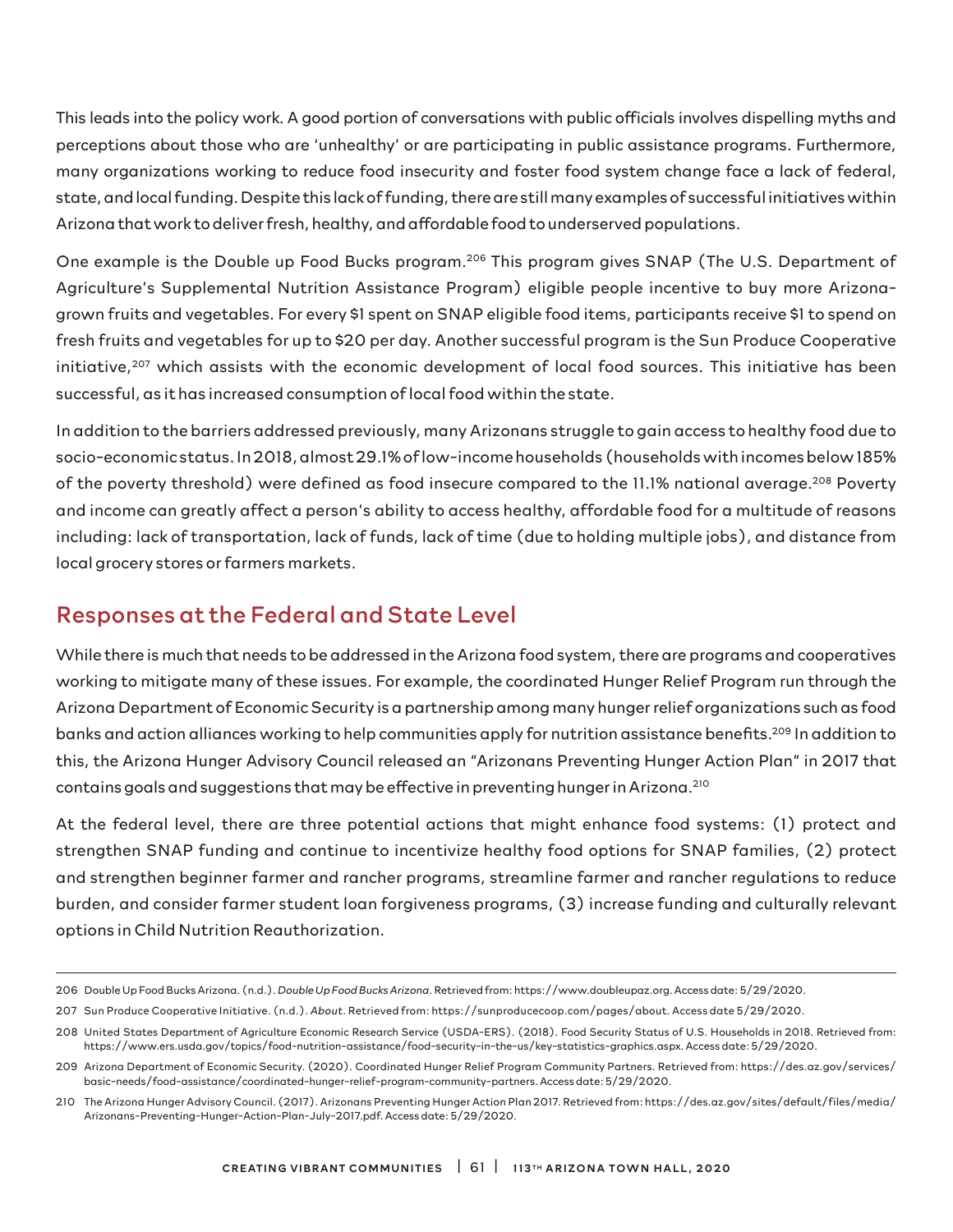This leads into the policy work. A good portion of conversations with public officials involves dispelling myths and perceptions about those who are 'unhealthy' or are participating in public assistance programs. Furthermore, many organizations working to reduce food insecurity and foster food system change face a lack of federal, state, and local funding. Despite this lack of funding, there are still many examples of successful initiatives within Arizona that work to deliver fresh, healthy, and affordable food to underserved populations.

One example is the Double up Food Bucks program.<sup>206</sup> This program gives SNAP (The U.S. Department of Agriculture's Supplemental Nutrition Assistance Program) eligible people incentive to buy more Arizonagrown fruits and vegetables. For every \$1 spent on SNAP eligible food items, participants receive \$1 to spend on fresh fruits and vegetables for up to \$20 per day. Another successful program is the Sun Produce Cooperative initiative,<sup>207</sup> which assists with the economic development of local food sources. This initiative has been successful, as it has increased consumption of local food within the state.

In addition to the barriers addressed previously, many Arizonans struggle to gain access to healthy food due to socio-economic status. In 2018, almost 29.1% of low-income households (households with incomes below 185% of the poverty threshold) were defined as food insecure compared to the 11.1% national average.<sup>208</sup> Poverty and income can greatly affect a person's ability to access healthy, affordable food for a multitude of reasons including: lack of transportation, lack of funds, lack of time (due to holding multiple jobs), and distance from local grocery stores or farmers markets.

### Responses at the Federal and State Level

While there is much that needs to be addressed in the Arizona food system, there are programs and cooperatives working to mitigate many of these issues. For example, the coordinated Hunger Relief Program run through the Arizona Department of Economic Security is a partnership among many hunger relief organizations such as food banks and action alliances working to help communities apply for nutrition assistance benefits.<sup>209</sup> In addition to this, the Arizona Hunger Advisory Council released an "Arizonans Preventing Hunger Action Plan" in 2017 that contains goals and suggestions that may be effective in preventing hunger in Arizona.210

At the federal level, there are three potential actions that might enhance food systems: (1) protect and strengthen SNAP funding and continue to incentivize healthy food options for SNAP families, (2) protect and strengthen beginner farmer and rancher programs, streamline farmer and rancher regulations to reduce burden, and consider farmer student loan forgiveness programs, (3) increase funding and culturally relevant options in Child Nutrition Reauthorization.

<sup>206</sup> Double Up Food Bucks Arizona. (n.d.). *Double Up Food Bucks Arizona*. Retrieved from: https://www.doubleupaz.org. Access date: 5/29/2020.

<sup>207</sup> Sun Produce Cooperative Initiative. (n.d.). *About*. Retrieved from: https://sunproducecoop.com/pages/about. Access date 5/29/2020.

<sup>208</sup> United States Department of Agriculture Economic Research Service (USDA-ERS). (2018). Food Security Status of U.S. Households in 2018. Retrieved from: https://www.ers.usda.gov/topics/food-nutrition-assistance/food-security-in-the-us/key-statistics-graphics.aspx. Access date: 5/29/2020.

<sup>209</sup> Arizona Department of Economic Security. (2020). Coordinated Hunger Relief Program Community Partners. Retrieved from: https://des.az.gov/services/ basic-needs/food-assistance/coordinated-hunger-relief-program-community-partners. Access date: 5/29/2020.

<sup>210</sup> The Arizona Hunger Advisory Council. (2017). Arizonans Preventing Hunger Action Plan 2017. Retrieved from: https://des.az.gov/sites/default/files/media/ Arizonans-Preventing-Hunger-Action-Plan-July-2017.pdf. Access date: 5/29/2020.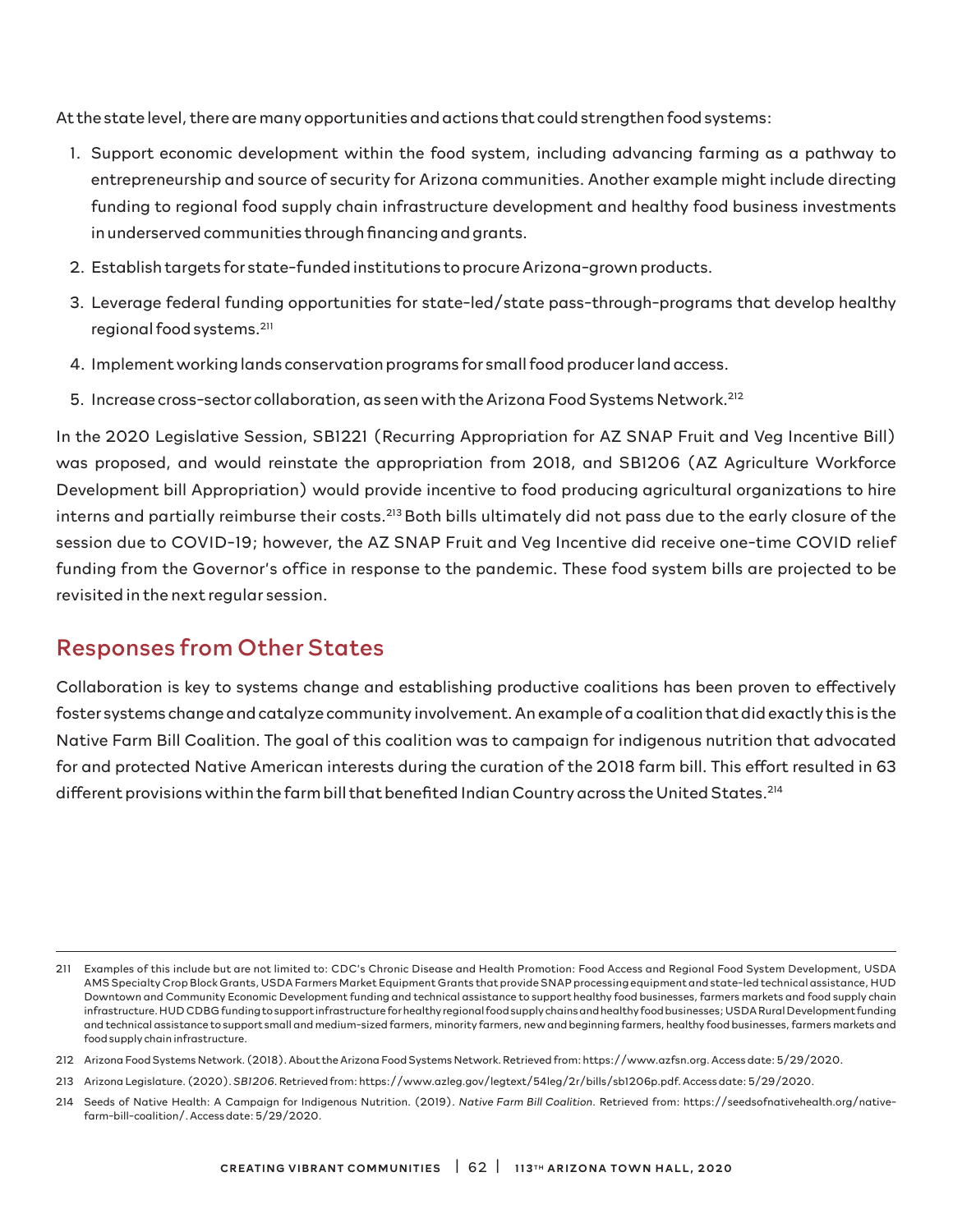At the state level, there are many opportunities and actions that could strengthen food systems:

- 1. Support economic development within the food system, including advancing farming as a pathway to entrepreneurship and source of security for Arizona communities. Another example might include directing funding to regional food supply chain infrastructure development and healthy food business investments in underserved communities through financing and grants.
- 2. Establish targets for state-funded institutions to procure Arizona-grown products.
- 3. Leverage federal funding opportunities for state-led/state pass-through-programs that develop healthy regional food systems.211
- 4. Implement working lands conservation programs for small food producer land access.
- 5. Increase cross-sector collaboration, as seen with the Arizona Food Systems Network.<sup>212</sup>

In the 2020 Legislative Session, SB1221 (Recurring Appropriation for AZ SNAP Fruit and Veg Incentive Bill) was proposed, and would reinstate the appropriation from 2018, and SB1206 (AZ Agriculture Workforce Development bill Appropriation) would provide incentive to food producing agricultural organizations to hire interns and partially reimburse their costs.<sup>213</sup> Both bills ultimately did not pass due to the early closure of the session due to COVID-19; however, the AZ SNAP Fruit and Veg Incentive did receive one-time COVID relief funding from the Governor's office in response to the pandemic. These food system bills are projected to be revisited in the next regular session.

### Responses from Other States

Collaboration is key to systems change and establishing productive coalitions has been proven to effectively foster systems change and catalyze community involvement. An example of a coalition that did exactly this is the Native Farm Bill Coalition. The goal of this coalition was to campaign for indigenous nutrition that advocated for and protected Native American interests during the curation of the 2018 farm bill. This effort resulted in 63 different provisions within the farm bill that benefited Indian Country across the United States.214

<sup>211</sup> Examples of this include but are not limited to: CDC's Chronic Disease and Health Promotion: Food Access and Regional Food System Development, USDA AMS Specialty Crop Block Grants, USDA Farmers Market Equipment Grants that provide SNAP processing equipment and state-led technical assistance, HUD Downtown and Community Economic Development funding and technical assistance to support healthy food businesses, farmers markets and food supply chain infrastructure. HUD CDBG funding to support infrastructure for healthy regional food supply chains and healthy food businesses; USDA Rural Development funding and technical assistance to support small and medium-sized farmers, minority farmers, new and beginning farmers, healthy food businesses, farmers markets and food supply chain infrastructure.

<sup>212</sup> Arizona Food Systems Network. (2018). About the Arizona Food Systems Network. Retrieved from: https://www.azfsn.org. Access date: 5/29/2020.

<sup>213</sup> Arizona Legislature. (2020). *SB1206*. Retrieved from: https://www.azleg.gov/legtext/54leg/2r/bills/sb1206p.pdf. Access date: 5/29/2020.

<sup>214</sup> Seeds of Native Health: A Campaign for Indigenous Nutrition. (2019). *Native Farm Bill Coalition*. Retrieved from: https://seedsofnativehealth.org/nativefarm-bill-coalition/. Access date: 5/29/2020.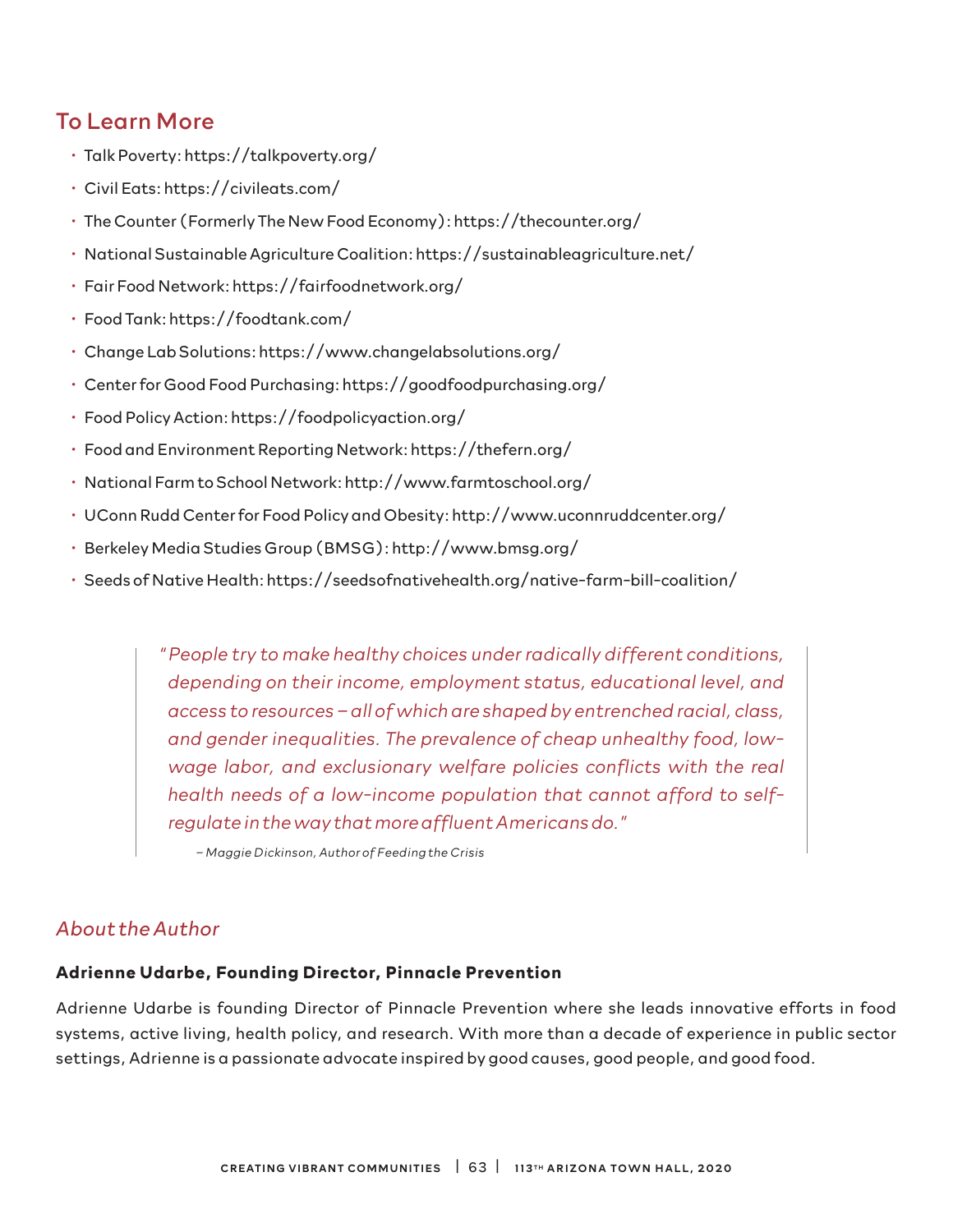### To Learn More

- Talk Poverty: https://talkpoverty.org/
- Civil Eats: https://civileats.com/
- The Counter (Formerly The New Food Economy): https://thecounter.org/
- National Sustainable Agriculture Coalition: https://sustainableagriculture.net/
- Fair Food Network: https://fairfoodnetwork.org/
- Food Tank: https://foodtank.com/
- Change Lab Solutions: https://www.changelabsolutions.org/
- Center for Good Food Purchasing: https://goodfoodpurchasing.org/
- Food Policy Action: https://foodpolicyaction.org/
- Food and Environment Reporting Network: https://thefern.org/
- National Farm to School Network: http://www.farmtoschool.org/
- UConn Rudd Center for Food Policy and Obesity: http://www.uconnruddcenter.org/
- Berkeley Media Studies Group (BMSG): http://www.bmsg.org/
- Seeds of Native Health: https://seedsofnativehealth.org/native-farm-bill-coalition/

*" People try to make healthy choices under radically different conditions, depending on their income, employment status, educational level, and access to resources – all of which are shaped by entrenched racial, class, and gender inequalities. The prevalence of cheap unhealthy food, lowwage labor, and exclusionary welfare policies conflicts with the real health needs of a low-income population that cannot afford to selfregulate in the way that more affluent Americans do."*

*– Maggie Dickinson, Author of Feeding the Crisis*

#### *About the Author*

#### **Adrienne Udarbe, Founding Director, Pinnacle Prevention**

Adrienne Udarbe is founding Director of Pinnacle Prevention where she leads innovative efforts in food systems, active living, health policy, and research. With more than a decade of experience in public sector settings, Adrienne is a passionate advocate inspired by good causes, good people, and good food.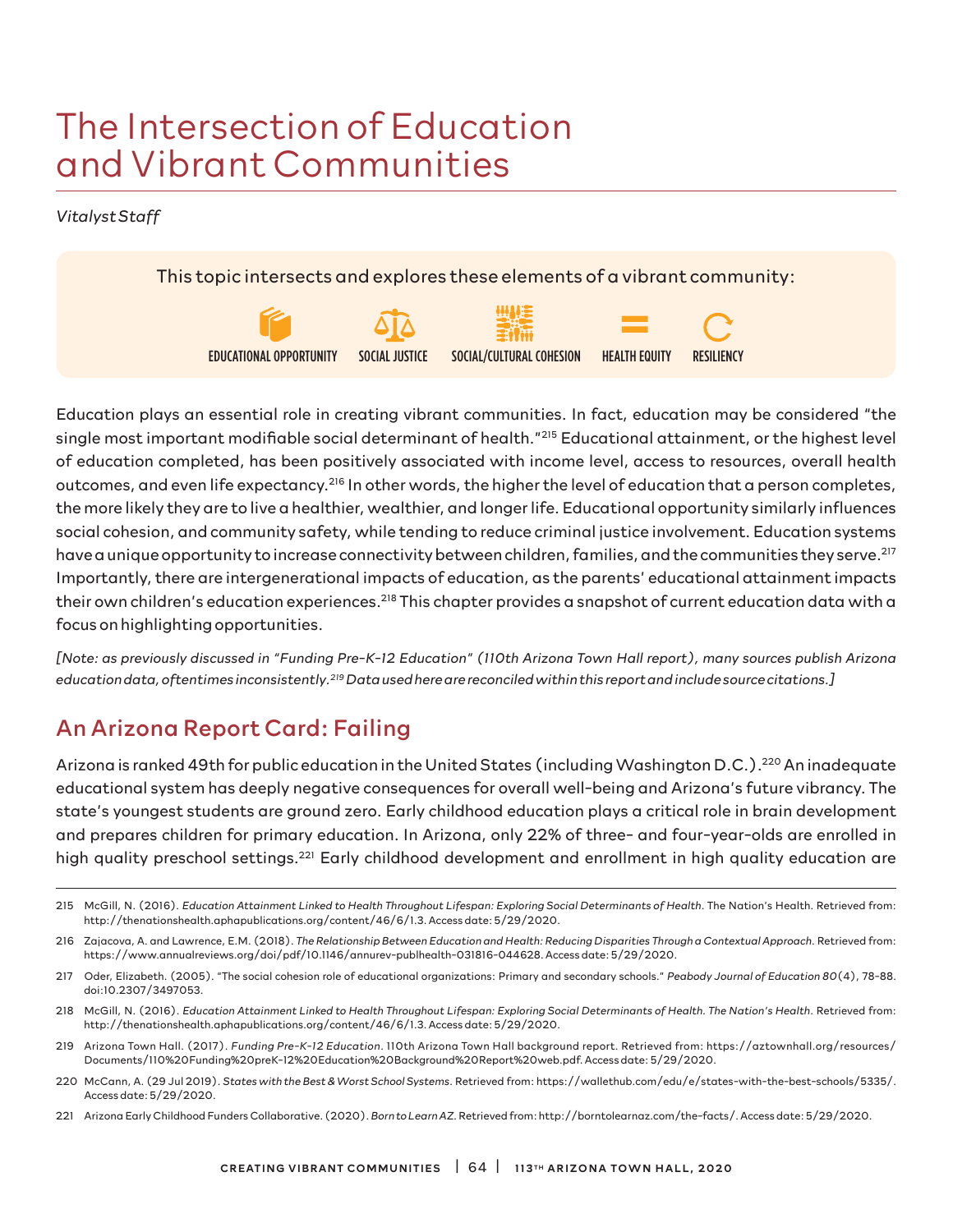# The Intersection of Education and Vibrant Communities

*Vitalyst Staff*

This topic intersects and explores these elements of a vibrant community:



Education plays an essential role in creating vibrant communities. In fact, education may be considered "the single most important modifiable social determinant of health."215 Educational attainment, or the highest level of education completed, has been positively associated with income level, access to resources, overall health outcomes, and even life expectancy.216 In other words, the higher the level of education that a person completes, the more likely they are to live a healthier, wealthier, and longer life. Educational opportunity similarly influences social cohesion, and community safety, while tending to reduce criminal justice involvement. Education systems have a unique opportunity to increase connectivity between children, families, and the communities they serve.<sup>217</sup> Importantly, there are intergenerational impacts of education, as the parents' educational attainment impacts their own children's education experiences.<sup>218</sup> This chapter provides a snapshot of current education data with a focus on highlighting opportunities.

*[Note: as previously discussed in "Funding Pre-K-12 Education" (110th Arizona Town Hall report), many sources publish Arizona education data, oftentimes inconsistently.219 Data used here are reconciled within this report and include source citations.]*

## An Arizona Report Card: Failing

Arizona is ranked 49th for public education in the United States (including Washington D.C.).220 An inadequate educational system has deeply negative consequences for overall well-being and Arizona's future vibrancy. The state's youngest students are ground zero. Early childhood education plays a critical role in brain development and prepares children for primary education. In Arizona, only 22% of three- and four-year-olds are enrolled in high quality preschool settings.<sup>221</sup> Early childhood development and enrollment in high quality education are

- 219 Arizona Town Hall. (2017). *Funding Pre-K-12 Education*. 110th Arizona Town Hall background report. Retrieved from: https://aztownhall.org/resources/ Documents/110%20Funding%20preK-12%20Education%20Background%20Report%20web.pdf. Access date: 5/29/2020.
- 220 McCann, A. (29 Jul 2019). *States with the Best & Worst School Systems*. Retrieved from: https://wallethub.com/edu/e/states-with-the-best-schools/5335/. Access date: 5/29/2020.
- 221 Arizona Early Childhood Funders Collaborative. (2020). *Born to Learn AZ*. Retrieved from: http://borntolearnaz.com/the-facts/. Access date: 5/29/2020.

<sup>215</sup> McGill, N. (2016). *Education Attainment Linked to Health Throughout Lifespan: Exploring Social Determinants of Health*. The Nation's Health. Retrieved from: http://thenationshealth.aphapublications.org/content/46/6/1.3. Access date: 5/29/2020.

<sup>216</sup> Zajacova, A. and Lawrence, E.M. (2018). *The Relationship Between Education and Health: Reducing Disparities Through a Contextual Approach*. Retrieved from: https://www.annualreviews.org/doi/pdf/10.1146/annurev-publhealth-031816-044628. Access date: 5/29/2020.

<sup>217</sup> Oder, Elizabeth. (2005). "The social cohesion role of educational organizations: Primary and secondary schools." *Peabody Journal of Education 80*(4), 78-88. doi:10.2307/3497053.

<sup>218</sup> McGill, N. (2016). *Education Attainment Linked to Health Throughout Lifespan: Exploring Social Determinants of Health. The Nation's Health*. Retrieved from: http://thenationshealth.aphapublications.org/content/46/6/1.3. Access date: 5/29/2020.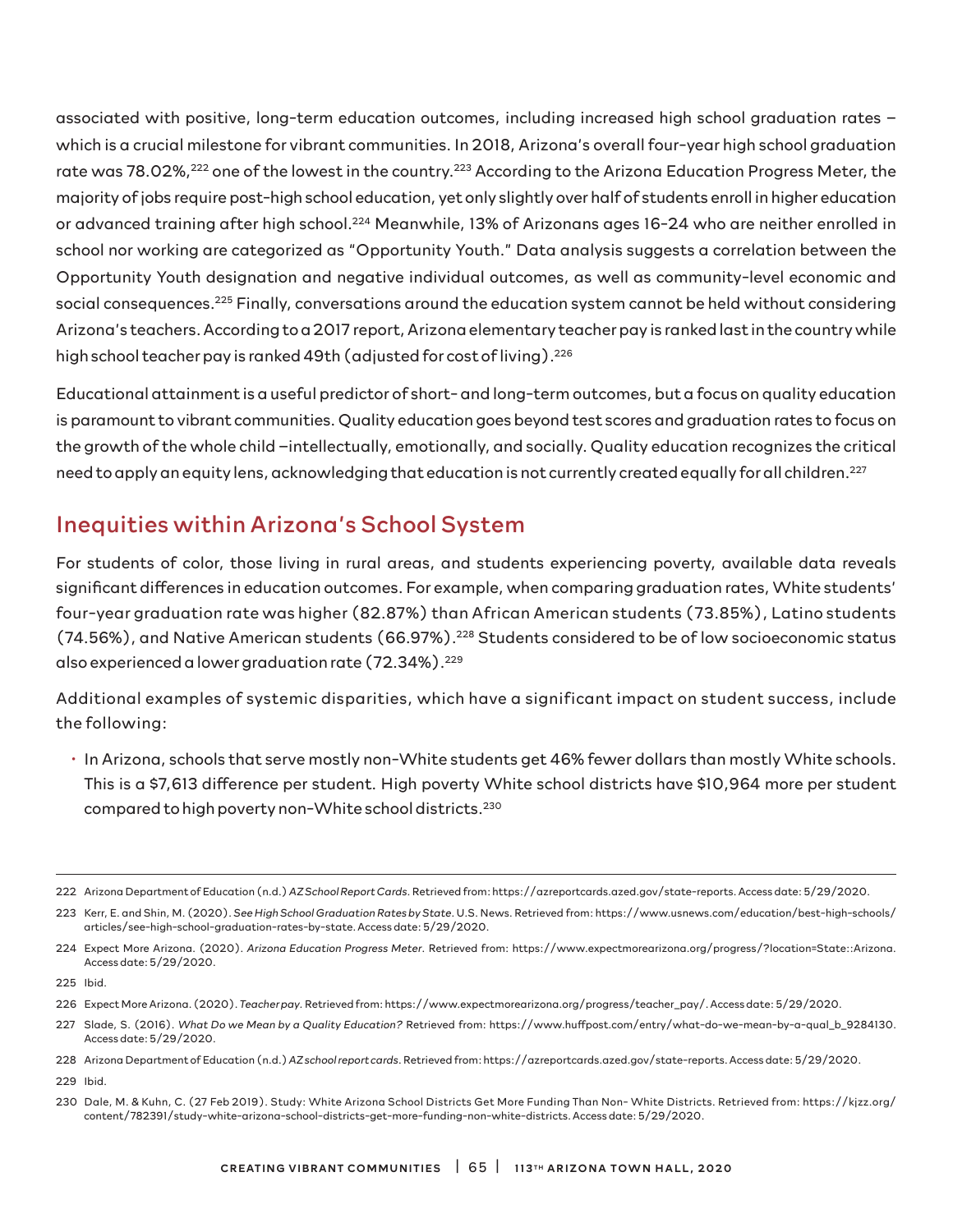associated with positive, long-term education outcomes, including increased high school graduation rates – which is a crucial milestone for vibrant communities. In 2018, Arizona's overall four-year high school graduation rate was 78.02%,<sup>222</sup> one of the lowest in the country.<sup>223</sup> According to the Arizona Education Progress Meter, the majority of jobs require post-high school education, yet only slightly over half of students enroll in higher education or advanced training after high school.224 Meanwhile, 13% of Arizonans ages 16-24 who are neither enrolled in school nor working are categorized as "Opportunity Youth." Data analysis suggests a correlation between the Opportunity Youth designation and negative individual outcomes, as well as community-level economic and social consequences.<sup>225</sup> Finally, conversations around the education system cannot be held without considering Arizona's teachers. According to a 2017 report, Arizona elementary teacher pay is ranked last in the country while high school teacher pay is ranked 49th (adjusted for cost of living).<sup>226</sup>

Educational attainment is a useful predictor of short- and long-term outcomes, but a focus on quality education is paramount to vibrant communities. Quality education goes beyond test scores and graduation rates to focus on the growth of the whole child –intellectually, emotionally, and socially. Quality education recognizes the critical need to apply an equity lens, acknowledging that education is not currently created equally for all children.<sup>227</sup>

# Inequities within Arizona's School System

For students of color, those living in rural areas, and students experiencing poverty, available data reveals significant differences in education outcomes. For example, when comparing graduation rates, White students' four-year graduation rate was higher (82.87%) than African American students (73.85%), Latino students (74.56%), and Native American students (66.97%).228 Students considered to be of low socioeconomic status also experienced a lower graduation rate (72.34%).<sup>229</sup>

Additional examples of systemic disparities, which have a significant impact on student success, include the following:

• In Arizona, schools that serve mostly non-White students get 46% fewer dollars than mostly White schools. This is a \$7,613 difference per student. High poverty White school districts have \$10,964 more per student compared to high poverty non-White school districts.230

<sup>222</sup> Arizona Department of Education (n.d.) *AZ School Report Cards.* Retrieved from: https://azreportcards.azed.gov/state-reports. Access date: 5/29/2020.

<sup>223</sup> Kerr, E. and Shin, M. (2020). *See High School Graduation Rates by State*. U.S. News. Retrieved from: https://www.usnews.com/education/best-high-schools/ articles/see-high-school-graduation-rates-by-state. Access date: 5/29/2020.

<sup>224</sup> Expect More Arizona. (2020). *Arizona Education Progress Meter*. Retrieved from: https://www.expectmorearizona.org/progress/?location=State::Arizona. Access date: 5/29/2020.

<sup>225</sup> Ibid.

<sup>226</sup> Expect More Arizona. (2020). *Teacher pay.* Retrieved from: https://www.expectmorearizona.org/progress/teacher\_pay/. Access date: 5/29/2020.

<sup>227</sup> Slade, S. (2016). *What Do we Mean by a Quality Education?* Retrieved from: https://www.huffpost.com/entry/what-do-we-mean-by-a-qual\_b\_9284130. Access date: 5/29/2020.

<sup>228</sup> Arizona Department of Education (n.d.) *AZ school report cards*. Retrieved from: https://azreportcards.azed.gov/state-reports. Access date: 5/29/2020.

<sup>229</sup> Ibid.

<sup>230</sup> Dale, M. & Kuhn, C. (27 Feb 2019). Study: White Arizona School Districts Get More Funding Than Non- White Districts. Retrieved from: https://kjzz.org/ content/782391/study-white-arizona-school-districts-get-more-funding-non-white-districts. Access date: 5/29/2020.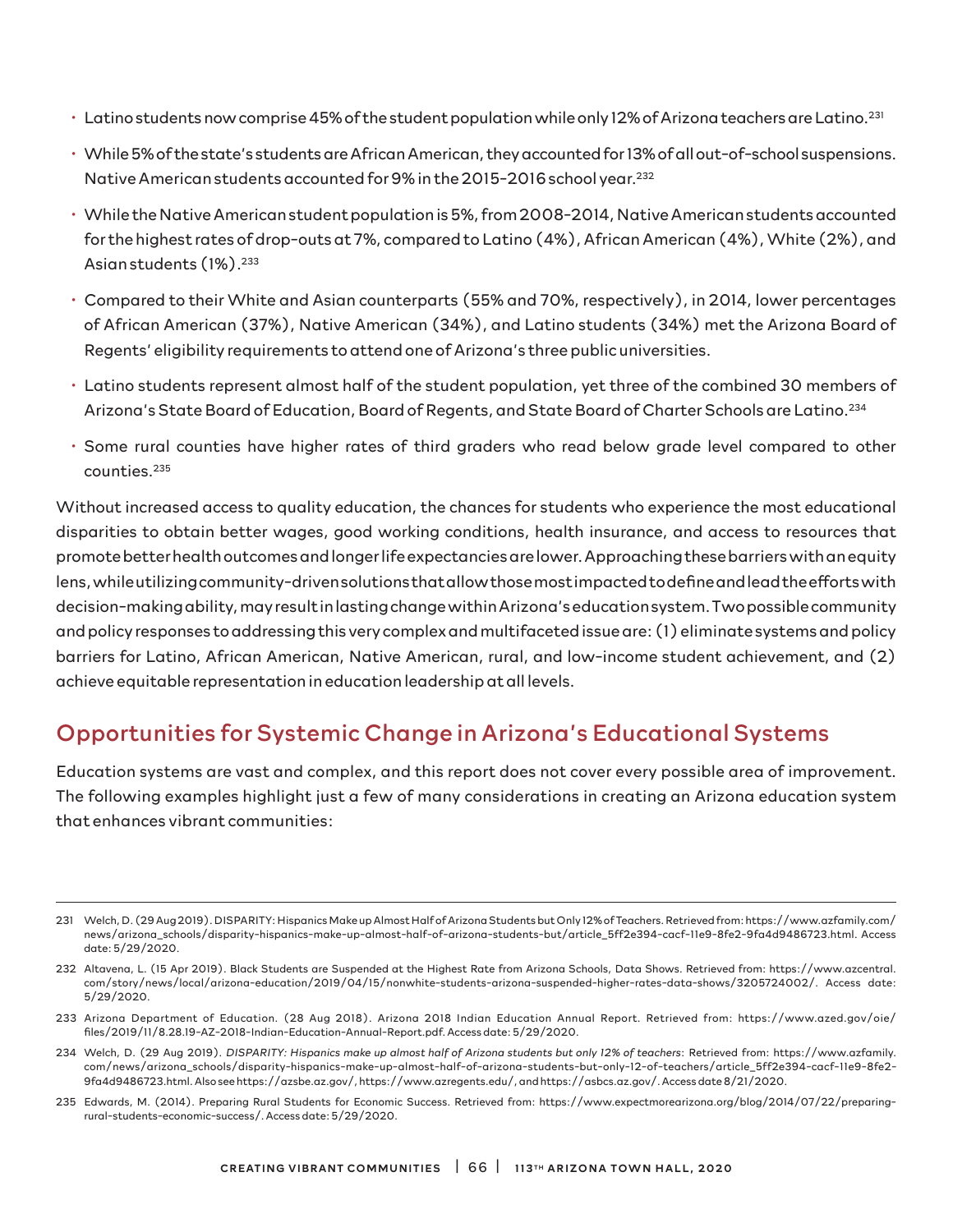- Latino students now comprise 45% of the student population while only 12% of Arizona teachers are Latino.231
- While 5% of the state's students are African American, they accounted for 13% of all out-of-school suspensions. Native American students accounted for 9% in the 2015-2016 school year.<sup>232</sup>
- While the Native American student population is 5%, from 2008-2014, Native American students accounted for the highest rates of drop-outs at 7%, compared to Latino (4%), African American (4%), White (2%), and Asian students (1%).<sup>233</sup>
- Compared to their White and Asian counterparts (55% and 70%, respectively), in 2014, lower percentages of African American (37%), Native American (34%), and Latino students (34%) met the Arizona Board of Regents' eligibility requirements to attend one of Arizona's three public universities.
- Latino students represent almost half of the student population, yet three of the combined 30 members of Arizona's State Board of Education, Board of Regents, and State Board of Charter Schools are Latino.234
- Some rural counties have higher rates of third graders who read below grade level compared to other counties.235

Without increased access to quality education, the chances for students who experience the most educational disparities to obtain better wages, good working conditions, health insurance, and access to resources that promote better health outcomes and longer life expectancies are lower. Approaching these barriers with an equity lens, while utilizing community-driven solutions that allow those most impacted to define and lead the efforts with decision-making ability, may result in lasting change within Arizona's education system. Two possible community and policy responses to addressing this very complex and multifaceted issue are: (1) eliminate systems and policy barriers for Latino, African American, Native American, rural, and low-income student achievement, and (2) achieve equitable representation in education leadership at all levels.

## Opportunities for Systemic Change in Arizona's Educational Systems

Education systems are vast and complex, and this report does not cover every possible area of improvement. The following examples highlight just a few of many considerations in creating an Arizona education system that enhances vibrant communities:

- 233 Arizona Department of Education. (28 Aug 2018). Arizona 2018 Indian Education Annual Report. Retrieved from: https://www.azed.gov/oie/ files/2019/11/8.28.19-AZ-2018-Indian-Education-Annual-Report.pdf. Access date: 5/29/2020.
- 234 Welch, D. (29 Aug 2019). *DISPARITY: Hispanics make up almost half of Arizona students but only 12% of teachers*: Retrieved from: https://www.azfamily. com/news/arizona\_schools/disparity-hispanics-make-up-almost-half-of-arizona-students-but-only-12-of-teachers/article\_5ff2e394-cacf-11e9-8fe2- 9fa4d9486723.html. Also see https://azsbe.az.gov/, https://www.azregents.edu/, and https://asbcs.az.gov/. Access date 8/21/2020.
- 235 Edwards, M. (2014). Preparing Rural Students for Economic Success. Retrieved from: https://www.expectmorearizona.org/blog/2014/07/22/preparingrural-students-economic-success/. Access date: 5/29/2020.

<sup>231</sup> Welch, D. (29 Aug 2019). DISPARITY: Hispanics Make up Almost Half of Arizona Students but Only 12% of Teachers. Retrieved from: https://www.azfamily.com/ news/arizona\_schools/disparity-hispanics-make-up-almost-half-of-arizona-students-but/article\_5ff2e394-cacf-11e9-8fe2-9fa4d9486723.html. Access date: 5/29/2020.

<sup>232</sup> Altavena, L. (15 Apr 2019). Black Students are Suspended at the Highest Rate from Arizona Schools, Data Shows. Retrieved from: https://www.azcentral. com/story/news/local/arizona-education/2019/04/15/nonwhite-students-arizona-suspended-higher-rates-data-shows/3205724002/. Access date: 5/29/2020.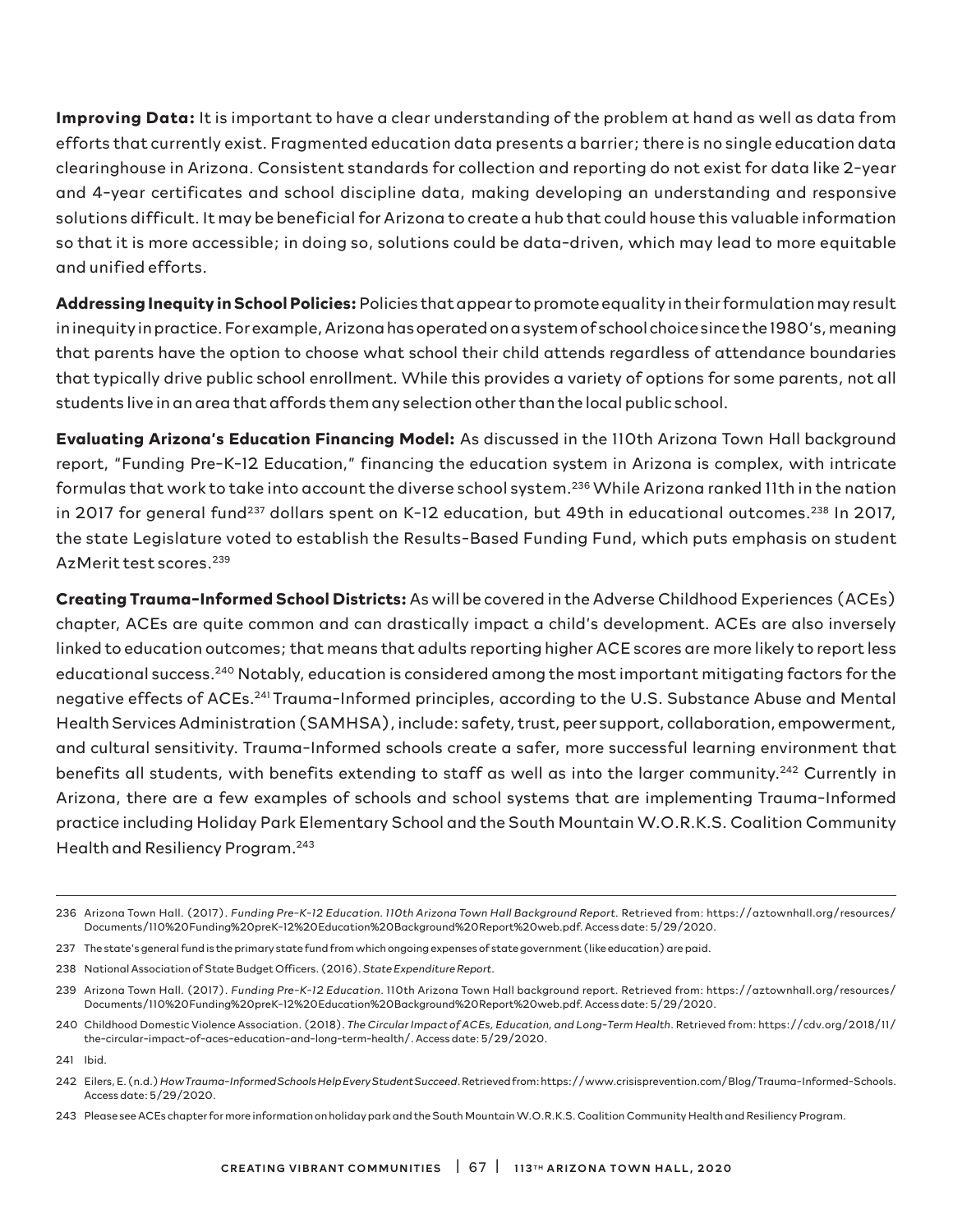**Improving Data:** It is important to have a clear understanding of the problem at hand as well as data from efforts that currently exist. Fragmented education data presents a barrier; there is no single education data clearinghouse in Arizona. Consistent standards for collection and reporting do not exist for data like 2-year and 4-year certificates and school discipline data, making developing an understanding and responsive solutions difficult. It may be beneficial for Arizona to create a hub that could house this valuable information so that it is more accessible; in doing so, solutions could be data-driven, which may lead to more equitable and unified efforts.

**Addressing Inequity in School Policies:** Policies that appear to promote equality in their formulation may result in inequity in practice. For example, Arizona has operated on a system of school choice since the 1980's, meaning that parents have the option to choose what school their child attends regardless of attendance boundaries that typically drive public school enrollment. While this provides a variety of options for some parents, not all students live in an area that affords them any selection other than the local public school.

**Evaluating Arizona's Education Financing Model:** As discussed in the 110th Arizona Town Hall background report, "Funding Pre-K-12 Education," financing the education system in Arizona is complex, with intricate formulas that work to take into account the diverse school system.236 While Arizona ranked 11th in the nation in 2017 for general fund<sup>237</sup> dollars spent on K-12 education, but 49th in educational outcomes.<sup>238</sup> In 2017, the state Legislature voted to establish the Results-Based Funding Fund, which puts emphasis on student Az Merit test scores.<sup>239</sup>

**Creating Trauma-Informed School Districts:** As will be covered in the Adverse Childhood Experiences (ACEs) chapter, ACEs are quite common and can drastically impact a child's development. ACEs are also inversely linked to education outcomes; that means that adults reporting higher ACE scores are more likely to report less educational success.240 Notably, education is considered among the most important mitigating factors for the negative effects of ACEs.241 Trauma-Informed principles, according to the U.S. Substance Abuse and Mental Health Services Administration (SAMHSA), include: safety, trust, peer support, collaboration, empowerment, and cultural sensitivity. Trauma-Informed schools create a safer, more successful learning environment that benefits all students, with benefits extending to staff as well as into the larger community.<sup>242</sup> Currently in Arizona, there are a few examples of schools and school systems that are implementing Trauma-Informed practice including Holiday Park Elementary School and the South Mountain W.O.R.K.S. Coalition Community Health and Resiliency Program.243

<sup>236</sup> Arizona Town Hall. (2017). *Funding Pre-K-12 Education. 110th Arizona Town Hall Background Report*. Retrieved from: https://aztownhall.org/resources/ Documents/110%20Funding%20preK-12%20Education%20Background%20Report%20web.pdf. Access date: 5/29/2020.

<sup>237</sup> The state's general fund is the primary state fund from which ongoing expenses of state government (like education) are paid.

<sup>238</sup> National Association of State Budget Officers. (2016). *State Expenditure Report*.

<sup>239</sup> Arizona Town Hall. (2017). *Funding Pre-K-12 Education*. 110th Arizona Town Hall background report. Retrieved from: https://aztownhall.org/resources/ Documents/110%20Funding%20preK-12%20Education%20Background%20Report%20web.pdf. Access date: 5/29/2020.

<sup>240</sup> Childhood Domestic Violence Association. (2018). *The Circular Impact of ACEs, Education, and Long-Term Health*. Retrieved from: https://cdv.org/2018/11/ the-circular-impact-of-aces-education-and-long-term-health/. Access date: 5/29/2020.

<sup>241</sup> Ibid.

<sup>242</sup> Eilers, E. (n.d.) *How Trauma-Informed Schools Help Every Student Succeed*. Retrieved from: https://www.crisisprevention.com/Blog/Trauma-Informed-Schools. Access date: 5/29/2020.

<sup>243</sup> Please see ACEs chapter for more information on holiday park and the South Mountain W.O.R.K.S. Coalition Community Health and Resiliency Program.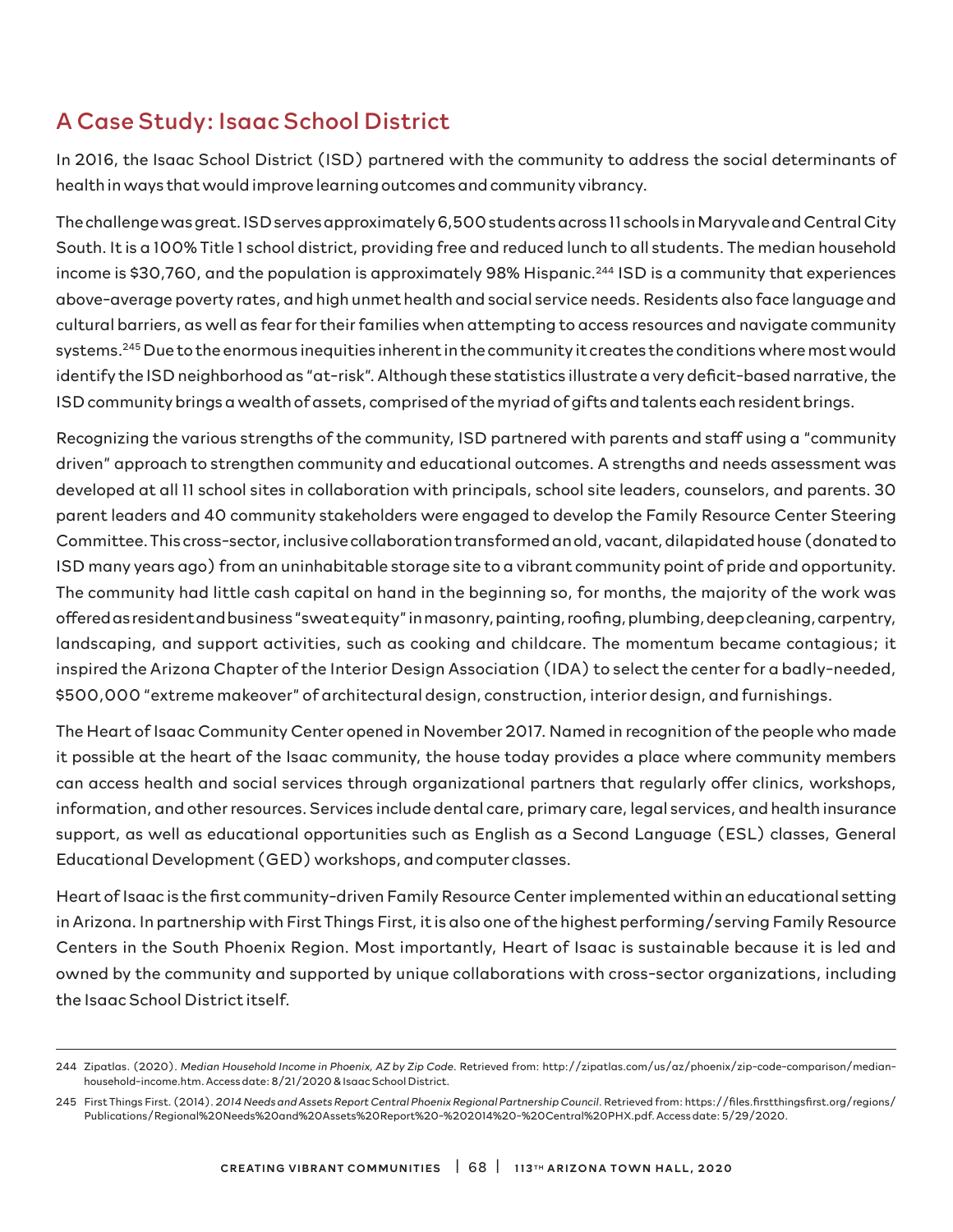# A Case Study: Isaac School District

In 2016, the Isaac School District (ISD) partnered with the community to address the social determinants of health in ways that would improve learning outcomes and community vibrancy.

The challenge was great. ISD serves approximately 6,500 students across 11 schools in Maryvale and Central City South. It is a 100% Title 1 school district, providing free and reduced lunch to all students. The median household income is \$30,760, and the population is approximately 98% Hispanic.<sup>244</sup> ISD is a community that experiences above-average poverty rates, and high unmet health and social service needs. Residents also face language and cultural barriers, as well as fear for their families when attempting to access resources and navigate community systems.<sup>245</sup> Due to the enormous inequities inherent in the community it creates the conditions where most would identify the ISD neighborhood as "at-risk". Although these statistics illustrate a very deficit-based narrative, the ISD community brings a wealth of assets, comprised of the myriad of gifts and talents each resident brings.

Recognizing the various strengths of the community, ISD partnered with parents and staff using a "community driven" approach to strengthen community and educational outcomes. A strengths and needs assessment was developed at all 11 school sites in collaboration with principals, school site leaders, counselors, and parents. 30 parent leaders and 40 community stakeholders were engaged to develop the Family Resource Center Steering Committee. This cross-sector, inclusive collaboration transformed an old, vacant, dilapidated house (donated to ISD many years ago) from an uninhabitable storage site to a vibrant community point of pride and opportunity. The community had little cash capital on hand in the beginning so, for months, the majority of the work was offered as resident and business "sweat equity" in masonry, painting, roofing, plumbing, deep cleaning, carpentry, landscaping, and support activities, such as cooking and childcare. The momentum became contagious; it inspired the Arizona Chapter of the Interior Design Association (IDA) to select the center for a badly-needed, \$500,000 "extreme makeover" of architectural design, construction, interior design, and furnishings.

The Heart of Isaac Community Center opened in November 2017. Named in recognition of the people who made it possible at the heart of the Isaac community, the house today provides a place where community members can access health and social services through organizational partners that regularly offer clinics, workshops, information, and other resources. Services include dental care, primary care, legal services, and health insurance support, as well as educational opportunities such as English as a Second Language (ESL) classes, General Educational Development (GED) workshops, and computer classes.

Heart of Isaac is the first community-driven Family Resource Center implemented within an educational setting in Arizona. In partnership with First Things First, it is also one of the highest performing/serving Family Resource Centers in the South Phoenix Region. Most importantly, Heart of Isaac is sustainable because it is led and owned by the community and supported by unique collaborations with cross-sector organizations, including the Isaac School District itself.

<sup>244</sup> Zipatlas. (2020). *Median Household Income in Phoenix, AZ by Zip Code*. Retrieved from: http://zipatlas.com/us/az/phoenix/zip-code-comparison/medianhousehold-income.htm. Access date: 8/21/2020 & Isaac School District.

<sup>245</sup> First Things First. (2014). *2014 Needs and Assets Report Central Phoenix Regional Partnership Council*. Retrieved from: https://files.firstthingsfirst.org/regions/ Publications/Regional%20Needs%20and%20Assets%20Report%20-%202014%20-%20Central%20PHX.pdf. Access date: 5/29/2020.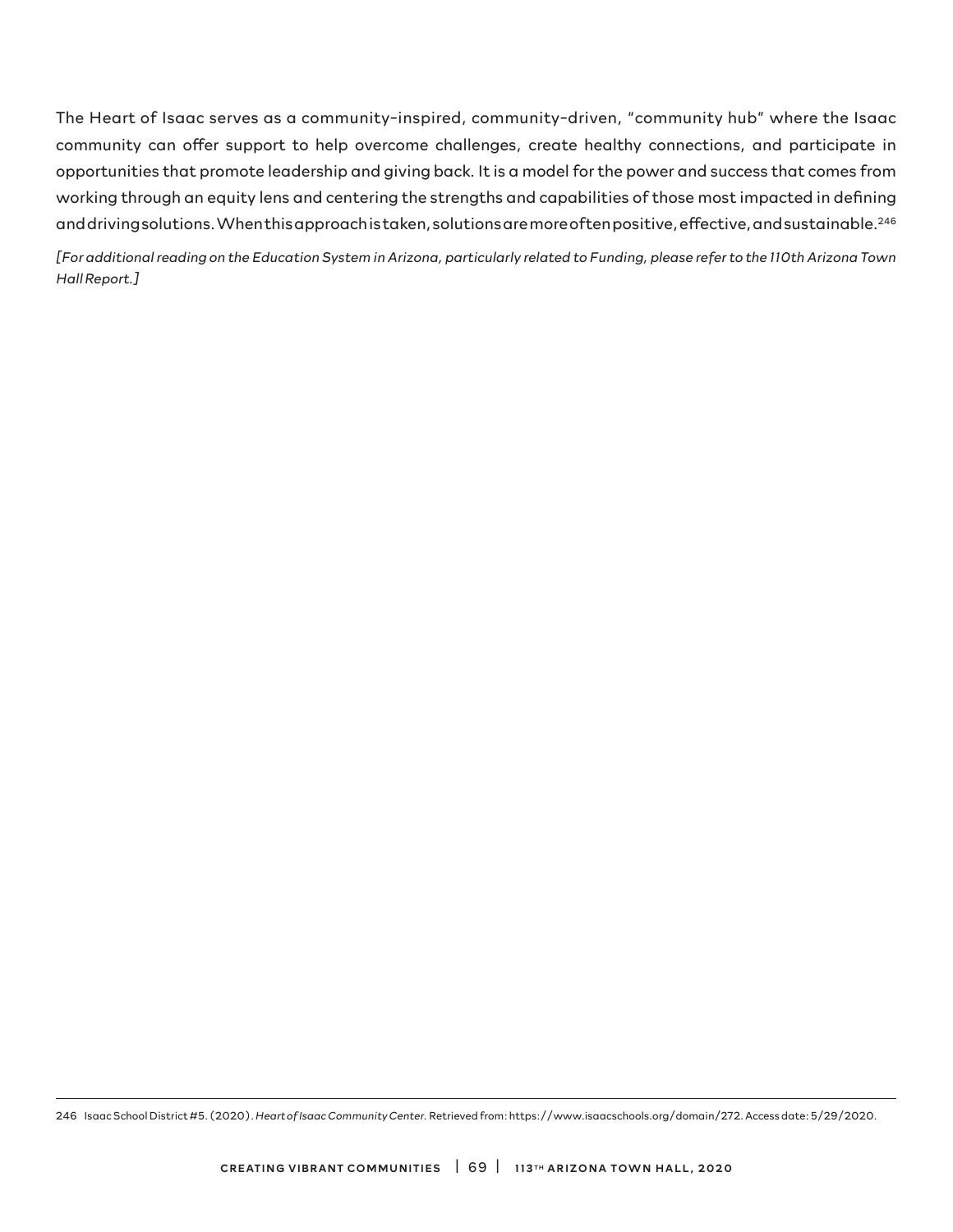The Heart of Isaac serves as a community-inspired, community-driven, "community hub" where the Isaac community can offer support to help overcome challenges, create healthy connections, and participate in opportunities that promote leadership and giving back. It is a model for the power and success that comes from working through an equity lens and centering the strengths and capabilities of those most impacted in defining and driving solutions. When this approach is taken, solutions are more often positive, effective, and sustainable.<sup>246</sup>

*[For additional reading on the Education System in Arizona, particularly related to Funding, please refer to the 110th Arizona Town Hall Report.]*

246 Isaac School District #5. (2020). *Heart of Isaac Community Center.* Retrieved from: https://www.isaacschools.org/domain/272. Access date: 5/29/2020.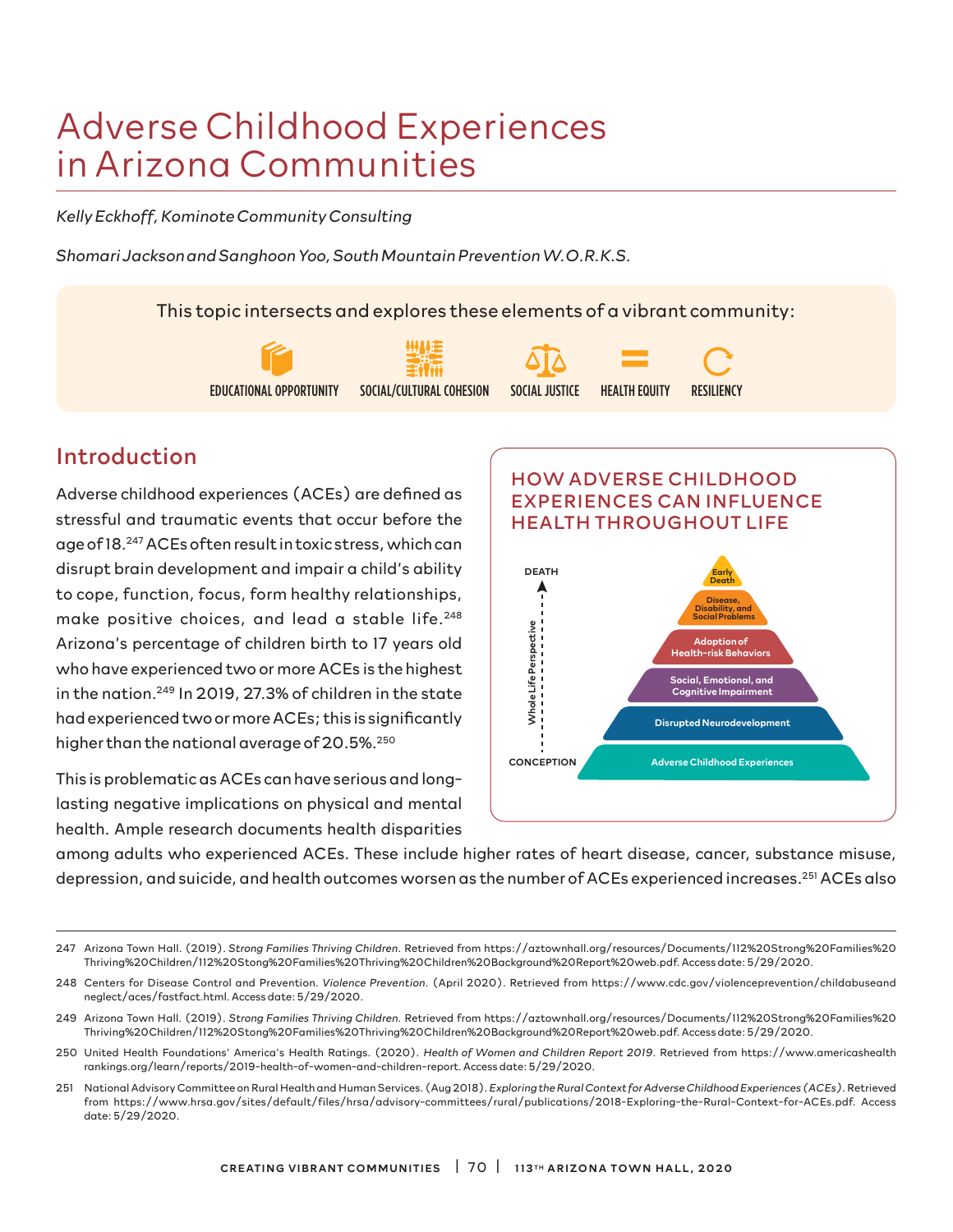# Adverse Childhood Experiences in Arizona Communities

*Kelly Eckhoff, Kominote Community Consulting*

*Shomari Jackson and Sanghoon Yoo, South Mountain Prevention W.O.R.K.S.*

This topic intersects and explores these elements of a vibrant community:



# Introduction

Adverse childhood experiences (ACEs) are defined as stressful and traumatic events that occur before the age of 18.247 ACEs often result in toxic stress, which can disrupt brain development and impair a child's ability to cope, function, focus, form healthy relationships, make positive choices, and lead a stable life.<sup>248</sup> Arizona's percentage of children birth to 17 years old who have experienced two or more ACEs is the highest in the nation.<sup>249</sup> In 2019, 27.3% of children in the state had experienced two or more ACEs; this is significantly higher than the national average of 20.5%.<sup>250</sup>

This is problematic as ACEs can have serious and longlasting negative implications on physical and mental health. Ample research documents health disparities



among adults who experienced ACEs. These include higher rates of heart disease, cancer, substance misuse, depression, and suicide, and health outcomes worsen as the number of ACEs experienced increases.251 ACEs also

- 249 Arizona Town Hall. (2019). *Strong Families Thriving Children.* Retrieved from https://aztownhall.org/resources/Documents/112%20Strong%20Families%20 Thriving%20Children/112%20Stong%20Families%20Thriving%20Children%20Background%20Report%20web.pdf. Access date: 5/29/2020.
- 250 United Health Foundations' America's Health Ratings. (2020). *Health of Women and Children Report 2019*. Retrieved from https://www.americashealth rankings.org/learn/reports/2019-health-of-women-and-children-report. Access date: 5/29/2020.
- 251 National Advisory Committee on Rural Health and Human Services. (Aug 2018). *Exploring the Rural Context for Adverse Childhood Experiences (ACEs)*. Retrieved from https://www.hrsa.gov/sites/default/files/hrsa/advisory-committees/rural/publications/2018-Exploring-the-Rural-Context-for-ACEs.pdf. Access date: 5/29/2020.

<sup>247</sup> Arizona Town Hall. (2019). *Strong Families Thriving Children*. Retrieved from https://aztownhall.org/resources/Documents/112%20Strong%20Families%20 Thriving%20Children/112%20Stong%20Families%20Thriving%20Children%20Background%20Report%20web.pdf. Access date: 5/29/2020.

<sup>248</sup> Centers for Disease Control and Prevention. *Violence Prevention.* (April 2020). Retrieved from https://www.cdc.gov/violenceprevention/childabuseand neglect/aces/fastfact.html. Access date: 5/29/2020.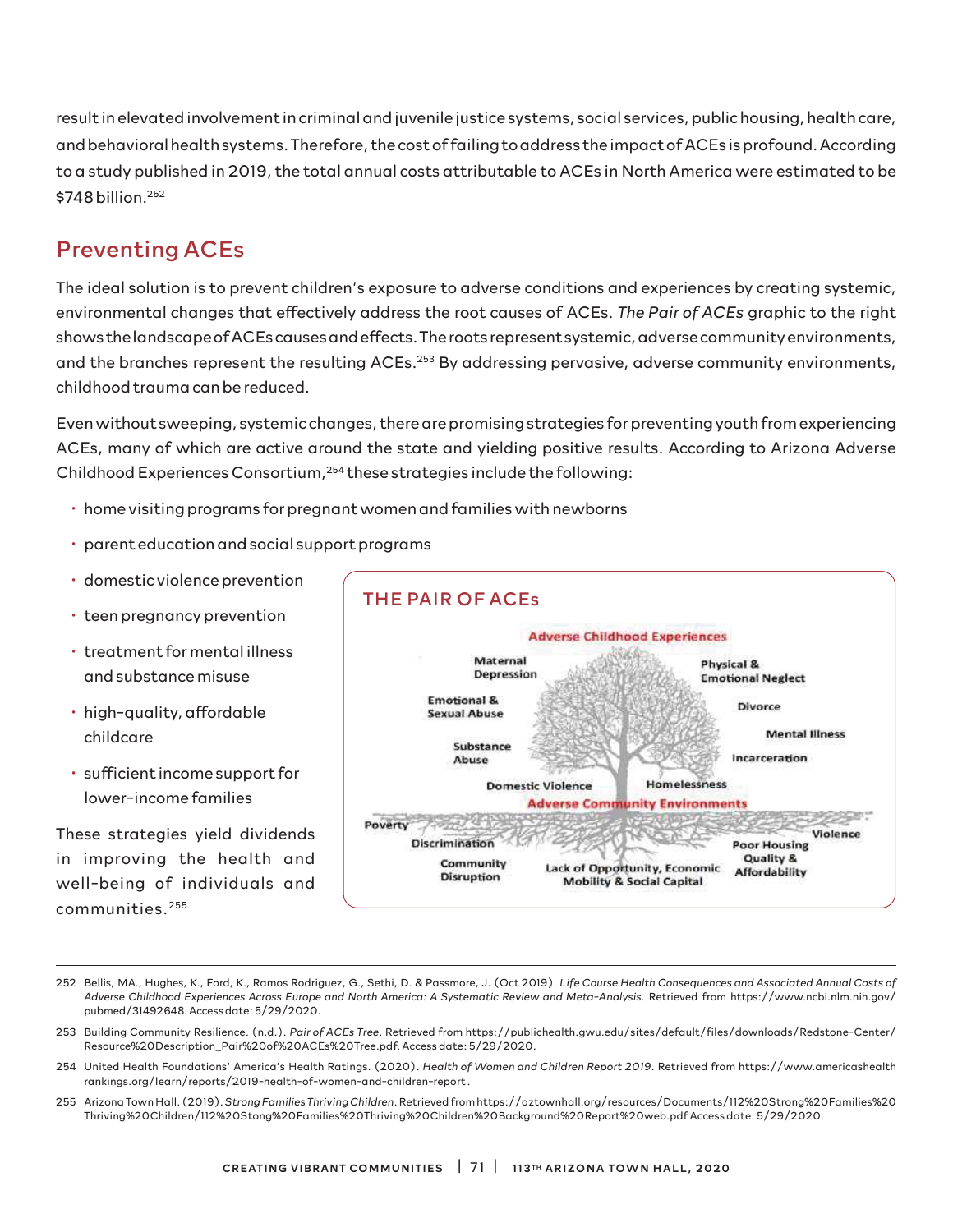result in elevated involvement in criminal and juvenile justice systems, social services, public housing, health care, and behavioral health systems. Therefore, the cost of failing to address the impact of ACEs is profound. According to a study published in 2019, the total annual costs attributable to ACEs in North America were estimated to be \$748 billion.<sup>252</sup>

### Preventing ACEs

The ideal solution is to prevent children's exposure to adverse conditions and experiences by creating systemic, environmental changes that effectively address the root causes of ACEs. *The Pair of ACEs* graphic to the right shows the landscape of ACEs causes and effects. The roots represent systemic, adverse community environments, and the branches represent the resulting ACEs.<sup>253</sup> By addressing pervasive, adverse community environments, childhood trauma can be reduced.

Even without sweeping, systemic changes, there are promising strategies for preventing youth from experiencing ACEs, many of which are active around the state and yielding positive results. According to Arizona Adverse Childhood Experiences Consortium,254 these strategies include the following:

- home visiting programs for pregnant women and families with newborns
- parent education and social support programs
- domestic violence prevention
- teen pregnancy prevention
- treatment for mental illness and substance misuse
- high-quality, affordable childcare
- sufficient income support for lower-income families

These strategies yield dividends in improving the health and well-being of individuals and communities.255



<sup>252</sup> Bellis, MA., Hughes, K., Ford, K., Ramos Rodriguez, G., Sethi, D. & Passmore, J. (Oct 2019). *Life Course Health Consequences and Associated Annual Costs of Adverse Childhood Experiences Across Europe and North America: A Systematic Review and Meta-Analysis*. Retrieved from https://www.ncbi.nlm.nih.gov/ pubmed/31492648. Access date: 5/29/2020.

- 253 Building Community Resilience. (n.d.). *Pair of ACEs Tree*. Retrieved from https://publichealth.gwu.edu/sites/default/files/downloads/Redstone-Center/ Resource%20Description\_Pair%20of%20ACEs%20Tree.pdf. Access date: 5/29/2020.
- 254 United Health Foundations' America's Health Ratings. (2020). *Health of Women and Children Report 2019*. Retrieved from https://www.americashealth rankings.org/learn/reports/2019-health-of-women-and-children-report .
- 255 Arizona Town Hall. (2019). *Strong Families Thriving Children*. Retrieved from https://aztownhall.org/resources/Documents/112%20Strong%20Families%20 Thriving%20Children/112%20Stong%20Families%20Thriving%20Children%20Background%20Report%20web.pdf Access date: 5/29/2020.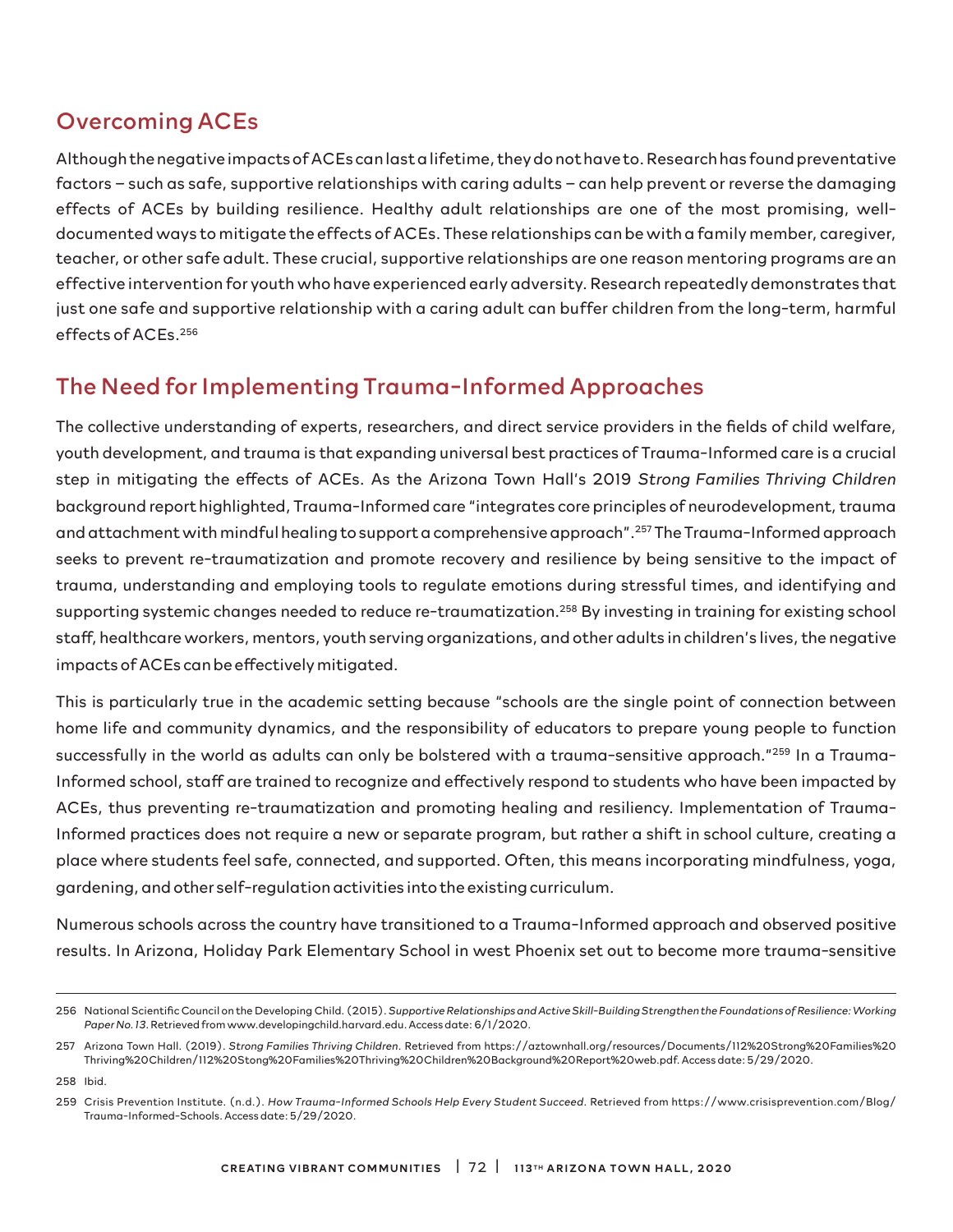# Overcoming ACEs

Although the negative impacts of ACEs can last a lifetime, they do not have to. Research has found preventative factors – such as safe, supportive relationships with caring adults – can help prevent or reverse the damaging effects of ACEs by building resilience. Healthy adult relationships are one of the most promising, welldocumented ways to mitigate the effects of ACEs. These relationships can be with a family member, caregiver, teacher, or other safe adult. These crucial, supportive relationships are one reason mentoring programs are an effective intervention for youth who have experienced early adversity. Research repeatedly demonstrates that just one safe and supportive relationship with a caring adult can buffer children from the long-term, harmful effects of ACEs.256

# The Need for Implementing Trauma-Informed Approaches

The collective understanding of experts, researchers, and direct service providers in the fields of child welfare, youth development, and trauma is that expanding universal best practices of Trauma-Informed care is a crucial step in mitigating the effects of ACEs. As the Arizona Town Hall's 2019 *Strong Families Thriving Children*  background report highlighted, Trauma-Informed care "integrates core principles of neurodevelopment, trauma and attachment with mindful healing to support a comprehensive approach".257 The Trauma-Informed approach seeks to prevent re-traumatization and promote recovery and resilience by being sensitive to the impact of trauma, understanding and employing tools to regulate emotions during stressful times, and identifying and supporting systemic changes needed to reduce re-traumatization.<sup>258</sup> By investing in training for existing school staff, healthcare workers, mentors, youth serving organizations, and other adults in children's lives, the negative impacts of ACEs can be effectively mitigated.

This is particularly true in the academic setting because "schools are the single point of connection between home life and community dynamics, and the responsibility of educators to prepare young people to function successfully in the world as adults can only be bolstered with a trauma-sensitive approach."<sup>259</sup> In a Trauma-Informed school, staff are trained to recognize and effectively respond to students who have been impacted by ACEs, thus preventing re-traumatization and promoting healing and resiliency. Implementation of Trauma-Informed practices does not require a new or separate program, but rather a shift in school culture, creating a place where students feel safe, connected, and supported. Often, this means incorporating mindfulness, yoga, gardening, and other self-regulation activities into the existing curriculum.

Numerous schools across the country have transitioned to a Trauma-Informed approach and observed positive results. In Arizona, Holiday Park Elementary School in west Phoenix set out to become more trauma-sensitive

<sup>256</sup> National Scientific Council on the Developing Child. (2015). *Supportive Relationships and Active Skill-Building Strengthen the Foundations of Resilience: Working Paper No. 13*. Retrieved from www.developingchild.harvard.edu. Access date: 6/1/2020.

<sup>257</sup> Arizona Town Hall. (2019). *Strong Families Thriving Children*. Retrieved from https://aztownhall.org/resources/Documents/112%20Strong%20Families%20 Thriving%20Children/112%20Stong%20Families%20Thriving%20Children%20Background%20Report%20web.pdf. Access date: 5/29/2020.

<sup>258</sup> Ibid.

<sup>259</sup> Crisis Prevention Institute. (n.d.). *How Trauma-Informed Schools Help Every Student Succeed*. Retrieved from https://www.crisisprevention.com/Blog/ Trauma-Informed-Schools. Access date: 5/29/2020.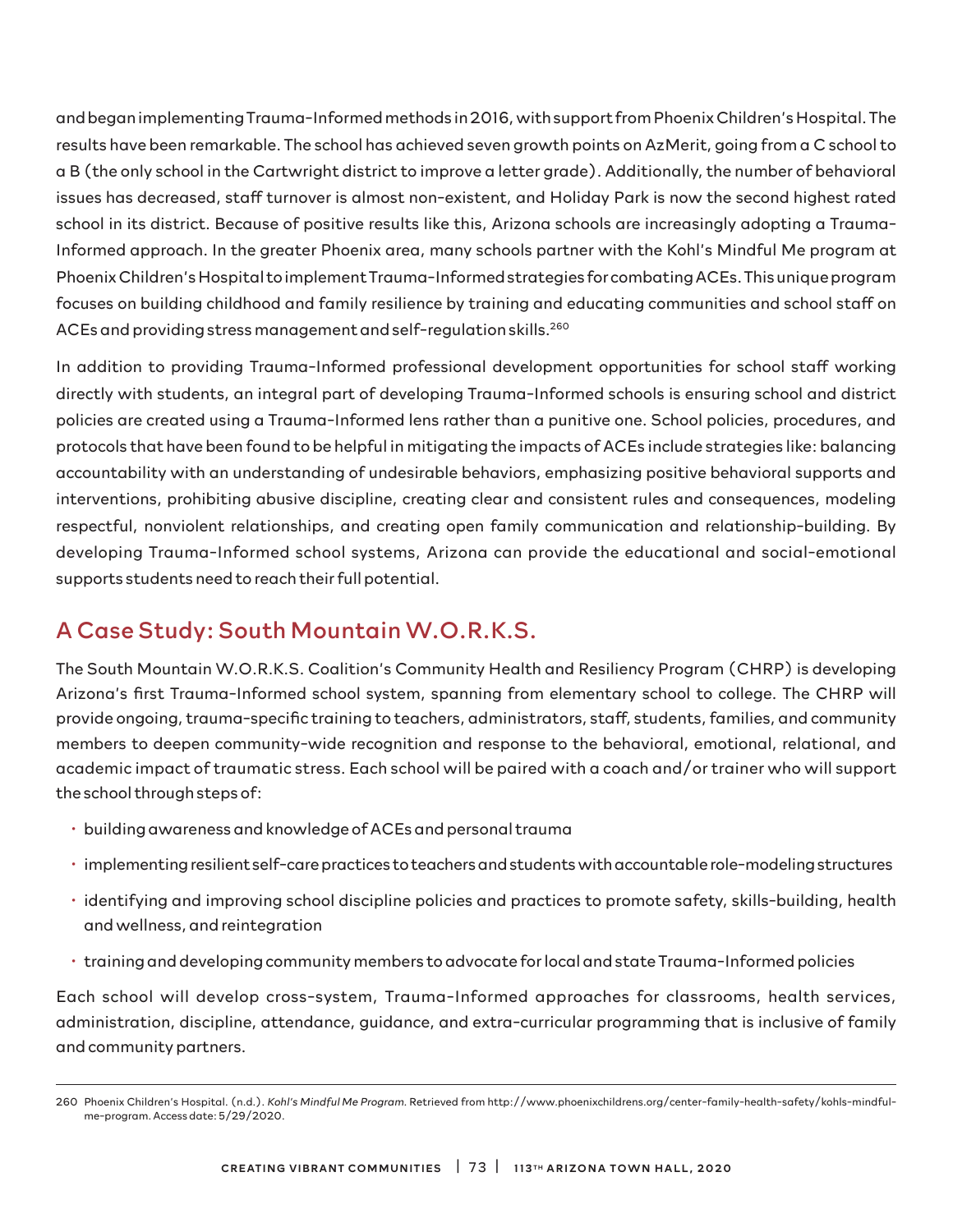and began implementing Trauma-Informed methods in 2016, with support from Phoenix Children's Hospital. The results have been remarkable. The school has achieved seven growth points on AzMerit, going from a C school to a B (the only school in the Cartwright district to improve a letter grade). Additionally, the number of behavioral issues has decreased, staff turnover is almost non-existent, and Holiday Park is now the second highest rated school in its district. Because of positive results like this, Arizona schools are increasingly adopting a Trauma-Informed approach. In the greater Phoenix area, many schools partner with the Kohl's Mindful Me program at Phoenix Children's Hospital to implement Trauma-Informed strategies for combating ACEs. This unique program focuses on building childhood and family resilience by training and educating communities and school staff on ACEs and providing stress management and self-regulation skills.260

In addition to providing Trauma-Informed professional development opportunities for school staff working directly with students, an integral part of developing Trauma-Informed schools is ensuring school and district policies are created using a Trauma-Informed lens rather than a punitive one. School policies, procedures, and protocols that have been found to be helpful in mitigating the impacts of ACEs include strategies like: balancing accountability with an understanding of undesirable behaviors, emphasizing positive behavioral supports and interventions, prohibiting abusive discipline, creating clear and consistent rules and consequences, modeling respectful, nonviolent relationships, and creating open family communication and relationship-building. By developing Trauma-Informed school systems, Arizona can provide the educational and social-emotional supports students need to reach their full potential.

### A Case Study: South Mountain W.O.R.K.S.

The South Mountain W.O.R.K.S. Coalition's Community Health and Resiliency Program (CHRP) is developing Arizona's first Trauma-Informed school system, spanning from elementary school to college. The CHRP will provide ongoing, trauma-specific training to teachers, administrators, staff, students, families, and community members to deepen community-wide recognition and response to the behavioral, emotional, relational, and academic impact of traumatic stress. Each school will be paired with a coach and/or trainer who will support the school through steps of:

- building awareness and knowledge of ACEs and personal trauma
- implementing resilient self-care practices to teachers and students with accountable role-modeling structures
- identifying and improving school discipline policies and practices to promote safety, skills-building, health and wellness, and reintegration
- training and developing community members to advocate for local and state Trauma-Informed policies

Each school will develop cross-system, Trauma-Informed approaches for classrooms, health services, administration, discipline, attendance, guidance, and extra-curricular programming that is inclusive of family and community partners.

<sup>260</sup> Phoenix Children's Hospital. (n.d.). *Kohl's Mindful Me Program.* Retrieved from http://www.phoenixchildrens.org/center-family-health-safety/kohls-mindfulme-program. Access date: 5/29/2020.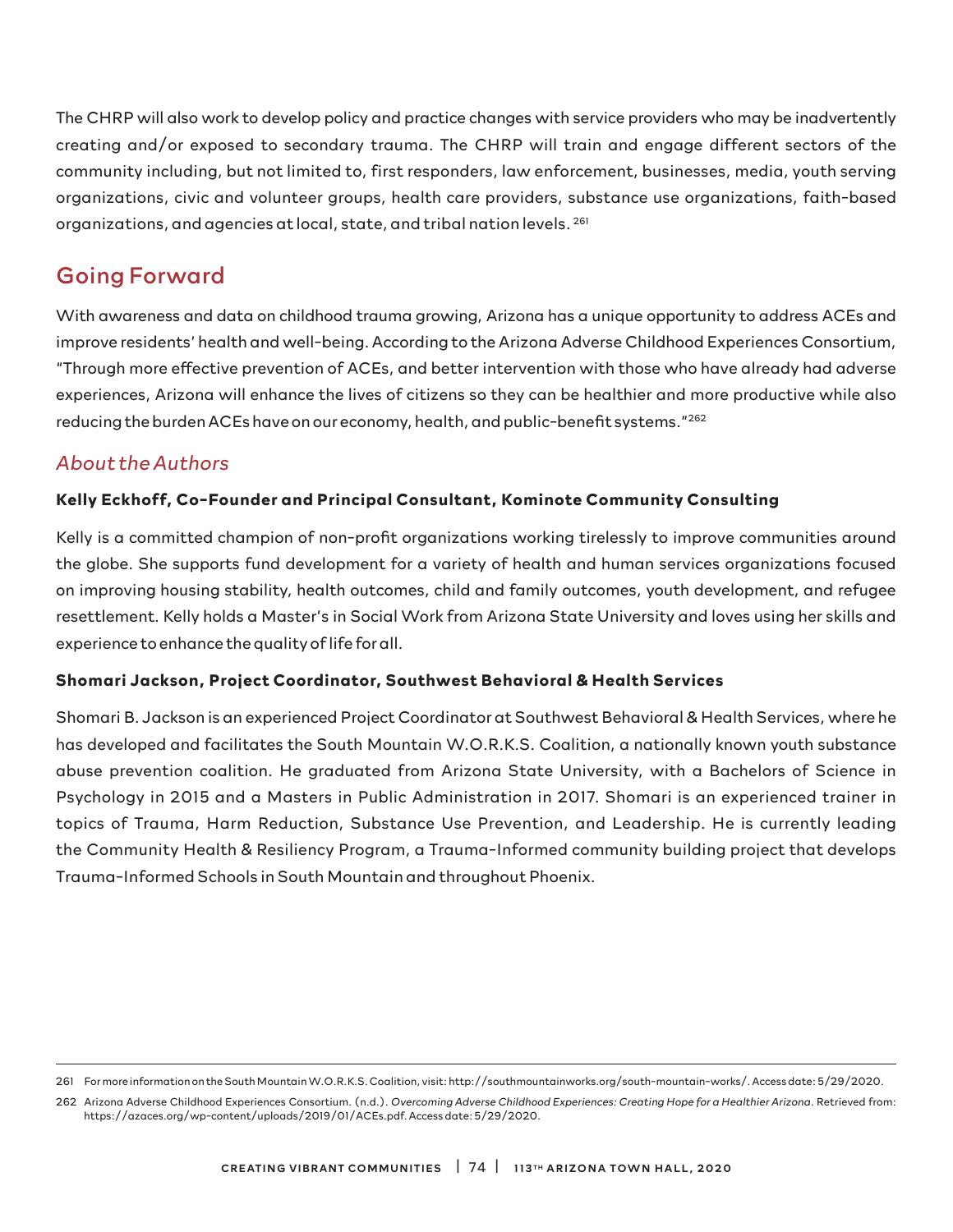The CHRP will also work to develop policy and practice changes with service providers who may be inadvertently creating and/or exposed to secondary trauma. The CHRP will train and engage different sectors of the community including, but not limited to, first responders, law enforcement, businesses, media, youth serving organizations, civic and volunteer groups, health care providers, substance use organizations, faith-based organizations, and agencies at local, state, and tribal nation levels. 261

### Going Forward

With awareness and data on childhood trauma growing, Arizona has a unique opportunity to address ACEs and improve residents' health and well-being. According to the Arizona Adverse Childhood Experiences Consortium, "Through more effective prevention of ACEs, and better intervention with those who have already had adverse experiences, Arizona will enhance the lives of citizens so they can be healthier and more productive while also reducing the burden ACEs have on our economy, health, and public-benefit systems."<sup>262</sup>

### *About the Authors*

#### **Kelly Eckhoff, Co-Founder and Principal Consultant, Kominote Community Consulting**

Kelly is a committed champion of non-profit organizations working tirelessly to improve communities around the globe. She supports fund development for a variety of health and human services organizations focused on improving housing stability, health outcomes, child and family outcomes, youth development, and refugee resettlement. Kelly holds a Master's in Social Work from Arizona State University and loves using her skills and experience to enhance the quality of life for all.

#### **Shomari Jackson, Project Coordinator, Southwest Behavioral & Health Services**

Shomari B. Jackson is an experienced Project Coordinator at Southwest Behavioral & Health Services, where he has developed and facilitates the South Mountain W.O.R.K.S. Coalition, a nationally known youth substance abuse prevention coalition. He graduated from Arizona State University, with a Bachelors of Science in Psychology in 2015 and a Masters in Public Administration in 2017. Shomari is an experienced trainer in topics of Trauma, Harm Reduction, Substance Use Prevention, and Leadership. He is currently leading the Community Health & Resiliency Program, a Trauma-Informed community building project that develops Trauma-Informed Schools in South Mountain and throughout Phoenix.

<sup>261</sup> For more information on the South Mountain W.O.R.K.S. Coalition, visit: http://southmountainworks.org/south-mountain-works/. Access date: 5/29/2020.

<sup>262</sup> Arizona Adverse Childhood Experiences Consortium. (n.d.). *Overcoming Adverse Childhood Experiences: Creating Hope for a Healthier Arizona*. Retrieved from: https://azaces.org/wp-content/uploads/2019/01/ACEs.pdf. Access date: 5/29/2020.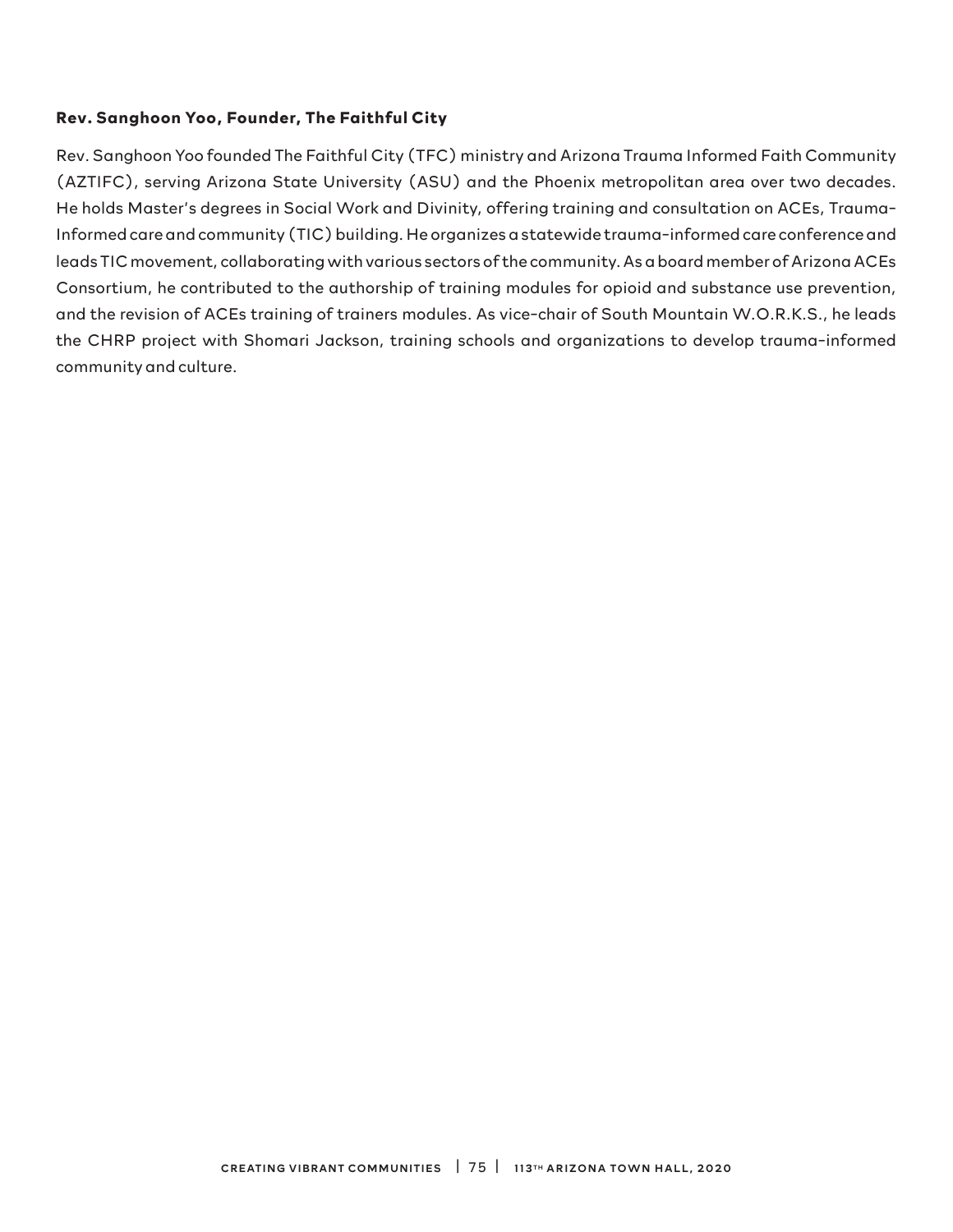#### **Rev. Sanghoon Yoo, Founder, The Faithful City**

Rev. Sanghoon Yoo founded The Faithful City (TFC) ministry and Arizona Trauma Informed Faith Community (AZTIFC), serving Arizona State University (ASU) and the Phoenix metropolitan area over two decades. He holds Master's degrees in Social Work and Divinity, offering training and consultation on ACEs, Trauma-Informed care and community (TIC) building. He organizes a statewide trauma-informed care conference and leads TIC movement, collaborating with various sectors of the community. As a board member of Arizona ACEs Consortium, he contributed to the authorship of training modules for opioid and substance use prevention, and the revision of ACEs training of trainers modules. As vice-chair of South Mountain W.O.R.K.S., he leads the CHRP project with Shomari Jackson, training schools and organizations to develop trauma-informed community and culture.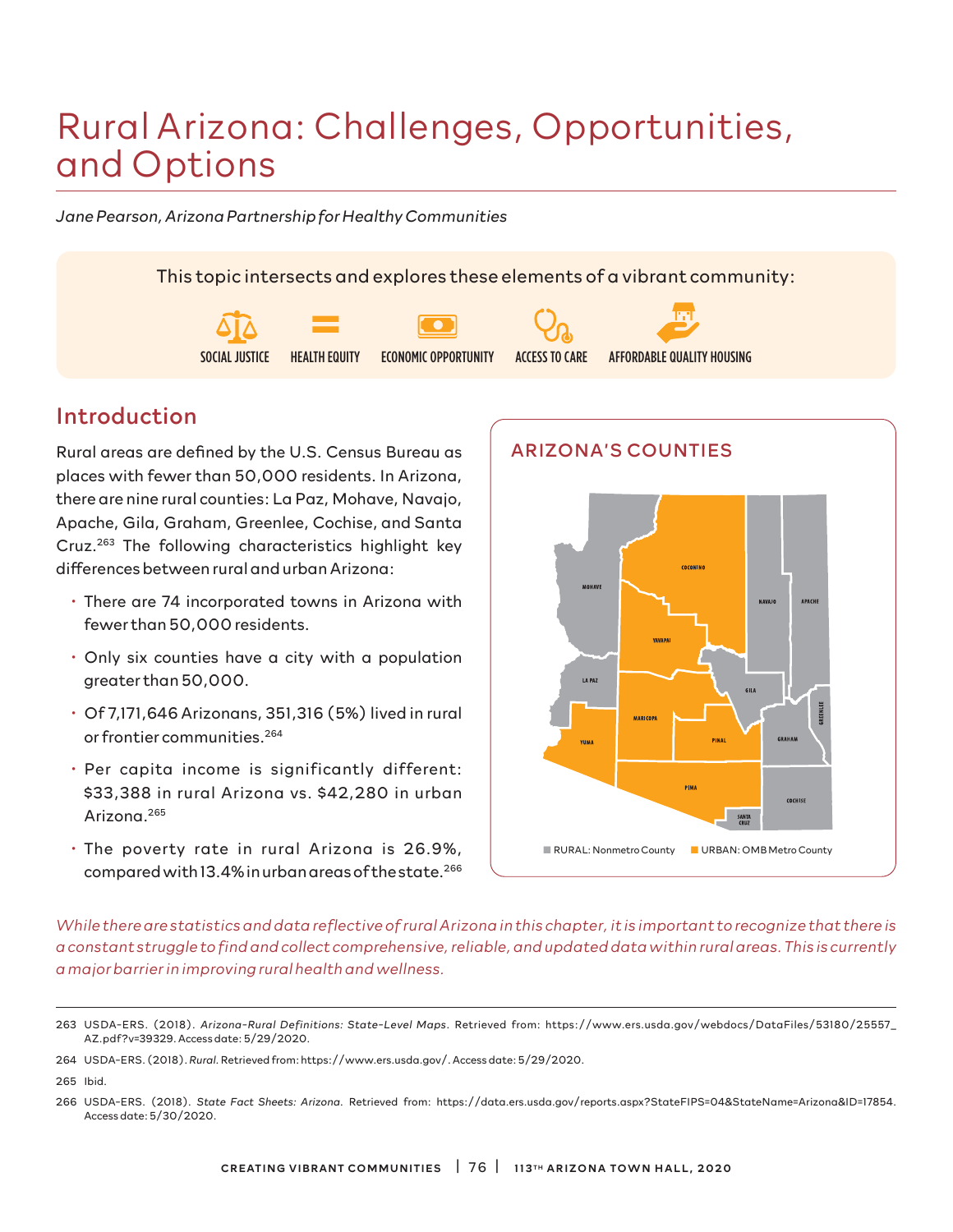# Rural Arizona: Challenges, Opportunities, and Options

*Jane Pearson, Arizona Partnership for Healthy Communities*

This topic intersects and explores these elements of a vibrant community:



### Introduction

Rural areas are defined by the U.S. Census Bureau as places with fewer than 50,000 residents. In Arizona, there are nine rural counties: La Paz, Mohave, Navajo, Apache, Gila, Graham, Greenlee, Cochise, and Santa Cruz.263 The following characteristics highlight key differences between rural and urban Arizona:

- There are 74 incorporated towns in Arizona with fewer than 50,000 residents.
- Only six counties have a city with a population greater than 50,000.
- Of 7,171,646 Arizonans, 351,316 (5%) lived in rural or frontier communities.264
- Per capita income is significantly different: \$33,388 in rural Arizona vs. \$42,280 in urban Arizona.265
- The poverty rate in rural Arizona is 26.9%, compared with 13.4% in urban areas of the state.<sup>266</sup>



*While there are statistics and data reflective of rural Arizona in this chapter, it is important to recognize that there is a constant struggle to find and collect comprehensive, reliable, and updated data within rural areas. This is currently a major barrier in improving rural health and wellness.*

265 Ibid.

<sup>263</sup> USDA-ERS. (2018). *Arizona-Rural Definitions: State-Level Maps*. Retrieved from: https://www.ers.usda.gov/webdocs/DataFiles/53180/25557\_ AZ.pdf?v=39329. Access date: 5/29/2020.

<sup>264</sup> USDA-ERS. (2018). *Rural.* Retrieved from: https://www.ers.usda.gov/. Access date: 5/29/2020.

<sup>266</sup> USDA-ERS. (2018). *State Fact Sheets: Arizona*. Retrieved from: https://data.ers.usda.gov/reports.aspx?StateFIPS=04&StateName=Arizona&ID=17854. Access date: 5/30/2020.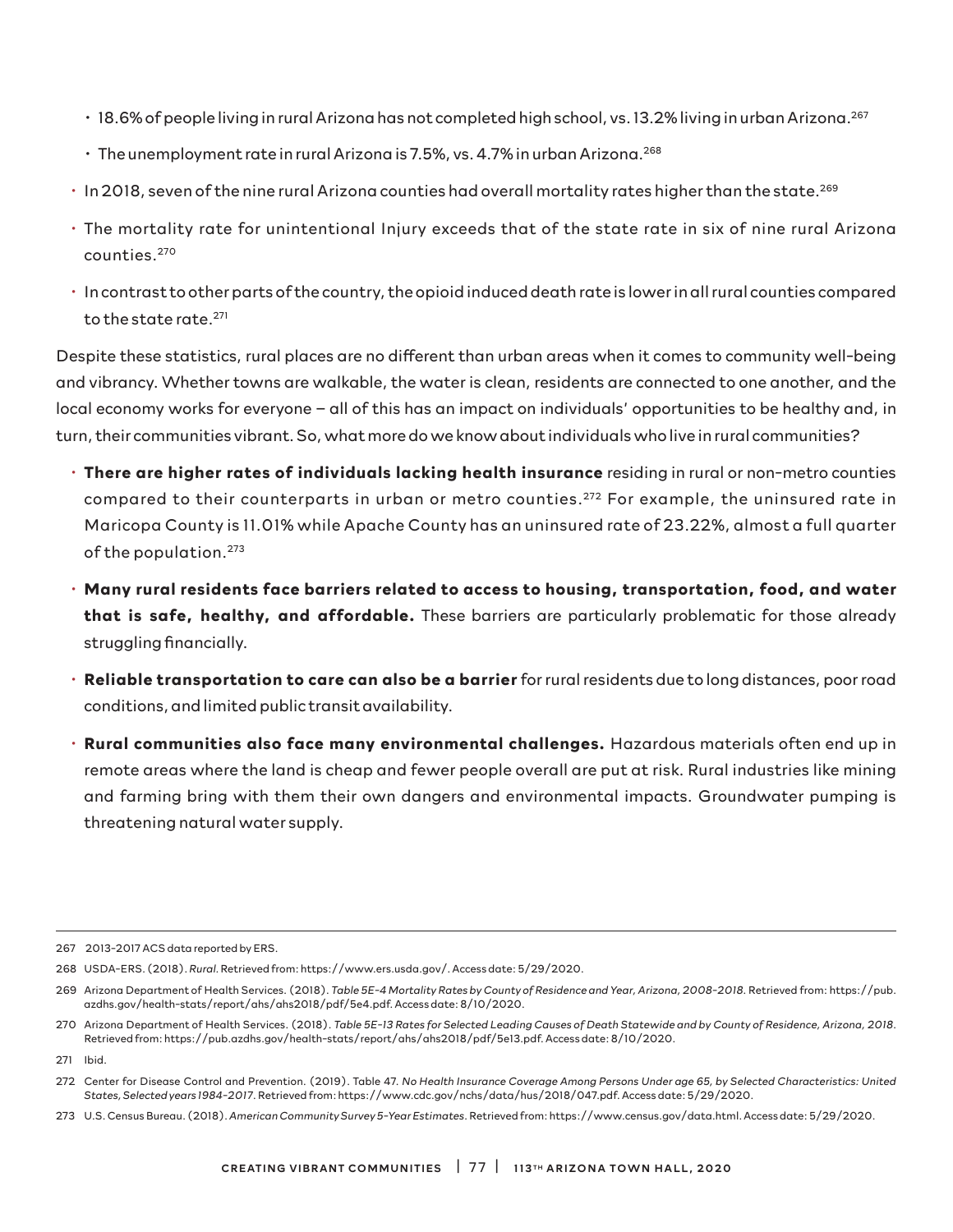- 18.6% of people living in rural Arizona has not completed high school, vs. 13.2% living in urban Arizona.267
- $\cdot$  The unemployment rate in rural Arizona is 7.5%, vs. 4.7% in urban Arizona.<sup>268</sup>
- In 2018, seven of the nine rural Arizona counties had overall mortality rates higher than the state.269
- The mortality rate for unintentional Injury exceeds that of the state rate in six of nine rural Arizona counties.270
- In contrast to other parts of the country, the opioid induced death rate is lower in all rural counties compared to the state rate.271

Despite these statistics, rural places are no different than urban areas when it comes to community well-being and vibrancy. Whether towns are walkable, the water is clean, residents are connected to one another, and the local economy works for everyone – all of this has an impact on individuals' opportunities to be healthy and, in turn, their communities vibrant. So, what more do we know about individuals who live in rural communities?

- **There are higher rates of individuals lacking health insurance** residing in rural or non-metro counties compared to their counterparts in urban or metro counties.<sup>272</sup> For example, the uninsured rate in Maricopa County is 11.01% while Apache County has an uninsured rate of 23.22%, almost a full quarter of the population.273
- **Many rural residents face barriers related to access to housing, transportation, food, and water that is safe, healthy, and affordable.** These barriers are particularly problematic for those already struggling financially.
- **Reliable transportation to care can also be a barrier** for rural residents due to long distances, poor road conditions, and limited public transit availability.
- **Rural communities also face many environmental challenges.** Hazardous materials often end up in remote areas where the land is cheap and fewer people overall are put at risk. Rural industries like mining and farming bring with them their own dangers and environmental impacts. Groundwater pumping is threatening natural water supply.

<sup>267 2013-2017</sup> ACS data reported by ERS.

<sup>268</sup> USDA-ERS. (2018). *Rural.* Retrieved from: https://www.ers.usda.gov/. Access date: 5/29/2020.

<sup>269</sup> Arizona Department of Health Services. (2018). *Table 5E-4 Mortality Rates by County of Residence and Year, Arizona, 2008-2018*. Retrieved from: https://pub. azdhs.gov/health-stats/report/ahs/ahs2018/pdf/5e4.pdf. Access date: 8/10/2020.

<sup>270</sup> Arizona Department of Health Services. (2018). *Table 5E-13 Rates for Selected Leading Causes of Death Statewide and by County of Residence, Arizona, 2018*. Retrieved from: https://pub.azdhs.gov/health-stats/report/ahs/ahs2018/pdf/5e13.pdf. Access date: 8/10/2020.

<sup>271</sup> Ibid.

<sup>272</sup> Center for Disease Control and Prevention. (2019). Table 47. *No Health Insurance Coverage Among Persons Under age 65, by Selected Characteristics: United States, Selected years 1984-2017*. Retrieved from: https://www.cdc.gov/nchs/data/hus/2018/047.pdf. Access date: 5/29/2020.

<sup>273</sup> U.S. Census Bureau. (2018). *American Community Survey 5-Year Estimates*. Retrieved from: https://www.census.gov/data.html. Access date: 5/29/2020.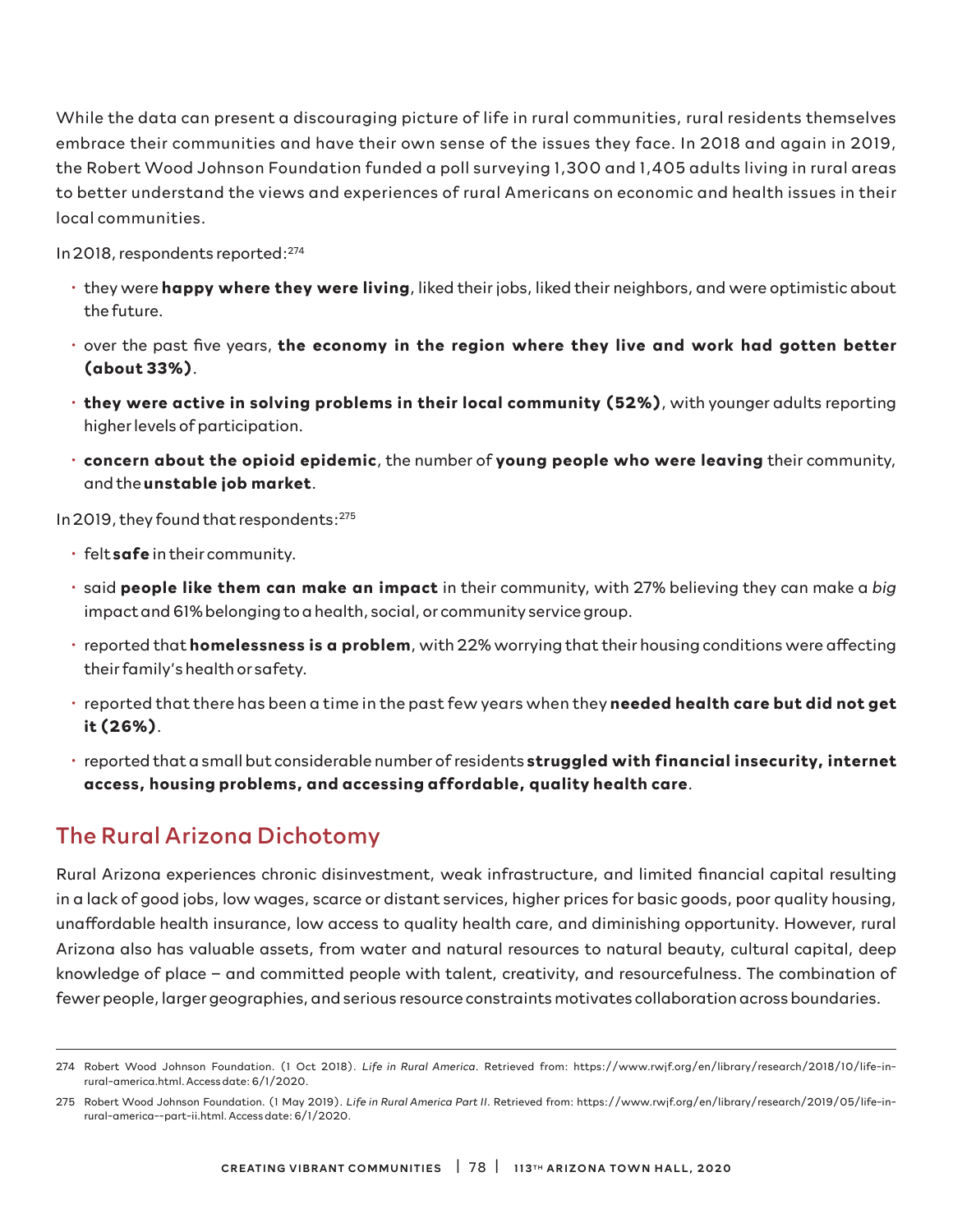While the data can present a discouraging picture of life in rural communities, rural residents themselves embrace their communities and have their own sense of the issues they face. In 2018 and again in 2019, the Robert Wood Johnson Foundation funded a poll surveying 1,300 and 1,405 adults living in rural areas to better understand the views and experiences of rural Americans on economic and health issues in their local communities.

In 2018, respondents reported:274

- they were **happy where they were living**, liked their jobs, liked their neighbors, and were optimistic about the future.
- over the past five years, **the economy in the region where they live and work had gotten better (about 33%)**.
- **they were active in solving problems in their local community (52%)**, with younger adults reporting higher levels of participation.
- **concern about the opioid epidemic**, the number of **young people who were leaving** their community, and the **unstable job market**.

In 2019, they found that respondents:275

- felt **safe** in their community.
- said **people like them can make an impact** in their community, with 27% believing they can make a *big*  impact and 61% belonging to a health, social, or community service group.
- reported that **homelessness is a problem**, with 22% worrying that their housing conditions were affecting their family's health or safety.
- reported that there has been a time in the past few years when they **needed health care but did not get it (26%)**.
- reported that a small but considerable number of residents **struggled with financial insecurity, internet access, housing problems, and accessing affordable, quality health care**.

### The Rural Arizona Dichotomy

Rural Arizona experiences chronic disinvestment, weak infrastructure, and limited financial capital resulting in a lack of good jobs, low wages, scarce or distant services, higher prices for basic goods, poor quality housing, unaffordable health insurance, low access to quality health care, and diminishing opportunity. However, rural Arizona also has valuable assets, from water and natural resources to natural beauty, cultural capital, deep knowledge of place – and committed people with talent, creativity, and resourcefulness. The combination of fewer people, larger geographies, and serious resource constraints motivates collaboration across boundaries.

<sup>274</sup> Robert Wood Johnson Foundation. (1 Oct 2018). *Life in Rural America*. Retrieved from: https://www.rwjf.org/en/library/research/2018/10/life-inrural-america.html. Access date: 6/1/2020.

<sup>275</sup> Robert Wood Johnson Foundation. (1 May 2019). *Life in Rural America Part II*. Retrieved from: https://www.rwjf.org/en/library/research/2019/05/life-inrural-america--part-ii.html. Access date: 6/1/2020.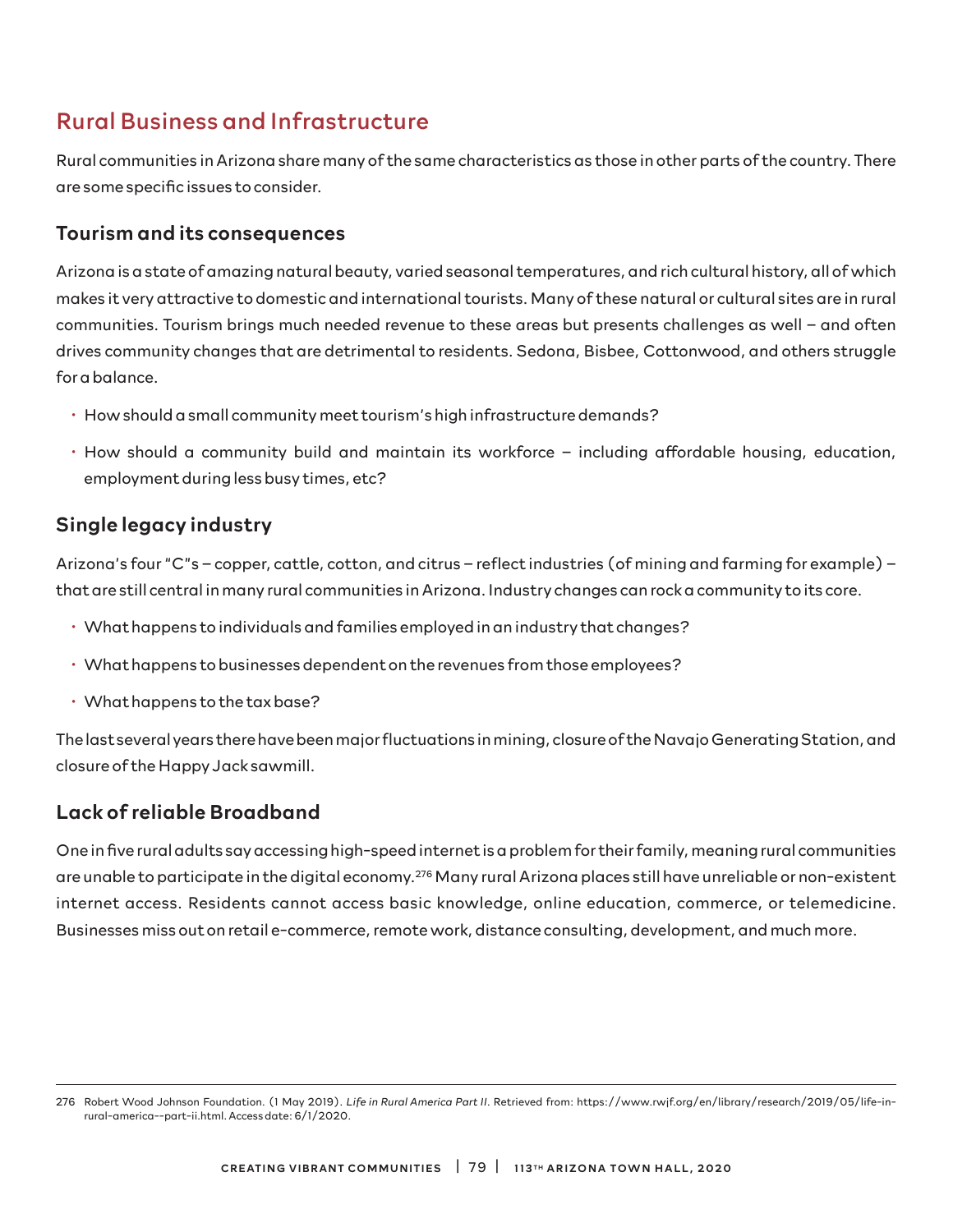# Rural Business and Infrastructure

Rural communities in Arizona share many of the same characteristics as those in other parts of the country. There are some specific issues to consider.

### Tourism and its consequences

Arizona is a state of amazing natural beauty, varied seasonal temperatures, and rich cultural history, all of which makes it very attractive to domestic and international tourists. Many of these natural or cultural sites are in rural communities. Tourism brings much needed revenue to these areas but presents challenges as well – and often drives community changes that are detrimental to residents. Sedona, Bisbee, Cottonwood, and others struggle for a balance.

- How should a small community meet tourism's high infrastructure demands?
- How should a community build and maintain its workforce including affordable housing, education, employment during less busy times, etc?

### Single legacy industry

Arizona's four "C"s – copper, cattle, cotton, and citrus – reflect industries (of mining and farming for example) – that are still central in many rural communities in Arizona. Industry changes can rock a community to its core.

- What happens to individuals and families employed in an industry that changes?
- What happens to businesses dependent on the revenues from those employees?
- What happens to the tax base?

The last several years there have been major fluctuations in mining, closure of the Navajo Generating Station, and closure of the Happy Jack sawmill.

### Lack of reliable Broadband

One in five rural adults say accessing high-speed internet is a problem for their family, meaning rural communities are unable to participate in the digital economy.276 Many rural Arizona places still have unreliable or non-existent internet access. Residents cannot access basic knowledge, online education, commerce, or telemedicine. Businesses miss out on retail e-commerce, remote work, distance consulting, development, and much more.

<sup>276</sup> Robert Wood Johnson Foundation. (1 May 2019). *Life in Rural America Part II*. Retrieved from: https://www.rwjf.org/en/library/research/2019/05/life-inrural-america--part-ii.html. Access date: 6/1/2020.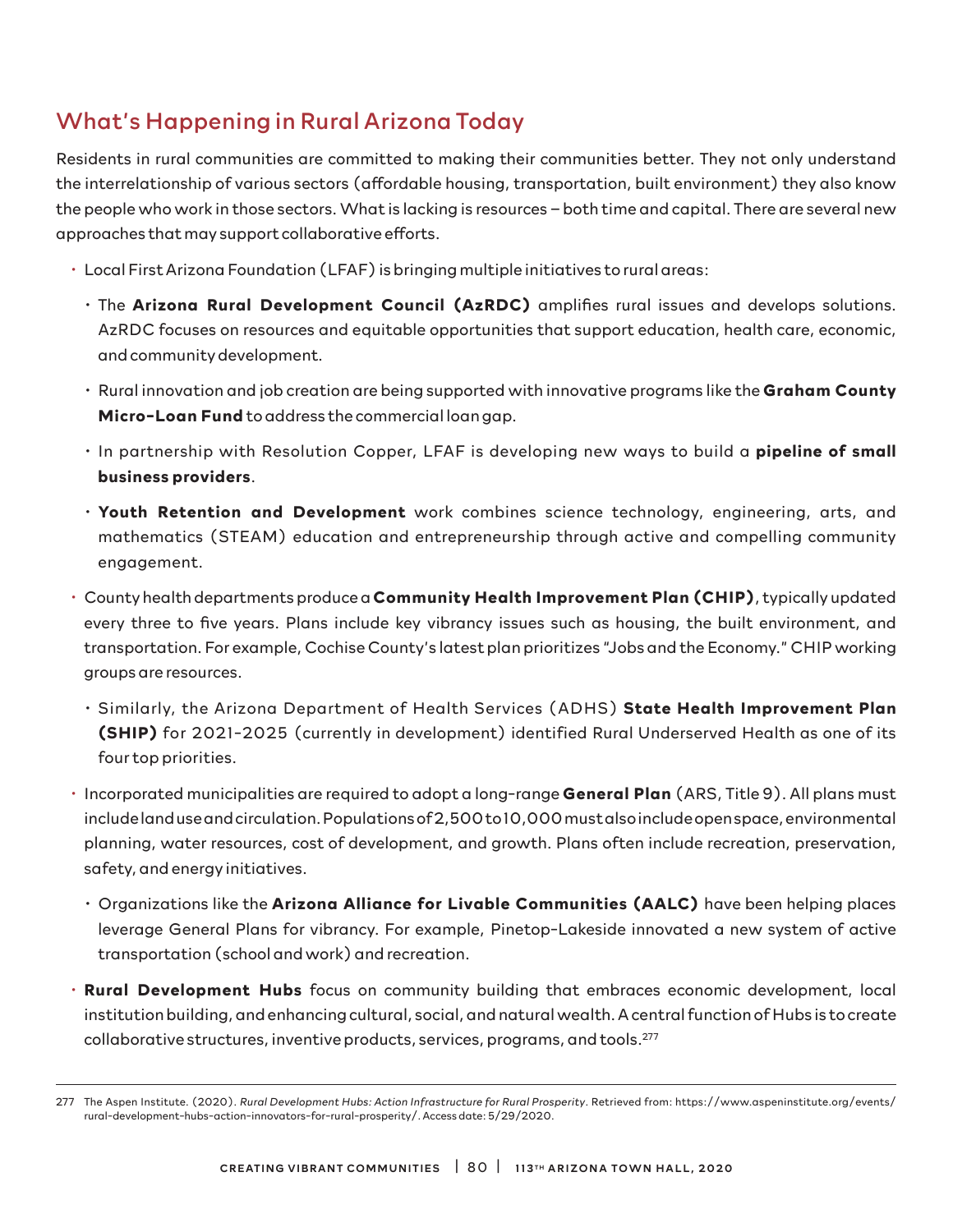# What's Happening in Rural Arizona Today

Residents in rural communities are committed to making their communities better. They not only understand the interrelationship of various sectors (affordable housing, transportation, built environment) they also know the people who work in those sectors. What is lacking is resources – both time and capital. There are several new approaches that may support collaborative efforts.

- Local First Arizona Foundation (LFAF) is bringing multiple initiatives to rural areas:
	- The **Arizona Rural Development Council (AzRDC)** amplifies rural issues and develops solutions. AzRDC focuses on resources and equitable opportunities that support education, health care, economic, and community development.
	- Rural innovation and job creation are being supported with innovative programs like the **Graham County Micro-Loan Fund** to address the commercial loan gap.
	- In partnership with Resolution Copper, LFAF is developing new ways to build a **pipeline of small business providers**.
	- **Youth Retention and Development** work combines science technology, engineering, arts, and mathematics (STEAM) education and entrepreneurship through active and compelling community engagement.
- County health departments produce a **Community Health Improvement Plan (CHIP)**, typically updated every three to five years. Plans include key vibrancy issues such as housing, the built environment, and transportation. For example, Cochise County's latest plan prioritizes "Jobs and the Economy." CHIP working groups are resources.
	- Similarly, the Arizona Department of Health Services (ADHS) **State Health Improvement Plan (SHIP)** for 2021-2025 (currently in development) identified Rural Underserved Health as one of its four top priorities.
- Incorporated municipalities are required to adopt a long-range **General Plan** (ARS, Title 9). All plans must include land use and circulation. Populations of 2,500 to 10,000 must also include open space, environmental planning, water resources, cost of development, and growth. Plans often include recreation, preservation, safety, and energy initiatives.
	- Organizations like the **Arizona Alliance for Livable Communities (AALC)** have been helping places leverage General Plans for vibrancy. For example, Pinetop-Lakeside innovated a new system of active transportation (school and work) and recreation.
- **Rural Development Hubs** focus on community building that embraces economic development, local institution building, and enhancing cultural, social, and natural wealth. A central function of Hubs is to create collaborative structures, inventive products, services, programs, and tools.277

<sup>277</sup> The Aspen Institute. (2020). *Rural Development Hubs: Action Infrastructure for Rural Prosperity*. Retrieved from: https://www.aspeninstitute.org/events/ rural-development-hubs-action-innovators-for-rural-prosperity/. Access date: 5/29/2020.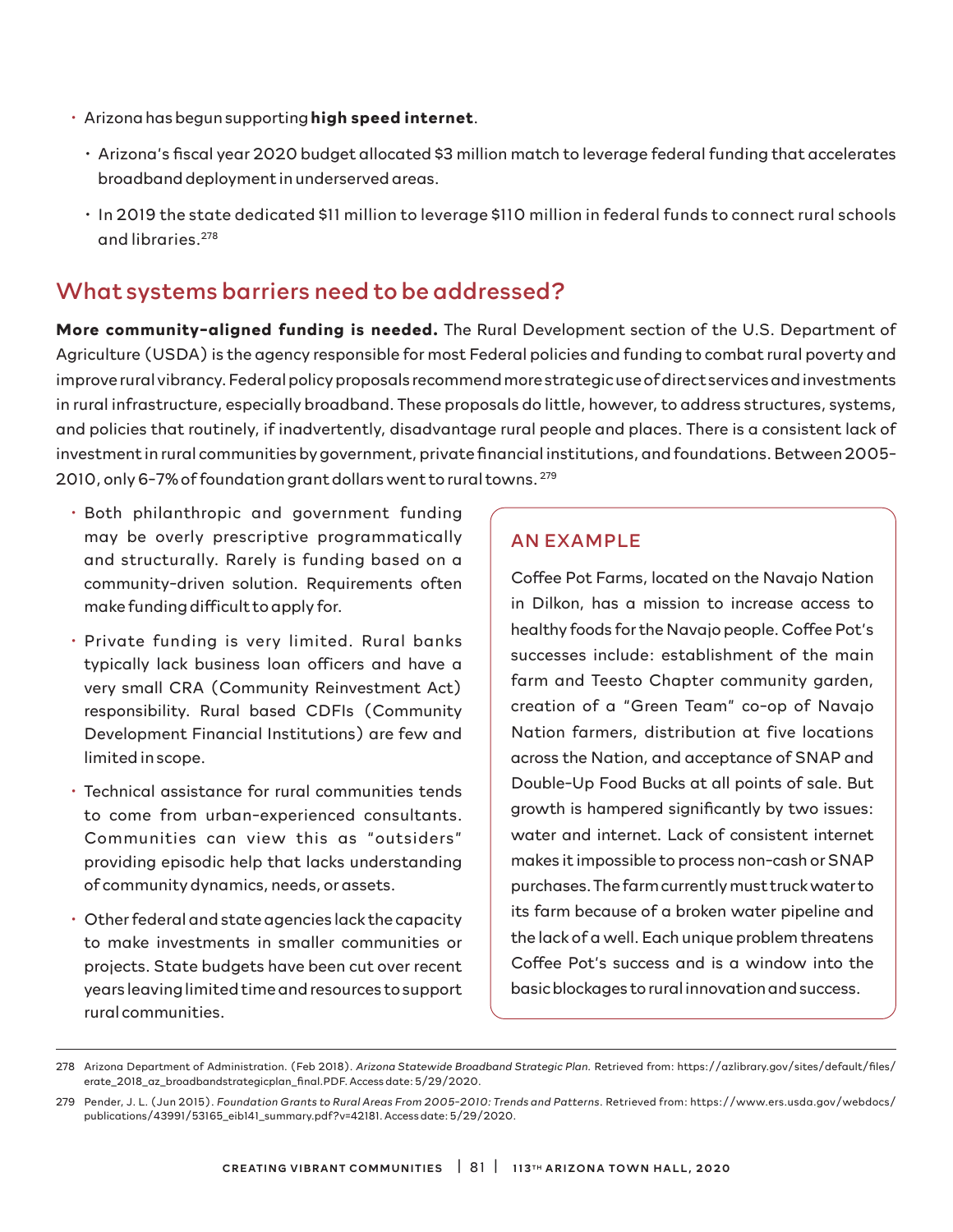- Arizona has begun supporting **high speed internet**.
	- Arizona's fiscal year 2020 budget allocated \$3 million match to leverage federal funding that accelerates broadband deployment in underserved areas.
	- In 2019 the state dedicated \$11 million to leverage \$110 million in federal funds to connect rural schools and libraries.278

### What systems barriers need to be addressed?

**More community-aligned funding is needed.** The Rural Development section of the U.S. Department of Agriculture (USDA) is the agency responsible for most Federal policies and funding to combat rural poverty and improve rural vibrancy. Federal policy proposals recommend more strategic use of direct services and investments in rural infrastructure, especially broadband. These proposals do little, however, to address structures, systems, and policies that routinely, if inadvertently, disadvantage rural people and places. There is a consistent lack of investment in rural communities by government, private financial institutions, and foundations. Between 2005- 2010, only 6-7% of foundation grant dollars went to rural towns. 279

- Both philanthropic and government funding may be overly prescriptive programmatically and structurally. Rarely is funding based on a community-driven solution. Requirements often make funding difficult to apply for.
- Private funding is very limited. Rural banks typically lack business loan officers and have a very small CRA (Community Reinvestment Act) responsibility. Rural based CDFIs (Community Development Financial Institutions) are few and limited in scope.
- Technical assistance for rural communities tends to come from urban-experienced consultants. Communities can view this as "outsiders" providing episodic help that lacks understanding of community dynamics, needs, or assets.
- Other federal and state agencies lack the capacity to make investments in smaller communities or projects. State budgets have been cut over recent years leaving limited time and resources to support rural communities.

### AN EXAMPLE

Coffee Pot Farms, located on the Navajo Nation in Dilkon, has a mission to increase access to healthy foods for the Navajo people. Coffee Pot's successes include: establishment of the main farm and Teesto Chapter community garden, creation of a "Green Team" co-op of Navajo Nation farmers, distribution at five locations across the Nation, and acceptance of SNAP and Double-Up Food Bucks at all points of sale. But growth is hampered significantly by two issues: water and internet. Lack of consistent internet makes it impossible to process non-cash or SNAP purchases. The farm currently must truck water to its farm because of a broken water pipeline and the lack of a well. Each unique problem threatens Coffee Pot's success and is a window into the basic blockages to rural innovation and success.

<sup>278</sup> Arizona Department of Administration. (Feb 2018). *Arizona Statewide Broadband Strategic Plan.* Retrieved from: https://azlibrary.gov/sites/default/files/ erate\_2018\_az\_broadbandstrategicplan\_final.PDF. Access date: 5/29/2020.

<sup>279</sup> Pender, J. L. (Jun 2015). *Foundation Grants to Rural Areas From 2005-2010: Trends and Patterns*. Retrieved from: https://www.ers.usda.gov/webdocs/ publications/43991/53165\_eib141\_summary.pdf?v=42181. Access date: 5/29/2020.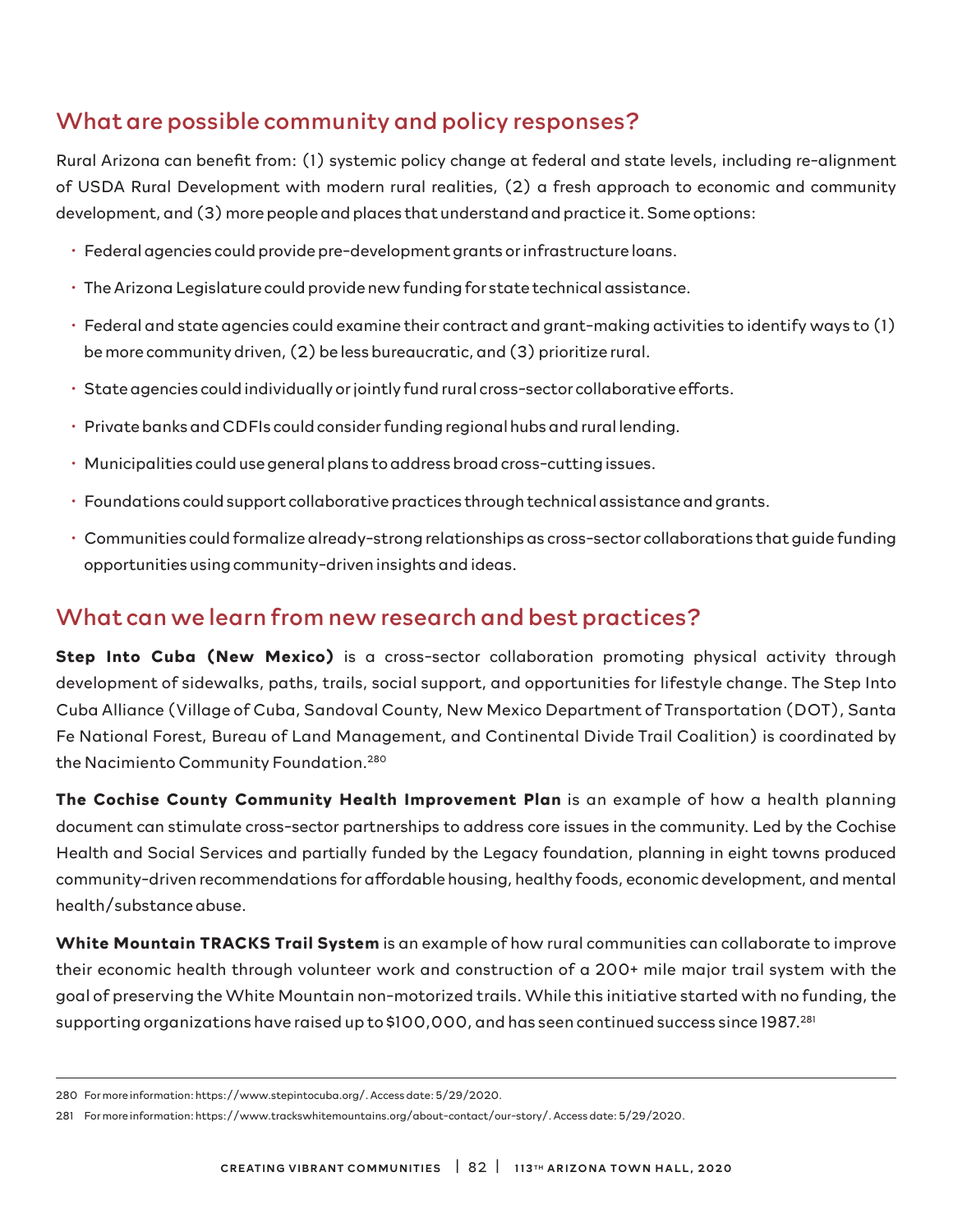# What are possible community and policy responses?

Rural Arizona can benefit from: (1) systemic policy change at federal and state levels, including re-alignment of USDA Rural Development with modern rural realities, (2) a fresh approach to economic and community development, and (3) more people and places that understand and practice it. Some options:

- Federal agencies could provide pre-development grants or infrastructure loans.
- The Arizona Legislature could provide new funding for state technical assistance.
- Federal and state agencies could examine their contract and grant-making activities to identify ways to (1) be more community driven, (2) be less bureaucratic, and (3) prioritize rural.
- State agencies could individually or jointly fund rural cross-sector collaborative efforts.
- Private banks and CDFIs could consider funding regional hubs and rural lending.
- Municipalities could use general plans to address broad cross-cutting issues.
- Foundations could support collaborative practices through technical assistance and grants.
- Communities could formalize already-strong relationships as cross-sector collaborations that guide funding opportunities using community-driven insights and ideas.

### What can we learn from new research and best practices?

**Step Into Cuba (New Mexico)** is a cross-sector collaboration promoting physical activity through development of sidewalks, paths, trails, social support, and opportunities for lifestyle change. The Step Into Cuba Alliance (Village of Cuba, Sandoval County, New Mexico Department of Transportation (DOT), Santa Fe National Forest, Bureau of Land Management, and Continental Divide Trail Coalition) is coordinated by the Nacimiento Community Foundation.<sup>280</sup>

**The Cochise County Community Health Improvement Plan** is an example of how a health planning document can stimulate cross-sector partnerships to address core issues in the community. Led by the Cochise Health and Social Services and partially funded by the Legacy foundation, planning in eight towns produced community-driven recommendations for affordable housing, healthy foods, economic development, and mental health/substance abuse.

**White Mountain TRACKS Trail System** is an example of how rural communities can collaborate to improve their economic health through volunteer work and construction of a 200+ mile major trail system with the goal of preserving the White Mountain non-motorized trails. While this initiative started with no funding, the supporting organizations have raised up to \$100,000, and has seen continued success since 1987.281

<sup>280</sup> For more information: https://www.stepintocuba.org/. Access date: 5/29/2020.

<sup>281</sup> For more information: https://www.trackswhitemountains.org/about-contact/our-story/. Access date: 5/29/2020.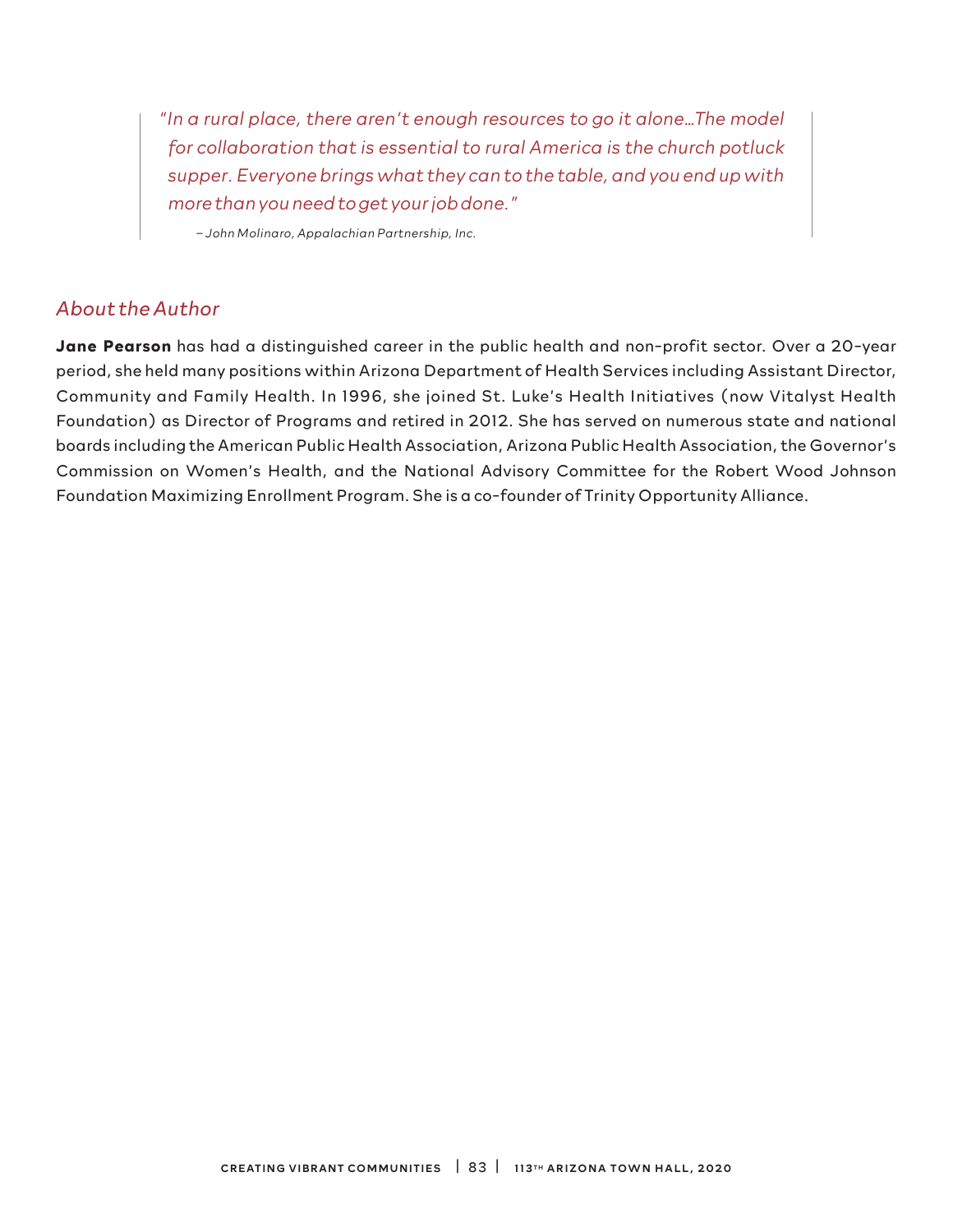*"In a rural place, there aren't enough resources to go it alone…The model for collaboration that is essential to rural America is the church potluck supper. Everyone brings what they can to the table, and you end up with more than you need to get your job done."*

*– John Molinaro, Appalachian Partnership, Inc.*

### *About the Author*

**Jane Pearson** has had a distinguished career in the public health and non-profit sector. Over a 20-year period, she held many positions within Arizona Department of Health Services including Assistant Director, Community and Family Health. In 1996, she joined St. Luke's Health Initiatives (now Vitalyst Health Foundation) as Director of Programs and retired in 2012. She has served on numerous state and national boards including the American Public Health Association, Arizona Public Health Association, the Governor's Commission on Women's Health, and the National Advisory Committee for the Robert Wood Johnson Foundation Maximizing Enrollment Program. She is a co-founder of Trinity Opportunity Alliance.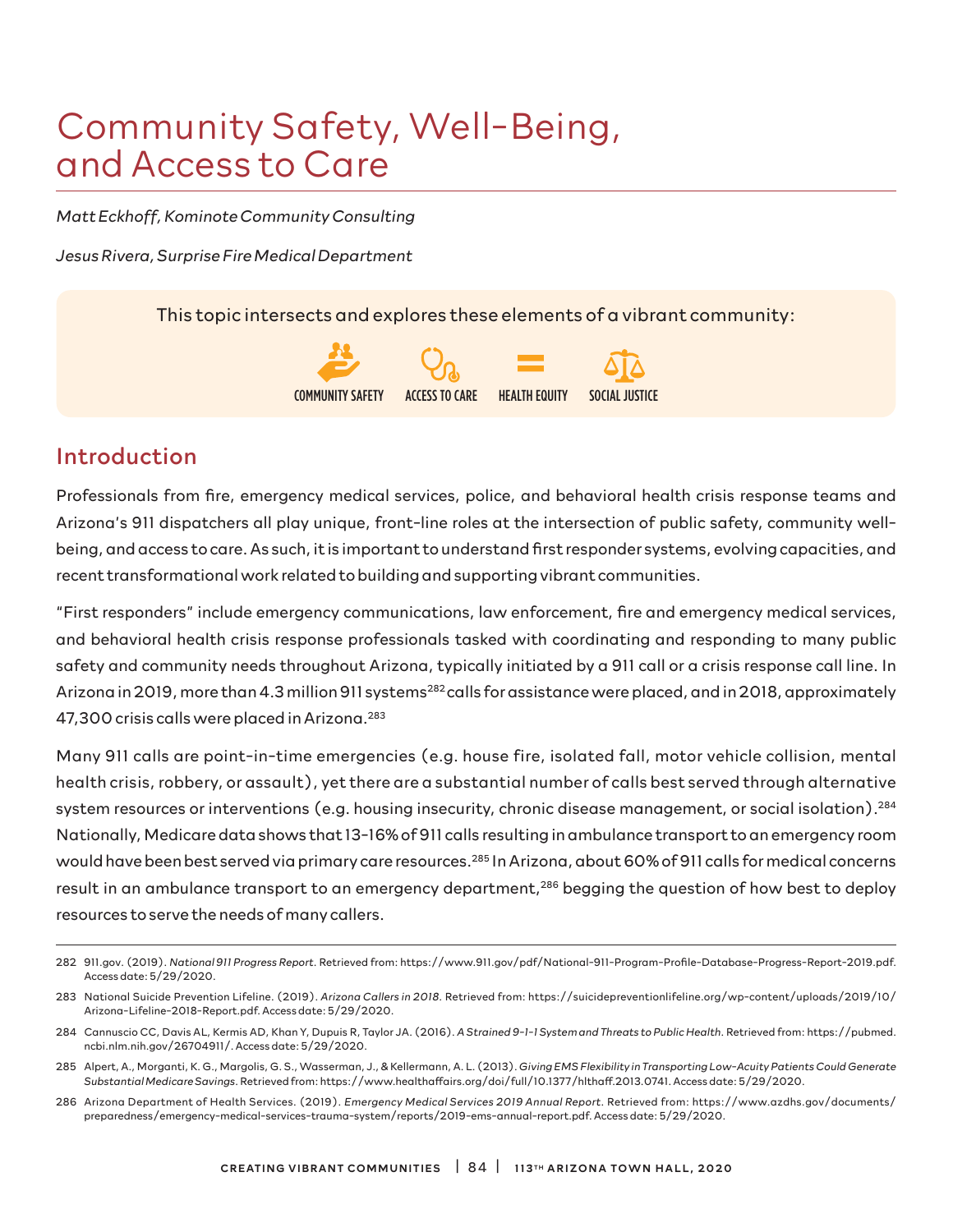# Community Safety, Well-Being, and Access to Care

*Matt Eckhoff, Kominote Community Consulting* 

*Jesus Rivera, Surprise Fire Medical Department*

This topic intersects and explores these elements of a vibrant community:



### Introduction

Professionals from fire, emergency medical services, police, and behavioral health crisis response teams and Arizona's 911 dispatchers all play unique, front-line roles at the intersection of public safety, community wellbeing, and access to care. As such, it is important to understand first responder systems, evolving capacities, and recent transformational work related to building and supporting vibrant communities.

"First responders" include emergency communications, law enforcement, fire and emergency medical services, and behavioral health crisis response professionals tasked with coordinating and responding to many public safety and community needs throughout Arizona, typically initiated by a 911 call or a crisis response call line. In Arizona in 2019, more than 4.3 million 911 systems<sup>282</sup> calls for assistance were placed, and in 2018, approximately 47,300 crisis calls were placed in Arizona.283

Many 911 calls are point-in-time emergencies (e.g. house fire, isolated fall, motor vehicle collision, mental health crisis, robbery, or assault), yet there are a substantial number of calls best served through alternative system resources or interventions (e.g. housing insecurity, chronic disease management, or social isolation).<sup>284</sup> Nationally, Medicare data shows that 13-16% of 911 calls resulting in ambulance transport to an emergency room would have been best served via primary care resources.285 In Arizona, about 60% of 911 calls for medical concerns result in an ambulance transport to an emergency department,<sup>286</sup> begging the question of how best to deploy resources to serve the needs of many callers.

<sup>282 911.</sup>gov. (2019). *National 911 Progress Report*. Retrieved from: https://www.911.gov/pdf/National-911-Program-Profile-Database-Progress-Report-2019.pdf. Access date: 5/29/2020.

<sup>283</sup> National Suicide Prevention Lifeline. (2019). *Arizona Callers in 2018.* Retrieved from: https://suicidepreventionlifeline.org/wp-content/uploads/2019/10/ Arizona-Lifeline-2018-Report.pdf. Access date: 5/29/2020.

<sup>284</sup> Cannuscio CC, Davis AL, Kermis AD, Khan Y, Dupuis R, Taylor JA. (2016). *A Strained 9-1-1 System and Threats to Public Health*. Retrieved from: https://pubmed. ncbi.nlm.nih.gov/26704911/. Access date: 5/29/2020.

<sup>285</sup> Alpert, A., Morganti, K. G., Margolis, G. S., Wasserman, J., & Kellermann, A. L. (2013). *Giving EMS Flexibility in Transporting Low-Acuity Patients Could Generate Substantial Medicare Savings*. Retrieved from: https://www.healthaffairs.org/doi/full/10.1377/hlthaff.2013.0741. Access date: 5/29/2020.

<sup>286</sup> Arizona Department of Health Services. (2019). *Emergency Medical Services 2019 Annual Report*. Retrieved from: https://www.azdhs.gov/documents/ preparedness/emergency-medical-services-trauma-system/reports/2019-ems-annual-report.pdf. Access date: 5/29/2020.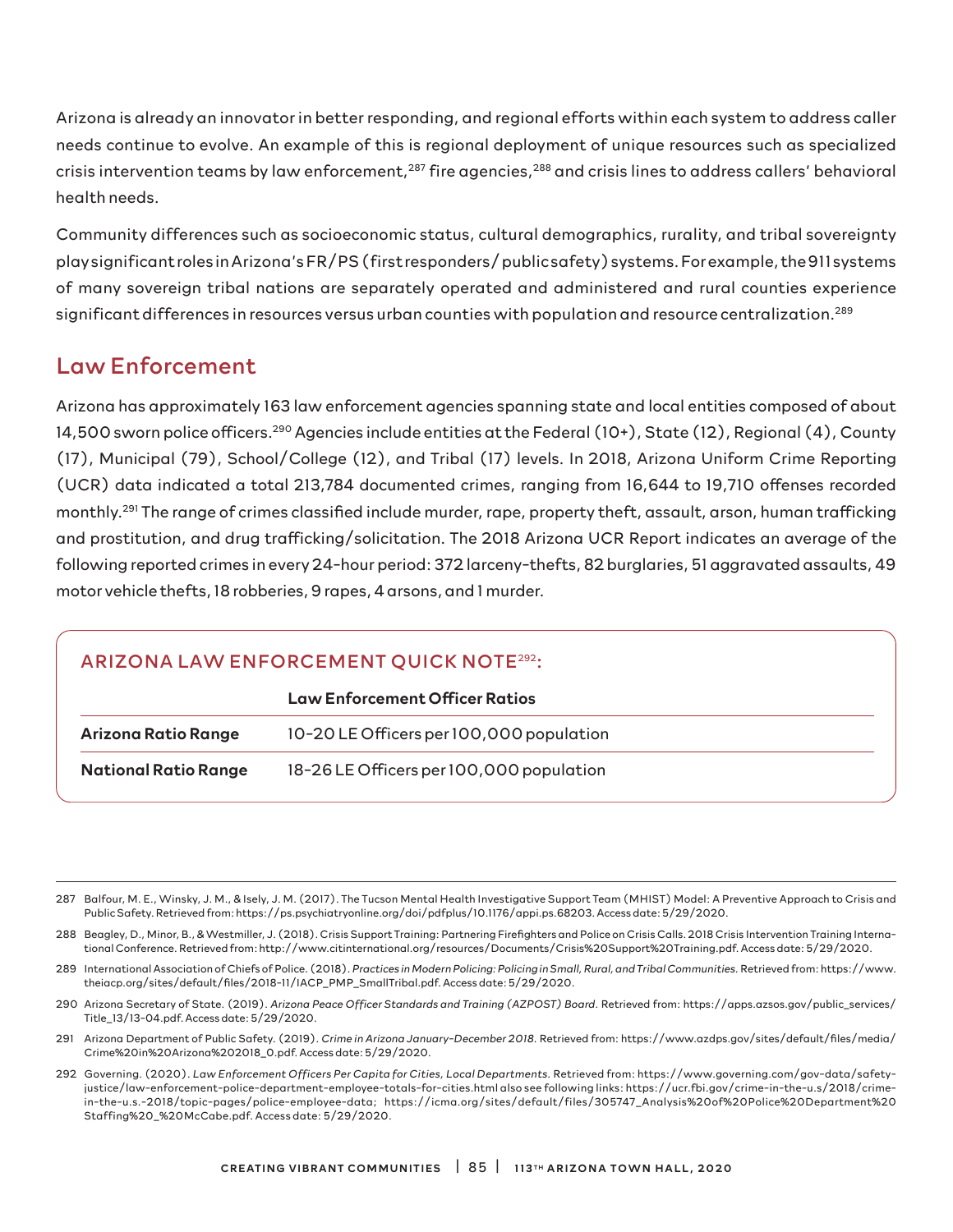Arizona is already an innovator in better responding, and regional efforts within each system to address caller needs continue to evolve. An example of this is regional deployment of unique resources such as specialized crisis intervention teams by law enforcement,<sup>287</sup> fire agencies,<sup>288</sup> and crisis lines to address callers' behavioral health needs.

Community differences such as socioeconomic status, cultural demographics, rurality, and tribal sovereignty play significant roles in Arizona's FR/PS (first responders/ public safety) systems. For example, the 911 systems of many sovereign tribal nations are separately operated and administered and rural counties experience significant differences in resources versus urban counties with population and resource centralization.289

### Law Enforcement

Arizona has approximately 163 law enforcement agencies spanning state and local entities composed of about 14,500 sworn police officers.290 Agencies include entities at the Federal (10+), State (12), Regional (4), County (17), Municipal (79), School/College (12), and Tribal (17) levels. In 2018, Arizona Uniform Crime Reporting (UCR) data indicated a total 213,784 documented crimes, ranging from 16,644 to 19,710 offenses recorded monthly.<sup>291</sup> The range of crimes classified include murder, rape, property theft, assault, arson, human trafficking and prostitution, and drug trafficking/solicitation. The 2018 Arizona UCR Report indicates an average of the following reported crimes in every 24-hour period: 372 larceny-thefts, 82 burglaries, 51 aggravated assaults, 49 motor vehicle thefts, 18 robberies, 9 rapes, 4 arsons, and 1 murder.

### ARIZONA LAW ENFORCEMENT QUICK NOTE292:

|                             | <b>Law Enforcement Officer Ratios</b>    |  |  |
|-----------------------------|------------------------------------------|--|--|
| Arizona Ratio Range         | 10-20 LE Officers per 100,000 population |  |  |
| <b>National Ratio Range</b> | 18-26 LE Officers per 100,000 population |  |  |

287 Balfour, M. E., Winsky, J. M., & Isely, J. M. (2017). The Tucson Mental Health Investigative Support Team (MHIST) Model: A Preventive Approach to Crisis and Public Safety. Retrieved from: https://ps.psychiatryonline.org/doi/pdfplus/10.1176/appi.ps.68203. Access date: 5/29/2020.

- 288 Beagley, D., Minor, B., & Westmiller, J. (2018). Crisis Support Training: Partnering Firefighters and Police on Crisis Calls. 2018 Crisis Intervention Training International Conference. Retrieved from: http://www.citinternational.org/resources/Documents/Crisis%20Support%20Training.pdf. Access date: 5/29/2020.
- 289 International Association of Chiefs of Police. (2018). *Practices in Modern Policing: Policing in Small, Rural, and Tribal Communities.* Retrieved from: https://www. theiacp.org/sites/default/files/2018-11/IACP\_PMP\_SmallTribal.pdf. Access date: 5/29/2020.
- 290 Arizona Secretary of State. (2019). *Arizona Peace Officer Standards and Training (AZPOST) Board*. Retrieved from: https://apps.azsos.gov/public\_services/ Title\_13/13-04.pdf. Access date: 5/29/2020.
- 291 Arizona Department of Public Safety. (2019). *Crime in Arizona January-December 2018*. Retrieved from: https://www.azdps.gov/sites/default/files/media/ Crime%20in%20Arizona%202018\_0.pdf. Access date: 5/29/2020.
- 292 Governing. (2020). *Law Enforcement Officers Per Capita for Cities, Local Departments.* Retrieved from: https://www.governing.com/gov-data/safetyjustice/law-enforcement-police-department-employee-totals-for-cities.html also see following links: https://ucr.fbi.gov/crime-in-the-u.s/2018/crimein-the-u.s.-2018/topic-pages/police-employee-data; https://icma.org/sites/default/files/305747\_Analysis%20of%20Police%20Department%20 Staffing%20\_%20McCabe.pdf. Access date: 5/29/2020.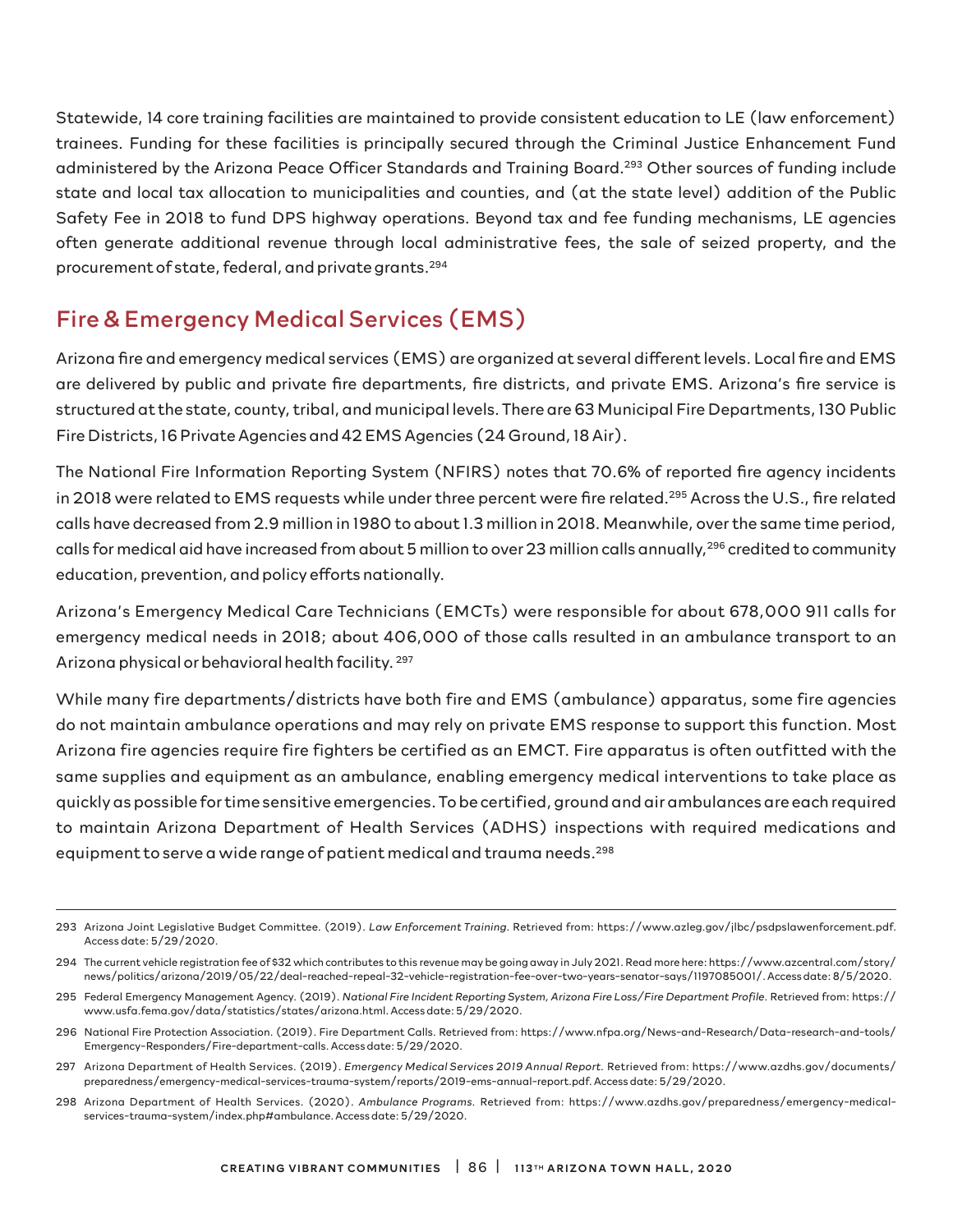Statewide, 14 core training facilities are maintained to provide consistent education to LE (law enforcement) trainees. Funding for these facilities is principally secured through the Criminal Justice Enhancement Fund administered by the Arizona Peace Officer Standards and Training Board.293 Other sources of funding include state and local tax allocation to municipalities and counties, and (at the state level) addition of the Public Safety Fee in 2018 to fund DPS highway operations. Beyond tax and fee funding mechanisms, LE agencies often generate additional revenue through local administrative fees, the sale of seized property, and the procurement of state, federal, and private grants.294

# Fire & Emergency Medical Services (EMS)

Arizona fire and emergency medical services (EMS) are organized at several different levels. Local fire and EMS are delivered by public and private fire departments, fire districts, and private EMS. Arizona's fire service is structured at the state, county, tribal, and municipal levels. There are 63 Municipal Fire Departments, 130 Public Fire Districts, 16 Private Agencies and 42 EMS Agencies (24 Ground, 18 Air).

The National Fire Information Reporting System (NFIRS) notes that 70.6% of reported fire agency incidents in 2018 were related to EMS requests while under three percent were fire related.<sup>295</sup> Across the U.S., fire related calls have decreased from 2.9 million in 1980 to about 1.3 million in 2018. Meanwhile, over the same time period, calls for medical aid have increased from about 5 million to over 23 million calls annually,<sup>296</sup> credited to community education, prevention, and policy efforts nationally.

Arizona's Emergency Medical Care Technicians (EMCTs) were responsible for about 678,000 911 calls for emergency medical needs in 2018; about 406,000 of those calls resulted in an ambulance transport to an Arizona physical or behavioral health facility. 297

While many fire departments/districts have both fire and EMS (ambulance) apparatus, some fire agencies do not maintain ambulance operations and may rely on private EMS response to support this function. Most Arizona fire agencies require fire fighters be certified as an EMCT. Fire apparatus is often outfitted with the same supplies and equipment as an ambulance, enabling emergency medical interventions to take place as quickly as possible for time sensitive emergencies. To be certified, ground and air ambulances are each required to maintain Arizona Department of Health Services (ADHS) inspections with required medications and equipment to serve a wide range of patient medical and trauma needs.<sup>298</sup>

<sup>293</sup> Arizona Joint Legislative Budget Committee. (2019). *Law Enforcement Training*. Retrieved from: https://www.azleg.gov/jlbc/psdpslawenforcement.pdf. Access date: 5/29/2020.

<sup>294</sup> The current vehicle registration fee of \$32 which contributes to this revenue may be going away in July 2021. Read more here: https://www.azcentral.com/story/ news/politics/arizona/2019/05/22/deal-reached-repeal-32-vehicle-registration-fee-over-two-years-senator-says/1197085001/. Access date: 8/5/2020.

<sup>295</sup> Federal Emergency Management Agency. (2019). *National Fire Incident Reporting System, Arizona Fire Loss/Fire Department Profile*. Retrieved from: https:// www.usfa.fema.gov/data/statistics/states/arizona.html. Access date: 5/29/2020.

<sup>296</sup> National Fire Protection Association. (2019). Fire Department Calls. Retrieved from: https://www.nfpa.org/News-and-Research/Data-research-and-tools/ Emergency-Responders/Fire-department-calls. Access date: 5/29/2020.

<sup>297</sup> Arizona Department of Health Services. (2019). *Emergency Medical Services 2019 Annual Report.* Retrieved from: https://www.azdhs.gov/documents/ preparedness/emergency-medical-services-trauma-system/reports/2019-ems-annual-report.pdf. Access date: 5/29/2020.

<sup>298</sup> Arizona Department of Health Services. (2020). *Ambulance Programs.* Retrieved from: https://www.azdhs.gov/preparedness/emergency-medicalservices-trauma-system/index.php#ambulance. Access date: 5/29/2020.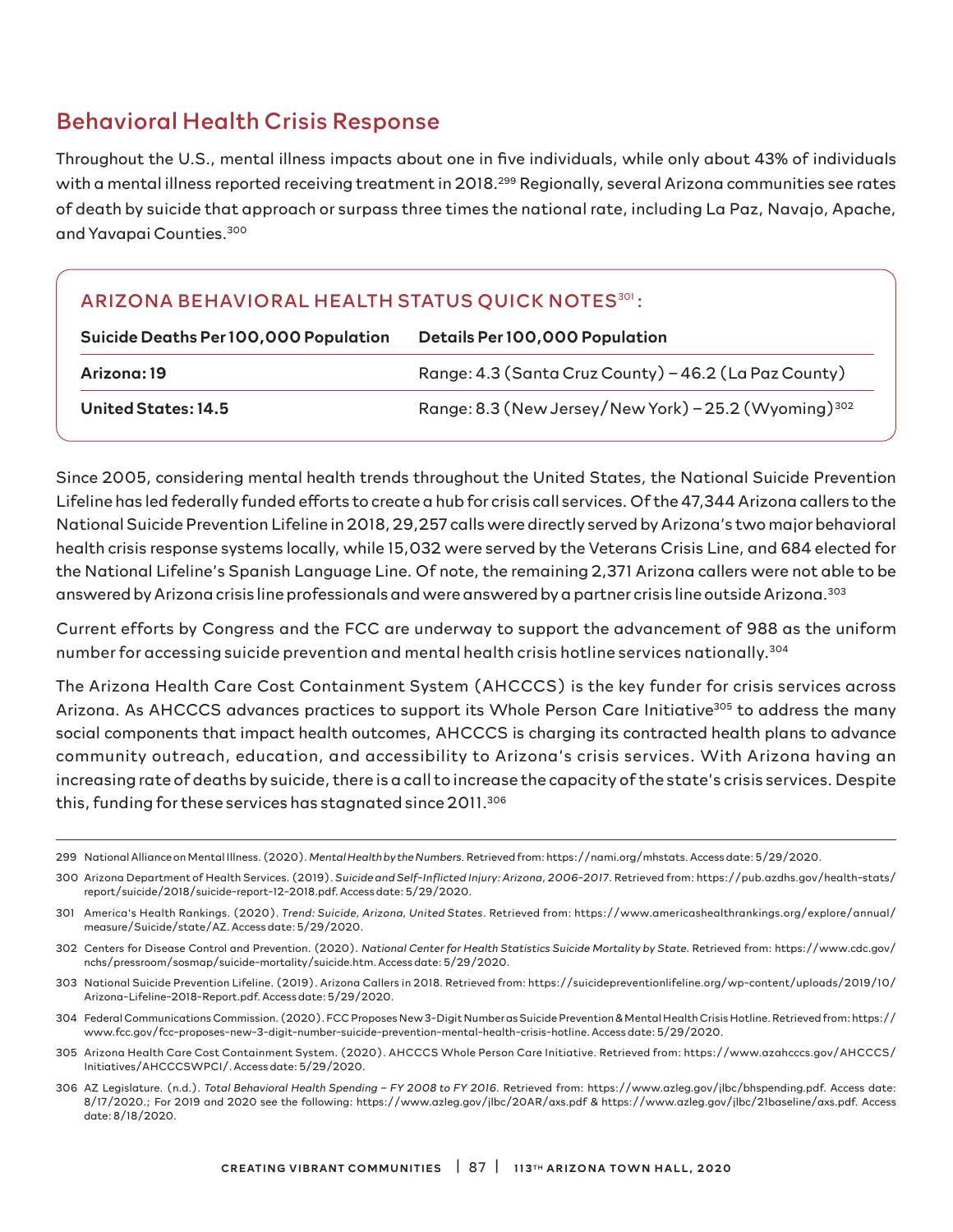## Behavioral Health Crisis Response

Throughout the U.S., mental illness impacts about one in five individuals, while only about 43% of individuals with a mental illness reported receiving treatment in 2018.<sup>299</sup> Regionally, several Arizona communities see rates of death by suicide that approach or surpass three times the national rate, including La Paz, Navajo, Apache, and Yavapai Counties.300

### ARIZONA BEHAVIORAL HEALTH STATUS QUICK NOTES<sup>301</sup>:

| Suicide Deaths Per 100,000 Population | <b>Details Per 100,000 Population</b>                            |  |  |
|---------------------------------------|------------------------------------------------------------------|--|--|
| Arizona: 19                           | Range: 4.3 (Santa Cruz County) - 46.2 (La Paz County)            |  |  |
| United States: 14.5                   | Range: 8.3 (New Jersey/New York) - 25.2 (Wyoming) <sup>302</sup> |  |  |

Since 2005, considering mental health trends throughout the United States, the National Suicide Prevention Lifeline has led federally funded efforts to create a hub for crisis call services. Of the 47,344 Arizona callers to the National Suicide Prevention Lifeline in 2018, 29,257 calls were directly served by Arizona's two major behavioral health crisis response systems locally, while 15,032 were served by the Veterans Crisis Line, and 684 elected for the National Lifeline's Spanish Language Line. Of note, the remaining 2,371 Arizona callers were not able to be answered by Arizona crisis line professionals and were answered by a partner crisis line outside Arizona.303

Current efforts by Congress and the FCC are underway to support the advancement of 988 as the uniform number for accessing suicide prevention and mental health crisis hotline services nationally.304

The Arizona Health Care Cost Containment System (AHCCCS) is the key funder for crisis services across Arizona. As AHCCCS advances practices to support its Whole Person Care Initiative<sup>305</sup> to address the many social components that impact health outcomes, AHCCCS is charging its contracted health plans to advance community outreach, education, and accessibility to Arizona's crisis services. With Arizona having an increasing rate of deaths by suicide, there is a call to increase the capacity of the state's crisis services. Despite this, funding for these services has stagnated since 2011.<sup>306</sup>

- 303 National Suicide Prevention Lifeline. (2019). Arizona Callers in 2018. Retrieved from: https://suicidepreventionlifeline.org/wp-content/uploads/2019/10/ Arizona-Lifeline-2018-Report.pdf. Access date: 5/29/2020.
- 304 Federal Communications Commission. (2020). FCC Proposes New 3-Digit Number as Suicide Prevention & Mental Health Crisis Hotline. Retrieved from: https:// www.fcc.gov/fcc-proposes-new-3-digit-number-suicide-prevention-mental-health-crisis-hotline. Access date: 5/29/2020.
- 305 Arizona Health Care Cost Containment System. (2020). AHCCCS Whole Person Care Initiative. Retrieved from: https://www.azahcccs.gov/AHCCCS/ Initiatives/AHCCCSWPCI/. Access date: 5/29/2020.
- 306 AZ Legislature. (n.d.). *Total Behavioral Health Spending FY 2008 to FY 2016*. Retrieved from: https://www.azleg.gov/jlbc/bhspending.pdf. Access date: 8/17/2020.; For 2019 and 2020 see the following: https://www.azleg.gov/jlbc/20AR/axs.pdf & https://www.azleg.gov/jlbc/21baseline/axs.pdf. Access date: 8/18/2020.

<sup>299</sup> National Alliance on Mental Illness. (2020). *Mental Health by the Numbers.* Retrieved from: https://nami.org/mhstats. Access date: 5/29/2020.

<sup>300</sup> Arizona Department of Health Services. (2019). *Suicide and Self-Inflicted Injury: Arizona, 2006-2017*. Retrieved from: https://pub.azdhs.gov/health-stats/ report/suicide/2018/suicide-report-12-2018.pdf. Access date: 5/29/2020.

<sup>301</sup> America's Health Rankings. (2020). *Trend: Suicide, Arizona, United States*. Retrieved from: https://www.americashealthrankings.org/explore/annual/ measure/Suicide/state/AZ. Access date: 5/29/2020.

<sup>302</sup> Centers for Disease Control and Prevention. (2020). *National Center for Health Statistics Suicide Mortality by State.* Retrieved from: https://www.cdc.gov/ nchs/pressroom/sosmap/suicide-mortality/suicide.htm. Access date: 5/29/2020.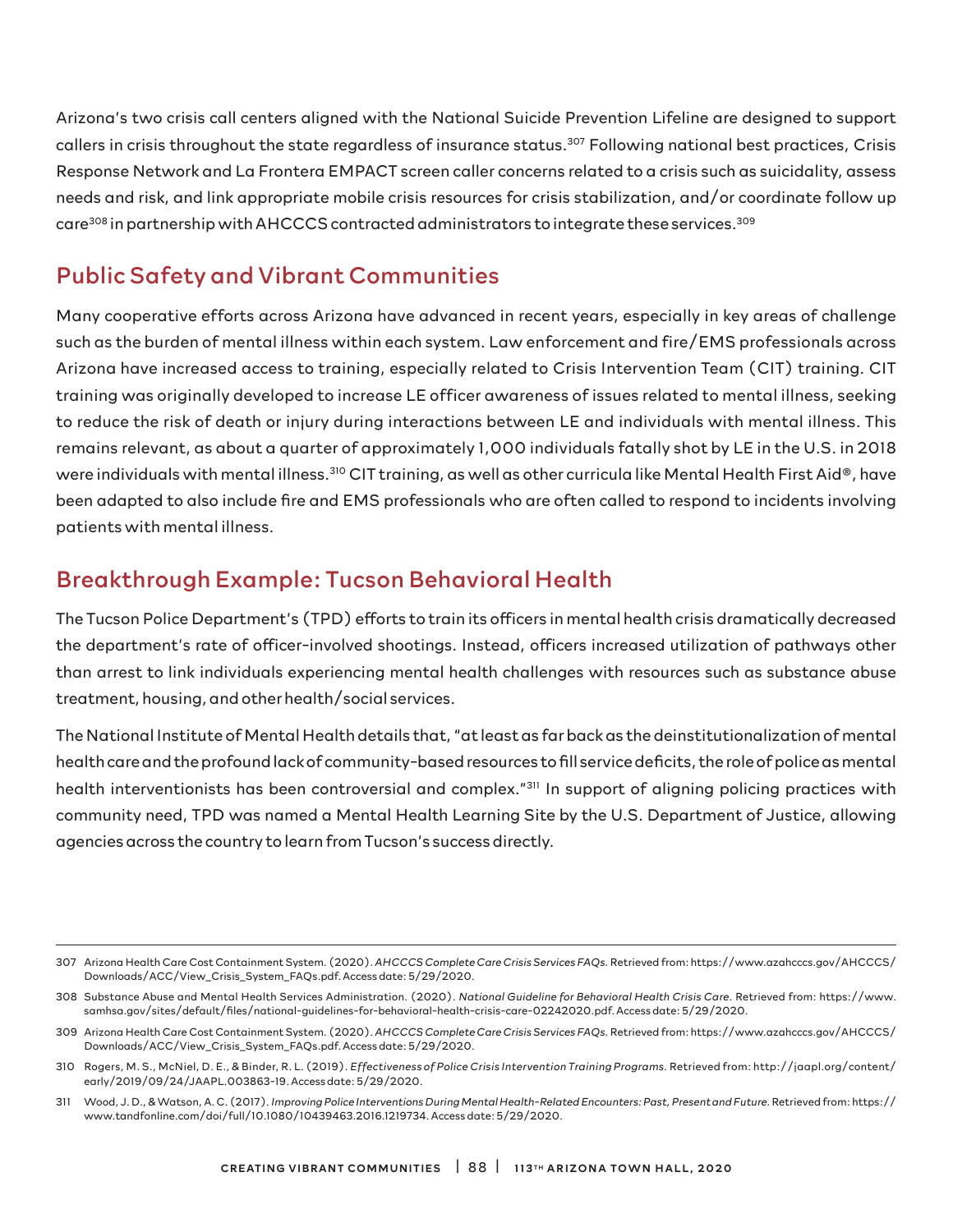Arizona's two crisis call centers aligned with the National Suicide Prevention Lifeline are designed to support callers in crisis throughout the state regardless of insurance status.307 Following national best practices, Crisis Response Network and La Frontera EMPACT screen caller concerns related to a crisis such as suicidality, assess needs and risk, and link appropriate mobile crisis resources for crisis stabilization, and/or coordinate follow up care<sup>308</sup> in partnership with AHCCCS contracted administrators to integrate these services.<sup>309</sup>

# Public Safety and Vibrant Communities

Many cooperative efforts across Arizona have advanced in recent years, especially in key areas of challenge such as the burden of mental illness within each system. Law enforcement and fire/EMS professionals across Arizona have increased access to training, especially related to Crisis Intervention Team (CIT) training. CIT training was originally developed to increase LE officer awareness of issues related to mental illness, seeking to reduce the risk of death or injury during interactions between LE and individuals with mental illness. This remains relevant, as about a quarter of approximately 1,000 individuals fatally shot by LE in the U.S. in 2018 were individuals with mental illness.<sup>310</sup> CIT training, as well as other curricula like Mental Health First Aid®, have been adapted to also include fire and EMS professionals who are often called to respond to incidents involving patients with mental illness.

## Breakthrough Example: Tucson Behavioral Health

The Tucson Police Department's (TPD) efforts to train its officers in mental health crisis dramatically decreased the department's rate of officer-involved shootings. Instead, officers increased utilization of pathways other than arrest to link individuals experiencing mental health challenges with resources such as substance abuse treatment, housing, and other health/social services.

The National Institute of Mental Health details that, "at least as far back as the deinstitutionalization of mental health care and the profound lack of community-based resources to fill service deficits, the role of police as mental health interventionists has been controversial and complex."<sup>311</sup> In support of aligning policing practices with community need, TPD was named a Mental Health Learning Site by the U.S. Department of Justice, allowing agencies across the country to learn from Tucson's success directly.

<sup>307</sup> Arizona Health Care Cost Containment System. (2020). *AHCCCS Complete Care Crisis Services FAQs.* Retrieved from: https://www.azahcccs.gov/AHCCCS/ Downloads/ACC/View\_Crisis\_System\_FAQs.pdf. Access date: 5/29/2020.

<sup>308</sup> Substance Abuse and Mental Health Services Administration. (2020). *National Guideline for Behavioral Health Crisis Care.* Retrieved from: https://www. samhsa.gov/sites/default/files/national-guidelines-for-behavioral-health-crisis-care-02242020.pdf. Access date: 5/29/2020.

<sup>309</sup> Arizona Health Care Cost Containment System. (2020). *AHCCCS Complete Care Crisis Services FAQs.* Retrieved from: https://www.azahcccs.gov/AHCCCS/ Downloads/ACC/View\_Crisis\_System\_FAQs.pdf. Access date: 5/29/2020.

<sup>310</sup> Rogers, M. S., McNiel, D. E., & Binder, R. L. (2019). *Effectiveness of Police Crisis Intervention Training Programs.* Retrieved from: http://jaapl.org/content/ early/2019/09/24/JAAPL.003863-19. Access date: 5/29/2020.

<sup>311</sup> Wood, J. D., & Watson, A. C. (2017). *Improving Police Interventions During Mental Health-Related Encounters: Past, Present and Future.* Retrieved from: https:// www.tandfonline.com/doi/full/10.1080/10439463.2016.1219734. Access date: 5/29/2020.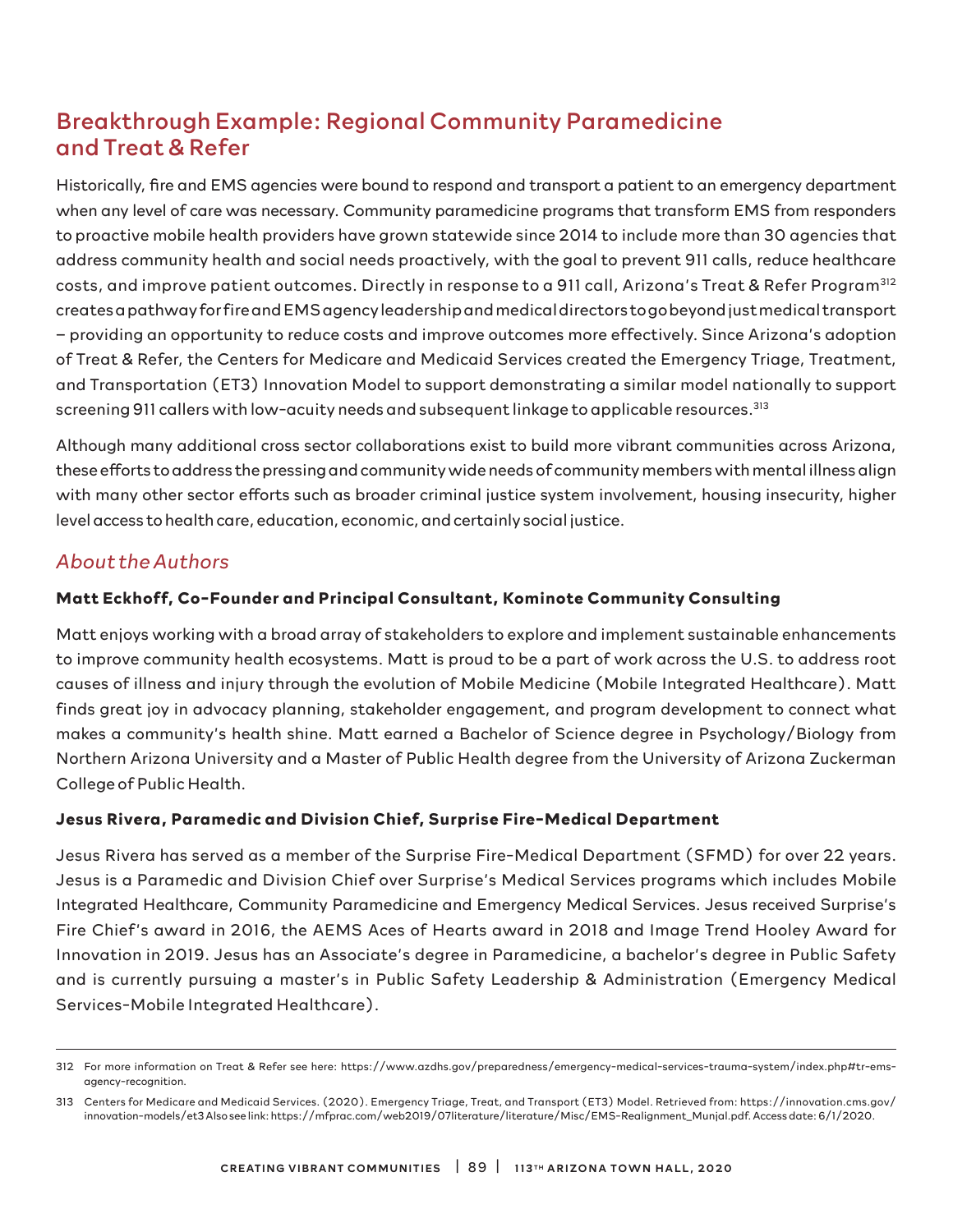# Breakthrough Example: Regional Community Paramedicine and Treat & Refer

Historically, fire and EMS agencies were bound to respond and transport a patient to an emergency department when any level of care was necessary. Community paramedicine programs that transform EMS from responders to proactive mobile health providers have grown statewide since 2014 to include more than 30 agencies that address community health and social needs proactively, with the goal to prevent 911 calls, reduce healthcare costs, and improve patient outcomes. Directly in response to a 911 call, Arizona's Treat & Refer Program<sup>312</sup> creates a pathway for fire and EMS agency leadership and medical directors to go beyond just medical transport – providing an opportunity to reduce costs and improve outcomes more effectively. Since Arizona's adoption of Treat & Refer, the Centers for Medicare and Medicaid Services created the Emergency Triage, Treatment, and Transportation (ET3) Innovation Model to support demonstrating a similar model nationally to support screening 911 callers with low-acuity needs and subsequent linkage to applicable resources.<sup>313</sup>

Although many additional cross sector collaborations exist to build more vibrant communities across Arizona, these efforts to address the pressing and community wide needs of community members with mental illness align with many other sector efforts such as broader criminal justice system involvement, housing insecurity, higher level access to health care, education, economic, and certainly social justice.

### *About the Authors*

#### **Matt Eckhoff, Co-Founder and Principal Consultant, Kominote Community Consulting**

Matt enjoys working with a broad array of stakeholders to explore and implement sustainable enhancements to improve community health ecosystems. Matt is proud to be a part of work across the U.S. to address root causes of illness and injury through the evolution of Mobile Medicine (Mobile Integrated Healthcare). Matt finds great joy in advocacy planning, stakeholder engagement, and program development to connect what makes a community's health shine. Matt earned a Bachelor of Science degree in Psychology/Biology from Northern Arizona University and a Master of Public Health degree from the University of Arizona Zuckerman College of Public Health.

#### **Jesus Rivera, Paramedic and Division Chief, Surprise Fire-Medical Department**

Jesus Rivera has served as a member of the Surprise Fire-Medical Department (SFMD) for over 22 years. Jesus is a Paramedic and Division Chief over Surprise's Medical Services programs which includes Mobile Integrated Healthcare, Community Paramedicine and Emergency Medical Services. Jesus received Surprise's Fire Chief 's award in 2016, the AEMS Aces of Hearts award in 2018 and Image Trend Hooley Award for Innovation in 2019. Jesus has an Associate's degree in Paramedicine, a bachelor's degree in Public Safety and is currently pursuing a master's in Public Safety Leadership & Administration (Emergency Medical Services-Mobile Integrated Healthcare).

<sup>312</sup> For more information on Treat & Refer see here: https://www.azdhs.gov/preparedness/emergency-medical-services-trauma-system/index.php#tr-emsagency-recognition.

<sup>313</sup> Centers for Medicare and Medicaid Services. (2020). Emergency Triage, Treat, and Transport (ET3) Model. Retrieved from: https://innovation.cms.gov/ innovation-models/et3 Also see link: https://mfprac.com/web2019/07literature/literature/Misc/EMS-Realignment\_Munjal.pdf. Access date: 6/1/2020.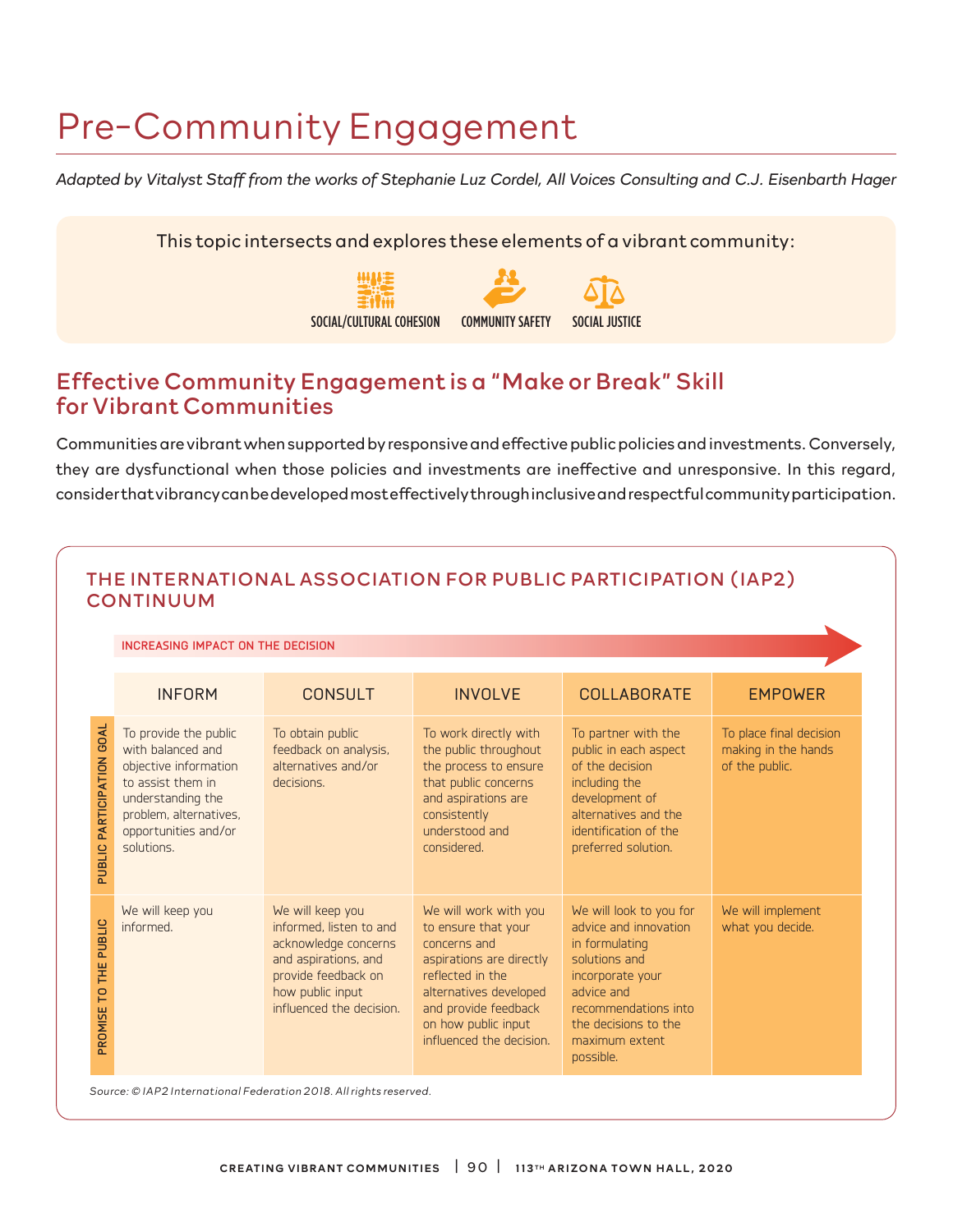# Pre-Community Engagement

*Adapted by Vitalyst Staff from the works of Stephanie Luz Cordel, All Voices Consulting and C.J. Eisenbarth Hager*

This topic intersects and explores these elements of a vibrant community:



### Effective Community Engagement is a "Make or Break" Skill for Vibrant Communities

Communities are vibrant when supported by responsive and effective public policies and investments. Conversely, they are dysfunctional when those policies and investments are ineffective and unresponsive. In this regard, consider that vibrancy can be developed most effectively through inclusive and respectful community participation.

| <b>INCREASING IMPACT ON THE DECISION</b>                                                                                                                                      |                                                                                                                                                                    |                                                                                                                                                                                                                   |                                                                                                                                                                                                      |                                                                  |  |  |  |
|-------------------------------------------------------------------------------------------------------------------------------------------------------------------------------|--------------------------------------------------------------------------------------------------------------------------------------------------------------------|-------------------------------------------------------------------------------------------------------------------------------------------------------------------------------------------------------------------|------------------------------------------------------------------------------------------------------------------------------------------------------------------------------------------------------|------------------------------------------------------------------|--|--|--|
| <b>INFORM</b>                                                                                                                                                                 | <b>CONSULT</b>                                                                                                                                                     | <b>INVOLVE</b>                                                                                                                                                                                                    | <b>COLLABORATE</b>                                                                                                                                                                                   | <b>EMPOWER</b>                                                   |  |  |  |
| To provide the public<br>with balanced and<br>objective information<br>to assist them in<br>understanding the<br>problem, alternatives,<br>opportunities and/or<br>solutions. | To obtain public<br>feedback on analysis,<br>alternatives and/or<br>decisions.                                                                                     | To work directly with<br>the public throughout<br>the process to ensure<br>that public concerns<br>and aspirations are<br>consistently<br>understood and<br>considered.                                           | To partner with the<br>public in each aspect<br>of the decision<br>including the<br>development of<br>alternatives and the<br>identification of the<br>preferred solution.                           | To place final decision<br>making in the hands<br>of the public. |  |  |  |
| We will keep you<br>informed.                                                                                                                                                 | We will keep you<br>informed. listen to and<br>acknowledge concerns<br>and aspirations, and<br>provide feedback on<br>how public input<br>influenced the decision. | We will work with you<br>to ensure that your<br>concerns and<br>aspirations are directly<br>reflected in the<br>alternatives developed<br>and provide feedback<br>on how public input<br>influenced the decision. | We will look to you for<br>advice and innovation<br>in formulating<br>solutions and<br>incorporate your<br>advice and<br>recommendations into<br>the decisions to the<br>maximum extent<br>possible. | We will implement<br>what you decide.                            |  |  |  |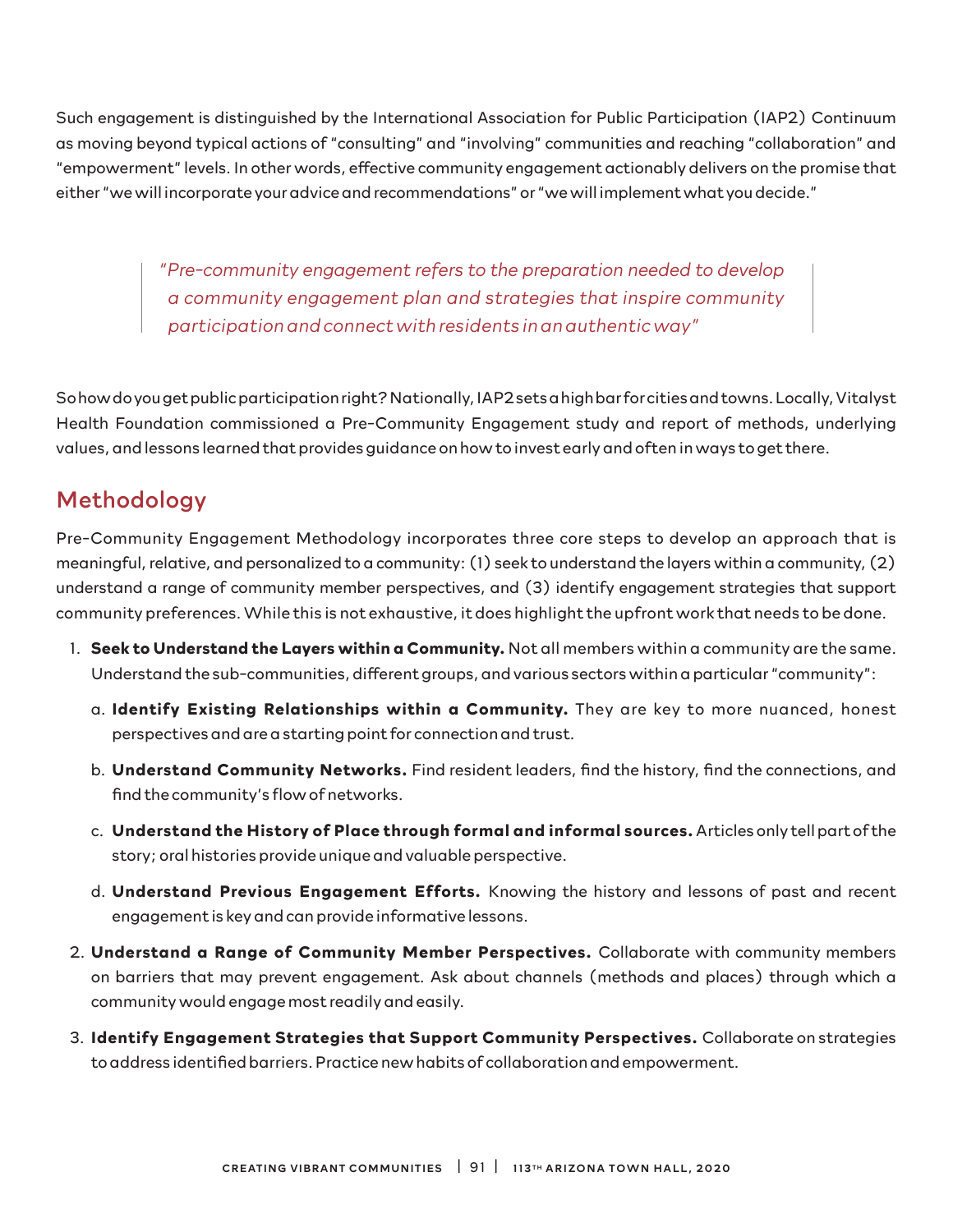Such engagement is distinguished by the International Association for Public Participation (IAP2) Continuum as moving beyond typical actions of "consulting" and "involving" communities and reaching "collaboration" and "empowerment" levels. In other words, effective community engagement actionably delivers on the promise that either "we will incorporate your advice and recommendations" or "we will implement what you decide."

> *"Pre-community engagement refers to the preparation needed to develop a community engagement plan and strategies that inspire community participation and connect with residents in an authentic way"*

So how do you get public participation right? Nationally, IAP2 sets a high bar for cities and towns. Locally, Vitalyst Health Foundation commissioned a Pre-Community Engagement study and report of methods, underlying values, and lessons learned that provides guidance on how to invest early and often in ways to get there.

## Methodology

Pre-Community Engagement Methodology incorporates three core steps to develop an approach that is meaningful, relative, and personalized to a community: (1) seek to understand the layers within a community, (2) understand a range of community member perspectives, and (3) identify engagement strategies that support community preferences. While this is not exhaustive, it does highlight the upfront work that needs to be done.

- 1. **Seek to Understand the Layers within a Community.** Not all members within a community are the same. Understand the sub-communities, different groups, and various sectors within a particular "community":
	- a. **Identify Existing Relationships within a Community.** They are key to more nuanced, honest perspectives and are a starting point for connection and trust.
	- b. **Understand Community Networks.** Find resident leaders, find the history, find the connections, and find the community's flow of networks.
	- c. **Understand the History of Place through formal and informal sources.** Articles only tell part of the story; oral histories provide unique and valuable perspective.
	- d. **Understand Previous Engagement Efforts.** Knowing the history and lessons of past and recent engagement is key and can provide informative lessons.
- 2. **Understand a Range of Community Member Perspectives.** Collaborate with community members on barriers that may prevent engagement. Ask about channels (methods and places) through which a community would engage most readily and easily.
- 3. **Identify Engagement Strategies that Support Community Perspectives.** Collaborate on strategies to address identified barriers. Practice new habits of collaboration and empowerment.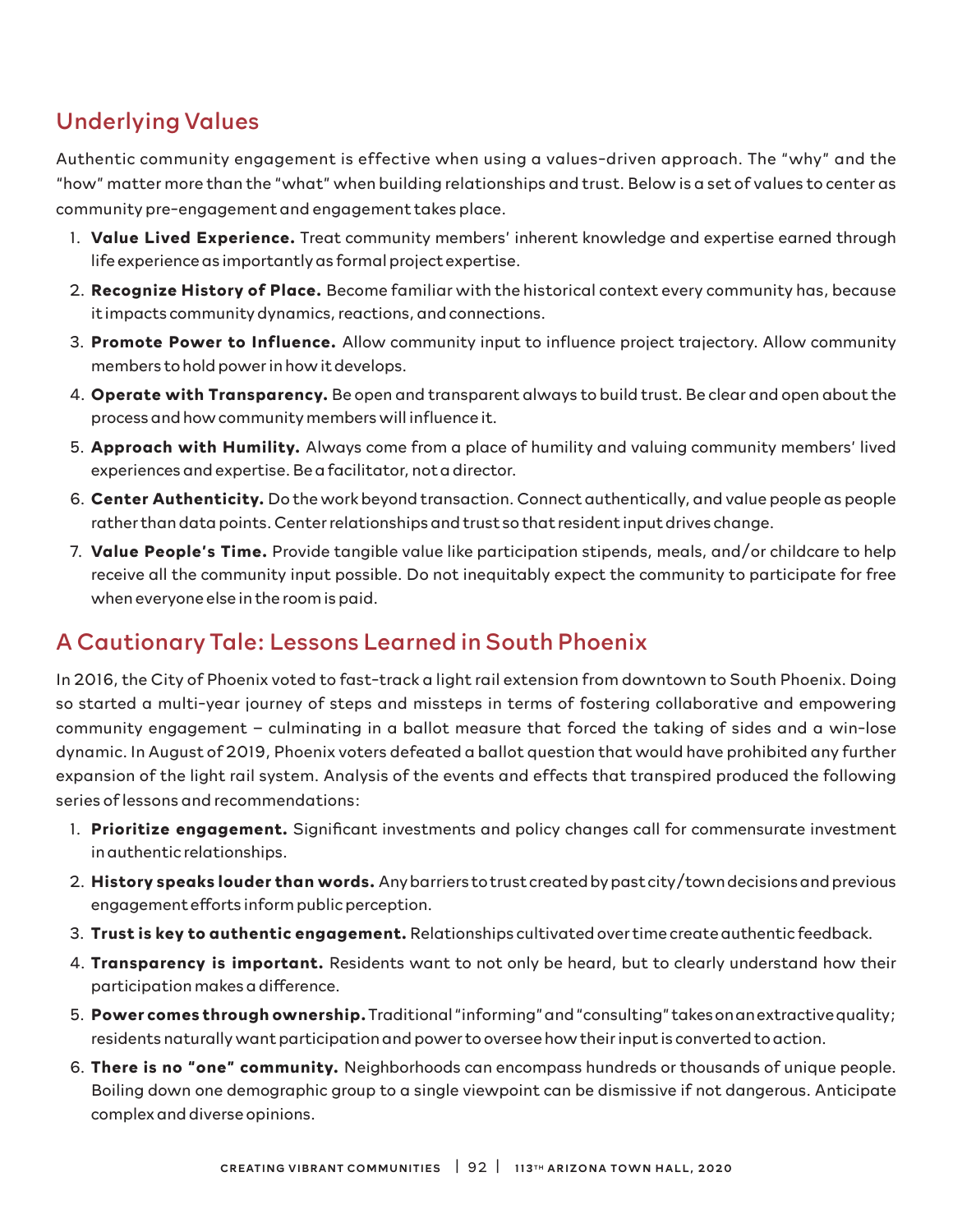# Underlying Values

Authentic community engagement is effective when using a values-driven approach. The "why" and the "how" matter more than the "what" when building relationships and trust. Below is a set of values to center as community pre-engagement and engagement takes place.

- 1. **Value Lived Experience.** Treat community members' inherent knowledge and expertise earned through life experience as importantly as formal project expertise.
- 2. **Recognize History of Place.** Become familiar with the historical context every community has, because it impacts community dynamics, reactions, and connections.
- 3. **Promote Power to Influence.** Allow community input to influence project trajectory. Allow community members to hold power in how it develops.
- 4. **Operate with Transparency.** Be open and transparent always to build trust. Be clear and open about the process and how community members will influence it.
- 5. **Approach with Humility.** Always come from a place of humility and valuing community members' lived experiences and expertise. Be a facilitator, not a director.
- 6. **Center Authenticity.** Do the work beyond transaction. Connect authentically, and value people as people rather than data points. Center relationships and trust so that resident input drives change.
- 7. **Value People's Time.** Provide tangible value like participation stipends, meals, and/or childcare to help receive all the community input possible. Do not inequitably expect the community to participate for free when everyone else in the room is paid.

# A Cautionary Tale: Lessons Learned in South Phoenix

In 2016, the City of Phoenix voted to fast-track a light rail extension from downtown to South Phoenix. Doing so started a multi-year journey of steps and missteps in terms of fostering collaborative and empowering community engagement – culminating in a ballot measure that forced the taking of sides and a win-lose dynamic. In August of 2019, Phoenix voters defeated a ballot question that would have prohibited any further expansion of the light rail system. Analysis of the events and effects that transpired produced the following series of lessons and recommendations:

- 1. **Prioritize engagement.** Significant investments and policy changes call for commensurate investment in authentic relationships.
- 2. **History speaks louder than words.** Any barriers to trust created by past city/town decisions and previous engagement efforts inform public perception.
- 3. **Trust is key to authentic engagement.** Relationships cultivated over time create authentic feedback.
- 4. **Transparency is important.** Residents want to not only be heard, but to clearly understand how their participation makes a difference.
- 5. **Power comes through ownership.** Traditional "informing" and "consulting" takes on an extractive quality; residents naturally want participation and power to oversee how their input is converted to action.
- 6. **There is no "one" community.** Neighborhoods can encompass hundreds or thousands of unique people. Boiling down one demographic group to a single viewpoint can be dismissive if not dangerous. Anticipate complex and diverse opinions.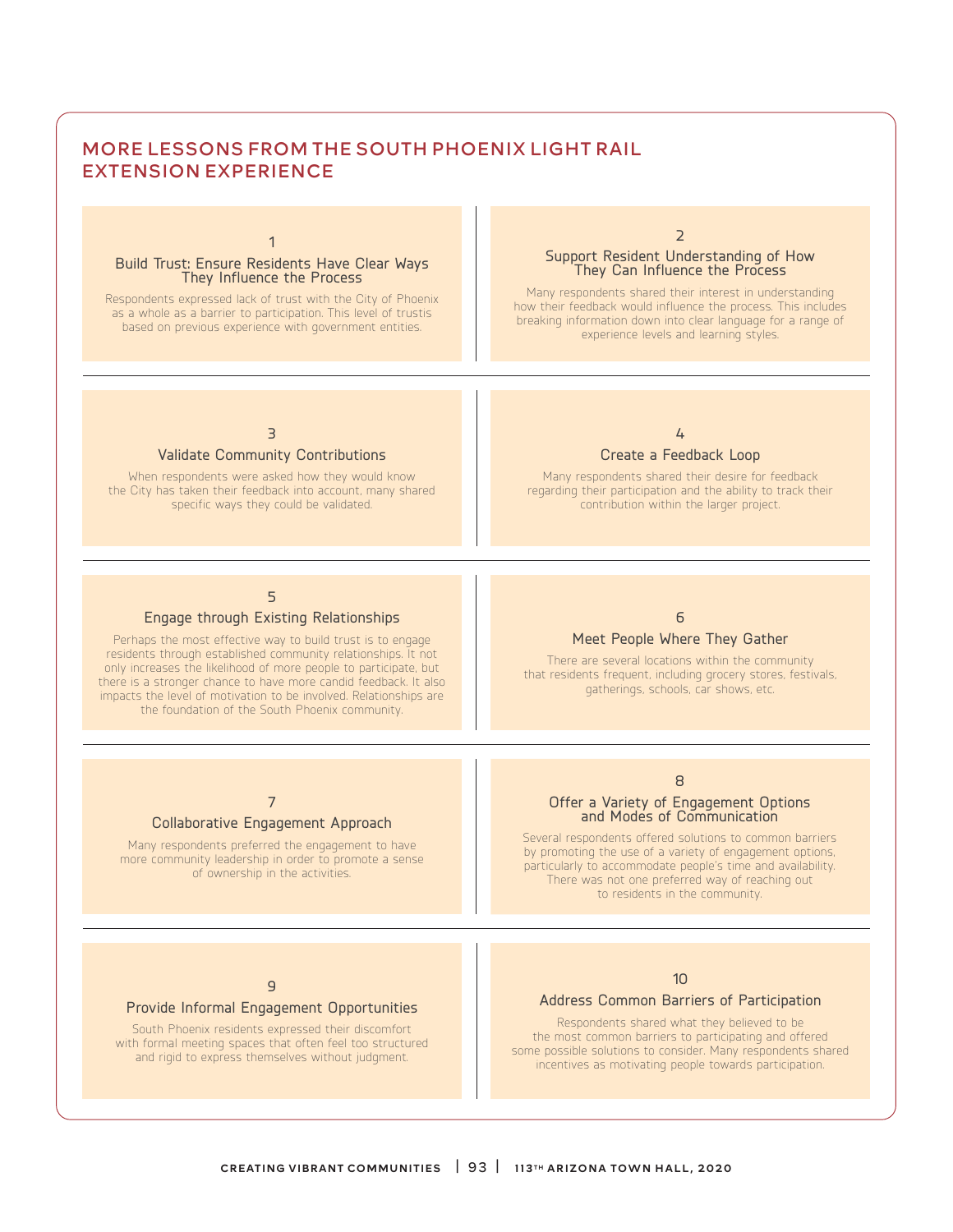#### MORE LESSONS FROM THE SOUTH PHOENIX LIGHT RAIL EXTENSION EXPERIENCE

1

# Build Trust: Ensure Residents Have Clear Ways They Influence the Process

Respondents expressed lack of trust with the City of Phoenix as a whole as a barrier to participation. This level of trustis based on previous experience with government entities.

### 2 Support Resident Understanding of How They Can Influence the Process

Many respondents shared their interest in understanding how their feedback would influence the process. This includes breaking information down into clear language for a range of experience levels and learning styles.

### 3

#### Validate Community Contributions

When respondents were asked how they would know the City has taken their feedback into account, many shared specific ways they could be validated.



#### Create a Feedback Loop

Many respondents shared their desire for feedback regarding their participation and the ability to track their contribution within the larger project.

#### 5

#### Engage through Existing Relationships

Perhaps the most effective way to build trust is to engage residents through established community relationships. It not only increases the likelihood of more people to participate, but there is a stronger chance to have more candid feedback. It also impacts the level of motivation to be involved. Relationships are the foundation of the South Phoenix community.

### 6

#### Meet People Where They Gather

There are several locations within the community that residents frequent, including grocery stores, festivals, gatherings, schools, car shows, etc.

7

#### Collaborative Engagement Approach

Many respondents preferred the engagement to have more community leadership in order to promote a sense of ownership in the activities.

#### 8

# Offer a Variety of Engagement Options and Modes of Communication

Several respondents offered solutions to common barriers by promoting the use of a variety of engagement options, particularly to accommodate people's time and availability. There was not one preferred way of reaching out to residents in the community.

#### $\overline{q}$

#### Provide Informal Engagement Opportunities

South Phoenix residents expressed their discomfort with formal meeting spaces that often feel too structured and rigid to express themselves without judgment.

#### 10

#### Address Common Barriers of Participation

Respondents shared what they believed to be the most common barriers to participating and offered some possible solutions to consider. Many respondents shared incentives as motivating people towards participation.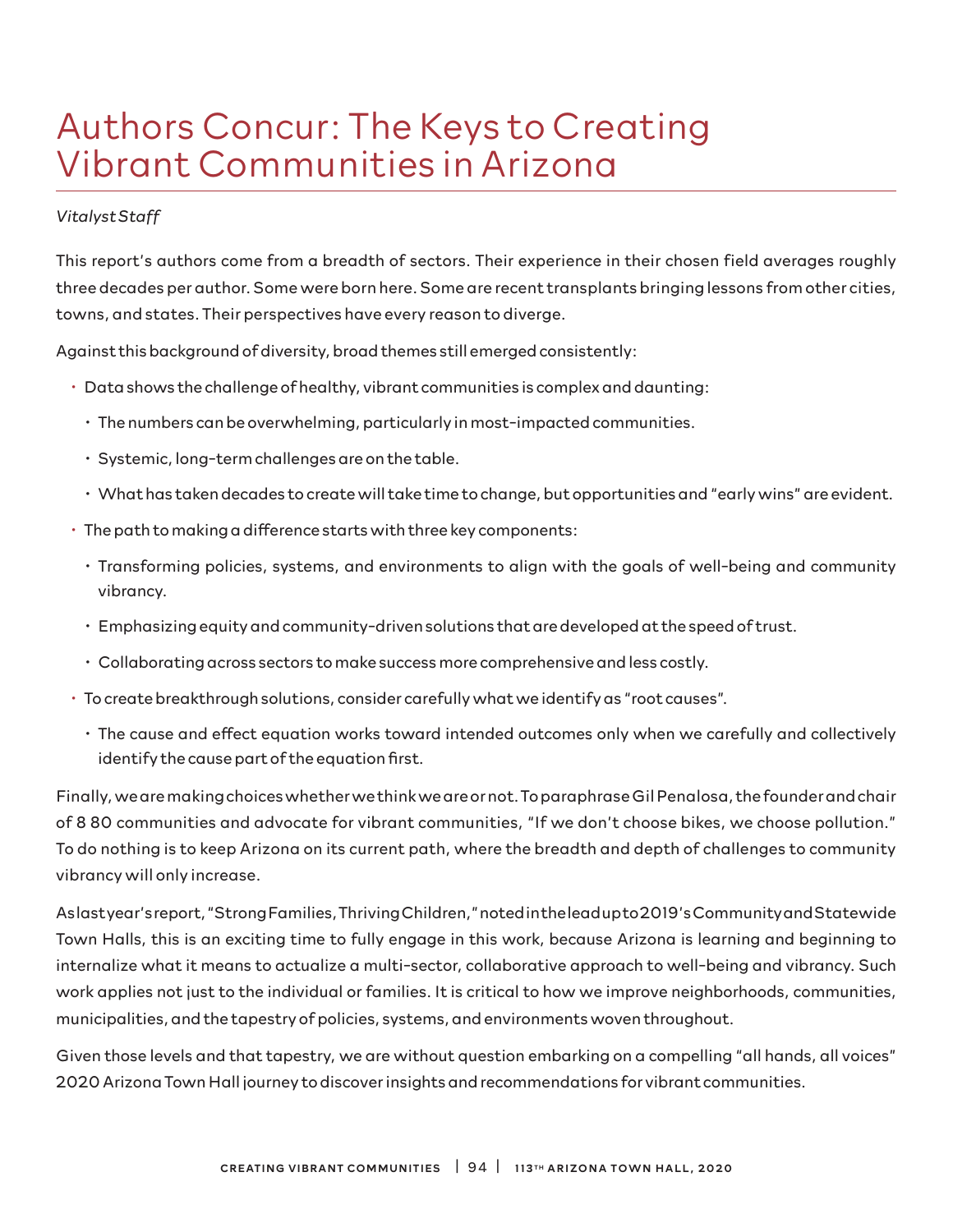# Authors Concur: The Keys to Creating Vibrant Communities in Arizona

#### *Vitalyst Staff*

This report's authors come from a breadth of sectors. Their experience in their chosen field averages roughly three decades per author. Some were born here. Some are recent transplants bringing lessons from other cities, towns, and states. Their perspectives have every reason to diverge.

Against this background of diversity, broad themes still emerged consistently:

- Data shows the challenge of healthy, vibrant communities is complex and daunting:
	- The numbers can be overwhelming, particularly in most-impacted communities.
	- Systemic, long-term challenges are on the table.
	- What has taken decades to create will take time to change, but opportunities and "early wins" are evident.
- The path to making a difference starts with three key components:
	- Transforming policies, systems, and environments to align with the goals of well-being and community vibrancy.
	- Emphasizing equity and community-driven solutions that are developed at the speed of trust.
	- Collaborating across sectors to make success more comprehensive and less costly.
- To create breakthrough solutions, consider carefully what we identify as "root causes".
	- The cause and effect equation works toward intended outcomes only when we carefully and collectively identify the cause part of the equation first.

Finally, we are making choices whether we think we are or not. To paraphrase Gil Penalosa, the founder and chair of 8 80 communities and advocate for vibrant communities, "If we don't choose bikes, we choose pollution." To do nothing is to keep Arizona on its current path, where the breadth and depth of challenges to community vibrancy will only increase.

As last year's report, "Strong Families, Thriving Children," noted in the lead up to 2019's Community and Statewide Town Halls, this is an exciting time to fully engage in this work, because Arizona is learning and beginning to internalize what it means to actualize a multi-sector, collaborative approach to well-being and vibrancy. Such work applies not just to the individual or families. It is critical to how we improve neighborhoods, communities, municipalities, and the tapestry of policies, systems, and environments woven throughout.

Given those levels and that tapestry, we are without question embarking on a compelling "all hands, all voices" 2020 Arizona Town Hall journey to discover insights and recommendations for vibrant communities.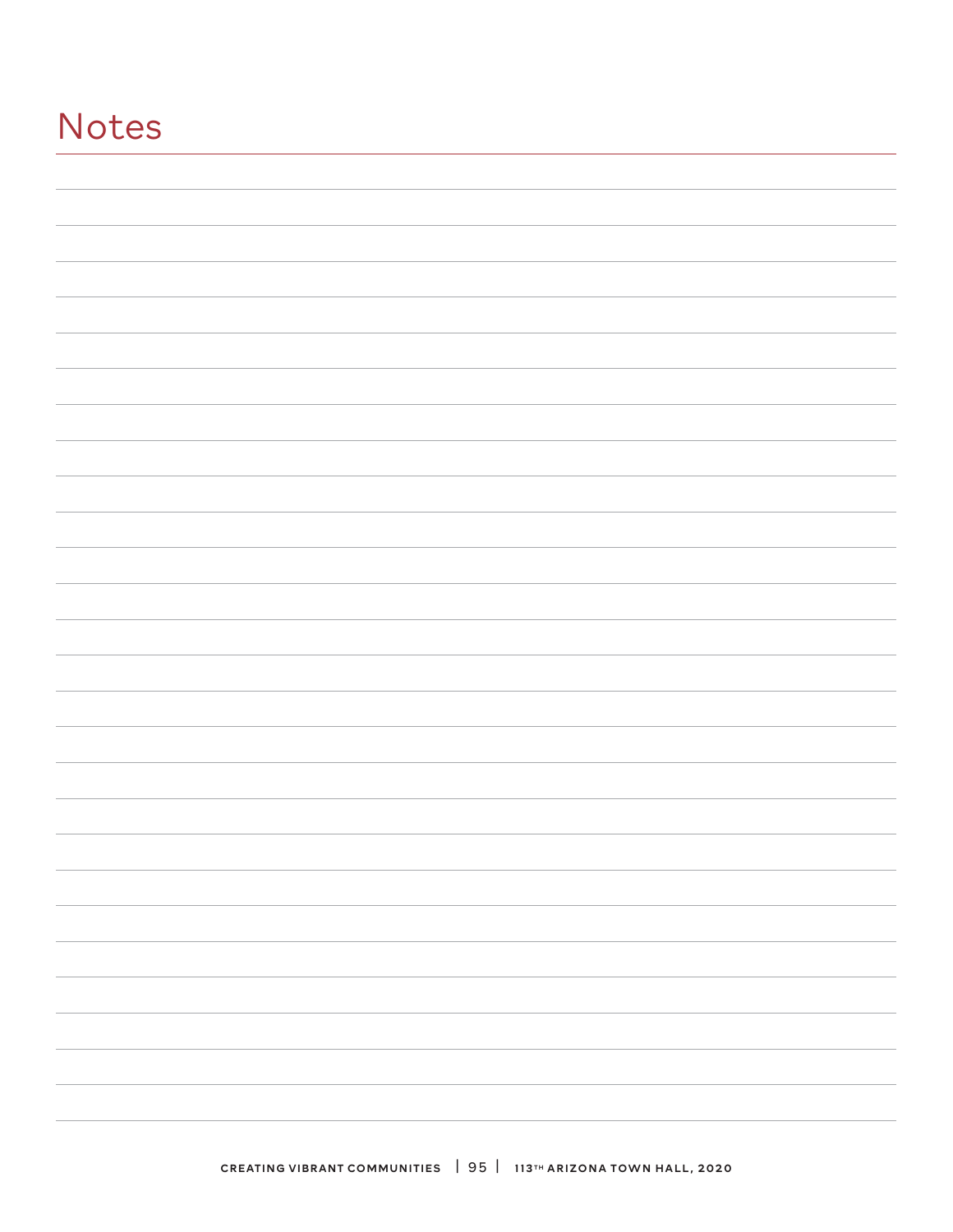# Notes